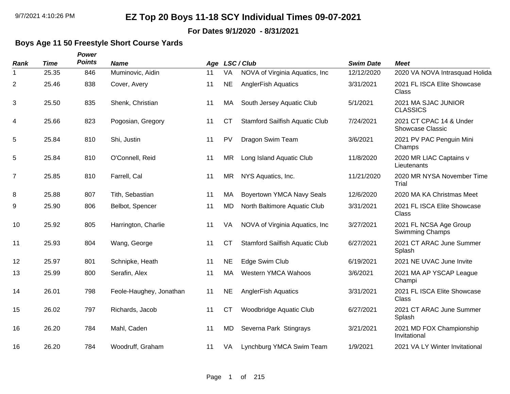**For Dates 9/1/2020 - 8/31/2021**

### **Boys Age 11 50 Freestyle Short Course Yards**

| Rank           | <b>Time</b> | Power<br><b>Points</b> | <b>Name</b>             | Age |           | LSC / Club                            | <b>Swim Date</b> | <b>Meet</b>                                      |
|----------------|-------------|------------------------|-------------------------|-----|-----------|---------------------------------------|------------------|--------------------------------------------------|
| 1              | 25.35       | 846                    | Muminovic, Aidin        | 11  | VA        | NOVA of Virginia Aquatics, Inc.       | 12/12/2020       | 2020 VA NOVA Intrasquad Holida                   |
| $\overline{2}$ | 25.46       | 838                    | Cover, Avery            | 11  | <b>NE</b> | <b>AnglerFish Aquatics</b>            | 3/31/2021        | 2021 FL ISCA Elite Showcase<br>Class             |
| 3              | 25.50       | 835                    | Shenk, Christian        | 11  | <b>MA</b> | South Jersey Aquatic Club             | 5/1/2021         | 2021 MA SJAC JUNIOR<br><b>CLASSICS</b>           |
| 4              | 25.66       | 823                    | Pogosian, Gregory       | 11  | <b>CT</b> | <b>Stamford Sailfish Aquatic Club</b> | 7/24/2021        | 2021 CT CPAC 14 & Under<br>Showcase Classic      |
| 5              | 25.84       | 810                    | Shi, Justin             | 11  | PV        | Dragon Swim Team                      | 3/6/2021         | 2021 PV PAC Penguin Mini<br>Champs               |
| 5              | 25.84       | 810                    | O'Connell, Reid         | 11  | <b>MR</b> | Long Island Aquatic Club              | 11/8/2020        | 2020 MR LIAC Captains v<br>Lieutenants           |
| $\overline{7}$ | 25.85       | 810                    | Farrell, Cal            | 11  | <b>MR</b> | NYS Aquatics, Inc.                    | 11/21/2020       | 2020 MR NYSA November Time<br>Trial              |
| 8              | 25.88       | 807                    | Tith, Sebastian         | 11  | MA        | Boyertown YMCA Navy Seals             | 12/6/2020        | 2020 MA KA Christmas Meet                        |
| 9              | 25.90       | 806                    | Belbot, Spencer         | 11  | <b>MD</b> | North Baltimore Aquatic Club          | 3/31/2021        | 2021 FL ISCA Elite Showcase<br>Class             |
| 10             | 25.92       | 805                    | Harrington, Charlie     | 11  | VA        | NOVA of Virginia Aquatics, Inc.       | 3/27/2021        | 2021 FL NCSA Age Group<br><b>Swimming Champs</b> |
| 11             | 25.93       | 804                    | Wang, George            | 11  | <b>CT</b> | <b>Stamford Sailfish Aquatic Club</b> | 6/27/2021        | 2021 CT ARAC June Summer<br>Splash               |
| 12             | 25.97       | 801                    | Schnipke, Heath         | 11  | <b>NE</b> | Edge Swim Club                        | 6/19/2021        | 2021 NE UVAC June Invite                         |
| 13             | 25.99       | 800                    | Serafin, Alex           | 11  | MA        | Western YMCA Wahoos                   | 3/6/2021         | 2021 MA AP YSCAP League<br>Champi                |
| 14             | 26.01       | 798                    | Feole-Haughey, Jonathan | 11  | <b>NE</b> | AnglerFish Aquatics                   | 3/31/2021        | 2021 FL ISCA Elite Showcase<br>Class             |
| 15             | 26.02       | 797                    | Richards, Jacob         | 11  | <b>CT</b> | Woodbridge Aquatic Club               | 6/27/2021        | 2021 CT ARAC June Summer<br>Splash               |
| 16             | 26.20       | 784                    | Mahl, Caden             | 11  | <b>MD</b> | Severna Park Stingrays                | 3/21/2021        | 2021 MD FOX Championship<br>Invitational         |
| 16             | 26.20       | 784                    | Woodruff, Graham        | 11  | VA        | Lynchburg YMCA Swim Team              | 1/9/2021         | 2021 VA LY Winter Invitational                   |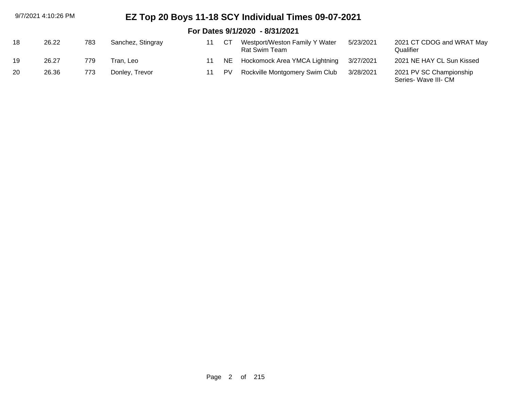| 9/7/2021 4:10:26 PM            |       |     |                   |    | EZ Top 20 Boys 11-18 SCY Individual Times 09-07-2021 |                                                        |           |                                                 |  |  |  |
|--------------------------------|-------|-----|-------------------|----|------------------------------------------------------|--------------------------------------------------------|-----------|-------------------------------------------------|--|--|--|
| For Dates 9/1/2020 - 8/31/2021 |       |     |                   |    |                                                      |                                                        |           |                                                 |  |  |  |
| 18                             | 26.22 | 783 | Sanchez, Stingray | 11 | СT                                                   | Westport/Weston Family Y Water<br><b>Rat Swim Team</b> | 5/23/2021 | 2021 CT CDOG and WRAT May<br>Qualifier          |  |  |  |
| 19                             | 26.27 | 779 | Tran, Leo         | 11 | NE.                                                  | Hockomock Area YMCA Lightning                          | 3/27/2021 | 2021 NE HAY CL Sun Kissed                       |  |  |  |
| 20                             | 26.36 | 773 | Donley, Trevor    | 11 | <b>PV</b>                                            | Rockville Montgomery Swim Club                         | 3/28/2021 | 2021 PV SC Championship<br>Series- Wave III- CM |  |  |  |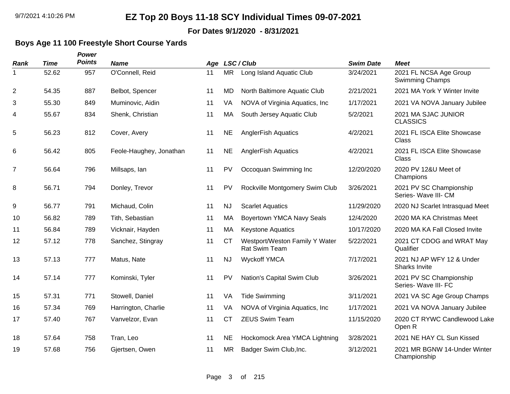#### **For Dates 9/1/2020 - 8/31/2021**

### **Boys Age 11 100 Freestyle Short Course Yards**

| Rank           | <b>Time</b> | Power<br><b>Points</b> | <b>Name</b>             |    |           | Age LSC/Club                                    | <b>Swim Date</b> | <b>Meet</b>                                      |
|----------------|-------------|------------------------|-------------------------|----|-----------|-------------------------------------------------|------------------|--------------------------------------------------|
| 1              | 52.62       | 957                    | O'Connell, Reid         | 11 | <b>MR</b> | Long Island Aquatic Club                        | 3/24/2021        | 2021 FL NCSA Age Group<br><b>Swimming Champs</b> |
| $\overline{2}$ | 54.35       | 887                    | Belbot, Spencer         | 11 | <b>MD</b> | North Baltimore Aquatic Club                    | 2/21/2021        | 2021 MA York Y Winter Invite                     |
| 3              | 55.30       | 849                    | Muminovic, Aidin        | 11 | VA        | NOVA of Virginia Aquatics, Inc.                 | 1/17/2021        | 2021 VA NOVA January Jubilee                     |
| 4              | 55.67       | 834                    | Shenk, Christian        | 11 | MA        | South Jersey Aquatic Club                       | 5/2/2021         | 2021 MA SJAC JUNIOR<br><b>CLASSICS</b>           |
| 5              | 56.23       | 812                    | Cover, Avery            | 11 | <b>NE</b> | AnglerFish Aquatics                             | 4/2/2021         | 2021 FL ISCA Elite Showcase<br>Class             |
| 6              | 56.42       | 805                    | Feole-Haughey, Jonathan | 11 | <b>NE</b> | <b>AnglerFish Aquatics</b>                      | 4/2/2021         | 2021 FL ISCA Elite Showcase<br>Class             |
| $\overline{7}$ | 56.64       | 796                    | Millsaps, lan           | 11 | PV        | Occoquan Swimming Inc                           | 12/20/2020       | 2020 PV 12&U Meet of<br>Champions                |
| 8              | 56.71       | 794                    | Donley, Trevor          | 11 | <b>PV</b> | Rockville Montgomery Swim Club                  | 3/26/2021        | 2021 PV SC Championship<br>Series- Wave III- CM  |
| 9              | 56.77       | 791                    | Michaud, Colin          | 11 | <b>NJ</b> | <b>Scarlet Aquatics</b>                         | 11/29/2020       | 2020 NJ Scarlet Intrasquad Meet                  |
| 10             | 56.82       | 789                    | Tith, Sebastian         | 11 | MA        | Boyertown YMCA Navy Seals                       | 12/4/2020        | 2020 MA KA Christmas Meet                        |
| 11             | 56.84       | 789                    | Vicknair, Hayden        | 11 | MA        | <b>Keystone Aquatics</b>                        | 10/17/2020       | 2020 MA KA Fall Closed Invite                    |
| 12             | 57.12       | 778                    | Sanchez, Stingray       | 11 | <b>CT</b> | Westport/Weston Family Y Water<br>Rat Swim Team | 5/22/2021        | 2021 CT CDOG and WRAT May<br>Qualifier           |
| 13             | 57.13       | 777                    | Matus, Nate             | 11 | <b>NJ</b> | <b>Wyckoff YMCA</b>                             | 7/17/2021        | 2021 NJ AP WFY 12 & Under<br>Sharks Invite       |
| 14             | 57.14       | 777                    | Kominski, Tyler         | 11 | PV        | Nation's Capital Swim Club                      | 3/26/2021        | 2021 PV SC Championship<br>Series- Wave III- FC  |
| 15             | 57.31       | 771                    | Stowell, Daniel         | 11 | VA        | <b>Tide Swimming</b>                            | 3/11/2021        | 2021 VA SC Age Group Champs                      |
| 16             | 57.34       | 769                    | Harrington, Charlie     | 11 | VA        | NOVA of Virginia Aquatics, Inc.                 | 1/17/2021        | 2021 VA NOVA January Jubilee                     |
| 17             | 57.40       | 767                    | Vanvelzor, Evan         | 11 | <b>CT</b> | <b>ZEUS Swim Team</b>                           | 11/15/2020       | 2020 CT RYWC Candlewood Lake<br>Open R           |
| 18             | 57.64       | 758                    | Tran, Leo               | 11 | <b>NE</b> | Hockomock Area YMCA Lightning                   | 3/28/2021        | 2021 NE HAY CL Sun Kissed                        |
| 19             | 57.68       | 756                    | Gjertsen, Owen          | 11 | <b>MR</b> | Badger Swim Club, Inc.                          | 3/12/2021        | 2021 MR BGNW 14-Under Winter<br>Championship     |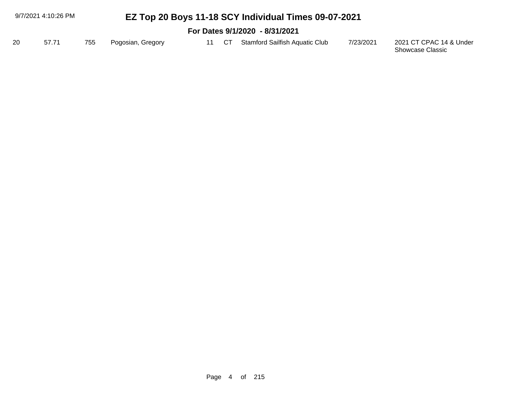| 9/7/2021 4:10:26 PM |       |     | EZ Top 20 Boys 11-18 SCY Individual Times 09-07-2021 |  |       |                                       |           |                                             |  |
|---------------------|-------|-----|------------------------------------------------------|--|-------|---------------------------------------|-----------|---------------------------------------------|--|
|                     |       |     |                                                      |  |       | For Dates 9/1/2020 - 8/31/2021        |           |                                             |  |
|                     | 57.71 | 755 | Pogosian, Gregory                                    |  | 11 CT | <b>Stamford Sailfish Aquatic Club</b> | 7/23/2021 | 2021 CT CPAC 14 & Under<br>Showcase Classic |  |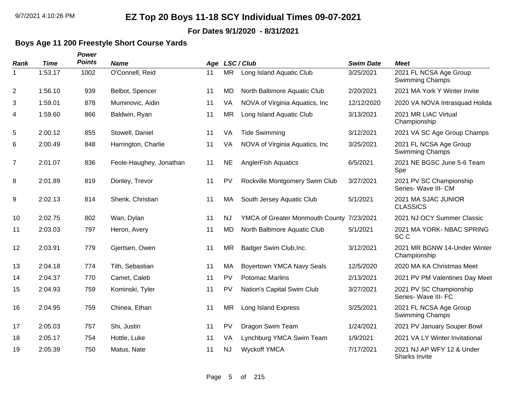#### **For Dates 9/1/2020 - 8/31/2021**

### **Boys Age 11 200 Freestyle Short Course Yards**

| <b>Rank</b>    | <b>Time</b> | Power<br><b>Points</b> | <b>Name</b>             |    |           | Age LSC/Club                              | <b>Swim Date</b> | <b>Meet</b>                                      |
|----------------|-------------|------------------------|-------------------------|----|-----------|-------------------------------------------|------------------|--------------------------------------------------|
| 1              | 1:53.17     | 1002                   | O'Connell, Reid         | 11 | <b>MR</b> | Long Island Aquatic Club                  | 3/25/2021        | 2021 FL NCSA Age Group<br><b>Swimming Champs</b> |
| $\overline{c}$ | 1:56.10     | 939                    | Belbot, Spencer         | 11 | <b>MD</b> | North Baltimore Aquatic Club              | 2/20/2021        | 2021 MA York Y Winter Invite                     |
| 3              | 1:59.01     | 878                    | Muminovic, Aidin        | 11 | VA        | NOVA of Virginia Aquatics, Inc.           | 12/12/2020       | 2020 VA NOVA Intrasquad Holida                   |
| 4              | 1:59.60     | 866                    | Baldwin, Ryan           | 11 | <b>MR</b> | Long Island Aquatic Club                  | 3/13/2021        | 2021 MR LIAC Virtual<br>Championship             |
| 5              | 2:00.12     | 855                    | Stowell, Daniel         | 11 | VA        | <b>Tide Swimming</b>                      | 3/12/2021        | 2021 VA SC Age Group Champs                      |
| 6              | 2:00.49     | 848                    | Harrington, Charlie     | 11 | VA        | NOVA of Virginia Aquatics, Inc.           | 3/25/2021        | 2021 FL NCSA Age Group<br><b>Swimming Champs</b> |
| $\overline{7}$ | 2:01.07     | 836                    | Feole-Haughey, Jonathan | 11 | <b>NE</b> | <b>AnglerFish Aquatics</b>                | 6/5/2021         | 2021 NE BGSC June 5-6 Team<br>Spe                |
| 8              | 2:01.89     | 819                    | Donley, Trevor          | 11 | PV        | Rockville Montgomery Swim Club            | 3/27/2021        | 2021 PV SC Championship<br>Series- Wave III- CM  |
| 9              | 2:02.13     | 814                    | Shenk, Christian        | 11 | MA        | South Jersey Aquatic Club                 | 5/1/2021         | 2021 MA SJAC JUNIOR<br><b>CLASSICS</b>           |
| 10             | 2:02.75     | 802                    | Wan, Dylan              | 11 | <b>NJ</b> | YMCA of Greater Monmouth County 7/23/2021 |                  | 2021 NJ OCY Summer Classic                       |
| 11             | 2:03.03     | 797                    | Heron, Avery            | 11 | <b>MD</b> | North Baltimore Aquatic Club              | 5/1/2021         | 2021 MA YORK- NBAC SPRING<br>SC <sub>C</sub>     |
| 12             | 2:03.91     | 779                    | Gjertsen, Owen          | 11 | <b>MR</b> | Badger Swim Club, Inc.                    | 3/12/2021        | 2021 MR BGNW 14-Under Winter<br>Championship     |
| 13             | 2:04.18     | 774                    | Tith, Sebastian         | 11 | MA        | Boyertown YMCA Navy Seals                 | 12/5/2020        | 2020 MA KA Christmas Meet                        |
| 14             | 2:04.37     | 770                    | Camet, Caleb            | 11 | PV        | <b>Potomac Marlins</b>                    | 2/13/2021        | 2021 PV PM Valentines Day Meet                   |
| 15             | 2:04.93     | 759                    | Kominski, Tyler         | 11 | PV        | Nation's Capital Swim Club                | 3/27/2021        | 2021 PV SC Championship<br>Series- Wave III- FC  |
| 16             | 2:04.95     | 759                    | Chinea, Ethan           | 11 | <b>MR</b> | Long Island Express                       | 3/25/2021        | 2021 FL NCSA Age Group<br><b>Swimming Champs</b> |
| 17             | 2:05.03     | 757                    | Shi, Justin             | 11 | PV        | Dragon Swim Team                          | 1/24/2021        | 2021 PV January Souper Bowl                      |
| 18             | 2:05.17     | 754                    | Hottle, Luke            | 11 | VA        | Lynchburg YMCA Swim Team                  | 1/9/2021         | 2021 VA LY Winter Invitational                   |
| 19             | 2:05.39     | 750                    | Matus, Nate             | 11 | <b>NJ</b> | <b>Wyckoff YMCA</b>                       | 7/17/2021        | 2021 NJ AP WFY 12 & Under<br>Sharks Invite       |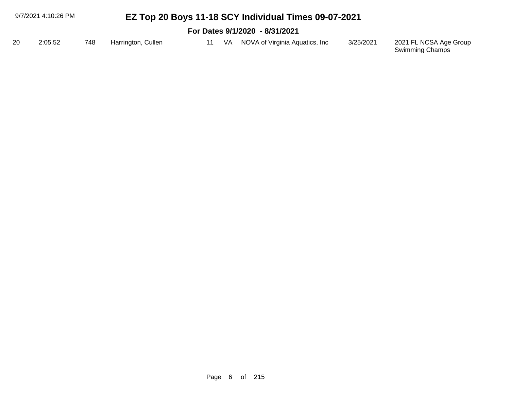|    | 9/7/2021 4:10:26 PM |     | EZ Top 20 Boys 11-18 SCY Individual Times 09-07-2021 |    |  |                                    |           |                                                  |  |  |
|----|---------------------|-----|------------------------------------------------------|----|--|------------------------------------|-----------|--------------------------------------------------|--|--|
|    |                     |     |                                                      |    |  | For Dates 9/1/2020 - 8/31/2021     |           |                                                  |  |  |
| 20 | 2:05.52             | 748 | Harrington, Cullen                                   | 11 |  | VA NOVA of Virginia Aquatics, Inc. | 3/25/2021 | 2021 FL NCSA Age Group<br><b>Swimming Champs</b> |  |  |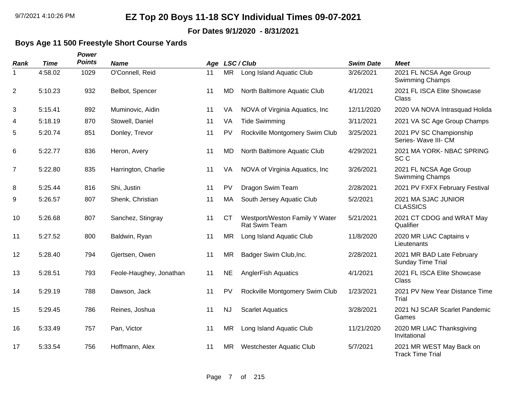#### **For Dates 9/1/2020 - 8/31/2021**

### **Boys Age 11 500 Freestyle Short Course Yards**

| Rank           | <b>Time</b> | Power<br><b>Points</b> | <b>Name</b>             |    |           | Age LSC/Club                                           | <b>Swim Date</b> | <b>Meet</b>                                         |
|----------------|-------------|------------------------|-------------------------|----|-----------|--------------------------------------------------------|------------------|-----------------------------------------------------|
| 1              | 4:58.02     | 1029                   | O'Connell, Reid         | 11 | <b>MR</b> | Long Island Aquatic Club                               | 3/26/2021        | 2021 FL NCSA Age Group<br>Swimming Champs           |
| $\overline{c}$ | 5:10.23     | 932                    | Belbot, Spencer         | 11 | <b>MD</b> | North Baltimore Aquatic Club                           | 4/1/2021         | 2021 FL ISCA Elite Showcase<br>Class                |
| 3              | 5:15.41     | 892                    | Muminovic, Aidin        | 11 | VA        | NOVA of Virginia Aquatics, Inc.                        | 12/11/2020       | 2020 VA NOVA Intrasquad Holida                      |
| 4              | 5:18.19     | 870                    | Stowell, Daniel         | 11 | VA        | <b>Tide Swimming</b>                                   | 3/11/2021        | 2021 VA SC Age Group Champs                         |
| 5              | 5:20.74     | 851                    | Donley, Trevor          | 11 | PV        | Rockville Montgomery Swim Club                         | 3/25/2021        | 2021 PV SC Championship<br>Series- Wave III- CM     |
| 6              | 5:22.77     | 836                    | Heron, Avery            | 11 | <b>MD</b> | North Baltimore Aquatic Club                           | 4/29/2021        | 2021 MA YORK- NBAC SPRING<br>SC <sub>C</sub>        |
| $\overline{7}$ | 5:22.80     | 835                    | Harrington, Charlie     | 11 | VA        | NOVA of Virginia Aquatics, Inc.                        | 3/26/2021        | 2021 FL NCSA Age Group<br><b>Swimming Champs</b>    |
| 8              | 5:25.44     | 816                    | Shi, Justin             | 11 | PV        | Dragon Swim Team                                       | 2/28/2021        | 2021 PV FXFX February Festival                      |
| 9              | 5:26.57     | 807                    | Shenk, Christian        | 11 | MA        | South Jersey Aquatic Club                              | 5/2/2021         | 2021 MA SJAC JUNIOR<br><b>CLASSICS</b>              |
| 10             | 5:26.68     | 807                    | Sanchez, Stingray       | 11 | <b>CT</b> | Westport/Weston Family Y Water<br><b>Rat Swim Team</b> | 5/21/2021        | 2021 CT CDOG and WRAT May<br>Qualifier              |
| 11             | 5:27.52     | 800                    | Baldwin, Ryan           | 11 | <b>MR</b> | Long Island Aquatic Club                               | 11/8/2020        | 2020 MR LIAC Captains v<br>Lieutenants              |
| 12             | 5:28.40     | 794                    | Gjertsen, Owen          | 11 | <b>MR</b> | Badger Swim Club, Inc.                                 | 2/28/2021        | 2021 MR BAD Late February<br>Sunday Time Trial      |
| 13             | 5:28.51     | 793                    | Feole-Haughey, Jonathan | 11 | <b>NE</b> | <b>AnglerFish Aquatics</b>                             | 4/1/2021         | 2021 FL ISCA Elite Showcase<br>Class                |
| 14             | 5:29.19     | 788                    | Dawson, Jack            | 11 | PV        | Rockville Montgomery Swim Club                         | 1/23/2021        | 2021 PV New Year Distance Time<br>Trial             |
| 15             | 5:29.45     | 786                    | Reines, Joshua          | 11 | <b>NJ</b> | <b>Scarlet Aquatics</b>                                | 3/28/2021        | 2021 NJ SCAR Scarlet Pandemic<br>Games              |
| 16             | 5:33.49     | 757                    | Pan, Victor             | 11 | <b>MR</b> | Long Island Aquatic Club                               | 11/21/2020       | 2020 MR LIAC Thanksgiving<br>Invitational           |
| 17             | 5:33.54     | 756                    | Hoffmann, Alex          | 11 | <b>MR</b> | <b>Westchester Aquatic Club</b>                        | 5/7/2021         | 2021 MR WEST May Back on<br><b>Track Time Trial</b> |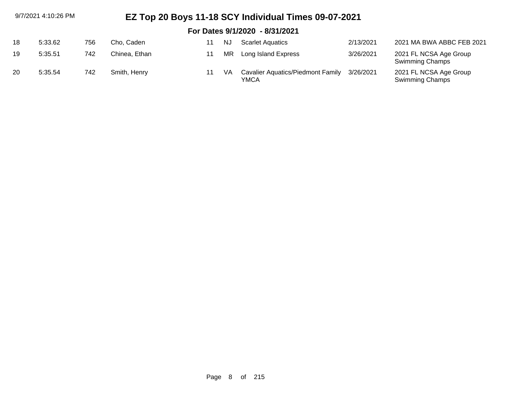| 9/7/2021 4:10:26 PM |         |     |               | EZ Top 20 Boys 11-18 SCY Individual Times 09-07-2021 |     |                                                  |           |                                                  |  |  |
|---------------------|---------|-----|---------------|------------------------------------------------------|-----|--------------------------------------------------|-----------|--------------------------------------------------|--|--|
|                     |         |     |               |                                                      |     | For Dates 9/1/2020 - 8/31/2021                   |           |                                                  |  |  |
| 18                  | 5:33.62 | 756 | Cho, Caden    | 11                                                   | NJ  | <b>Scarlet Aquatics</b>                          | 2/13/2021 | 2021 MA BWA ABBC FEB 2021                        |  |  |
| 19                  | 5:35.51 | 742 | Chinea, Ethan | 11                                                   | MR  | Long Island Express                              | 3/26/2021 | 2021 FL NCSA Age Group<br><b>Swimming Champs</b> |  |  |
| 20                  | 5:35.54 | 742 | Smith, Henry  | 11                                                   | VA. | <b>Cavalier Aquatics/Piedmont Family</b><br>YMCA | 3/26/2021 | 2021 FL NCSA Age Group<br><b>Swimming Champs</b> |  |  |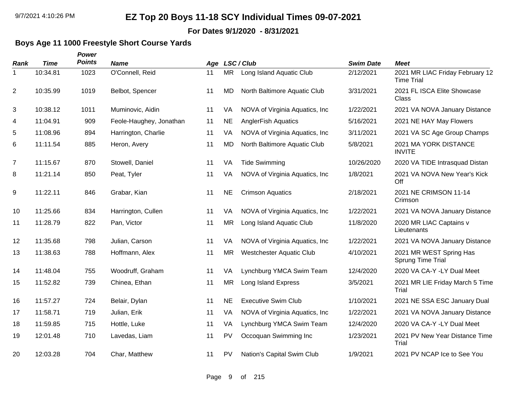#### **For Dates 9/1/2020 - 8/31/2021**

### **Boys Age 11 1000 Freestyle Short Course Yards**

| Rank           | <b>Time</b> | Power<br><b>Points</b> | <b>Name</b>             |    |           | Age LSC/Club                    | <b>Swim Date</b> | <b>Meet</b>                                          |
|----------------|-------------|------------------------|-------------------------|----|-----------|---------------------------------|------------------|------------------------------------------------------|
| 1              | 10:34.81    | 1023                   | O'Connell, Reid         | 11 | <b>MR</b> | Long Island Aquatic Club        | 2/12/2021        | 2021 MR LIAC Friday February 12<br><b>Time Trial</b> |
| $\overline{c}$ | 10:35.99    | 1019                   | Belbot, Spencer         | 11 | <b>MD</b> | North Baltimore Aquatic Club    | 3/31/2021        | 2021 FL ISCA Elite Showcase<br>Class                 |
| 3              | 10:38.12    | 1011                   | Muminovic, Aidin        | 11 | VA        | NOVA of Virginia Aquatics, Inc. | 1/22/2021        | 2021 VA NOVA January Distance                        |
| 4              | 11:04.91    | 909                    | Feole-Haughey, Jonathan | 11 | <b>NE</b> | <b>AnglerFish Aquatics</b>      | 5/16/2021        | 2021 NE HAY May Flowers                              |
| 5              | 11:08.96    | 894                    | Harrington, Charlie     | 11 | VA        | NOVA of Virginia Aquatics, Inc. | 3/11/2021        | 2021 VA SC Age Group Champs                          |
| 6              | 11:11.54    | 885                    | Heron, Avery            | 11 | <b>MD</b> | North Baltimore Aquatic Club    | 5/8/2021         | 2021 MA YORK DISTANCE<br><b>INVITE</b>               |
| $\overline{7}$ | 11:15.67    | 870                    | Stowell, Daniel         | 11 | VA        | <b>Tide Swimming</b>            | 10/26/2020       | 2020 VA TIDE Intrasquad Distan                       |
| 8              | 11:21.14    | 850                    | Peat, Tyler             | 11 | VA        | NOVA of Virginia Aquatics, Inc. | 1/8/2021         | 2021 VA NOVA New Year's Kick<br>Off                  |
| 9              | 11:22.11    | 846                    | Grabar, Kian            | 11 | <b>NE</b> | <b>Crimson Aquatics</b>         | 2/18/2021        | 2021 NE CRIMSON 11-14<br>Crimson                     |
| 10             | 11:25.66    | 834                    | Harrington, Cullen      | 11 | VA        | NOVA of Virginia Aquatics, Inc. | 1/22/2021        | 2021 VA NOVA January Distance                        |
| 11             | 11:28.79    | 822                    | Pan, Victor             | 11 | <b>MR</b> | Long Island Aquatic Club        | 11/8/2020        | 2020 MR LIAC Captains v<br>Lieutenants               |
| 12             | 11:35.68    | 798                    | Julian, Carson          | 11 | VA        | NOVA of Virginia Aquatics, Inc. | 1/22/2021        | 2021 VA NOVA January Distance                        |
| 13             | 11:38.63    | 788                    | Hoffmann, Alex          | 11 | <b>MR</b> | <b>Westchester Aquatic Club</b> | 4/10/2021        | 2021 MR WEST Spring Has<br>Sprung Time Trial         |
| 14             | 11:48.04    | 755                    | Woodruff, Graham        | 11 | VA        | Lynchburg YMCA Swim Team        | 12/4/2020        | 2020 VA CA-Y -LY Dual Meet                           |
| 15             | 11:52.82    | 739                    | Chinea, Ethan           | 11 | <b>MR</b> | Long Island Express             | 3/5/2021         | 2021 MR LIE Friday March 5 Time<br>Trial             |
| 16             | 11:57.27    | 724                    | Belair, Dylan           | 11 | <b>NE</b> | <b>Executive Swim Club</b>      | 1/10/2021        | 2021 NE SSA ESC January Dual                         |
| 17             | 11:58.71    | 719                    | Julian, Erik            | 11 | VA        | NOVA of Virginia Aquatics, Inc. | 1/22/2021        | 2021 VA NOVA January Distance                        |
| 18             | 11:59.85    | 715                    | Hottle, Luke            | 11 | VA        | Lynchburg YMCA Swim Team        | 12/4/2020        | 2020 VA CA-Y -LY Dual Meet                           |
| 19             | 12:01.48    | 710                    | Lavedas, Liam           | 11 | <b>PV</b> | Occoquan Swimming Inc           | 1/23/2021        | 2021 PV New Year Distance Time<br>Trial              |
| 20             | 12:03.28    | 704                    | Char, Matthew           | 11 | PV        | Nation's Capital Swim Club      | 1/9/2021         | 2021 PV NCAP Ice to See You                          |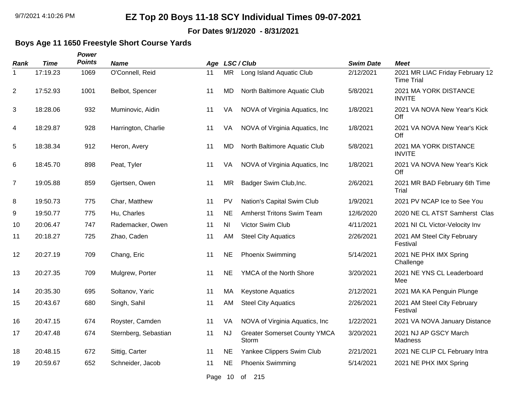**For Dates 9/1/2020 - 8/31/2021**

### **Boys Age 11 1650 Freestyle Short Course Yards**

*Power*

| Rank           | <b>Time</b> | <b>Points</b> | <b>Name</b>          |         |                | Age LSC/Club                                 | <b>Swim Date</b> | <b>Meet</b>                                          |
|----------------|-------------|---------------|----------------------|---------|----------------|----------------------------------------------|------------------|------------------------------------------------------|
|                | 17:19.23    | 1069          | O'Connell, Reid      | 11      | <b>MR</b>      | Long Island Aquatic Club                     | 2/12/2021        | 2021 MR LIAC Friday February 12<br><b>Time Trial</b> |
| $\overline{2}$ | 17:52.93    | 1001          | Belbot, Spencer      | 11      | <b>MD</b>      | North Baltimore Aquatic Club                 | 5/8/2021         | 2021 MA YORK DISTANCE<br><b>INVITE</b>               |
| 3              | 18:28.06    | 932           | Muminovic, Aidin     | 11      | VA             | NOVA of Virginia Aquatics, Inc.              | 1/8/2021         | 2021 VA NOVA New Year's Kick<br>Off                  |
| 4              | 18:29.87    | 928           | Harrington, Charlie  | 11      | VA             | NOVA of Virginia Aquatics, Inc.              | 1/8/2021         | 2021 VA NOVA New Year's Kick<br>Off                  |
| 5              | 18:38.34    | 912           | Heron, Avery         | 11      | <b>MD</b>      | North Baltimore Aquatic Club                 | 5/8/2021         | 2021 MA YORK DISTANCE<br><b>INVITE</b>               |
| 6              | 18:45.70    | 898           | Peat, Tyler          | 11      | <b>VA</b>      | NOVA of Virginia Aquatics, Inc.              | 1/8/2021         | 2021 VA NOVA New Year's Kick<br>Off                  |
| $\overline{7}$ | 19:05.88    | 859           | Gjertsen, Owen       | 11      | <b>MR</b>      | Badger Swim Club, Inc.                       | 2/6/2021         | 2021 MR BAD February 6th Time<br>Trial               |
| 8              | 19:50.73    | 775           | Char, Matthew        | 11      | <b>PV</b>      | Nation's Capital Swim Club                   | 1/9/2021         | 2021 PV NCAP Ice to See You                          |
| 9              | 19:50.77    | 775           | Hu, Charles          | 11      | <b>NE</b>      | <b>Amherst Tritons Swim Team</b>             | 12/6/2020        | 2020 NE CL ATST Samherst Clas                        |
| 10             | 20:06.47    | 747           | Rademacker, Owen     | 11      | N <sub>l</sub> | Victor Swim Club                             | 4/11/2021        | 2021 NI CL Victor-Velocity Inv                       |
| 11             | 20:18.27    | 725           | Zhao, Caden          | 11      | <b>AM</b>      | <b>Steel City Aquatics</b>                   | 2/26/2021        | 2021 AM Steel City February<br>Festival              |
| 12             | 20:27.19    | 709           | Chang, Eric          | 11      | <b>NE</b>      | <b>Phoenix Swimming</b>                      | 5/14/2021        | 2021 NE PHX IMX Spring<br>Challenge                  |
| 13             | 20:27.35    | 709           | Mulgrew, Porter      | 11      | <b>NE</b>      | YMCA of the North Shore                      | 3/20/2021        | 2021 NE YNS CL Leaderboard<br>Mee                    |
| 14             | 20:35.30    | 695           | Soltanov, Yaric      | 11      | MA             | <b>Keystone Aquatics</b>                     | 2/12/2021        | 2021 MA KA Penguin Plunge                            |
| 15             | 20:43.67    | 680           | Singh, Sahil         | 11      | <b>AM</b>      | <b>Steel City Aquatics</b>                   | 2/26/2021        | 2021 AM Steel City February<br>Festival              |
| 16             | 20:47.15    | 674           | Royster, Camden      | 11      | <b>VA</b>      | NOVA of Virginia Aquatics, Inc.              | 1/22/2021        | 2021 VA NOVA January Distance                        |
| 17             | 20:47.48    | 674           | Sternberg, Sebastian | 11      | NJ             | <b>Greater Somerset County YMCA</b><br>Storm | 3/20/2021        | 2021 NJ AP GSCY March<br>Madness                     |
| 18             | 20:48.15    | 672           | Sittig, Carter       | 11      | <b>NE</b>      | Yankee Clippers Swim Club                    | 2/21/2021        | 2021 NE CLIP CL February Intra                       |
| 19             | 20:59.67    | 652           | Schneider, Jacob     | 11      | <b>NE</b>      | <b>Phoenix Swimming</b>                      | 5/14/2021        | 2021 NE PHX IMX Spring                               |
|                |             |               |                      | Page 10 |                | of<br>215                                    |                  |                                                      |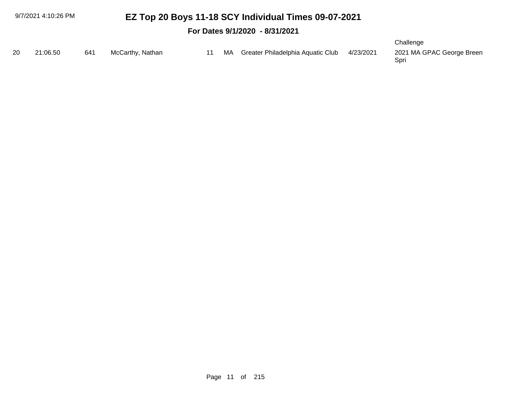| 9/7/2021 4:10:26 PM<br>EZ Top 20 Boys 11-18 SCY Individual Times 09-07-2021 |          |     |                  |  |     |                                   |           |                           |  |  |  |
|-----------------------------------------------------------------------------|----------|-----|------------------|--|-----|-----------------------------------|-----------|---------------------------|--|--|--|
| For Dates 9/1/2020 - 8/31/2021                                              |          |     |                  |  |     |                                   |           |                           |  |  |  |
|                                                                             |          |     |                  |  |     |                                   |           | Challenge                 |  |  |  |
| -20                                                                         | 21:06.50 | 641 | McCarthy, Nathan |  | MA. | Greater Philadelphia Aquatic Club | 4/23/2021 | 2021 MA GPAC George Breen |  |  |  |

Spri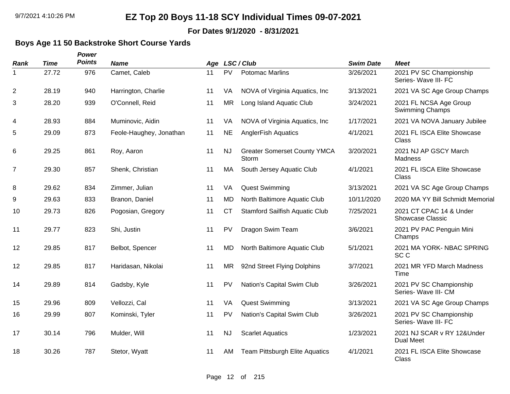#### **For Dates 9/1/2020 - 8/31/2021**

### **Boys Age 11 50 Backstroke Short Course Yards**

| <b>Rank</b>    | <b>Time</b> | Power<br><b>Points</b> | <b>Name</b>             |    |           | Age LSC/Club                                 | <b>Swim Date</b> | <b>Meet</b>                                        |
|----------------|-------------|------------------------|-------------------------|----|-----------|----------------------------------------------|------------------|----------------------------------------------------|
| 1              | 27.72       | 976                    | Camet, Caleb            | 11 | PV        | <b>Potomac Marlins</b>                       | 3/26/2021        | 2021 PV SC Championship<br>Series- Wave III- FC    |
| 2              | 28.19       | 940                    | Harrington, Charlie     | 11 | VA        | NOVA of Virginia Aquatics, Inc.              | 3/13/2021        | 2021 VA SC Age Group Champs                        |
| 3              | 28.20       | 939                    | O'Connell, Reid         | 11 | <b>MR</b> | Long Island Aquatic Club                     | 3/24/2021        | 2021 FL NCSA Age Group<br><b>Swimming Champs</b>   |
| 4              | 28.93       | 884                    | Muminovic, Aidin        | 11 | VA        | NOVA of Virginia Aquatics, Inc.              | 1/17/2021        | 2021 VA NOVA January Jubilee                       |
| 5              | 29.09       | 873                    | Feole-Haughey, Jonathan | 11 | <b>NE</b> | <b>AnglerFish Aquatics</b>                   | 4/1/2021         | 2021 FL ISCA Elite Showcase<br>Class               |
| 6              | 29.25       | 861                    | Roy, Aaron              | 11 | <b>NJ</b> | <b>Greater Somerset County YMCA</b><br>Storm | 3/20/2021        | 2021 NJ AP GSCY March<br>Madness                   |
| $\overline{7}$ | 29.30       | 857                    | Shenk, Christian        | 11 | MA        | South Jersey Aquatic Club                    | 4/1/2021         | 2021 FL ISCA Elite Showcase<br>Class               |
| 8              | 29.62       | 834                    | Zimmer, Julian          | 11 | VA        | <b>Quest Swimming</b>                        | 3/13/2021        | 2021 VA SC Age Group Champs                        |
| 9              | 29.63       | 833                    | Branon, Daniel          | 11 | <b>MD</b> | North Baltimore Aquatic Club                 | 10/11/2020       | 2020 MA YY Bill Schmidt Memorial                   |
| 10             | 29.73       | 826                    | Pogosian, Gregory       | 11 | <b>CT</b> | Stamford Sailfish Aquatic Club               | 7/25/2021        | 2021 CT CPAC 14 & Under<br><b>Showcase Classic</b> |
| 11             | 29.77       | 823                    | Shi, Justin             | 11 | PV        | Dragon Swim Team                             | 3/6/2021         | 2021 PV PAC Penguin Mini<br>Champs                 |
| 12             | 29.85       | 817                    | Belbot, Spencer         | 11 | <b>MD</b> | North Baltimore Aquatic Club                 | 5/1/2021         | 2021 MA YORK- NBAC SPRING<br>SC <sub>C</sub>       |
| 12             | 29.85       | 817                    | Haridasan, Nikolai      | 11 | <b>MR</b> | 92nd Street Flying Dolphins                  | 3/7/2021         | 2021 MR YFD March Madness<br>Time                  |
| 14             | 29.89       | 814                    | Gadsby, Kyle            | 11 | PV        | Nation's Capital Swim Club                   | 3/26/2021        | 2021 PV SC Championship<br>Series- Wave III- CM    |
| 15             | 29.96       | 809                    | Vellozzi, Cal           | 11 | VA        | <b>Quest Swimming</b>                        | 3/13/2021        | 2021 VA SC Age Group Champs                        |
| 16             | 29.99       | 807                    | Kominski, Tyler         | 11 | PV        | Nation's Capital Swim Club                   | 3/26/2021        | 2021 PV SC Championship<br>Series- Wave III- FC    |
| 17             | 30.14       | 796                    | Mulder, Will            | 11 | <b>NJ</b> | <b>Scarlet Aquatics</b>                      | 1/23/2021        | 2021 NJ SCAR v RY 12&Under<br><b>Dual Meet</b>     |
| 18             | 30.26       | 787                    | Stetor, Wyatt           | 11 | AM        | <b>Team Pittsburgh Elite Aquatics</b>        | 4/1/2021         | 2021 FL ISCA Elite Showcase<br>Class               |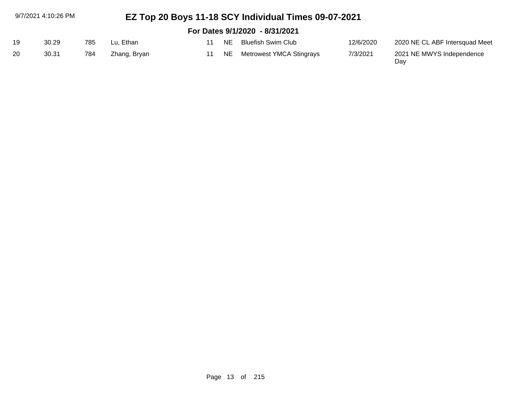|    | 9/7/2021 4:10:26 PM            |     |              | EZ Top 20 Boys 11-18 SCY Individual Times 09-07-2021 |     |                             |           |                                  |  |  |  |
|----|--------------------------------|-----|--------------|------------------------------------------------------|-----|-----------------------------|-----------|----------------------------------|--|--|--|
|    | For Dates 9/1/2020 - 8/31/2021 |     |              |                                                      |     |                             |           |                                  |  |  |  |
| 19 | 30.29                          | 785 | Lu. Ethan    |                                                      | NE. | Bluefish Swim Club          | 12/6/2020 | 2020 NE CL ABF Intersquad Meet   |  |  |  |
| 20 | 30.31                          | 784 | Zhang, Bryan |                                                      |     | NE Metrowest YMCA Stingrays | 7/3/2021  | 2021 NE MWYS Independence<br>Day |  |  |  |

Page 13 of 215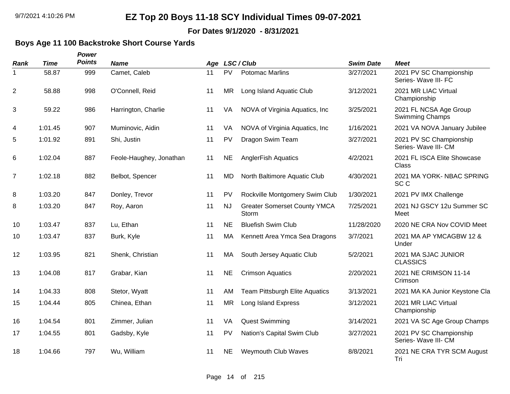**For Dates 9/1/2020 - 8/31/2021**

### **Boys Age 11 100 Backstroke Short Course Yards**

| <b>Rank</b>    | <b>Time</b> | Power<br><b>Points</b> | <b>Name</b>             |    |           | Age LSC/Club                                 | <b>Swim Date</b> | <b>Meet</b>                                      |
|----------------|-------------|------------------------|-------------------------|----|-----------|----------------------------------------------|------------------|--------------------------------------------------|
| 1              | 58.87       | 999                    | Camet, Caleb            | 11 | PV        | <b>Potomac Marlins</b>                       | 3/27/2021        | 2021 PV SC Championship<br>Series- Wave III- FC  |
| 2              | 58.88       | 998                    | O'Connell, Reid         | 11 | <b>MR</b> | Long Island Aquatic Club                     | 3/12/2021        | 2021 MR LIAC Virtual<br>Championship             |
| 3              | 59.22       | 986                    | Harrington, Charlie     | 11 | VA        | NOVA of Virginia Aquatics, Inc.              | 3/25/2021        | 2021 FL NCSA Age Group<br><b>Swimming Champs</b> |
| 4              | 1:01.45     | 907                    | Muminovic, Aidin        | 11 | VA        | NOVA of Virginia Aquatics, Inc.              | 1/16/2021        | 2021 VA NOVA January Jubilee                     |
| 5              | 1:01.92     | 891                    | Shi, Justin             | 11 | PV        | Dragon Swim Team                             | 3/27/2021        | 2021 PV SC Championship<br>Series- Wave III- CM  |
| 6              | 1:02.04     | 887                    | Feole-Haughey, Jonathan | 11 | <b>NE</b> | <b>AnglerFish Aquatics</b>                   | 4/2/2021         | 2021 FL ISCA Elite Showcase<br>Class             |
| $\overline{7}$ | 1:02.18     | 882                    | Belbot, Spencer         | 11 | <b>MD</b> | North Baltimore Aquatic Club                 | 4/30/2021        | 2021 MA YORK- NBAC SPRING<br>SC <sub>C</sub>     |
| 8              | 1:03.20     | 847                    | Donley, Trevor          | 11 | PV        | Rockville Montgomery Swim Club               | 1/30/2021        | 2021 PV IMX Challenge                            |
| 8              | 1:03.20     | 847                    | Roy, Aaron              | 11 | <b>NJ</b> | <b>Greater Somerset County YMCA</b><br>Storm | 7/25/2021        | 2021 NJ GSCY 12u Summer SC<br>Meet               |
| 10             | 1:03.47     | 837                    | Lu, Ethan               | 11 | <b>NE</b> | <b>Bluefish Swim Club</b>                    | 11/28/2020       | 2020 NE CRA Nov COVID Meet                       |
| 10             | 1:03.47     | 837                    | Burk, Kyle              | 11 | MA        | Kennett Area Ymca Sea Dragons                | 3/7/2021         | 2021 MA AP YMCAGBW 12 &<br>Under                 |
| 12             | 1:03.95     | 821                    | Shenk, Christian        | 11 | MA        | South Jersey Aquatic Club                    | 5/2/2021         | 2021 MA SJAC JUNIOR<br><b>CLASSICS</b>           |
| 13             | 1:04.08     | 817                    | Grabar, Kian            | 11 | <b>NE</b> | <b>Crimson Aquatics</b>                      | 2/20/2021        | 2021 NE CRIMSON 11-14<br>Crimson                 |
| 14             | 1:04.33     | 808                    | Stetor, Wyatt           | 11 | AM        | <b>Team Pittsburgh Elite Aquatics</b>        | 3/13/2021        | 2021 MA KA Junior Keystone Cla                   |
| 15             | 1:04.44     | 805                    | Chinea, Ethan           | 11 | <b>MR</b> | Long Island Express                          | 3/12/2021        | 2021 MR LIAC Virtual<br>Championship             |
| 16             | 1:04.54     | 801                    | Zimmer, Julian          | 11 | VA        | <b>Quest Swimming</b>                        | 3/14/2021        | 2021 VA SC Age Group Champs                      |
| 17             | 1:04.55     | 801                    | Gadsby, Kyle            | 11 | <b>PV</b> | Nation's Capital Swim Club                   | 3/27/2021        | 2021 PV SC Championship<br>Series- Wave III- CM  |
| 18             | 1:04.66     | 797                    | Wu, William             | 11 | <b>NE</b> | <b>Weymouth Club Waves</b>                   | 8/8/2021         | 2021 NE CRA TYR SCM August<br>Tri                |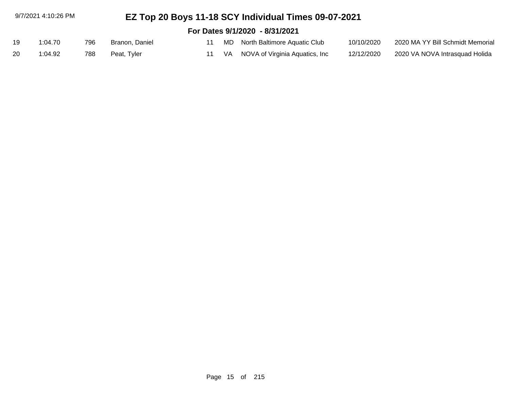|    | 9/7/2021 4:10:26 PM            |     | EZ Top 20 Boys 11-18 SCY Individual Times 09-07-2021 |    |     |                                   |            |                                  |  |  |  |
|----|--------------------------------|-----|------------------------------------------------------|----|-----|-----------------------------------|------------|----------------------------------|--|--|--|
|    | For Dates 9/1/2020 - 8/31/2021 |     |                                                      |    |     |                                   |            |                                  |  |  |  |
| 19 | 1:04.70                        | 796 | Branon, Daniel                                       | 11 | MD. | North Baltimore Aquatic Club      | 10/10/2020 | 2020 MA YY Bill Schmidt Memorial |  |  |  |
| 20 | 1:04.92                        | 788 | Peat, Tyler                                          | 11 |     | VA NOVA of Virginia Aquatics, Inc | 12/12/2020 | 2020 VA NOVA Intrasquad Holida   |  |  |  |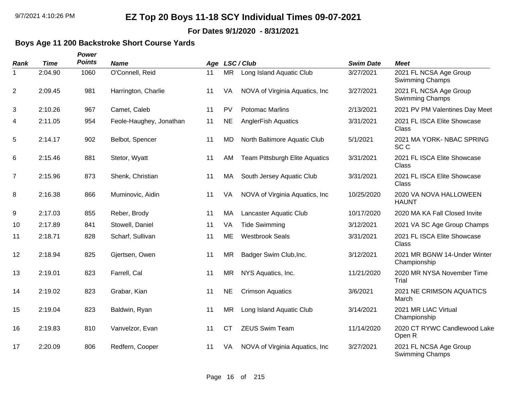**For Dates 9/1/2020 - 8/31/2021**

### **Boys Age 11 200 Backstroke Short Course Yards**

| Rank | <b>Time</b> | Power<br><b>Points</b> | <b>Name</b>             |    |           | Age LSC/Club                    | <b>Swim Date</b> | <b>Meet</b>                                      |
|------|-------------|------------------------|-------------------------|----|-----------|---------------------------------|------------------|--------------------------------------------------|
| 1    | 2:04.90     | 1060                   | O'Connell, Reid         | 11 | MR        | Long Island Aquatic Club        | 3/27/2021        | 2021 FL NCSA Age Group<br>Swimming Champs        |
| 2    | 2:09.45     | 981                    | Harrington, Charlie     | 11 | VA        | NOVA of Virginia Aquatics, Inc. | 3/27/2021        | 2021 FL NCSA Age Group<br><b>Swimming Champs</b> |
| 3    | 2:10.26     | 967                    | Camet, Caleb            | 11 | <b>PV</b> | <b>Potomac Marlins</b>          | 2/13/2021        | 2021 PV PM Valentines Day Meet                   |
| 4    | 2:11.05     | 954                    | Feole-Haughey, Jonathan | 11 | <b>NE</b> | <b>AnglerFish Aquatics</b>      | 3/31/2021        | 2021 FL ISCA Elite Showcase<br>Class             |
| 5    | 2:14.17     | 902                    | Belbot, Spencer         | 11 | <b>MD</b> | North Baltimore Aquatic Club    | 5/1/2021         | 2021 MA YORK- NBAC SPRING<br>SC <sub>C</sub>     |
| 6    | 2:15.46     | 881                    | Stetor, Wyatt           | 11 | AM        | Team Pittsburgh Elite Aquatics  | 3/31/2021        | 2021 FL ISCA Elite Showcase<br>Class             |
| 7    | 2:15.96     | 873                    | Shenk, Christian        | 11 | MA        | South Jersey Aquatic Club       | 3/31/2021        | 2021 FL ISCA Elite Showcase<br>Class             |
| 8    | 2:16.38     | 866                    | Muminovic, Aidin        | 11 | VA        | NOVA of Virginia Aquatics, Inc. | 10/25/2020       | 2020 VA NOVA HALLOWEEN<br><b>HAUNT</b>           |
| 9    | 2:17.03     | 855                    | Reber, Brody            | 11 | MA        | Lancaster Aquatic Club          | 10/17/2020       | 2020 MA KA Fall Closed Invite                    |
| 10   | 2:17.89     | 841                    | Stowell, Daniel         | 11 | VA        | <b>Tide Swimming</b>            | 3/12/2021        | 2021 VA SC Age Group Champs                      |
| 11   | 2:18.71     | 828                    | Scharf, Sullivan        | 11 | ME        | <b>Westbrook Seals</b>          | 3/31/2021        | 2021 FL ISCA Elite Showcase<br>Class             |
| 12   | 2:18.94     | 825                    | Gjertsen, Owen          | 11 | <b>MR</b> | Badger Swim Club, Inc.          | 3/12/2021        | 2021 MR BGNW 14-Under Winter<br>Championship     |
| 13   | 2:19.01     | 823                    | Farrell, Cal            | 11 | <b>MR</b> | NYS Aquatics, Inc.              | 11/21/2020       | 2020 MR NYSA November Time<br>Trial              |
| 14   | 2:19.02     | 823                    | Grabar, Kian            | 11 | <b>NE</b> | <b>Crimson Aquatics</b>         | 3/6/2021         | 2021 NE CRIMSON AQUATICS<br>March                |
| 15   | 2:19.04     | 823                    | Baldwin, Ryan           | 11 | <b>MR</b> | Long Island Aquatic Club        | 3/14/2021        | 2021 MR LIAC Virtual<br>Championship             |
| 16   | 2:19.83     | 810                    | Vanvelzor, Evan         | 11 | <b>CT</b> | <b>ZEUS Swim Team</b>           | 11/14/2020       | 2020 CT RYWC Candlewood Lake<br>Open R           |
| 17   | 2:20.09     | 806                    | Redfern, Cooper         | 11 | VA        | NOVA of Virginia Aquatics, Inc. | 3/27/2021        | 2021 FL NCSA Age Group<br>Swimming Champs        |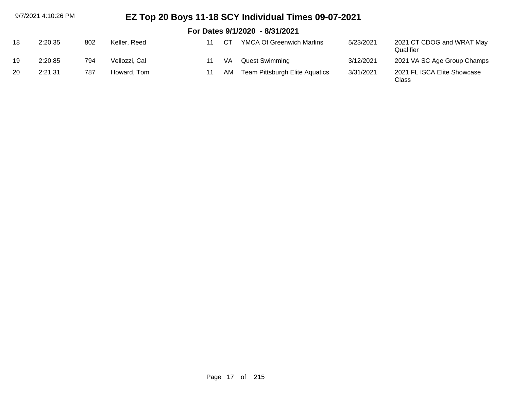| 9/7/2021 4:10:26 PM |                                |     | EZ Top 20 Boys 11-18 SCY Individual Times 09-07-2021 |    |     |                                       |           |                                        |  |  |  |  |  |
|---------------------|--------------------------------|-----|------------------------------------------------------|----|-----|---------------------------------------|-----------|----------------------------------------|--|--|--|--|--|
|                     | For Dates 9/1/2020 - 8/31/2021 |     |                                                      |    |     |                                       |           |                                        |  |  |  |  |  |
| 18                  | 2:20.35                        | 802 | Keller, Reed                                         | 11 | СT  | <b>YMCA Of Greenwich Marlins</b>      | 5/23/2021 | 2021 CT CDOG and WRAT May<br>Qualifier |  |  |  |  |  |
| 19                  | 2:20.85                        | 794 | Vellozzi, Cal                                        | 11 | VA  | <b>Quest Swimming</b>                 | 3/12/2021 | 2021 VA SC Age Group Champs            |  |  |  |  |  |
| 20                  | 2:21.31                        | 787 | Howard, Tom                                          | 11 | AM. | <b>Team Pittsburgh Elite Aquatics</b> | 3/31/2021 | 2021 FL ISCA Elite Showcase<br>Class   |  |  |  |  |  |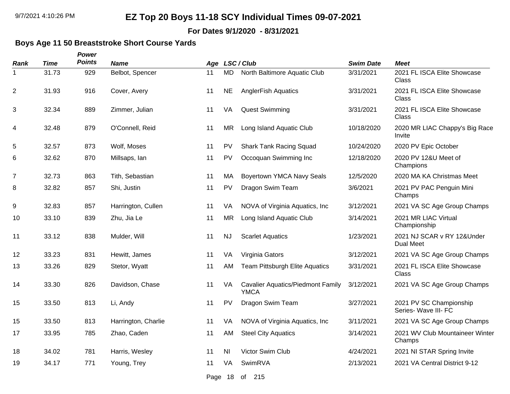**For Dates 9/1/2020 - 8/31/2021**

### **Boys Age 11 50 Breaststroke Short Course Yards**

| Rank           | <b>Time</b> | Power<br><b>Points</b> | <b>Name</b>         |         |                | Age LSC/Club                                            | <b>Swim Date</b> | <b>Meet</b>                                     |
|----------------|-------------|------------------------|---------------------|---------|----------------|---------------------------------------------------------|------------------|-------------------------------------------------|
| 1              | 31.73       | 929                    | Belbot, Spencer     | 11      | <b>MD</b>      | North Baltimore Aquatic Club                            | 3/31/2021        | 2021 FL ISCA Elite Showcase<br>Class            |
| $\overline{2}$ | 31.93       | 916                    | Cover, Avery        | 11      | <b>NE</b>      | <b>AnglerFish Aquatics</b>                              | 3/31/2021        | 2021 FL ISCA Elite Showcase<br><b>Class</b>     |
| 3              | 32.34       | 889                    | Zimmer, Julian      | 11      | VA             | <b>Quest Swimming</b>                                   | 3/31/2021        | 2021 FL ISCA Elite Showcase<br>Class            |
| 4              | 32.48       | 879                    | O'Connell, Reid     | 11      | <b>MR</b>      | Long Island Aquatic Club                                | 10/18/2020       | 2020 MR LIAC Chappy's Big Race<br>Invite        |
| 5              | 32.57       | 873                    | Wolf, Moses         | 11      | PV             | <b>Shark Tank Racing Squad</b>                          | 10/24/2020       | 2020 PV Epic October                            |
| 6              | 32.62       | 870                    | Millsaps, lan       | 11      | PV             | Occoquan Swimming Inc                                   | 12/18/2020       | 2020 PV 12&U Meet of<br>Champions               |
| 7              | 32.73       | 863                    | Tith, Sebastian     | 11      | MA             | Boyertown YMCA Navy Seals                               | 12/5/2020        | 2020 MA KA Christmas Meet                       |
| 8              | 32.82       | 857                    | Shi, Justin         | 11      | PV             | Dragon Swim Team                                        | 3/6/2021         | 2021 PV PAC Penguin Mini<br>Champs              |
| 9              | 32.83       | 857                    | Harrington, Cullen  | 11      | VA             | NOVA of Virginia Aquatics, Inc.                         | 3/12/2021        | 2021 VA SC Age Group Champs                     |
| 10             | 33.10       | 839                    | Zhu, Jia Le         | 11      | <b>MR</b>      | Long Island Aquatic Club                                | 3/14/2021        | 2021 MR LIAC Virtual<br>Championship            |
| 11             | 33.12       | 838                    | Mulder, Will        | 11      | <b>NJ</b>      | <b>Scarlet Aquatics</b>                                 | 1/23/2021        | 2021 NJ SCAR v RY 12&Under<br>Dual Meet         |
| 12             | 33.23       | 831                    | Hewitt, James       | 11      | VA             | Virginia Gators                                         | 3/12/2021        | 2021 VA SC Age Group Champs                     |
| 13             | 33.26       | 829                    | Stetor, Wyatt       | 11      | AM             | Team Pittsburgh Elite Aquatics                          | 3/31/2021        | 2021 FL ISCA Elite Showcase<br>Class            |
| 14             | 33.30       | 826                    | Davidson, Chase     | 11      | VA             | <b>Cavalier Aquatics/Piedmont Family</b><br><b>YMCA</b> | 3/12/2021        | 2021 VA SC Age Group Champs                     |
| 15             | 33.50       | 813                    | Li, Andy            | 11      | PV             | Dragon Swim Team                                        | 3/27/2021        | 2021 PV SC Championship<br>Series- Wave III- FC |
| 15             | 33.50       | 813                    | Harrington, Charlie | 11      | VA             | NOVA of Virginia Aquatics, Inc.                         | 3/11/2021        | 2021 VA SC Age Group Champs                     |
| 17             | 33.95       | 785                    | Zhao, Caden         | 11      | AM             | <b>Steel City Aquatics</b>                              | 3/14/2021        | 2021 WV Club Mountaineer Winter<br>Champs       |
| 18             | 34.02       | 781                    | Harris, Wesley      | 11      | N <sub>l</sub> | Victor Swim Club                                        | 4/24/2021        | 2021 NI STAR Spring Invite                      |
| 19             | 34.17       | 771                    | Young, Trey         | 11      | VA             | SwimRVA                                                 | 2/13/2021        | 2021 VA Central District 9-12                   |
|                |             |                        |                     | Page 18 |                | 215<br>of                                               |                  |                                                 |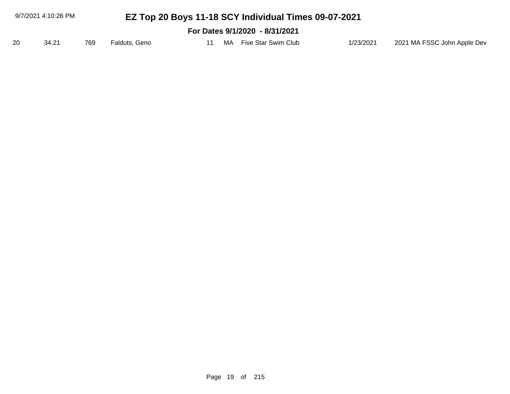| 9/7/2021 4:10:26 PM<br>EZ Top 20 Boys 11-18 SCY Individual Times 09-07-2021 |                                |     |               |  |     |                     |           |                             |  |  |
|-----------------------------------------------------------------------------|--------------------------------|-----|---------------|--|-----|---------------------|-----------|-----------------------------|--|--|
|                                                                             | For Dates 9/1/2020 - 8/31/2021 |     |               |  |     |                     |           |                             |  |  |
| 20                                                                          | 34.21                          | 769 | Falduts. Geno |  | MA. | Five Star Swim Club | 1/23/2021 | 2021 MA FSSC John Apple Dev |  |  |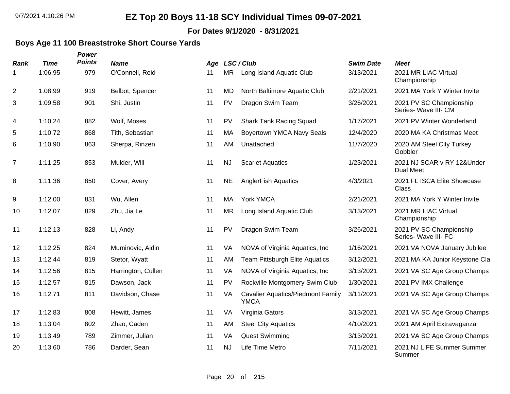#### **For Dates 9/1/2020 - 8/31/2021**

### **Boys Age 11 100 Breaststroke Short Course Yards**

| <b>Rank</b>       | <b>Time</b> | Power<br><b>Points</b> | <b>Name</b>        |    |           | Age LSC/Club                                            | <b>Swim Date</b> | <b>Meet</b>                                     |
|-------------------|-------------|------------------------|--------------------|----|-----------|---------------------------------------------------------|------------------|-------------------------------------------------|
| $\mathbf 1$       | 1:06.95     | 979                    | O'Connell, Reid    | 11 | <b>MR</b> | Long Island Aquatic Club                                | 3/13/2021        | 2021 MR LIAC Virtual<br>Championship            |
| $\overline{2}$    | 1:08.99     | 919                    | Belbot, Spencer    | 11 | <b>MD</b> | North Baltimore Aquatic Club                            | 2/21/2021        | 2021 MA York Y Winter Invite                    |
| 3                 | 1:09.58     | 901                    | Shi, Justin        | 11 | PV        | Dragon Swim Team                                        | 3/26/2021        | 2021 PV SC Championship<br>Series- Wave III- CM |
| 4                 | 1:10.24     | 882                    | Wolf, Moses        | 11 | PV        | <b>Shark Tank Racing Squad</b>                          | 1/17/2021        | 2021 PV Winter Wonderland                       |
| 5                 | 1:10.72     | 868                    | Tith, Sebastian    | 11 | MA        | Boyertown YMCA Navy Seals                               | 12/4/2020        | 2020 MA KA Christmas Meet                       |
| 6                 | 1:10.90     | 863                    | Sherpa, Rinzen     | 11 | AM        | Unattached                                              | 11/7/2020        | 2020 AM Steel City Turkey<br>Gobbler            |
| $\overline{7}$    | 1:11.25     | 853                    | Mulder, Will       | 11 | <b>NJ</b> | <b>Scarlet Aquatics</b>                                 | 1/23/2021        | 2021 NJ SCAR v RY 12&Under<br><b>Dual Meet</b>  |
| 8                 | 1:11.36     | 850                    | Cover, Avery       | 11 | <b>NE</b> | <b>AnglerFish Aquatics</b>                              | 4/3/2021         | 2021 FL ISCA Elite Showcase<br>Class            |
| 9                 | 1:12.00     | 831                    | Wu, Allen          | 11 | MA        | York YMCA                                               | 2/21/2021        | 2021 MA York Y Winter Invite                    |
| 10                | 1:12.07     | 829                    | Zhu, Jia Le        | 11 | <b>MR</b> | Long Island Aquatic Club                                | 3/13/2021        | 2021 MR LIAC Virtual<br>Championship            |
| 11                | 1:12.13     | 828                    | Li, Andy           | 11 | PV        | Dragon Swim Team                                        | 3/26/2021        | 2021 PV SC Championship<br>Series- Wave III- FC |
| $12 \overline{ }$ | 1:12.25     | 824                    | Muminovic, Aidin   | 11 | VA        | NOVA of Virginia Aquatics, Inc.                         | 1/16/2021        | 2021 VA NOVA January Jubilee                    |
| 13                | 1:12.44     | 819                    | Stetor, Wyatt      | 11 | <b>AM</b> | <b>Team Pittsburgh Elite Aquatics</b>                   | 3/12/2021        | 2021 MA KA Junior Keystone Cla                  |
| 14                | 1:12.56     | 815                    | Harrington, Cullen | 11 | VA        | NOVA of Virginia Aquatics, Inc.                         | 3/13/2021        | 2021 VA SC Age Group Champs                     |
| 15                | 1:12.57     | 815                    | Dawson, Jack       | 11 | PV        | Rockville Montgomery Swim Club                          | 1/30/2021        | 2021 PV IMX Challenge                           |
| 16                | 1:12.71     | 811                    | Davidson, Chase    | 11 | VA        | <b>Cavalier Aquatics/Piedmont Family</b><br><b>YMCA</b> | 3/11/2021        | 2021 VA SC Age Group Champs                     |
| 17                | 1:12.83     | 808                    | Hewitt, James      | 11 | VA        | Virginia Gators                                         | 3/13/2021        | 2021 VA SC Age Group Champs                     |
| 18                | 1:13.04     | 802                    | Zhao, Caden        | 11 | AM        | <b>Steel City Aquatics</b>                              | 4/10/2021        | 2021 AM April Extravaganza                      |
| 19                | 1:13.49     | 789                    | Zimmer, Julian     | 11 | VA        | <b>Quest Swimming</b>                                   | 3/13/2021        | 2021 VA SC Age Group Champs                     |
| 20                | 1:13.60     | 786                    | Darder, Sean       | 11 | <b>NJ</b> | Life Time Metro                                         | 7/11/2021        | 2021 NJ LIFE Summer Summer<br>Summer            |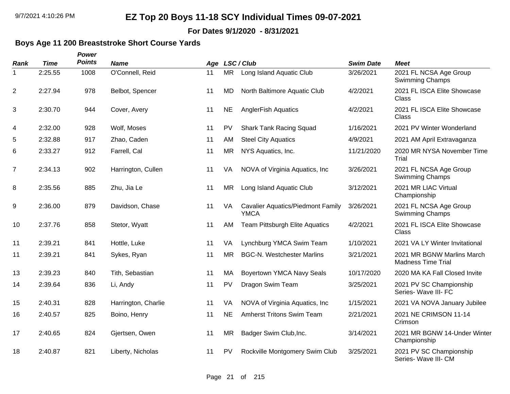**For Dates 9/1/2020 - 8/31/2021**

### **Boys Age 11 200 Breaststroke Short Course Yards**

| <b>Rank</b>    | <b>Time</b> | Power<br><b>Points</b> | <b>Name</b>         |    |           | Age LSC/Club                                            | <b>Swim Date</b> | <b>Meet</b>                                             |
|----------------|-------------|------------------------|---------------------|----|-----------|---------------------------------------------------------|------------------|---------------------------------------------------------|
| 1              | 2:25.55     | 1008                   | O'Connell, Reid     | 11 | <b>MR</b> | Long Island Aquatic Club                                | 3/26/2021        | 2021 FL NCSA Age Group<br><b>Swimming Champs</b>        |
| 2              | 2:27.94     | 978                    | Belbot, Spencer     | 11 | <b>MD</b> | North Baltimore Aquatic Club                            | 4/2/2021         | 2021 FL ISCA Elite Showcase<br>Class                    |
| 3              | 2:30.70     | 944                    | Cover, Avery        | 11 | <b>NE</b> | <b>AnglerFish Aquatics</b>                              | 4/2/2021         | 2021 FL ISCA Elite Showcase<br>Class                    |
| 4              | 2:32.00     | 928                    | Wolf, Moses         | 11 | <b>PV</b> | <b>Shark Tank Racing Squad</b>                          | 1/16/2021        | 2021 PV Winter Wonderland                               |
| 5              | 2:32.88     | 917                    | Zhao, Caden         | 11 | AM        | <b>Steel City Aquatics</b>                              | 4/9/2021         | 2021 AM April Extravaganza                              |
| 6              | 2:33.27     | 912                    | Farrell, Cal        | 11 | <b>MR</b> | NYS Aquatics, Inc.                                      | 11/21/2020       | 2020 MR NYSA November Time<br>Trial                     |
| $\overline{7}$ | 2:34.13     | 902                    | Harrington, Cullen  | 11 | VA        | NOVA of Virginia Aquatics, Inc.                         | 3/26/2021        | 2021 FL NCSA Age Group<br>Swimming Champs               |
| 8              | 2:35.56     | 885                    | Zhu, Jia Le         | 11 | <b>MR</b> | Long Island Aquatic Club                                | 3/12/2021        | 2021 MR LIAC Virtual<br>Championship                    |
| 9              | 2:36.00     | 879                    | Davidson, Chase     | 11 | VA        | <b>Cavalier Aquatics/Piedmont Family</b><br><b>YMCA</b> | 3/26/2021        | 2021 FL NCSA Age Group<br><b>Swimming Champs</b>        |
| 10             | 2:37.76     | 858                    | Stetor, Wyatt       | 11 | AM        | Team Pittsburgh Elite Aquatics                          | 4/2/2021         | 2021 FL ISCA Elite Showcase<br>Class                    |
| 11             | 2:39.21     | 841                    | Hottle, Luke        | 11 | VA        | Lynchburg YMCA Swim Team                                | 1/10/2021        | 2021 VA LY Winter Invitational                          |
| 11             | 2:39.21     | 841                    | Sykes, Ryan         | 11 | <b>MR</b> | <b>BGC-N. Westchester Marlins</b>                       | 3/21/2021        | 2021 MR BGNW Marlins March<br><b>Madness Time Trial</b> |
| 13             | 2:39.23     | 840                    | Tith, Sebastian     | 11 | MA        | Boyertown YMCA Navy Seals                               | 10/17/2020       | 2020 MA KA Fall Closed Invite                           |
| 14             | 2:39.64     | 836                    | Li, Andy            | 11 | PV        | Dragon Swim Team                                        | 3/25/2021        | 2021 PV SC Championship<br>Series- Wave III- FC         |
| 15             | 2:40.31     | 828                    | Harrington, Charlie | 11 | VA        | NOVA of Virginia Aquatics, Inc.                         | 1/15/2021        | 2021 VA NOVA January Jubilee                            |
| 16             | 2:40.57     | 825                    | Boino, Henry        | 11 | <b>NE</b> | <b>Amherst Tritons Swim Team</b>                        | 2/21/2021        | 2021 NE CRIMSON 11-14<br>Crimson                        |
| 17             | 2:40.65     | 824                    | Gjertsen, Owen      | 11 | <b>MR</b> | Badger Swim Club, Inc.                                  | 3/14/2021        | 2021 MR BGNW 14-Under Winter<br>Championship            |
| 18             | 2:40.87     | 821                    | Liberty, Nicholas   | 11 | PV        | Rockville Montgomery Swim Club                          | 3/25/2021        | 2021 PV SC Championship<br>Series- Wave III- CM         |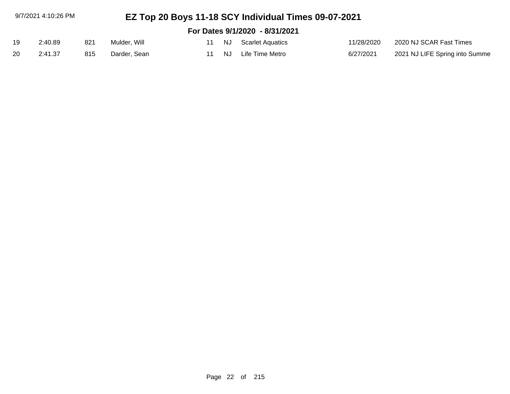| 9/7/2021 4:10:26 PM |         |     |              |  | EZ Top 20 Boys 11-18 SCY Individual Times 09-07-2021 |                                |            |                         |
|---------------------|---------|-----|--------------|--|------------------------------------------------------|--------------------------------|------------|-------------------------|
|                     |         |     |              |  |                                                      | For Dates 9/1/2020 - 8/31/2021 |            |                         |
| -19                 | 2:40.89 | 821 | Mulder. Will |  | NJ.                                                  | <b>Scarlet Aquatics</b>        | 11/28/2020 | 2020 NJ SCAR Fast Times |

Page 22 of 215

20 2:41.37 815 Darder, Sean 11 NJ Life Time Metro 6/27/2021 2021 NJ LIFE Spring into Summe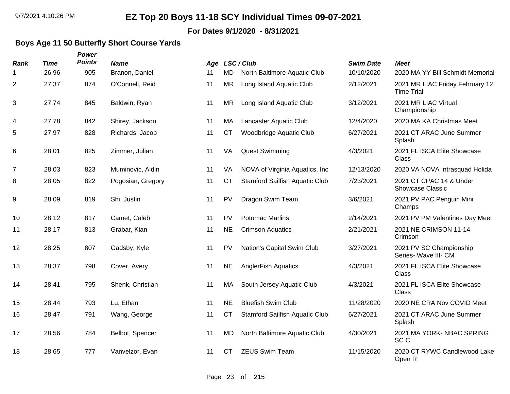#### **For Dates 9/1/2020 - 8/31/2021**

### **Boys Age 11 50 Butterfly Short Course Yards**

| <b>Rank</b>    | <b>Time</b> | Power<br><b>Points</b> | <b>Name</b>       | Age |           | LSC / Club                            | <b>Swim Date</b> | <b>Meet</b>                                          |
|----------------|-------------|------------------------|-------------------|-----|-----------|---------------------------------------|------------------|------------------------------------------------------|
| 1              | 26.96       | 905                    | Branon, Daniel    | 11  | <b>MD</b> | North Baltimore Aquatic Club          | 10/10/2020       | 2020 MA YY Bill Schmidt Memorial                     |
| $\overline{2}$ | 27.37       | 874                    | O'Connell, Reid   | 11  | <b>MR</b> | Long Island Aquatic Club              | 2/12/2021        | 2021 MR LIAC Friday February 12<br><b>Time Trial</b> |
| 3              | 27.74       | 845                    | Baldwin, Ryan     | 11  | <b>MR</b> | Long Island Aquatic Club              | 3/12/2021        | 2021 MR LIAC Virtual<br>Championship                 |
| 4              | 27.78       | 842                    | Shirey, Jackson   | 11  | MA        | Lancaster Aquatic Club                | 12/4/2020        | 2020 MA KA Christmas Meet                            |
| 5              | 27.97       | 828                    | Richards, Jacob   | 11  | <b>CT</b> | Woodbridge Aquatic Club               | 6/27/2021        | 2021 CT ARAC June Summer<br>Splash                   |
| 6              | 28.01       | 825                    | Zimmer, Julian    | 11  | VA        | <b>Quest Swimming</b>                 | 4/3/2021         | 2021 FL ISCA Elite Showcase<br>Class                 |
| $\overline{7}$ | 28.03       | 823                    | Muminovic, Aidin  | 11  | VA        | NOVA of Virginia Aquatics, Inc.       | 12/13/2020       | 2020 VA NOVA Intrasquad Holida                       |
| 8              | 28.05       | 822                    | Pogosian, Gregory | 11  | <b>CT</b> | <b>Stamford Sailfish Aquatic Club</b> | 7/23/2021        | 2021 CT CPAC 14 & Under<br>Showcase Classic          |
| 9              | 28.09       | 819                    | Shi, Justin       | 11  | PV        | Dragon Swim Team                      | 3/6/2021         | 2021 PV PAC Penguin Mini<br>Champs                   |
| 10             | 28.12       | 817                    | Camet, Caleb      | 11  | PV        | <b>Potomac Marlins</b>                | 2/14/2021        | 2021 PV PM Valentines Day Meet                       |
| 11             | 28.17       | 813                    | Grabar, Kian      | 11  | <b>NE</b> | <b>Crimson Aquatics</b>               | 2/21/2021        | 2021 NE CRIMSON 11-14<br>Crimson                     |
| 12             | 28.25       | 807                    | Gadsby, Kyle      | 11  | PV        | Nation's Capital Swim Club            | 3/27/2021        | 2021 PV SC Championship<br>Series- Wave III- CM      |
| 13             | 28.37       | 798                    | Cover, Avery      | 11  | <b>NE</b> | <b>AnglerFish Aquatics</b>            | 4/3/2021         | 2021 FL ISCA Elite Showcase<br>Class                 |
| 14             | 28.41       | 795                    | Shenk, Christian  | 11  | MA        | South Jersey Aquatic Club             | 4/3/2021         | 2021 FL ISCA Elite Showcase<br>Class                 |
| 15             | 28.44       | 793                    | Lu, Ethan         | 11  | <b>NE</b> | <b>Bluefish Swim Club</b>             | 11/28/2020       | 2020 NE CRA Nov COVID Meet                           |
| 16             | 28.47       | 791                    | Wang, George      | 11  | <b>CT</b> | Stamford Sailfish Aquatic Club        | 6/27/2021        | 2021 CT ARAC June Summer<br>Splash                   |
| 17             | 28.56       | 784                    | Belbot, Spencer   | 11  | <b>MD</b> | North Baltimore Aquatic Club          | 4/30/2021        | 2021 MA YORK- NBAC SPRING<br>SC <sub>C</sub>         |
| 18             | 28.65       | 777                    | Vanvelzor, Evan   | 11  | CТ        | <b>ZEUS Swim Team</b>                 | 11/15/2020       | 2020 CT RYWC Candlewood Lake<br>Open R               |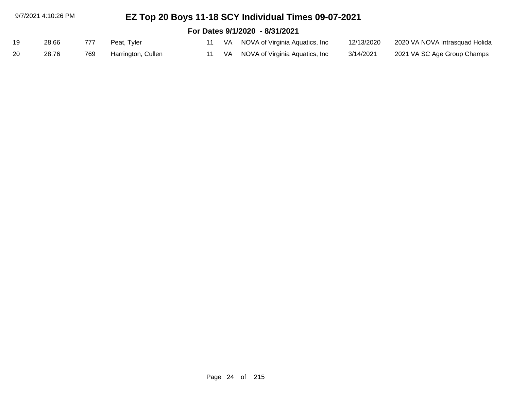|    | 9/7/2021 4:10:26 PM            |     | EZ Top 20 Boys 11-18 SCY Individual Times 09-07-2021 |    |  |                                    |            |                                |  |  |  |  |
|----|--------------------------------|-----|------------------------------------------------------|----|--|------------------------------------|------------|--------------------------------|--|--|--|--|
|    | For Dates 9/1/2020 - 8/31/2021 |     |                                                      |    |  |                                    |            |                                |  |  |  |  |
| 19 | 28.66                          | 777 | Peat. Tyler                                          | 11 |  | VA NOVA of Virginia Aquatics, Inc. | 12/13/2020 | 2020 VA NOVA Intrasquad Holida |  |  |  |  |
| 20 | 28.76                          | 769 | Harrington, Cullen                                   |    |  | VA NOVA of Virginia Aquatics, Inc  | 3/14/2021  | 2021 VA SC Age Group Champs    |  |  |  |  |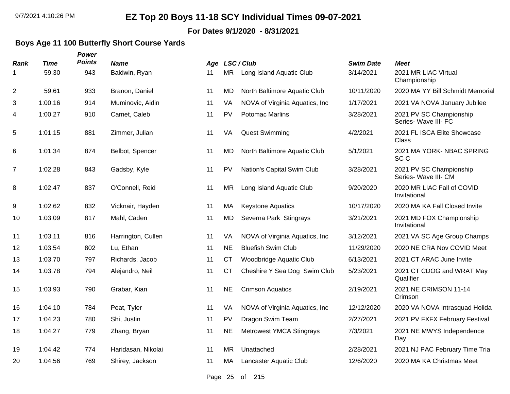#### **For Dates 9/1/2020 - 8/31/2021**

### **Boys Age 11 100 Butterfly Short Course Yards**

| <b>Rank</b>    | <b>Time</b> | Power<br><b>Points</b> | <b>Name</b>        |    |           | Age LSC/Club                    | <b>Swim Date</b> | <b>Meet</b>                                     |
|----------------|-------------|------------------------|--------------------|----|-----------|---------------------------------|------------------|-------------------------------------------------|
| 1              | 59.30       | 943                    | Baldwin, Ryan      | 11 | <b>MR</b> | Long Island Aquatic Club        | 3/14/2021        | 2021 MR LIAC Virtual<br>Championship            |
| $\overline{2}$ | 59.61       | 933                    | Branon, Daniel     | 11 | <b>MD</b> | North Baltimore Aquatic Club    | 10/11/2020       | 2020 MA YY Bill Schmidt Memorial                |
| 3              | 1:00.16     | 914                    | Muminovic, Aidin   | 11 | VA        | NOVA of Virginia Aquatics, Inc. | 1/17/2021        | 2021 VA NOVA January Jubilee                    |
| 4              | 1:00.27     | 910                    | Camet, Caleb       | 11 | PV        | <b>Potomac Marlins</b>          | 3/28/2021        | 2021 PV SC Championship<br>Series- Wave III- FC |
| 5              | 1:01.15     | 881                    | Zimmer, Julian     | 11 | VA        | <b>Quest Swimming</b>           | 4/2/2021         | 2021 FL ISCA Elite Showcase<br>Class            |
| 6              | 1:01.34     | 874                    | Belbot, Spencer    | 11 | <b>MD</b> | North Baltimore Aquatic Club    | 5/1/2021         | 2021 MA YORK- NBAC SPRING<br>SC <sub>C</sub>    |
| 7              | 1:02.28     | 843                    | Gadsby, Kyle       | 11 | PV        | Nation's Capital Swim Club      | 3/28/2021        | 2021 PV SC Championship<br>Series- Wave III- CM |
| 8              | 1:02.47     | 837                    | O'Connell, Reid    | 11 | <b>MR</b> | Long Island Aquatic Club        | 9/20/2020        | 2020 MR LIAC Fall of COVID<br>Invitational      |
| 9              | 1:02.62     | 832                    | Vicknair, Hayden   | 11 | MA        | <b>Keystone Aquatics</b>        | 10/17/2020       | 2020 MA KA Fall Closed Invite                   |
| 10             | 1:03.09     | 817                    | Mahl, Caden        | 11 | <b>MD</b> | Severna Park Stingrays          | 3/21/2021        | 2021 MD FOX Championship<br>Invitational        |
| 11             | 1:03.11     | 816                    | Harrington, Cullen | 11 | VA        | NOVA of Virginia Aquatics, Inc  | 3/12/2021        | 2021 VA SC Age Group Champs                     |
| 12             | 1:03.54     | 802                    | Lu, Ethan          | 11 | <b>NE</b> | <b>Bluefish Swim Club</b>       | 11/29/2020       | 2020 NE CRA Nov COVID Meet                      |
| 13             | 1:03.70     | 797                    | Richards, Jacob    | 11 | <b>CT</b> | Woodbridge Aquatic Club         | 6/13/2021        | 2021 CT ARAC June Invite                        |
| 14             | 1:03.78     | 794                    | Alejandro, Neil    | 11 | <b>CT</b> | Cheshire Y Sea Dog Swim Club    | 5/23/2021        | 2021 CT CDOG and WRAT May<br>Qualifier          |
| 15             | 1:03.93     | 790                    | Grabar, Kian       | 11 | <b>NE</b> | <b>Crimson Aquatics</b>         | 2/19/2021        | 2021 NE CRIMSON 11-14<br>Crimson                |
| 16             | 1:04.10     | 784                    | Peat, Tyler        | 11 | VA        | NOVA of Virginia Aquatics, Inc. | 12/12/2020       | 2020 VA NOVA Intrasquad Holida                  |
| 17             | 1:04.23     | 780                    | Shi, Justin        | 11 | <b>PV</b> | Dragon Swim Team                | 2/27/2021        | 2021 PV FXFX February Festival                  |
| 18             | 1:04.27     | 779                    | Zhang, Bryan       | 11 | <b>NE</b> | Metrowest YMCA Stingrays        | 7/3/2021         | 2021 NE MWYS Independence<br>Day                |
| 19             | 1:04.42     | 774                    | Haridasan, Nikolai | 11 | <b>MR</b> | Unattached                      | 2/28/2021        | 2021 NJ PAC February Time Tria                  |
| 20             | 1:04.56     | 769                    | Shirey, Jackson    | 11 | MA        | Lancaster Aquatic Club          | 12/6/2020        | 2020 MA KA Christmas Meet                       |

Page 25 of 215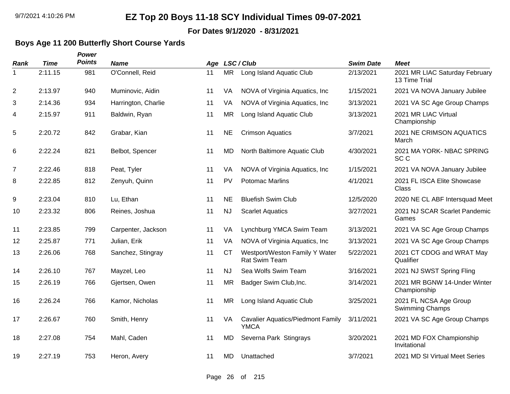#### **For Dates 9/1/2020 - 8/31/2021**

### **Boys Age 11 200 Butterfly Short Course Yards**

| Rank        | <b>Time</b> | Power<br><b>Points</b> | <b>Name</b>         |    |           | Age LSC/Club                                            | <b>Swim Date</b> | <b>Meet</b>                                      |
|-------------|-------------|------------------------|---------------------|----|-----------|---------------------------------------------------------|------------------|--------------------------------------------------|
| $\mathbf 1$ | 2:11.15     | 981                    | O'Connell, Reid     | 11 | <b>MR</b> | Long Island Aquatic Club                                | 2/13/2021        | 2021 MR LIAC Saturday February<br>13 Time Trial  |
| 2           | 2:13.97     | 940                    | Muminovic, Aidin    | 11 | VA        | NOVA of Virginia Aquatics, Inc.                         | 1/15/2021        | 2021 VA NOVA January Jubilee                     |
| 3           | 2:14.36     | 934                    | Harrington, Charlie | 11 | VA        | NOVA of Virginia Aquatics, Inc.                         | 3/13/2021        | 2021 VA SC Age Group Champs                      |
| 4           | 2:15.97     | 911                    | Baldwin, Ryan       | 11 | <b>MR</b> | Long Island Aquatic Club                                | 3/13/2021        | 2021 MR LIAC Virtual<br>Championship             |
| 5           | 2:20.72     | 842                    | Grabar, Kian        | 11 | <b>NE</b> | <b>Crimson Aquatics</b>                                 | 3/7/2021         | 2021 NE CRIMSON AQUATICS<br>March                |
| 6           | 2:22.24     | 821                    | Belbot, Spencer     | 11 | <b>MD</b> | North Baltimore Aquatic Club                            | 4/30/2021        | 2021 MA YORK- NBAC SPRING<br>SC <sub>C</sub>     |
| 7           | 2:22.46     | 818                    | Peat, Tyler         | 11 | VA        | NOVA of Virginia Aquatics, Inc.                         | 1/15/2021        | 2021 VA NOVA January Jubilee                     |
| 8           | 2:22.85     | 812                    | Zenyuh, Quinn       | 11 | PV        | <b>Potomac Marlins</b>                                  | 4/1/2021         | 2021 FL ISCA Elite Showcase<br>Class             |
| 9           | 2:23.04     | 810                    | Lu, Ethan           | 11 | <b>NE</b> | <b>Bluefish Swim Club</b>                               | 12/5/2020        | 2020 NE CL ABF Intersquad Meet                   |
| 10          | 2:23.32     | 806                    | Reines, Joshua      | 11 | <b>NJ</b> | <b>Scarlet Aquatics</b>                                 | 3/27/2021        | 2021 NJ SCAR Scarlet Pandemic<br>Games           |
| 11          | 2:23.85     | 799                    | Carpenter, Jackson  | 11 | VA        | Lynchburg YMCA Swim Team                                | 3/13/2021        | 2021 VA SC Age Group Champs                      |
| 12          | 2:25.87     | 771                    | Julian, Erik        | 11 | VA        | NOVA of Virginia Aquatics, Inc.                         | 3/13/2021        | 2021 VA SC Age Group Champs                      |
| 13          | 2:26.06     | 768                    | Sanchez, Stingray   | 11 | <b>CT</b> | Westport/Weston Family Y Water<br>Rat Swim Team         | 5/22/2021        | 2021 CT CDOG and WRAT May<br>Qualifier           |
| 14          | 2:26.10     | 767                    | Mayzel, Leo         | 11 | <b>NJ</b> | Sea Wolfs Swim Team                                     | 3/16/2021        | 2021 NJ SWST Spring Fling                        |
| 15          | 2:26.19     | 766                    | Gjertsen, Owen      | 11 | <b>MR</b> | Badger Swim Club, Inc.                                  | 3/14/2021        | 2021 MR BGNW 14-Under Winter<br>Championship     |
| 16          | 2:26.24     | 766                    | Kamor, Nicholas     | 11 | <b>MR</b> | Long Island Aquatic Club                                | 3/25/2021        | 2021 FL NCSA Age Group<br><b>Swimming Champs</b> |
| 17          | 2:26.67     | 760                    | Smith, Henry        | 11 | VA        | <b>Cavalier Aquatics/Piedmont Family</b><br><b>YMCA</b> | 3/11/2021        | 2021 VA SC Age Group Champs                      |
| 18          | 2:27.08     | 754                    | Mahl, Caden         | 11 | <b>MD</b> | Severna Park Stingrays                                  | 3/20/2021        | 2021 MD FOX Championship<br>Invitational         |
| 19          | 2:27.19     | 753                    | Heron, Avery        | 11 | MD.       | Unattached                                              | 3/7/2021         | 2021 MD SI Virtual Meet Series                   |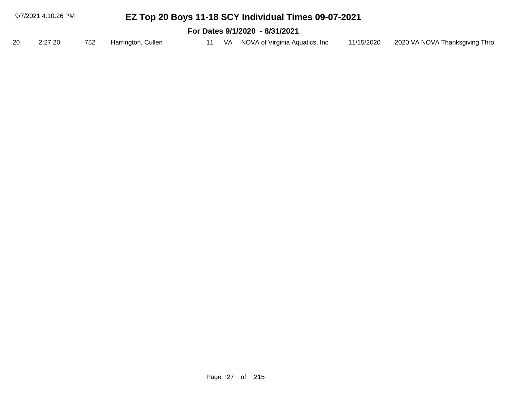|    | 9/7/2021 4:10:26 PM            |     |                    |  |  | EZ Top 20 Boys 11-18 SCY Individual Times 09-07-2021 |            |                                |  |  |  |
|----|--------------------------------|-----|--------------------|--|--|------------------------------------------------------|------------|--------------------------------|--|--|--|
|    | For Dates 9/1/2020 - 8/31/2021 |     |                    |  |  |                                                      |            |                                |  |  |  |
| 20 | 2:27.20                        | 752 | Harrington, Cullen |  |  | 11 VA NOVA of Virginia Aquatics, Inc                 | 11/15/2020 | 2020 VA NOVA Thanksgiving Thro |  |  |  |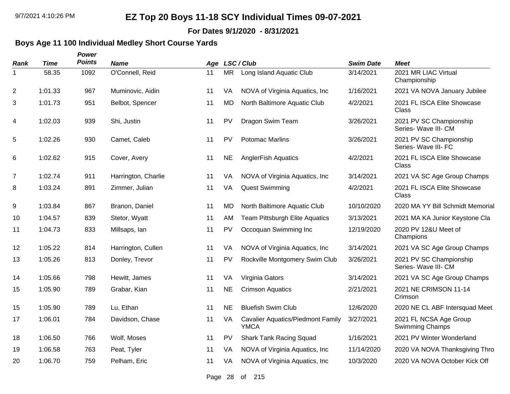**For Dates 9/1/2020 - 8/31/2021**

### **Boys Age 11 100 Individual Medley Short Course Yards**

| <b>Rank</b>    | Time    | Power<br><b>Points</b> | <b>Name</b>         |    |           | Age LSC/Club                                            | <b>Swim Date</b> | <b>Meet</b>                                      |
|----------------|---------|------------------------|---------------------|----|-----------|---------------------------------------------------------|------------------|--------------------------------------------------|
| 1              | 58.35   | 1092                   | O'Connell, Reid     | 11 | <b>MR</b> | Long Island Aquatic Club                                | 3/14/2021        | 2021 MR LIAC Virtual<br>Championship             |
| 2              | 1:01.33 | 967                    | Muminovic, Aidin    | 11 | VA        | NOVA of Virginia Aquatics, Inc.                         | 1/16/2021        | 2021 VA NOVA January Jubilee                     |
| 3              | 1:01.73 | 951                    | Belbot, Spencer     | 11 | <b>MD</b> | North Baltimore Aquatic Club                            | 4/2/2021         | 2021 FL ISCA Elite Showcase<br>Class             |
| 4              | 1:02.03 | 939                    | Shi, Justin         | 11 | PV        | Dragon Swim Team                                        | 3/26/2021        | 2021 PV SC Championship<br>Series- Wave III- CM  |
| 5              | 1:02.26 | 930                    | Camet, Caleb        | 11 | PV        | <b>Potomac Marlins</b>                                  | 3/26/2021        | 2021 PV SC Championship<br>Series- Wave III- FC  |
| 6              | 1:02.62 | 915                    | Cover, Avery        | 11 | <b>NE</b> | <b>AnglerFish Aquatics</b>                              | 4/2/2021         | 2021 FL ISCA Elite Showcase<br>Class             |
| $\overline{7}$ | 1:02.74 | 911                    | Harrington, Charlie | 11 | VA        | NOVA of Virginia Aquatics, Inc.                         | 3/14/2021        | 2021 VA SC Age Group Champs                      |
| 8              | 1:03.24 | 891                    | Zimmer, Julian      | 11 | VA        | <b>Quest Swimming</b>                                   | 4/2/2021         | 2021 FL ISCA Elite Showcase<br>Class             |
| 9              | 1:03.84 | 867                    | Branon, Daniel      | 11 | <b>MD</b> | North Baltimore Aquatic Club                            | 10/10/2020       | 2020 MA YY Bill Schmidt Memorial                 |
| 10             | 1:04.57 | 839                    | Stetor, Wyatt       | 11 | <b>AM</b> | <b>Team Pittsburgh Elite Aquatics</b>                   | 3/13/2021        | 2021 MA KA Junior Keystone Cla                   |
| 11             | 1:04.73 | 833                    | Millsaps, lan       | 11 | <b>PV</b> | Occoquan Swimming Inc                                   | 12/19/2020       | 2020 PV 12&U Meet of<br>Champions                |
| 12             | 1:05.22 | 814                    | Harrington, Cullen  | 11 | VA        | NOVA of Virginia Aquatics, Inc                          | 3/14/2021        | 2021 VA SC Age Group Champs                      |
| 13             | 1:05.26 | 813                    | Donley, Trevor      | 11 | PV        | Rockville Montgomery Swim Club                          | 3/26/2021        | 2021 PV SC Championship<br>Series- Wave III- CM  |
| 14             | 1:05.66 | 798                    | Hewitt, James       | 11 | VA        | Virginia Gators                                         | 3/14/2021        | 2021 VA SC Age Group Champs                      |
| 15             | 1:05.90 | 789                    | Grabar, Kian        | 11 | <b>NE</b> | <b>Crimson Aquatics</b>                                 | 2/21/2021        | 2021 NE CRIMSON 11-14<br>Crimson                 |
| 15             | 1:05.90 | 789                    | Lu, Ethan           | 11 | <b>NE</b> | <b>Bluefish Swim Club</b>                               | 12/6/2020        | 2020 NE CL ABF Intersquad Meet                   |
| 17             | 1:06.01 | 784                    | Davidson, Chase     | 11 | VA        | <b>Cavalier Aquatics/Piedmont Family</b><br><b>YMCA</b> | 3/27/2021        | 2021 FL NCSA Age Group<br><b>Swimming Champs</b> |
| 18             | 1:06.50 | 766                    | Wolf, Moses         | 11 | PV        | <b>Shark Tank Racing Squad</b>                          | 1/16/2021        | 2021 PV Winter Wonderland                        |
| 19             | 1:06.58 | 763                    | Peat, Tyler         | 11 | VA        | NOVA of Virginia Aquatics, Inc.                         | 11/14/2020       | 2020 VA NOVA Thanksgiving Thro                   |
| 20             | 1:06.70 | 759                    | Pelham, Eric        | 11 | VA        | NOVA of Virginia Aquatics, Inc.                         | 10/3/2020        | 2020 VA NOVA October Kick Off                    |

Page 28 of 215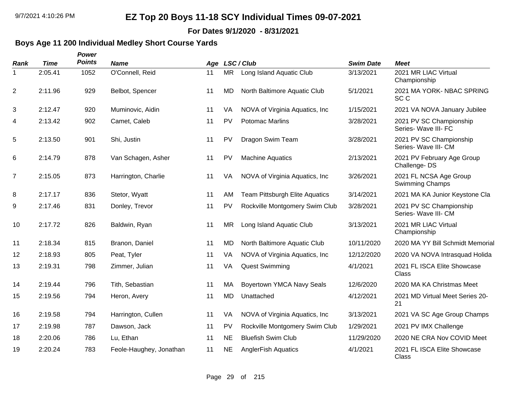**For Dates 9/1/2020 - 8/31/2021**

### **Boys Age 11 200 Individual Medley Short Course Yards**

| Rank           | <b>Time</b> | Power<br><b>Points</b> | <b>Name</b>             |    |           | Age LSC/Club                          | <b>Swim Date</b> | <b>Meet</b>                                     |
|----------------|-------------|------------------------|-------------------------|----|-----------|---------------------------------------|------------------|-------------------------------------------------|
| 1              | 2:05.41     | 1052                   | O'Connell, Reid         | 11 | <b>MR</b> | Long Island Aquatic Club              | 3/13/2021        | 2021 MR LIAC Virtual<br>Championship            |
| $\overline{c}$ | 2:11.96     | 929                    | Belbot, Spencer         | 11 | <b>MD</b> | North Baltimore Aquatic Club          | 5/1/2021         | 2021 MA YORK- NBAC SPRING<br>SC <sub>C</sub>    |
| 3              | 2:12.47     | 920                    | Muminovic, Aidin        | 11 | VA        | NOVA of Virginia Aquatics, Inc.       | 1/15/2021        | 2021 VA NOVA January Jubilee                    |
| 4              | 2:13.42     | 902                    | Camet, Caleb            | 11 | PV        | <b>Potomac Marlins</b>                | 3/28/2021        | 2021 PV SC Championship<br>Series- Wave III- FC |
| 5              | 2:13.50     | 901                    | Shi, Justin             | 11 | PV        | Dragon Swim Team                      | 3/28/2021        | 2021 PV SC Championship<br>Series- Wave III- CM |
| 6              | 2:14.79     | 878                    | Van Schagen, Asher      | 11 | <b>PV</b> | <b>Machine Aquatics</b>               | 2/13/2021        | 2021 PV February Age Group<br>Challenge-DS      |
| $\overline{7}$ | 2:15.05     | 873                    | Harrington, Charlie     | 11 | VA        | NOVA of Virginia Aquatics, Inc.       | 3/26/2021        | 2021 FL NCSA Age Group<br>Swimming Champs       |
| 8              | 2:17.17     | 836                    | Stetor, Wyatt           | 11 | AM        | <b>Team Pittsburgh Elite Aquatics</b> | 3/14/2021        | 2021 MA KA Junior Keystone Cla                  |
| 9              | 2:17.46     | 831                    | Donley, Trevor          | 11 | <b>PV</b> | Rockville Montgomery Swim Club        | 3/28/2021        | 2021 PV SC Championship<br>Series- Wave III- CM |
| 10             | 2:17.72     | 826                    | Baldwin, Ryan           | 11 | <b>MR</b> | Long Island Aquatic Club              | 3/13/2021        | 2021 MR LIAC Virtual<br>Championship            |
| 11             | 2:18.34     | 815                    | Branon, Daniel          | 11 | <b>MD</b> | North Baltimore Aquatic Club          | 10/11/2020       | 2020 MA YY Bill Schmidt Memorial                |
| 12             | 2:18.93     | 805                    | Peat, Tyler             | 11 | VA        | NOVA of Virginia Aquatics, Inc.       | 12/12/2020       | 2020 VA NOVA Intrasquad Holida                  |
| 13             | 2:19.31     | 798                    | Zimmer, Julian          | 11 | VA        | <b>Quest Swimming</b>                 | 4/1/2021         | 2021 FL ISCA Elite Showcase<br>Class            |
| 14             | 2:19.44     | 796                    | Tith, Sebastian         | 11 | MA        | Boyertown YMCA Navy Seals             | 12/6/2020        | 2020 MA KA Christmas Meet                       |
| 15             | 2:19.56     | 794                    | Heron, Avery            | 11 | <b>MD</b> | Unattached                            | 4/12/2021        | 2021 MD Virtual Meet Series 20-<br>21           |
| 16             | 2:19.58     | 794                    | Harrington, Cullen      | 11 | VA        | NOVA of Virginia Aquatics, Inc.       | 3/13/2021        | 2021 VA SC Age Group Champs                     |
| 17             | 2:19.98     | 787                    | Dawson, Jack            | 11 | PV        | Rockville Montgomery Swim Club        | 1/29/2021        | 2021 PV IMX Challenge                           |
| 18             | 2:20.06     | 786                    | Lu, Ethan               | 11 | <b>NE</b> | <b>Bluefish Swim Club</b>             | 11/29/2020       | 2020 NE CRA Nov COVID Meet                      |
| 19             | 2:20.24     | 783                    | Feole-Haughey, Jonathan | 11 | <b>NE</b> | <b>AnglerFish Aquatics</b>            | 4/1/2021         | 2021 FL ISCA Elite Showcase<br>Class            |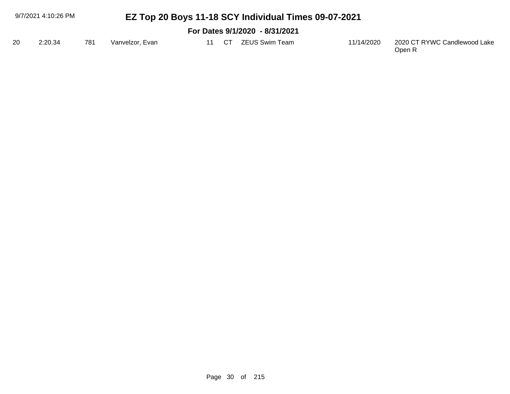|    | 9/7/2021 4:10:26 PM |     |                 |       | EZ Top 20 Boys 11-18 SCY Individual Times 09-07-2021 |            |                                        |
|----|---------------------|-----|-----------------|-------|------------------------------------------------------|------------|----------------------------------------|
|    |                     |     |                 |       | For Dates 9/1/2020 - 8/31/2021                       |            |                                        |
| 20 | 2:20.34             | 781 | Vanvelzor, Evan | 11 CT | ZEUS Swim Team                                       | 11/14/2020 | 2020 CT RYWC Candlewood Lake<br>Open R |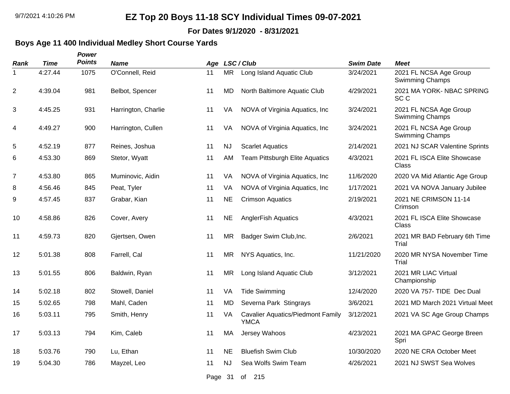**For Dates 9/1/2020 - 8/31/2021**

### **Boys Age 11 400 Individual Medley Short Course Yards**

| <b>Rank</b>    | <b>Time</b> | Power<br><b>Points</b> | <b>Name</b>         |         |           | Age LSC/Club                                            | <b>Swim Date</b> | <b>Meet</b>                                      |
|----------------|-------------|------------------------|---------------------|---------|-----------|---------------------------------------------------------|------------------|--------------------------------------------------|
| 1              | 4:27.44     | 1075                   | O'Connell, Reid     | 11      | <b>MR</b> | Long Island Aquatic Club                                | 3/24/2021        | 2021 FL NCSA Age Group<br><b>Swimming Champs</b> |
| $\overline{2}$ | 4:39.04     | 981                    | Belbot, Spencer     | 11      | <b>MD</b> | North Baltimore Aquatic Club                            | 4/29/2021        | 2021 MA YORK- NBAC SPRING<br>SC <sub>C</sub>     |
| 3              | 4:45.25     | 931                    | Harrington, Charlie | 11      | VA        | NOVA of Virginia Aquatics, Inc.                         | 3/24/2021        | 2021 FL NCSA Age Group<br><b>Swimming Champs</b> |
| 4              | 4:49.27     | 900                    | Harrington, Cullen  | 11      | VA        | NOVA of Virginia Aquatics, Inc.                         | 3/24/2021        | 2021 FL NCSA Age Group<br>Swimming Champs        |
| 5              | 4:52.19     | 877                    | Reines, Joshua      | 11      | <b>NJ</b> | <b>Scarlet Aquatics</b>                                 | 2/14/2021        | 2021 NJ SCAR Valentine Sprints                   |
| 6              | 4:53.30     | 869                    | Stetor, Wyatt       | 11      | AM        | Team Pittsburgh Elite Aquatics                          | 4/3/2021         | 2021 FL ISCA Elite Showcase<br>Class             |
| $\overline{7}$ | 4:53.80     | 865                    | Muminovic, Aidin    | 11      | VA        | NOVA of Virginia Aquatics, Inc.                         | 11/6/2020        | 2020 VA Mid Atlantic Age Group                   |
| 8              | 4:56.46     | 845                    | Peat, Tyler         | 11      | VA        | NOVA of Virginia Aquatics, Inc.                         | 1/17/2021        | 2021 VA NOVA January Jubilee                     |
| 9              | 4:57.45     | 837                    | Grabar, Kian        | 11      | <b>NE</b> | <b>Crimson Aquatics</b>                                 | 2/19/2021        | 2021 NE CRIMSON 11-14<br>Crimson                 |
| 10             | 4:58.86     | 826                    | Cover, Avery        | 11      | <b>NE</b> | <b>AnglerFish Aquatics</b>                              | 4/3/2021         | 2021 FL ISCA Elite Showcase<br>Class             |
| 11             | 4:59.73     | 820                    | Gjertsen, Owen      | 11      | <b>MR</b> | Badger Swim Club, Inc.                                  | 2/6/2021         | 2021 MR BAD February 6th Time<br>Trial           |
| 12             | 5:01.38     | 808                    | Farrell, Cal        | 11      | <b>MR</b> | NYS Aquatics, Inc.                                      | 11/21/2020       | 2020 MR NYSA November Time<br>Trial              |
| 13             | 5:01.55     | 806                    | Baldwin, Ryan       | 11      | <b>MR</b> | Long Island Aquatic Club                                | 3/12/2021        | 2021 MR LIAC Virtual<br>Championship             |
| 14             | 5:02.18     | 802                    | Stowell, Daniel     | 11      | VA        | <b>Tide Swimming</b>                                    | 12/4/2020        | 2020 VA 757- TIDE Dec Dual                       |
| 15             | 5:02.65     | 798                    | Mahl, Caden         | 11      | MD        | Severna Park Stingrays                                  | 3/6/2021         | 2021 MD March 2021 Virtual Meet                  |
| 16             | 5:03.11     | 795                    | Smith, Henry        | 11      | VA        | <b>Cavalier Aquatics/Piedmont Family</b><br><b>YMCA</b> | 3/12/2021        | 2021 VA SC Age Group Champs                      |
| 17             | 5:03.13     | 794                    | Kim, Caleb          | 11      | MA        | Jersey Wahoos                                           | 4/23/2021        | 2021 MA GPAC George Breen<br>Spri                |
| 18             | 5:03.76     | 790                    | Lu, Ethan           | 11      | <b>NE</b> | <b>Bluefish Swim Club</b>                               | 10/30/2020       | 2020 NE CRA October Meet                         |
| 19             | 5:04.30     | 786                    | Mayzel, Leo         | 11      | <b>NJ</b> | Sea Wolfs Swim Team                                     | 4/26/2021        | 2021 NJ SWST Sea Wolves                          |
|                |             |                        |                     | Page 31 |           | of 215                                                  |                  |                                                  |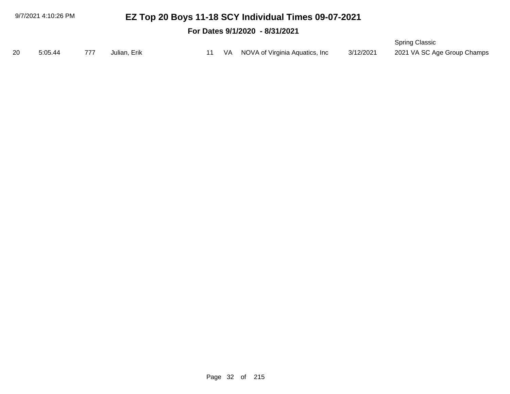|                                | 9/7/2021 4:10:26 PM |     |              |  |  |                                   |           |                             |
|--------------------------------|---------------------|-----|--------------|--|--|-----------------------------------|-----------|-----------------------------|
| For Dates 9/1/2020 - 8/31/2021 |                     |     |              |  |  |                                   |           |                             |
|                                |                     |     |              |  |  |                                   |           | <b>Spring Classic</b>       |
| 20                             | 5:05.44             | 777 | Julian, Erik |  |  | VA NOVA of Virginia Aquatics, Inc | 3/12/2021 | 2021 VA SC Age Group Champs |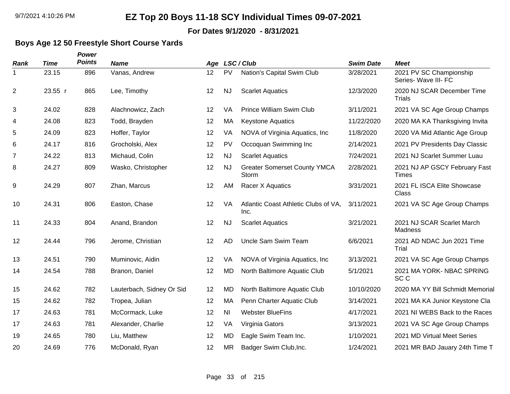**For Dates 9/1/2020 - 8/31/2021**

### **Boys Age 12 50 Freestyle Short Course Yards**

| Rank           | <b>Time</b> | Power<br><b>Points</b> | <b>Name</b>               |    |                | Age LSC/Club                                 | <b>Swim Date</b> | <b>Meet</b>                                     |
|----------------|-------------|------------------------|---------------------------|----|----------------|----------------------------------------------|------------------|-------------------------------------------------|
|                | 23.15       | 896                    | Vanas, Andrew             | 12 | <b>PV</b>      | Nation's Capital Swim Club                   | 3/28/2021        | 2021 PV SC Championship<br>Series- Wave III- FC |
| $\overline{2}$ | 23.55 r     | 865                    | Lee, Timothy              | 12 | <b>NJ</b>      | <b>Scarlet Aquatics</b>                      | 12/3/2020        | 2020 NJ SCAR December Time<br><b>Trials</b>     |
| 3              | 24.02       | 828                    | Alachnowicz, Zach         | 12 | VA             | Prince William Swim Club                     | 3/11/2021        | 2021 VA SC Age Group Champs                     |
| 4              | 24.08       | 823                    | Todd, Brayden             | 12 | MA             | <b>Keystone Aquatics</b>                     | 11/22/2020       | 2020 MA KA Thanksgiving Invita                  |
| 5              | 24.09       | 823                    | Hoffer, Taylor            | 12 | VA             | NOVA of Virginia Aquatics, Inc.              | 11/8/2020        | 2020 VA Mid Atlantic Age Group                  |
| 6              | 24.17       | 816                    | Grocholski, Alex          | 12 | PV             | Occoquan Swimming Inc                        | 2/14/2021        | 2021 PV Presidents Day Classic                  |
| $\overline{7}$ | 24.22       | 813                    | Michaud, Colin            | 12 | <b>NJ</b>      | <b>Scarlet Aquatics</b>                      | 7/24/2021        | 2021 NJ Scarlet Summer Luau                     |
| 8              | 24.27       | 809                    | Wasko, Christopher        | 12 | <b>NJ</b>      | <b>Greater Somerset County YMCA</b><br>Storm | 2/28/2021        | 2021 NJ AP GSCY February Fast<br>Times          |
| 9              | 24.29       | 807                    | Zhan, Marcus              | 12 | AM             | Racer X Aquatics                             | 3/31/2021        | 2021 FL ISCA Elite Showcase<br>Class            |
| 10             | 24.31       | 806                    | Easton, Chase             | 12 | VA             | Atlantic Coast Athletic Clubs of VA,<br>Inc. | 3/11/2021        | 2021 VA SC Age Group Champs                     |
| 11             | 24.33       | 804                    | Anand, Brandon            | 12 | <b>NJ</b>      | <b>Scarlet Aquatics</b>                      | 3/21/2021        | 2021 NJ SCAR Scarlet March<br>Madness           |
| 12             | 24.44       | 796                    | Jerome, Christian         | 12 | AD             | Uncle Sam Swim Team                          | 6/6/2021         | 2021 AD NDAC Jun 2021 Time<br>Trial             |
| 13             | 24.51       | 790                    | Muminovic, Aidin          | 12 | VA             | NOVA of Virginia Aquatics, Inc.              | 3/13/2021        | 2021 VA SC Age Group Champs                     |
| 14             | 24.54       | 788                    | Branon, Daniel            | 12 | <b>MD</b>      | North Baltimore Aquatic Club                 | 5/1/2021         | 2021 MA YORK- NBAC SPRING<br>SC <sub>C</sub>    |
| 15             | 24.62       | 782                    | Lauterbach, Sidney Or Sid | 12 | <b>MD</b>      | North Baltimore Aquatic Club                 | 10/10/2020       | 2020 MA YY Bill Schmidt Memorial                |
| 15             | 24.62       | 782                    | Tropea, Julian            | 12 | MA             | Penn Charter Aquatic Club                    | 3/14/2021        | 2021 MA KA Junior Keystone Cla                  |
| 17             | 24.63       | 781                    | McCormack, Luke           | 12 | N <sub>l</sub> | <b>Webster BlueFins</b>                      | 4/17/2021        | 2021 NI WEBS Back to the Races                  |
| 17             | 24.63       | 781                    | Alexander, Charlie        | 12 | VA             | Virginia Gators                              | 3/13/2021        | 2021 VA SC Age Group Champs                     |
| 19             | 24.65       | 780                    | Liu, Matthew              | 12 | <b>MD</b>      | Eagle Swim Team Inc.                         | 1/10/2021        | 2021 MD Virtual Meet Series                     |
| 20             | 24.69       | 776                    | McDonald, Ryan            | 12 | <b>MR</b>      | Badger Swim Club, Inc.                       | 1/24/2021        | 2021 MR BAD Jauary 24th Time T                  |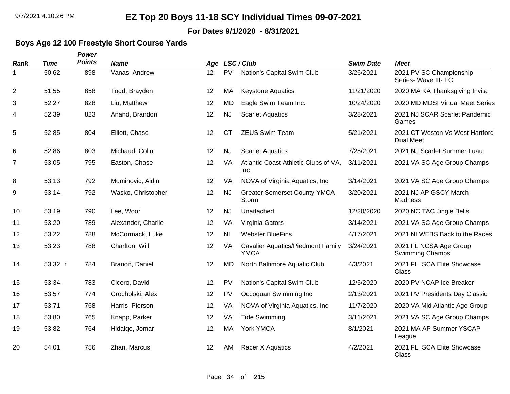#### **For Dates 9/1/2020 - 8/31/2021**

### **Boys Age 12 100 Freestyle Short Course Yards**

| <b>Rank</b>    | <b>Time</b> | Power<br><b>Points</b> | <b>Name</b>        | Age |                | LSC / Club                                              | <b>Swim Date</b> | <b>Meet</b>                                     |
|----------------|-------------|------------------------|--------------------|-----|----------------|---------------------------------------------------------|------------------|-------------------------------------------------|
| 1              | 50.62       | 898                    | Vanas, Andrew      | 12  | PV             | Nation's Capital Swim Club                              | 3/26/2021        | 2021 PV SC Championship<br>Series- Wave III- FC |
| $\overline{2}$ | 51.55       | 858                    | Todd, Brayden      | 12  | MA             | <b>Keystone Aquatics</b>                                | 11/21/2020       | 2020 MA KA Thanksgiving Invita                  |
| 3              | 52.27       | 828                    | Liu, Matthew       | 12  | <b>MD</b>      | Eagle Swim Team Inc.                                    | 10/24/2020       | 2020 MD MDSI Virtual Meet Series                |
| 4              | 52.39       | 823                    | Anand, Brandon     | 12  | <b>NJ</b>      | <b>Scarlet Aquatics</b>                                 | 3/28/2021        | 2021 NJ SCAR Scarlet Pandemic<br>Games          |
| 5              | 52.85       | 804                    | Elliott, Chase     | 12  | <b>CT</b>      | <b>ZEUS Swim Team</b>                                   | 5/21/2021        | 2021 CT Weston Vs West Hartford<br>Dual Meet    |
| 6              | 52.86       | 803                    | Michaud, Colin     | 12  | NJ             | <b>Scarlet Aquatics</b>                                 | 7/25/2021        | 2021 NJ Scarlet Summer Luau                     |
| $\overline{7}$ | 53.05       | 795                    | Easton, Chase      | 12  | VA             | Atlantic Coast Athletic Clubs of VA,<br>Inc.            | 3/11/2021        | 2021 VA SC Age Group Champs                     |
| 8              | 53.13       | 792                    | Muminovic, Aidin   | 12  | VA             | NOVA of Virginia Aquatics, Inc.                         | 3/14/2021        | 2021 VA SC Age Group Champs                     |
| 9              | 53.14       | 792                    | Wasko, Christopher | 12  | <b>NJ</b>      | <b>Greater Somerset County YMCA</b><br>Storm            | 3/20/2021        | 2021 NJ AP GSCY March<br>Madness                |
| 10             | 53.19       | 790                    | Lee, Woori         | 12  | <b>NJ</b>      | Unattached                                              | 12/20/2020       | 2020 NC TAC Jingle Bells                        |
| 11             | 53.20       | 789                    | Alexander, Charlie | 12  | VA             | Virginia Gators                                         | 3/14/2021        | 2021 VA SC Age Group Champs                     |
| 12             | 53.22       | 788                    | McCormack, Luke    | 12  | N <sub>l</sub> | <b>Webster BlueFins</b>                                 | 4/17/2021        | 2021 NI WEBS Back to the Races                  |
| 13             | 53.23       | 788                    | Charlton, Will     | 12  | VA             | <b>Cavalier Aquatics/Piedmont Family</b><br><b>YMCA</b> | 3/24/2021        | 2021 FL NCSA Age Group<br>Swimming Champs       |
| 14             | 53.32 r     | 784                    | Branon, Daniel     | 12  | <b>MD</b>      | North Baltimore Aquatic Club                            | 4/3/2021         | 2021 FL ISCA Elite Showcase<br>Class            |
| 15             | 53.34       | 783                    | Cicero, David      | 12  | PV             | Nation's Capital Swim Club                              | 12/5/2020        | 2020 PV NCAP Ice Breaker                        |
| 16             | 53.57       | 774                    | Grocholski, Alex   | 12  | PV             | Occoquan Swimming Inc                                   | 2/13/2021        | 2021 PV Presidents Day Classic                  |
| 17             | 53.71       | 768                    | Harris, Pierson    | 12  | VA             | NOVA of Virginia Aquatics, Inc.                         | 11/7/2020        | 2020 VA Mid Atlantic Age Group                  |
| 18             | 53.80       | 765                    | Knapp, Parker      | 12  | VA             | <b>Tide Swimming</b>                                    | 3/11/2021        | 2021 VA SC Age Group Champs                     |
| 19             | 53.82       | 764                    | Hidalgo, Jomar     | 12  | MA             | York YMCA                                               | 8/1/2021         | 2021 MA AP Summer YSCAP<br>League               |
| 20             | 54.01       | 756                    | Zhan, Marcus       | 12  | AM             | Racer X Aquatics                                        | 4/2/2021         | 2021 FL ISCA Elite Showcase<br>Class            |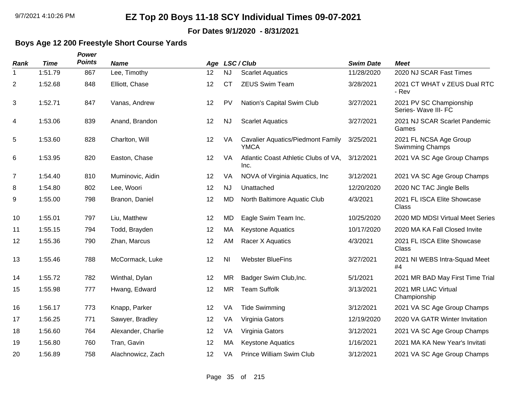#### **For Dates 9/1/2020 - 8/31/2021**

### **Boys Age 12 200 Freestyle Short Course Yards**

| <b>Rank</b>    | <b>Time</b> | <b>Power</b><br><b>Points</b> | <b>Name</b>        | Age |                | LSC / Club                                              | <b>Swim Date</b> | <b>Meet</b>                                      |
|----------------|-------------|-------------------------------|--------------------|-----|----------------|---------------------------------------------------------|------------------|--------------------------------------------------|
| $\mathbf{1}$   | 1:51.79     | 867                           | Lee, Timothy       | 12  | <b>NJ</b>      | <b>Scarlet Aquatics</b>                                 | 11/28/2020       | 2020 NJ SCAR Fast Times                          |
| 2              | 1:52.68     | 848                           | Elliott, Chase     | 12  | <b>CT</b>      | <b>ZEUS Swim Team</b>                                   | 3/28/2021        | 2021 CT WHAT v ZEUS Dual RTC<br>- Rev            |
| 3              | 1:52.71     | 847                           | Vanas, Andrew      | 12  | PV             | Nation's Capital Swim Club                              | 3/27/2021        | 2021 PV SC Championship<br>Series- Wave III- FC  |
| 4              | 1:53.06     | 839                           | Anand, Brandon     | 12  | <b>NJ</b>      | <b>Scarlet Aquatics</b>                                 | 3/27/2021        | 2021 NJ SCAR Scarlet Pandemic<br>Games           |
| 5              | 1:53.60     | 828                           | Charlton, Will     | 12  | VA             | <b>Cavalier Aquatics/Piedmont Family</b><br><b>YMCA</b> | 3/25/2021        | 2021 FL NCSA Age Group<br><b>Swimming Champs</b> |
| 6              | 1:53.95     | 820                           | Easton, Chase      | 12  | VA             | Atlantic Coast Athletic Clubs of VA,<br>Inc.            | 3/12/2021        | 2021 VA SC Age Group Champs                      |
| $\overline{7}$ | 1:54.40     | 810                           | Muminovic, Aidin   | 12  | VA             | NOVA of Virginia Aquatics, Inc.                         | 3/12/2021        | 2021 VA SC Age Group Champs                      |
| 8              | 1:54.80     | 802                           | Lee, Woori         | 12  | <b>NJ</b>      | Unattached                                              | 12/20/2020       | 2020 NC TAC Jingle Bells                         |
| 9              | 1:55.00     | 798                           | Branon, Daniel     | 12  | <b>MD</b>      | North Baltimore Aquatic Club                            | 4/3/2021         | 2021 FL ISCA Elite Showcase<br>Class             |
| 10             | 1:55.01     | 797                           | Liu, Matthew       | 12  | <b>MD</b>      | Eagle Swim Team Inc.                                    | 10/25/2020       | 2020 MD MDSI Virtual Meet Series                 |
| 11             | 1:55.15     | 794                           | Todd, Brayden      | 12  | MA             | <b>Keystone Aquatics</b>                                | 10/17/2020       | 2020 MA KA Fall Closed Invite                    |
| 12             | 1:55.36     | 790                           | Zhan, Marcus       | 12  | AM             | Racer X Aquatics                                        | 4/3/2021         | 2021 FL ISCA Elite Showcase<br>Class             |
| 13             | 1:55.46     | 788                           | McCormack, Luke    | 12  | N <sub>l</sub> | <b>Webster BlueFins</b>                                 | 3/27/2021        | 2021 NI WEBS Intra-Squad Meet<br>#4              |
| 14             | 1:55.72     | 782                           | Winthal, Dylan     | 12  | <b>MR</b>      | Badger Swim Club, Inc.                                  | 5/1/2021         | 2021 MR BAD May First Time Trial                 |
| 15             | 1:55.98     | 777                           | Hwang, Edward      | 12  | <b>MR</b>      | <b>Team Suffolk</b>                                     | 3/13/2021        | 2021 MR LIAC Virtual<br>Championship             |
| 16             | 1:56.17     | 773                           | Knapp, Parker      | 12  | VA             | <b>Tide Swimming</b>                                    | 3/12/2021        | 2021 VA SC Age Group Champs                      |
| 17             | 1:56.25     | 771                           | Sawyer, Bradley    | 12  | VA             | Virginia Gators                                         | 12/19/2020       | 2020 VA GATR Winter Invitation                   |
| 18             | 1:56.60     | 764                           | Alexander, Charlie | 12  | VA             | Virginia Gators                                         | 3/12/2021        | 2021 VA SC Age Group Champs                      |
| 19             | 1:56.80     | 760                           | Tran, Gavin        | 12  | MA             | <b>Keystone Aquatics</b>                                | 1/16/2021        | 2021 MA KA New Year's Invitati                   |
| 20             | 1:56.89     | 758                           | Alachnowicz, Zach  | 12  | VA             | Prince William Swim Club                                | 3/12/2021        | 2021 VA SC Age Group Champs                      |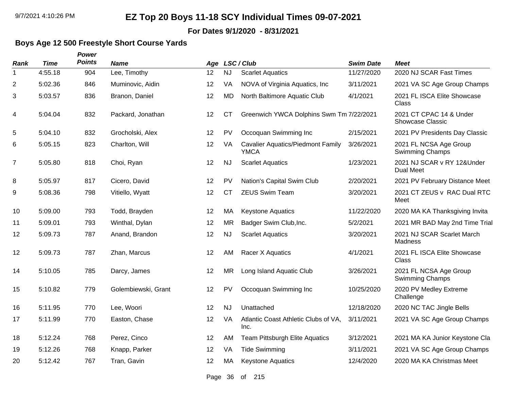**For Dates 9/1/2020 - 8/31/2021**

### **Boys Age 12 500 Freestyle Short Course Yards**

*Power*

| Rank           | <b>Time</b> | <b>Points</b> | <b>Name</b>         |    |           | Age LSC/Club                                            | <b>Swim Date</b> | <b>Meet</b>                                        |
|----------------|-------------|---------------|---------------------|----|-----------|---------------------------------------------------------|------------------|----------------------------------------------------|
| 1              | 4:55.18     | 904           | Lee, Timothy        | 12 | <b>NJ</b> | <b>Scarlet Aquatics</b>                                 | 11/27/2020       | 2020 NJ SCAR Fast Times                            |
| $\overline{2}$ | 5:02.36     | 846           | Muminovic, Aidin    | 12 | VA        | NOVA of Virginia Aquatics, Inc.                         | 3/11/2021        | 2021 VA SC Age Group Champs                        |
| 3              | 5:03.57     | 836           | Branon, Daniel      | 12 | <b>MD</b> | North Baltimore Aquatic Club                            | 4/1/2021         | 2021 FL ISCA Elite Showcase<br>Class               |
| 4              | 5:04.04     | 832           | Packard, Jonathan   | 12 | <b>CT</b> | Greenwich YWCA Dolphins Swm Tm 7/22/2021                |                  | 2021 CT CPAC 14 & Under<br><b>Showcase Classic</b> |
| 5              | 5:04.10     | 832           | Grocholski, Alex    | 12 | PV        | Occoquan Swimming Inc                                   | 2/15/2021        | 2021 PV Presidents Day Classic                     |
| 6              | 5:05.15     | 823           | Charlton, Will      | 12 | VA        | <b>Cavalier Aquatics/Piedmont Family</b><br><b>YMCA</b> | 3/26/2021        | 2021 FL NCSA Age Group<br>Swimming Champs          |
| $\overline{7}$ | 5:05.80     | 818           | Choi, Ryan          | 12 | <b>NJ</b> | <b>Scarlet Aquatics</b>                                 | 1/23/2021        | 2021 NJ SCAR v RY 12&Under<br><b>Dual Meet</b>     |
| 8              | 5:05.97     | 817           | Cicero, David       | 12 | PV        | Nation's Capital Swim Club                              | 2/20/2021        | 2021 PV February Distance Meet                     |
| 9              | 5:08.36     | 798           | Vitiello, Wyatt     | 12 | <b>CT</b> | <b>ZEUS Swim Team</b>                                   | 3/20/2021        | 2021 CT ZEUS v RAC Dual RTC<br>Meet                |
| 10             | 5:09.00     | 793           | Todd, Brayden       | 12 | МA        | <b>Keystone Aquatics</b>                                | 11/22/2020       | 2020 MA KA Thanksgiving Invita                     |
| 11             | 5:09.01     | 793           | Winthal, Dylan      | 12 | <b>MR</b> | Badger Swim Club, Inc.                                  | 5/2/2021         | 2021 MR BAD May 2nd Time Trial                     |
| 12             | 5:09.73     | 787           | Anand, Brandon      | 12 | <b>NJ</b> | <b>Scarlet Aquatics</b>                                 | 3/20/2021        | 2021 NJ SCAR Scarlet March<br>Madness              |
| 12             | 5:09.73     | 787           | Zhan, Marcus        | 12 | AM        | Racer X Aquatics                                        | 4/1/2021         | 2021 FL ISCA Elite Showcase<br>Class               |
| 14             | 5:10.05     | 785           | Darcy, James        | 12 | <b>MR</b> | Long Island Aquatic Club                                | 3/26/2021        | 2021 FL NCSA Age Group<br><b>Swimming Champs</b>   |
| 15             | 5:10.82     | 779           | Golembiewski, Grant | 12 | PV        | Occoquan Swimming Inc                                   | 10/25/2020       | 2020 PV Medley Extreme<br>Challenge                |
| 16             | 5:11.95     | 770           | Lee, Woori          | 12 | <b>NJ</b> | Unattached                                              | 12/18/2020       | 2020 NC TAC Jingle Bells                           |
| 17             | 5:11.99     | 770           | Easton, Chase       | 12 | VA        | Atlantic Coast Athletic Clubs of VA,<br>Inc.            | 3/11/2021        | 2021 VA SC Age Group Champs                        |
| 18             | 5:12.24     | 768           | Perez, Cinco        | 12 | AM        | Team Pittsburgh Elite Aquatics                          | 3/12/2021        | 2021 MA KA Junior Keystone Cla                     |
| 19             | 5:12.26     | 768           | Knapp, Parker       | 12 | VA        | <b>Tide Swimming</b>                                    | 3/11/2021        | 2021 VA SC Age Group Champs                        |
| 20             | 5:12.42     | 767           | Tran, Gavin         | 12 | MA        | <b>Keystone Aquatics</b>                                | 12/4/2020        | 2020 MA KA Christmas Meet                          |

Page 36 of 215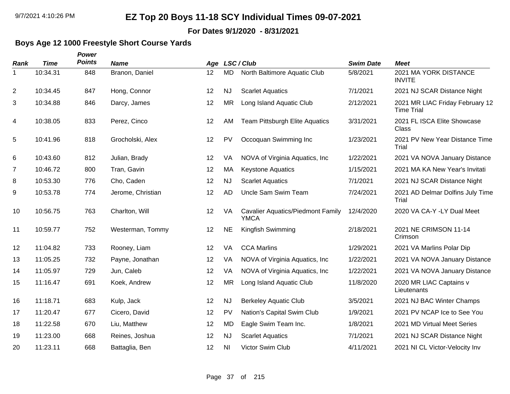#### **For Dates 9/1/2020 - 8/31/2021**

#### **Boys Age 12 1000 Freestyle Short Course Yards**

| Rank | <b>Time</b> | <b>Power</b><br><b>Points</b> | <b>Name</b>       | Age |                | LSC / Club                                              | <b>Swim Date</b> | <b>Meet</b>                                          |
|------|-------------|-------------------------------|-------------------|-----|----------------|---------------------------------------------------------|------------------|------------------------------------------------------|
| -1   | 10:34.31    | 848                           | Branon, Daniel    | 12  | MD             | North Baltimore Aquatic Club                            | 5/8/2021         | 2021 MA YORK DISTANCE<br><b>INVITE</b>               |
| 2    | 10:34.45    | 847                           | Hong, Connor      | 12  | <b>NJ</b>      | <b>Scarlet Aquatics</b>                                 | 7/1/2021         | 2021 NJ SCAR Distance Night                          |
| 3    | 10:34.88    | 846                           | Darcy, James      | 12  | <b>MR</b>      | Long Island Aquatic Club                                | 2/12/2021        | 2021 MR LIAC Friday February 12<br><b>Time Trial</b> |
| 4    | 10:38.05    | 833                           | Perez, Cinco      | 12  | AM             | <b>Team Pittsburgh Elite Aquatics</b>                   | 3/31/2021        | 2021 FL ISCA Elite Showcase<br>Class                 |
| 5    | 10:41.96    | 818                           | Grocholski, Alex  | 12  | PV             | Occoquan Swimming Inc                                   | 1/23/2021        | 2021 PV New Year Distance Time<br>Trial              |
| 6    | 10:43.60    | 812                           | Julian, Brady     | 12  | VA             | NOVA of Virginia Aquatics, Inc.                         | 1/22/2021        | 2021 VA NOVA January Distance                        |
| 7    | 10:46.72    | 800                           | Tran, Gavin       | 12  | MA             | <b>Keystone Aquatics</b>                                | 1/15/2021        | 2021 MA KA New Year's Invitati                       |
| 8    | 10:53.30    | 776                           | Cho, Caden        | 12  | <b>NJ</b>      | <b>Scarlet Aquatics</b>                                 | 7/1/2021         | 2021 NJ SCAR Distance Night                          |
| 9    | 10:53.78    | 774                           | Jerome, Christian | 12  | <b>AD</b>      | Uncle Sam Swim Team                                     | 7/24/2021        | 2021 AD Delmar Dolfins July Time<br>Trial            |
| 10   | 10:56.75    | 763                           | Charlton, Will    | 12  | VA             | <b>Cavalier Aquatics/Piedmont Family</b><br><b>YMCA</b> | 12/4/2020        | 2020 VA CA-Y -LY Dual Meet                           |
| 11   | 10:59.77    | 752                           | Westerman, Tommy  | 12  | <b>NE</b>      | Kingfish Swimming                                       | 2/18/2021        | 2021 NE CRIMSON 11-14<br>Crimson                     |
| 12   | 11:04.82    | 733                           | Rooney, Liam      | 12  | VA             | <b>CCA Marlins</b>                                      | 1/29/2021        | 2021 VA Marlins Polar Dip                            |
| 13   | 11:05.25    | 732                           | Payne, Jonathan   | 12  | VA             | NOVA of Virginia Aquatics, Inc.                         | 1/22/2021        | 2021 VA NOVA January Distance                        |
| 14   | 11:05.97    | 729                           | Jun, Caleb        | 12  | VA             | NOVA of Virginia Aquatics, Inc.                         | 1/22/2021        | 2021 VA NOVA January Distance                        |
| 15   | 11:16.47    | 691                           | Koek, Andrew      | 12  | <b>MR</b>      | Long Island Aquatic Club                                | 11/8/2020        | 2020 MR LIAC Captains v<br>Lieutenants               |
| 16   | 11:18.71    | 683                           | Kulp, Jack        | 12  | <b>NJ</b>      | <b>Berkeley Aquatic Club</b>                            | 3/5/2021         | 2021 NJ BAC Winter Champs                            |
| 17   | 11:20.47    | 677                           | Cicero, David     | 12  | PV             | Nation's Capital Swim Club                              | 1/9/2021         | 2021 PV NCAP Ice to See You                          |
| 18   | 11:22.58    | 670                           | Liu, Matthew      | 12  | <b>MD</b>      | Eagle Swim Team Inc.                                    | 1/8/2021         | 2021 MD Virtual Meet Series                          |
| 19   | 11:23.00    | 668                           | Reines, Joshua    | 12  | <b>NJ</b>      | <b>Scarlet Aquatics</b>                                 | 7/1/2021         | 2021 NJ SCAR Distance Night                          |
| 20   | 11:23.11    | 668                           | Battaglia, Ben    | 12  | N <sub>l</sub> | Victor Swim Club                                        | 4/11/2021        | 2021 NI CL Victor-Velocity Inv                       |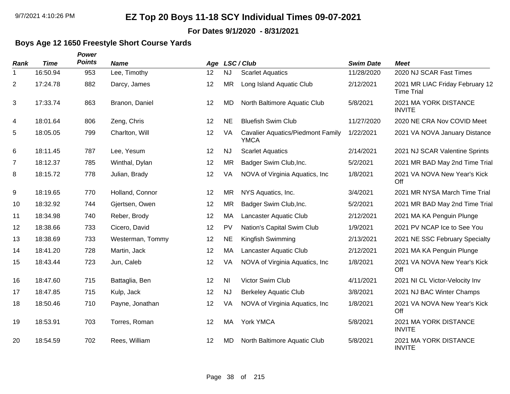#### **For Dates 9/1/2020 - 8/31/2021**

#### **Boys Age 12 1650 Freestyle Short Course Yards**

| Rank           | <b>Time</b> | Power<br><b>Points</b> | <b>Name</b>      | Age |           | LSC / Club                                              | <b>Swim Date</b> | <b>Meet</b>                                          |
|----------------|-------------|------------------------|------------------|-----|-----------|---------------------------------------------------------|------------------|------------------------------------------------------|
| 1              | 16:50.94    | 953                    | Lee, Timothy     | 12  | NJ        | <b>Scarlet Aquatics</b>                                 | 11/28/2020       | 2020 NJ SCAR Fast Times                              |
| $\overline{c}$ | 17:24.78    | 882                    | Darcy, James     | 12  | <b>MR</b> | Long Island Aquatic Club                                | 2/12/2021        | 2021 MR LIAC Friday February 12<br><b>Time Trial</b> |
| 3              | 17:33.74    | 863                    | Branon, Daniel   | 12  | <b>MD</b> | North Baltimore Aquatic Club                            | 5/8/2021         | 2021 MA YORK DISTANCE<br><b>INVITE</b>               |
| 4              | 18:01.64    | 806                    | Zeng, Chris      | 12  | <b>NE</b> | <b>Bluefish Swim Club</b>                               | 11/27/2020       | 2020 NE CRA Nov COVID Meet                           |
| 5              | 18:05.05    | 799                    | Charlton, Will   | 12  | <b>VA</b> | <b>Cavalier Aquatics/Piedmont Family</b><br><b>YMCA</b> | 1/22/2021        | 2021 VA NOVA January Distance                        |
| 6              | 18:11.45    | 787                    | Lee, Yesum       | 12  | <b>NJ</b> | <b>Scarlet Aquatics</b>                                 | 2/14/2021        | 2021 NJ SCAR Valentine Sprints                       |
| 7              | 18:12.37    | 785                    | Winthal, Dylan   | 12  | <b>MR</b> | Badger Swim Club, Inc.                                  | 5/2/2021         | 2021 MR BAD May 2nd Time Trial                       |
| 8              | 18:15.72    | 778                    | Julian, Brady    | 12  | VA        | NOVA of Virginia Aquatics, Inc.                         | 1/8/2021         | 2021 VA NOVA New Year's Kick<br>Off                  |
| 9              | 18:19.65    | 770                    | Holland, Connor  | 12  | <b>MR</b> | NYS Aquatics, Inc.                                      | 3/4/2021         | 2021 MR NYSA March Time Trial                        |
| 10             | 18:32.92    | 744                    | Gjertsen, Owen   | 12  | <b>MR</b> | Badger Swim Club, Inc.                                  | 5/2/2021         | 2021 MR BAD May 2nd Time Trial                       |
| 11             | 18:34.98    | 740                    | Reber, Brody     | 12  | MA        | Lancaster Aquatic Club                                  | 2/12/2021        | 2021 MA KA Penguin Plunge                            |
| 12             | 18:38.66    | 733                    | Cicero, David    | 12  | <b>PV</b> | Nation's Capital Swim Club                              | 1/9/2021         | 2021 PV NCAP Ice to See You                          |
| 13             | 18:38.69    | 733                    | Westerman, Tommy | 12  | <b>NE</b> | Kingfish Swimming                                       | 2/13/2021        | 2021 NE SSC February Specialty                       |
| 14             | 18:41.20    | 728                    | Martin, Jack     | 12  | МA        | Lancaster Aquatic Club                                  | 2/12/2021        | 2021 MA KA Penguin Plunge                            |
| 15             | 18:43.44    | 723                    | Jun, Caleb       | 12  | VA        | NOVA of Virginia Aquatics, Inc.                         | 1/8/2021         | 2021 VA NOVA New Year's Kick<br>Off                  |
| 16             | 18:47.60    | 715                    | Battaglia, Ben   | 12  | <b>NI</b> | Victor Swim Club                                        | 4/11/2021        | 2021 NI CL Victor-Velocity Inv                       |
| 17             | 18:47.85    | 715                    | Kulp, Jack       | 12  | <b>NJ</b> | <b>Berkeley Aquatic Club</b>                            | 3/8/2021         | 2021 NJ BAC Winter Champs                            |
| 18             | 18:50.46    | 710                    | Payne, Jonathan  | 12  | VA        | NOVA of Virginia Aquatics, Inc.                         | 1/8/2021         | 2021 VA NOVA New Year's Kick<br>Off                  |
| 19             | 18:53.91    | 703                    | Torres, Roman    | 12  | МA        | York YMCA                                               | 5/8/2021         | 2021 MA YORK DISTANCE<br><b>INVITE</b>               |
| 20             | 18:54.59    | 702                    | Rees, William    | 12  | <b>MD</b> | North Baltimore Aquatic Club                            | 5/8/2021         | 2021 MA YORK DISTANCE<br><b>INVITE</b>               |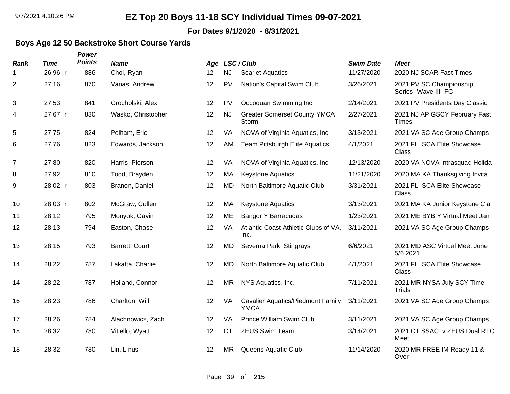**For Dates 9/1/2020 - 8/31/2021**

### **Boys Age 12 50 Backstroke Short Course Yards**

| <b>Rank</b>    | <b>Time</b> | Power<br><b>Points</b> | <b>Name</b>        |    |           | Age LSC/Club                                            | <b>Swim Date</b> | <b>Meet</b>                                     |
|----------------|-------------|------------------------|--------------------|----|-----------|---------------------------------------------------------|------------------|-------------------------------------------------|
| -1             | 26.96 r     | 886                    | Choi, Ryan         | 12 | <b>NJ</b> | <b>Scarlet Aquatics</b>                                 | 11/27/2020       | 2020 NJ SCAR Fast Times                         |
| 2              | 27.16       | 870                    | Vanas, Andrew      | 12 | <b>PV</b> | Nation's Capital Swim Club                              | 3/26/2021        | 2021 PV SC Championship<br>Series- Wave III- FC |
| 3              | 27.53       | 841                    | Grocholski, Alex   | 12 | <b>PV</b> | Occoquan Swimming Inc                                   | 2/14/2021        | 2021 PV Presidents Day Classic                  |
| 4              | 27.67 r     | 830                    | Wasko, Christopher | 12 | <b>NJ</b> | <b>Greater Somerset County YMCA</b><br>Storm            | 2/27/2021        | 2021 NJ AP GSCY February Fast<br><b>Times</b>   |
| 5              | 27.75       | 824                    | Pelham, Eric       | 12 | VA        | NOVA of Virginia Aquatics, Inc.                         | 3/13/2021        | 2021 VA SC Age Group Champs                     |
| 6              | 27.76       | 823                    | Edwards, Jackson   | 12 | AM        | <b>Team Pittsburgh Elite Aquatics</b>                   | 4/1/2021         | 2021 FL ISCA Elite Showcase<br>Class            |
| $\overline{7}$ | 27.80       | 820                    | Harris, Pierson    | 12 | VA        | NOVA of Virginia Aquatics, Inc.                         | 12/13/2020       | 2020 VA NOVA Intrasquad Holida                  |
| 8              | 27.92       | 810                    | Todd, Brayden      | 12 | МA        | <b>Keystone Aquatics</b>                                | 11/21/2020       | 2020 MA KA Thanksgiving Invita                  |
| 9              | 28.02 r     | 803                    | Branon, Daniel     | 12 | <b>MD</b> | North Baltimore Aquatic Club                            | 3/31/2021        | 2021 FL ISCA Elite Showcase<br>Class            |
| 10             | 28.03 r     | 802                    | McGraw, Cullen     | 12 | MA        | <b>Keystone Aquatics</b>                                | 3/13/2021        | 2021 MA KA Junior Keystone Cla                  |
| 11             | 28.12       | 795                    | Monyok, Gavin      | 12 | <b>ME</b> | Bangor Y Barracudas                                     | 1/23/2021        | 2021 ME BYB Y Virtual Meet Jan                  |
| 12             | 28.13       | 794                    | Easton, Chase      | 12 | VA        | Atlantic Coast Athletic Clubs of VA,<br>Inc.            | 3/11/2021        | 2021 VA SC Age Group Champs                     |
| 13             | 28.15       | 793                    | Barrett, Court     | 12 | <b>MD</b> | Severna Park Stingrays                                  | 6/6/2021         | 2021 MD ASC Virtual Meet June<br>5/6 2021       |
| 14             | 28.22       | 787                    | Lakatta, Charlie   | 12 | <b>MD</b> | North Baltimore Aquatic Club                            | 4/1/2021         | 2021 FL ISCA Elite Showcase<br>Class            |
| 14             | 28.22       | 787                    | Holland, Connor    | 12 | <b>MR</b> | NYS Aquatics, Inc.                                      | 7/11/2021        | 2021 MR NYSA July SCY Time<br><b>Trials</b>     |
| 16             | 28.23       | 786                    | Charlton, Will     | 12 | VA        | <b>Cavalier Aquatics/Piedmont Family</b><br><b>YMCA</b> | 3/11/2021        | 2021 VA SC Age Group Champs                     |
| 17             | 28.26       | 784                    | Alachnowicz, Zach  | 12 | VA        | <b>Prince William Swim Club</b>                         | 3/11/2021        | 2021 VA SC Age Group Champs                     |
| 18             | 28.32       | 780                    | Vitiello, Wyatt    | 12 | <b>CT</b> | <b>ZEUS Swim Team</b>                                   | 3/14/2021        | 2021 CT SSAC v ZEUS Dual RTC<br>Meet            |
| 18             | 28.32       | 780                    | Lin, Linus         | 12 | <b>MR</b> | Queens Aquatic Club                                     | 11/14/2020       | 2020 MR FREE IM Ready 11 &<br>Over              |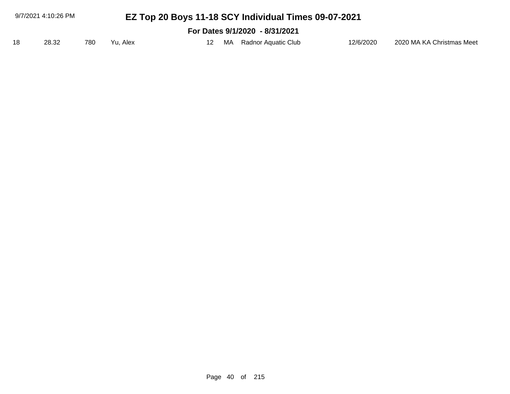|    | 9/7/2021 4:10:26 PM            |      |          |     |    | EZ Top 20 Boys 11-18 SCY Individual Times 09-07-2021 |           |                           |  |  |
|----|--------------------------------|------|----------|-----|----|------------------------------------------------------|-----------|---------------------------|--|--|
|    | For Dates 9/1/2020 - 8/31/2021 |      |          |     |    |                                                      |           |                           |  |  |
| 18 | 28.32                          | 780. | Yu. Alex | 12. | MA | Radnor Aguatic Club                                  | 12/6/2020 | 2020 MA KA Christmas Meet |  |  |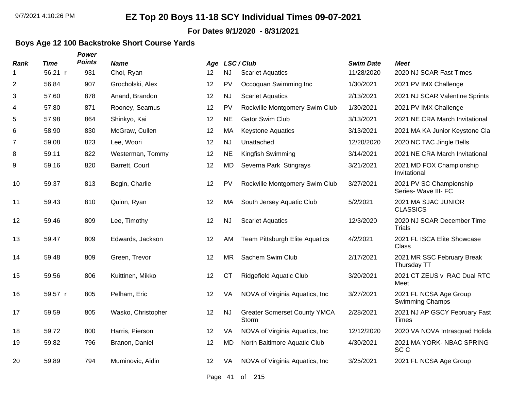**For Dates 9/1/2020 - 8/31/2021**

#### **Boys Age 12 100 Backstroke Short Course Yards**

| Rank           | <b>Time</b> | Power<br><b>Points</b> | <b>Name</b>        |         |           | Age LSC/Club                                 | <b>Swim Date</b> | <b>Meet</b>                                      |
|----------------|-------------|------------------------|--------------------|---------|-----------|----------------------------------------------|------------------|--------------------------------------------------|
| 1              | 56.21 r     | 931                    | Choi, Ryan         | $12 \,$ | <b>NJ</b> | <b>Scarlet Aquatics</b>                      | 11/28/2020       | 2020 NJ SCAR Fast Times                          |
| $\overline{2}$ | 56.84       | 907                    | Grocholski, Alex   | 12      | PV        | Occoquan Swimming Inc                        | 1/30/2021        | 2021 PV IMX Challenge                            |
| 3              | 57.60       | 878                    | Anand, Brandon     | 12      | <b>NJ</b> | <b>Scarlet Aquatics</b>                      | 2/13/2021        | 2021 NJ SCAR Valentine Sprints                   |
| 4              | 57.80       | 871                    | Rooney, Seamus     | 12      | PV        | Rockville Montgomery Swim Club               | 1/30/2021        | 2021 PV IMX Challenge                            |
| 5              | 57.98       | 864                    | Shinkyo, Kai       | 12      | <b>NE</b> | <b>Gator Swim Club</b>                       | 3/13/2021        | 2021 NE CRA March Invitational                   |
| 6              | 58.90       | 830                    | McGraw, Cullen     | 12      | MA        | <b>Keystone Aquatics</b>                     | 3/13/2021        | 2021 MA KA Junior Keystone Cla                   |
| 7              | 59.08       | 823                    | Lee, Woori         | 12      | <b>NJ</b> | Unattached                                   | 12/20/2020       | 2020 NC TAC Jingle Bells                         |
| 8              | 59.11       | 822                    | Westerman, Tommy   | 12      | <b>NE</b> | Kingfish Swimming                            | 3/14/2021        | 2021 NE CRA March Invitational                   |
| 9              | 59.16       | 820                    | Barrett, Court     | 12      | <b>MD</b> | Severna Park Stingrays                       | 3/21/2021        | 2021 MD FOX Championship<br>Invitational         |
| 10             | 59.37       | 813                    | Begin, Charlie     | 12      | PV        | Rockville Montgomery Swim Club               | 3/27/2021        | 2021 PV SC Championship<br>Series- Wave III- FC  |
| 11             | 59.43       | 810                    | Quinn, Ryan        | 12      | МA        | South Jersey Aquatic Club                    | 5/2/2021         | 2021 MA SJAC JUNIOR<br><b>CLASSICS</b>           |
| 12             | 59.46       | 809                    | Lee, Timothy       | 12      | <b>NJ</b> | <b>Scarlet Aquatics</b>                      | 12/3/2020        | 2020 NJ SCAR December Time<br>Trials             |
| 13             | 59.47       | 809                    | Edwards, Jackson   | 12      | AM        | Team Pittsburgh Elite Aquatics               | 4/2/2021         | 2021 FL ISCA Elite Showcase<br>Class             |
| 14             | 59.48       | 809                    | Green, Trevor      | 12      | <b>MR</b> | Sachem Swim Club                             | 2/17/2021        | 2021 MR SSC February Break<br>Thursday TT        |
| 15             | 59.56       | 806                    | Kuittinen, Mikko   | 12      | <b>CT</b> | <b>Ridgefield Aquatic Club</b>               | 3/20/2021        | 2021 CT ZEUS v RAC Dual RTC<br>Meet              |
| 16             | 59.57 r     | 805                    | Pelham, Eric       | 12      | VA        | NOVA of Virginia Aquatics, Inc.              | 3/27/2021        | 2021 FL NCSA Age Group<br><b>Swimming Champs</b> |
| 17             | 59.59       | 805                    | Wasko, Christopher | 12      | <b>NJ</b> | <b>Greater Somerset County YMCA</b><br>Storm | 2/28/2021        | 2021 NJ AP GSCY February Fast<br>Times           |
| 18             | 59.72       | 800                    | Harris, Pierson    | 12      | VA        | NOVA of Virginia Aquatics, Inc.              | 12/12/2020       | 2020 VA NOVA Intrasquad Holida                   |
| 19             | 59.82       | 796                    | Branon, Daniel     | 12      | <b>MD</b> | North Baltimore Aquatic Club                 | 4/30/2021        | 2021 MA YORK- NBAC SPRING<br>SC <sub>C</sub>     |
| 20             | 59.89       | 794                    | Muminovic, Aidin   | 12      | VA        | NOVA of Virginia Aquatics, Inc.              | 3/25/2021        | 2021 FL NCSA Age Group                           |

Page 41 of 215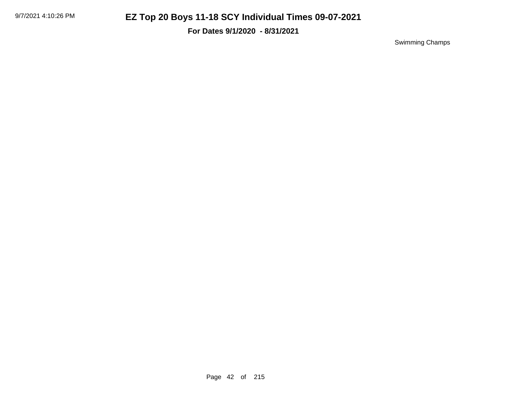**For Dates 9/1/2020 - 8/31/2021**

Swimming Champs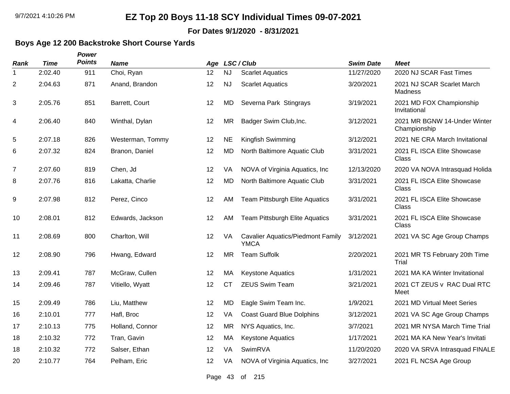**For Dates 9/1/2020 - 8/31/2021**

### **Boys Age 12 200 Backstroke Short Course Yards**

| <b>Rank</b>    | <b>Time</b> | Power<br><b>Points</b> | <b>Name</b>      |    |           | Age LSC/Club                                            | <b>Swim Date</b> | <b>Meet</b>                                  |
|----------------|-------------|------------------------|------------------|----|-----------|---------------------------------------------------------|------------------|----------------------------------------------|
| $\mathbf 1$    | 2:02.40     | 911                    | Choi, Ryan       | 12 | <b>NJ</b> | <b>Scarlet Aquatics</b>                                 | 11/27/2020       | 2020 NJ SCAR Fast Times                      |
| $\overline{2}$ | 2:04.63     | 871                    | Anand, Brandon   | 12 | <b>NJ</b> | <b>Scarlet Aquatics</b>                                 | 3/20/2021        | 2021 NJ SCAR Scarlet March<br>Madness        |
| 3              | 2:05.76     | 851                    | Barrett, Court   | 12 | <b>MD</b> | Severna Park Stingrays                                  | 3/19/2021        | 2021 MD FOX Championship<br>Invitational     |
| 4              | 2:06.40     | 840                    | Winthal, Dylan   | 12 | <b>MR</b> | Badger Swim Club, Inc.                                  | 3/12/2021        | 2021 MR BGNW 14-Under Winter<br>Championship |
| 5              | 2:07.18     | 826                    | Westerman, Tommy | 12 | <b>NE</b> | Kingfish Swimming                                       | 3/12/2021        | 2021 NE CRA March Invitational               |
| 6              | 2:07.32     | 824                    | Branon, Daniel   | 12 | <b>MD</b> | North Baltimore Aquatic Club                            | 3/31/2021        | 2021 FL ISCA Elite Showcase<br>Class         |
| $\overline{7}$ | 2:07.60     | 819                    | Chen, Jd         | 12 | VA        | NOVA of Virginia Aquatics, Inc.                         | 12/13/2020       | 2020 VA NOVA Intrasquad Holida               |
| 8              | 2:07.76     | 816                    | Lakatta, Charlie | 12 | <b>MD</b> | North Baltimore Aquatic Club                            | 3/31/2021        | 2021 FL ISCA Elite Showcase<br>Class         |
| 9              | 2:07.98     | 812                    | Perez, Cinco     | 12 | AM        | Team Pittsburgh Elite Aquatics                          | 3/31/2021        | 2021 FL ISCA Elite Showcase<br>Class         |
| 10             | 2:08.01     | 812                    | Edwards, Jackson | 12 | AM        | <b>Team Pittsburgh Elite Aquatics</b>                   | 3/31/2021        | 2021 FL ISCA Elite Showcase<br>Class         |
| 11             | 2:08.69     | 800                    | Charlton, Will   | 12 | VA        | <b>Cavalier Aquatics/Piedmont Family</b><br><b>YMCA</b> | 3/12/2021        | 2021 VA SC Age Group Champs                  |
| 12             | 2:08.90     | 796                    | Hwang, Edward    | 12 | <b>MR</b> | <b>Team Suffolk</b>                                     | 2/20/2021        | 2021 MR TS February 20th Time<br>Trial       |
| 13             | 2:09.41     | 787                    | McGraw, Cullen   | 12 | MA        | <b>Keystone Aquatics</b>                                | 1/31/2021        | 2021 MA KA Winter Invitational               |
| 14             | 2:09.46     | 787                    | Vitiello, Wyatt  | 12 | <b>CT</b> | <b>ZEUS Swim Team</b>                                   | 3/21/2021        | 2021 CT ZEUS v RAC Dual RTC<br>Meet          |
| 15             | 2:09.49     | 786                    | Liu, Matthew     | 12 | MD        | Eagle Swim Team Inc.                                    | 1/9/2021         | 2021 MD Virtual Meet Series                  |
| 16             | 2:10.01     | 777                    | Hafl, Broc       | 12 | VA        | <b>Coast Guard Blue Dolphins</b>                        | 3/12/2021        | 2021 VA SC Age Group Champs                  |
| 17             | 2:10.13     | 775                    | Holland, Connor  | 12 | <b>MR</b> | NYS Aquatics, Inc.                                      | 3/7/2021         | 2021 MR NYSA March Time Trial                |
| 18             | 2:10.32     | 772                    | Tran, Gavin      | 12 | MA        | <b>Keystone Aquatics</b>                                | 1/17/2021        | 2021 MA KA New Year's Invitati               |
| 18             | 2:10.32     | 772                    | Salser, Ethan    | 12 | VA        | SwimRVA                                                 | 11/20/2020       | 2020 VA SRVA Intrasquad FINALE               |
| 20             | 2:10.77     | 764                    | Pelham, Eric     | 12 | VA        | NOVA of Virginia Aquatics, Inc.                         | 3/27/2021        | 2021 FL NCSA Age Group                       |

Page 43 of 215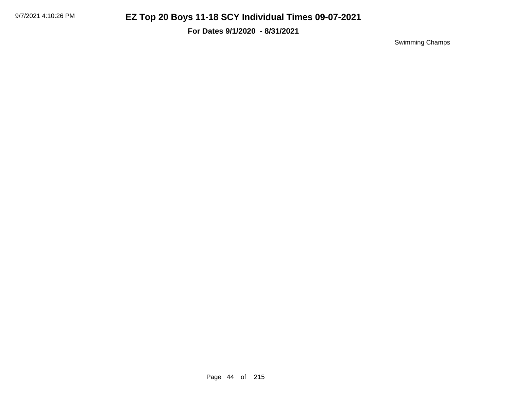**For Dates 9/1/2020 - 8/31/2021**

Swimming Champs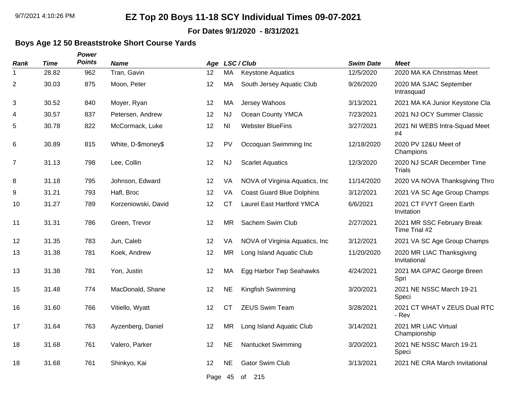**For Dates 9/1/2020 - 8/31/2021**

### **Boys Age 12 50 Breaststroke Short Course Yards**

| <b>Rank</b>    | <b>Time</b> | Power<br><b>Points</b> | <b>Name</b>         | Age     |                | LSC / Club                       | <b>Swim Date</b> | <b>Meet</b>                                 |
|----------------|-------------|------------------------|---------------------|---------|----------------|----------------------------------|------------------|---------------------------------------------|
| 1              | 28.82       | 962                    | Tran, Gavin         | 12      | MA             | <b>Keystone Aquatics</b>         | 12/5/2020        | 2020 MA KA Christmas Meet                   |
| $\overline{c}$ | 30.03       | 875                    | Moon, Peter         | 12      | <b>MA</b>      | South Jersey Aquatic Club        | 9/26/2020        | 2020 MA SJAC September<br>Intrasquad        |
| 3              | 30.52       | 840                    | Moyer, Ryan         | 12      | <b>MA</b>      | Jersey Wahoos                    | 3/13/2021        | 2021 MA KA Junior Keystone Cla              |
| 4              | 30.57       | 837                    | Petersen, Andrew    | 12      | <b>NJ</b>      | Ocean County YMCA                | 7/23/2021        | 2021 NJ OCY Summer Classic                  |
| 5              | 30.78       | 822                    | McCormack, Luke     | 12      | N <sub>l</sub> | <b>Webster BlueFins</b>          | 3/27/2021        | 2021 NI WEBS Intra-Squad Meet<br>#4         |
| 6              | 30.89       | 815                    | White, D-\$money\$  | 12      | PV             | Occoquan Swimming Inc            | 12/18/2020       | 2020 PV 12&U Meet of<br>Champions           |
| 7              | 31.13       | 798                    | Lee, Collin         | 12      | <b>NJ</b>      | <b>Scarlet Aquatics</b>          | 12/3/2020        | 2020 NJ SCAR December Time<br><b>Trials</b> |
| 8              | 31.18       | 795                    | Johnson, Edward     | 12      | VA             | NOVA of Virginia Aquatics, Inc   | 11/14/2020       | 2020 VA NOVA Thanksgiving Thro              |
| 9              | 31.21       | 793                    | Hafl, Broc          | 12      | VA             | <b>Coast Guard Blue Dolphins</b> | 3/12/2021        | 2021 VA SC Age Group Champs                 |
| 10             | 31.27       | 789                    | Korzeniowski, David | 12      | <b>CT</b>      | Laurel East Hartford YMCA        | 6/6/2021         | 2021 CT FVYT Green Earth<br>Invitation      |
| 11             | 31.31       | 786                    | Green, Trevor       | 12      | <b>MR</b>      | Sachem Swim Club                 | 2/27/2021        | 2021 MR SSC February Break<br>Time Trial #2 |
| 12             | 31.35       | 783                    | Jun, Caleb          | 12      | VA             | NOVA of Virginia Aquatics, Inc.  | 3/12/2021        | 2021 VA SC Age Group Champs                 |
| 13             | 31.38       | 781                    | Koek, Andrew        | 12      | <b>MR</b>      | Long Island Aquatic Club         | 11/20/2020       | 2020 MR LIAC Thanksgiving<br>Invitational   |
| 13             | 31.38       | 781                    | Yon, Justin         | 12      | MA             | Egg Harbor Twp Seahawks          | 4/24/2021        | 2021 MA GPAC George Breen<br>Spri           |
| 15             | 31.48       | 774                    | MacDonald, Shane    | 12      | <b>NE</b>      | Kingfish Swimming                | 3/20/2021        | 2021 NE NSSC March 19-21<br>Speci           |
| 16             | 31.60       | 766                    | Vitiello, Wyatt     | 12      | <b>CT</b>      | <b>ZEUS Swim Team</b>            | 3/28/2021        | 2021 CT WHAT v ZEUS Dual RTC<br>- Rev       |
| 17             | 31.64       | 763                    | Ayzenberg, Daniel   | 12      | <b>MR</b>      | Long Island Aquatic Club         | 3/14/2021        | 2021 MR LIAC Virtual<br>Championship        |
| 18             | 31.68       | 761                    | Valero, Parker      | 12      | <b>NE</b>      | <b>Nantucket Swimming</b>        | 3/20/2021        | 2021 NE NSSC March 19-21<br>Speci           |
| 18             | 31.68       | 761                    | Shinkyo, Kai        | 12      | <b>NE</b>      | <b>Gator Swim Club</b>           | 3/13/2021        | 2021 NE CRA March Invitational              |
|                |             |                        |                     | Page 45 |                | of 215                           |                  |                                             |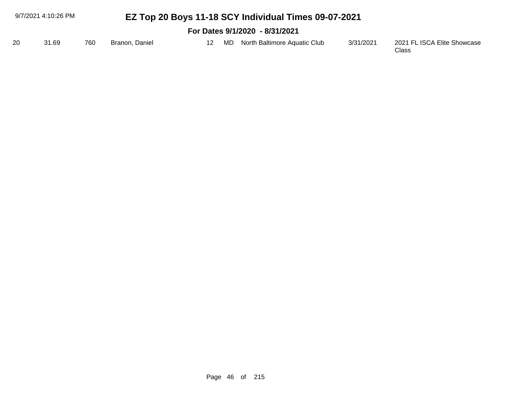|    | 9/7/2021 4:10:26 PM            |     |                |    |    | EZ Top 20 Boys 11-18 SCY Individual Times 09-07-2021 |           |                                      |  |  |  |  |
|----|--------------------------------|-----|----------------|----|----|------------------------------------------------------|-----------|--------------------------------------|--|--|--|--|
|    | For Dates 9/1/2020 - 8/31/2021 |     |                |    |    |                                                      |           |                                      |  |  |  |  |
| 20 | 31.69                          | 760 | Branon, Daniel | 12 | MD | North Baltimore Aquatic Club                         | 3/31/2021 | 2021 FL ISCA Elite Showcase<br>Class |  |  |  |  |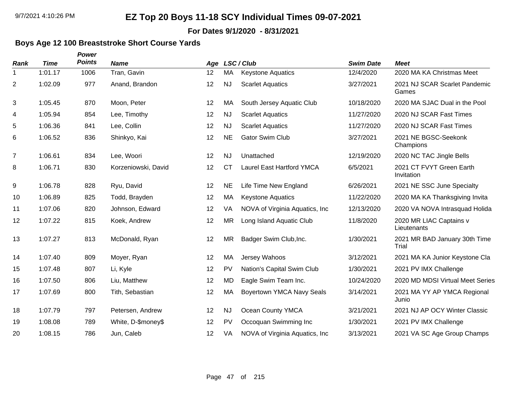**For Dates 9/1/2020 - 8/31/2021**

#### **Boys Age 12 100 Breaststroke Short Course Yards**

|                |             | Power<br><b>Points</b> |                     |     |           |                                 |                  |                                        |
|----------------|-------------|------------------------|---------------------|-----|-----------|---------------------------------|------------------|----------------------------------------|
| Rank           | <b>Time</b> |                        | <b>Name</b>         | Age |           | LSC / Club                      | <b>Swim Date</b> | <b>Meet</b>                            |
| 1              | 1:01.17     | 1006                   | Tran, Gavin         | 12  | MA        | <b>Keystone Aquatics</b>        | 12/4/2020        | 2020 MA KA Christmas Meet              |
| 2              | 1:02.09     | 977                    | Anand, Brandon      | 12  | <b>NJ</b> | <b>Scarlet Aquatics</b>         | 3/27/2021        | 2021 NJ SCAR Scarlet Pandemic<br>Games |
| 3              | 1:05.45     | 870                    | Moon, Peter         | 12  | MA        | South Jersey Aquatic Club       | 10/18/2020       | 2020 MA SJAC Dual in the Pool          |
| 4              | 1:05.94     | 854                    | Lee, Timothy        | 12  | <b>NJ</b> | <b>Scarlet Aquatics</b>         | 11/27/2020       | 2020 NJ SCAR Fast Times                |
| 5              | 1:06.36     | 841                    | Lee, Collin         | 12  | <b>NJ</b> | <b>Scarlet Aquatics</b>         | 11/27/2020       | 2020 NJ SCAR Fast Times                |
| 6              | 1:06.52     | 836                    | Shinkyo, Kai        | 12  | <b>NE</b> | Gator Swim Club                 | 3/27/2021        | 2021 NE BGSC-Seekonk<br>Champions      |
| $\overline{7}$ | 1:06.61     | 834                    | Lee, Woori          | 12  | <b>NJ</b> | Unattached                      | 12/19/2020       | 2020 NC TAC Jingle Bells               |
| 8              | 1:06.71     | 830                    | Korzeniowski, David | 12  | <b>CT</b> | Laurel East Hartford YMCA       | 6/5/2021         | 2021 CT FVYT Green Earth<br>Invitation |
| 9              | 1:06.78     | 828                    | Ryu, David          | 12  | <b>NE</b> | Life Time New England           | 6/26/2021        | 2021 NE SSC June Specialty             |
| 10             | 1:06.89     | 825                    | Todd, Brayden       | 12  | MA        | <b>Keystone Aquatics</b>        | 11/22/2020       | 2020 MA KA Thanksgiving Invita         |
| 11             | 1:07.06     | 820                    | Johnson, Edward     | 12  | VA        | NOVA of Virginia Aquatics, Inc. | 12/13/2020       | 2020 VA NOVA Intrasquad Holida         |
| 12             | 1:07.22     | 815                    | Koek, Andrew        | 12  | <b>MR</b> | Long Island Aquatic Club        | 11/8/2020        | 2020 MR LIAC Captains v<br>Lieutenants |
| 13             | 1:07.27     | 813                    | McDonald, Ryan      | 12  | <b>MR</b> | Badger Swim Club, Inc.          | 1/30/2021        | 2021 MR BAD January 30th Time<br>Trial |
| 14             | 1:07.40     | 809                    | Moyer, Ryan         | 12  | MA        | Jersey Wahoos                   | 3/12/2021        | 2021 MA KA Junior Keystone Cla         |
| 15             | 1:07.48     | 807                    | Li, Kyle            | 12  | PV        | Nation's Capital Swim Club      | 1/30/2021        | 2021 PV IMX Challenge                  |
| 16             | 1:07.50     | 806                    | Liu, Matthew        | 12  | <b>MD</b> | Eagle Swim Team Inc.            | 10/24/2020       | 2020 MD MDSI Virtual Meet Series       |
| 17             | 1:07.69     | 800                    | Tith, Sebastian     | 12  | MA        | Boyertown YMCA Navy Seals       | 3/14/2021        | 2021 MA YY AP YMCA Regional<br>Junio   |
| 18             | 1:07.79     | 797                    | Petersen, Andrew    | 12  | <b>NJ</b> | Ocean County YMCA               | 3/21/2021        | 2021 NJ AP OCY Winter Classic          |
| 19             | 1:08.08     | 789                    | White, D-\$money\$  | 12  | PV        | Occoquan Swimming Inc           | 1/30/2021        | 2021 PV IMX Challenge                  |
| 20             | 1:08.15     | 786                    | Jun, Caleb          | 12  | VA        | NOVA of Virginia Aquatics, Inc. | 3/13/2021        | 2021 VA SC Age Group Champs            |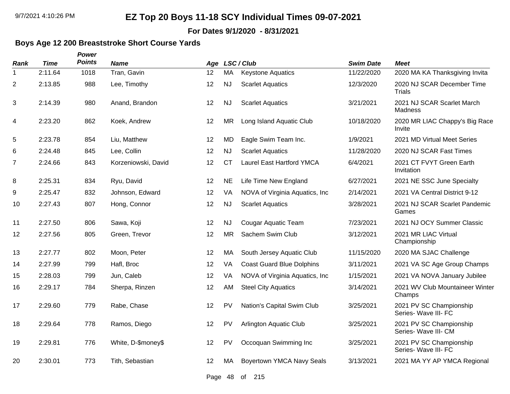**For Dates 9/1/2020 - 8/31/2021**

### **Boys Age 12 200 Breaststroke Short Course Yards**

| Rank | <b>Time</b> | Power<br><b>Points</b> | <b>Name</b>         | Age |           | LSC / Club                       | <b>Swim Date</b> | <b>Meet</b>                                     |
|------|-------------|------------------------|---------------------|-----|-----------|----------------------------------|------------------|-------------------------------------------------|
| 1    | 2:11.64     | 1018                   | Tran, Gavin         | 12  | MA        | <b>Keystone Aquatics</b>         | 11/22/2020       | 2020 MA KA Thanksgiving Invita                  |
| 2    | 2:13.85     | 988                    | Lee, Timothy        | 12  | <b>NJ</b> | <b>Scarlet Aquatics</b>          | 12/3/2020        | 2020 NJ SCAR December Time<br>Trials            |
| 3    | 2:14.39     | 980                    | Anand, Brandon      | 12  | <b>NJ</b> | <b>Scarlet Aquatics</b>          | 3/21/2021        | 2021 NJ SCAR Scarlet March<br>Madness           |
| 4    | 2:23.20     | 862                    | Koek, Andrew        | 12  | <b>MR</b> | Long Island Aquatic Club         | 10/18/2020       | 2020 MR LIAC Chappy's Big Race<br>Invite        |
| 5    | 2:23.78     | 854                    | Liu, Matthew        | 12  | <b>MD</b> | Eagle Swim Team Inc.             | 1/9/2021         | 2021 MD Virtual Meet Series                     |
| 6    | 2:24.48     | 845                    | Lee, Collin         | 12  | <b>NJ</b> | <b>Scarlet Aquatics</b>          | 11/28/2020       | 2020 NJ SCAR Fast Times                         |
| 7    | 2:24.66     | 843                    | Korzeniowski, David | 12  | <b>CT</b> | Laurel East Hartford YMCA        | 6/4/2021         | 2021 CT FVYT Green Earth<br>Invitation          |
| 8    | 2:25.31     | 834                    | Ryu, David          | 12  | <b>NE</b> | Life Time New England            | 6/27/2021        | 2021 NE SSC June Specialty                      |
| 9    | 2:25.47     | 832                    | Johnson, Edward     | 12  | VA        | NOVA of Virginia Aquatics, Inc.  | 2/14/2021        | 2021 VA Central District 9-12                   |
| 10   | 2:27.43     | 807                    | Hong, Connor        | 12  | <b>NJ</b> | <b>Scarlet Aquatics</b>          | 3/28/2021        | 2021 NJ SCAR Scarlet Pandemic<br>Games          |
| 11   | 2:27.50     | 806                    | Sawa, Koji          | 12  | <b>NJ</b> | Cougar Aquatic Team              | 7/23/2021        | 2021 NJ OCY Summer Classic                      |
| 12   | 2:27.56     | 805                    | Green, Trevor       | 12  | <b>MR</b> | Sachem Swim Club                 | 3/12/2021        | 2021 MR LIAC Virtual<br>Championship            |
| 13   | 2:27.77     | 802                    | Moon, Peter         | 12  | MA        | South Jersey Aquatic Club        | 11/15/2020       | 2020 MA SJAC Challenge                          |
| 14   | 2:27.99     | 799                    | Hafl, Broc          | 12  | VA        | <b>Coast Guard Blue Dolphins</b> | 3/11/2021        | 2021 VA SC Age Group Champs                     |
| 15   | 2:28.03     | 799                    | Jun, Caleb          | 12  | VA        | NOVA of Virginia Aquatics, Inc.  | 1/15/2021        | 2021 VA NOVA January Jubilee                    |
| 16   | 2:29.17     | 784                    | Sherpa, Rinzen      | 12  | AM        | <b>Steel City Aquatics</b>       | 3/14/2021        | 2021 WV Club Mountaineer Winter<br>Champs       |
| 17   | 2:29.60     | 779                    | Rabe, Chase         | 12  | PV        | Nation's Capital Swim Club       | 3/25/2021        | 2021 PV SC Championship<br>Series- Wave III- FC |
| 18   | 2:29.64     | 778                    | Ramos, Diego        | 12  | PV        | Arlington Aquatic Club           | 3/25/2021        | 2021 PV SC Championship<br>Series- Wave III- CM |
| 19   | 2:29.81     | 776                    | White, D-\$money\$  | 12  | PV        | Occoquan Swimming Inc            | 3/25/2021        | 2021 PV SC Championship<br>Series- Wave III- FC |
| 20   | 2:30.01     | 773                    | Tith, Sebastian     | 12  | MA        | Boyertown YMCA Navy Seals        | 3/13/2021        | 2021 MA YY AP YMCA Regional                     |
|      |             |                        |                     |     |           |                                  |                  |                                                 |

Page 48 of 215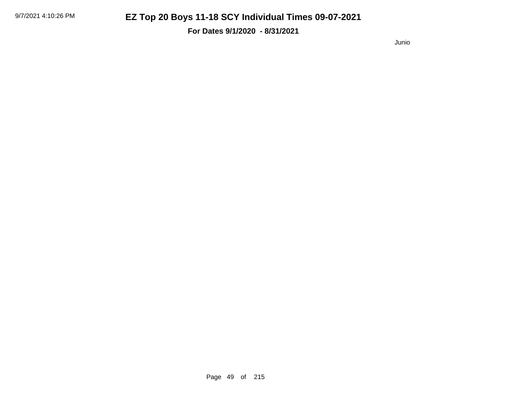**For Dates 9/1/2020 - 8/31/2021**

Junio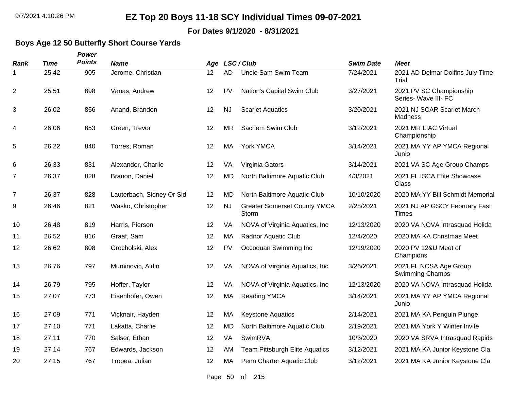#### **For Dates 9/1/2020 - 8/31/2021**

#### **Boys Age 12 50 Butterfly Short Course Yards**

| <b>Rank</b>    | Time  | Power<br><b>Points</b> | <b>Name</b>               |                   |           | Age LSC/Club                                 | <b>Swim Date</b> | <b>Meet</b>                                      |
|----------------|-------|------------------------|---------------------------|-------------------|-----------|----------------------------------------------|------------------|--------------------------------------------------|
| 1              | 25.42 | 905                    | Jerome, Christian         | $12 \overline{ }$ | <b>AD</b> | Uncle Sam Swim Team                          | 7/24/2021        | 2021 AD Delmar Dolfins July Time<br>Trial        |
| $\overline{2}$ | 25.51 | 898                    | Vanas, Andrew             | 12                | PV        | Nation's Capital Swim Club                   | 3/27/2021        | 2021 PV SC Championship<br>Series- Wave III- FC  |
| 3              | 26.02 | 856                    | Anand, Brandon            | 12                | <b>NJ</b> | <b>Scarlet Aquatics</b>                      | 3/20/2021        | 2021 NJ SCAR Scarlet March<br>Madness            |
| 4              | 26.06 | 853                    | Green, Trevor             | 12                | <b>MR</b> | Sachem Swim Club                             | 3/12/2021        | 2021 MR LIAC Virtual<br>Championship             |
| 5              | 26.22 | 840                    | Torres, Roman             | 12                | MA        | York YMCA                                    | 3/14/2021        | 2021 MA YY AP YMCA Regional<br>Junio             |
| 6              | 26.33 | 831                    | Alexander, Charlie        | 12                | VA        | Virginia Gators                              | 3/14/2021        | 2021 VA SC Age Group Champs                      |
| 7              | 26.37 | 828                    | Branon, Daniel            | 12                | <b>MD</b> | North Baltimore Aquatic Club                 | 4/3/2021         | 2021 FL ISCA Elite Showcase<br>Class             |
| $\overline{7}$ | 26.37 | 828                    | Lauterbach, Sidney Or Sid | 12                | <b>MD</b> | North Baltimore Aquatic Club                 | 10/10/2020       | 2020 MA YY Bill Schmidt Memorial                 |
| 9              | 26.46 | 821                    | Wasko, Christopher        | 12                | NJ        | <b>Greater Somerset County YMCA</b><br>Storm | 2/28/2021        | 2021 NJ AP GSCY February Fast<br><b>Times</b>    |
| 10             | 26.48 | 819                    | Harris, Pierson           | 12                | VA        | NOVA of Virginia Aquatics, Inc.              | 12/13/2020       | 2020 VA NOVA Intrasquad Holida                   |
| 11             | 26.52 | 816                    | Graaf, Sam                | 12                | MA        | Radnor Aquatic Club                          | 12/4/2020        | 2020 MA KA Christmas Meet                        |
| 12             | 26.62 | 808                    | Grocholski, Alex          | 12                | <b>PV</b> | Occoquan Swimming Inc                        | 12/19/2020       | 2020 PV 12&U Meet of<br>Champions                |
| 13             | 26.76 | 797                    | Muminovic, Aidin          | 12                | VA        | NOVA of Virginia Aquatics, Inc.              | 3/26/2021        | 2021 FL NCSA Age Group<br><b>Swimming Champs</b> |
| 14             | 26.79 | 795                    | Hoffer, Taylor            | 12                | VA        | NOVA of Virginia Aquatics, Inc.              | 12/13/2020       | 2020 VA NOVA Intrasquad Holida                   |
| 15             | 27.07 | 773                    | Eisenhofer, Owen          | 12                | MA        | <b>Reading YMCA</b>                          | 3/14/2021        | 2021 MA YY AP YMCA Regional<br>Junio             |
| 16             | 27.09 | 771                    | Vicknair, Hayden          | 12                | MA        | <b>Keystone Aquatics</b>                     | 2/14/2021        | 2021 MA KA Penguin Plunge                        |
| 17             | 27.10 | 771                    | Lakatta, Charlie          | 12                | <b>MD</b> | North Baltimore Aquatic Club                 | 2/19/2021        | 2021 MA York Y Winter Invite                     |
| 18             | 27.11 | 770                    | Salser, Ethan             | 12                | VA        | SwimRVA                                      | 10/3/2020        | 2020 VA SRVA Intrasquad Rapids                   |
| 19             | 27.14 | 767                    | Edwards, Jackson          | 12                | AM        | <b>Team Pittsburgh Elite Aquatics</b>        | 3/12/2021        | 2021 MA KA Junior Keystone Cla                   |
| 20             | 27.15 | 767                    | Tropea, Julian            | 12                | MA        | Penn Charter Aquatic Club                    | 3/12/2021        | 2021 MA KA Junior Keystone Cla                   |

Page 50 of 215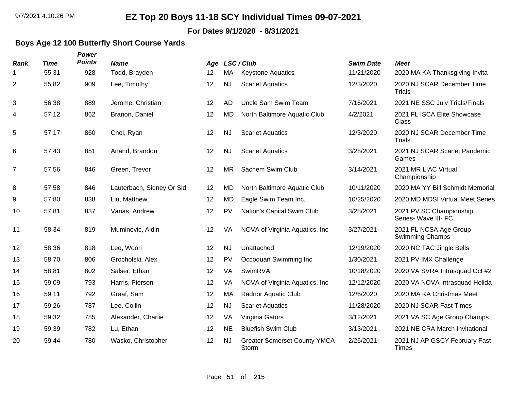**For Dates 9/1/2020 - 8/31/2021**

### **Boys Age 12 100 Butterfly Short Course Yards**

| Rank           | <b>Time</b> | Power<br><b>Points</b> | <b>Name</b>               |    |           | Age LSC/Club                                        | <b>Swim Date</b> | <b>Meet</b>                                      |
|----------------|-------------|------------------------|---------------------------|----|-----------|-----------------------------------------------------|------------------|--------------------------------------------------|
|                | 55.31       | 928                    | Todd, Brayden             | 12 | MA        | <b>Keystone Aquatics</b>                            | 11/21/2020       | 2020 MA KA Thanksgiving Invita                   |
| $\overline{2}$ | 55.82       | 909                    | Lee, Timothy              | 12 | <b>NJ</b> | <b>Scarlet Aquatics</b>                             | 12/3/2020        | 2020 NJ SCAR December Time<br>Trials             |
| 3              | 56.38       | 889                    | Jerome, Christian         | 12 | <b>AD</b> | Uncle Sam Swim Team                                 | 7/16/2021        | 2021 NE SSC July Trials/Finals                   |
| 4              | 57.12       | 862                    | Branon, Daniel            | 12 | <b>MD</b> | North Baltimore Aquatic Club                        | 4/2/2021         | 2021 FL ISCA Elite Showcase<br>Class             |
| 5              | 57.17       | 860                    | Choi, Ryan                | 12 | <b>NJ</b> | <b>Scarlet Aquatics</b>                             | 12/3/2020        | 2020 NJ SCAR December Time<br>Trials             |
| 6              | 57.43       | 851                    | Anand, Brandon            | 12 | <b>NJ</b> | <b>Scarlet Aquatics</b>                             | 3/28/2021        | 2021 NJ SCAR Scarlet Pandemic<br>Games           |
| $\overline{7}$ | 57.56       | 846                    | Green, Trevor             | 12 | <b>MR</b> | Sachem Swim Club                                    | 3/14/2021        | 2021 MR LIAC Virtual<br>Championship             |
| 8              | 57.58       | 846                    | Lauterbach, Sidney Or Sid | 12 | <b>MD</b> | North Baltimore Aquatic Club                        | 10/11/2020       | 2020 MA YY Bill Schmidt Memorial                 |
| 9              | 57.80       | 838                    | Liu, Matthew              | 12 | <b>MD</b> | Eagle Swim Team Inc.                                | 10/25/2020       | 2020 MD MDSI Virtual Meet Series                 |
| 10             | 57.81       | 837                    | Vanas, Andrew             | 12 | PV        | Nation's Capital Swim Club                          | 3/28/2021        | 2021 PV SC Championship<br>Series- Wave III- FC  |
| 11             | 58.34       | 819                    | Muminovic, Aidin          | 12 | VA        | NOVA of Virginia Aquatics, Inc.                     | 3/27/2021        | 2021 FL NCSA Age Group<br><b>Swimming Champs</b> |
| 12             | 58.36       | 818                    | Lee, Woori                | 12 | <b>NJ</b> | Unattached                                          | 12/19/2020       | 2020 NC TAC Jingle Bells                         |
| 13             | 58.70       | 806                    | Grocholski, Alex          | 12 | <b>PV</b> | Occoquan Swimming Inc                               | 1/30/2021        | 2021 PV IMX Challenge                            |
| 14             | 58.81       | 802                    | Salser, Ethan             | 12 | VA        | SwimRVA                                             | 10/18/2020       | 2020 VA SVRA Intrasquad Oct #2                   |
| 15             | 59.09       | 793                    | Harris, Pierson           | 12 | VA        | NOVA of Virginia Aquatics, Inc                      | 12/12/2020       | 2020 VA NOVA Intrasquad Holida                   |
| 16             | 59.11       | 792                    | Graaf, Sam                | 12 | MA        | <b>Radnor Aquatic Club</b>                          | 12/6/2020        | 2020 MA KA Christmas Meet                        |
| 17             | 59.26       | 787                    | Lee, Collin               | 12 | <b>NJ</b> | <b>Scarlet Aquatics</b>                             | 11/28/2020       | 2020 NJ SCAR Fast Times                          |
| 18             | 59.32       | 785                    | Alexander, Charlie        | 12 | VA        | Virginia Gators                                     | 3/12/2021        | 2021 VA SC Age Group Champs                      |
| 19             | 59.39       | 782                    | Lu, Ethan                 | 12 | <b>NE</b> | <b>Bluefish Swim Club</b>                           | 3/13/2021        | 2021 NE CRA March Invitational                   |
| 20             | 59.44       | 780                    | Wasko, Christopher        | 12 | <b>NJ</b> | <b>Greater Somerset County YMCA</b><br><b>Storm</b> | 2/26/2021        | 2021 NJ AP GSCY February Fast<br><b>Times</b>    |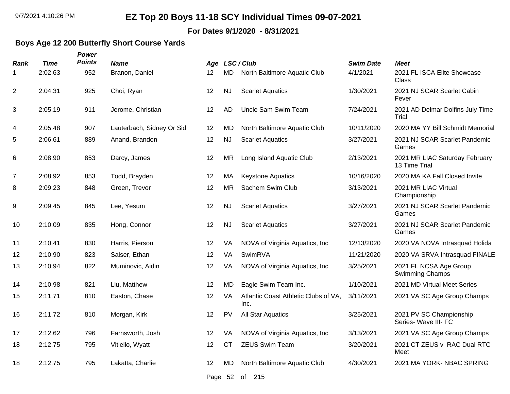**For Dates 9/1/2020 - 8/31/2021**

#### **Boys Age 12 200 Butterfly Short Course Yards**

| Rank           | <b>Time</b> | Power<br><b>Points</b> | <b>Name</b>               |        |           | Age LSC/Club                                 | <b>Swim Date</b> | <b>Meet</b>                                      |
|----------------|-------------|------------------------|---------------------------|--------|-----------|----------------------------------------------|------------------|--------------------------------------------------|
| 1              | 2:02.63     | 952                    | Branon, Daniel            | 12     | MD        | North Baltimore Aquatic Club                 | 4/1/2021         | 2021 FL ISCA Elite Showcase<br>Class             |
| $\overline{c}$ | 2:04.31     | 925                    | Choi, Ryan                | 12     | <b>NJ</b> | <b>Scarlet Aquatics</b>                      | 1/30/2021        | 2021 NJ SCAR Scarlet Cabin<br>Fever              |
| 3              | 2:05.19     | 911                    | Jerome, Christian         | 12     | AD        | Uncle Sam Swim Team                          | 7/24/2021        | 2021 AD Delmar Dolfins July Time<br>Trial        |
| 4              | 2:05.48     | 907                    | Lauterbach, Sidney Or Sid | 12     | <b>MD</b> | North Baltimore Aquatic Club                 | 10/11/2020       | 2020 MA YY Bill Schmidt Memorial                 |
| 5              | 2:06.61     | 889                    | Anand, Brandon            | 12     | <b>NJ</b> | <b>Scarlet Aquatics</b>                      | 3/27/2021        | 2021 NJ SCAR Scarlet Pandemic<br>Games           |
| 6              | 2:08.90     | 853                    | Darcy, James              | 12     | <b>MR</b> | Long Island Aquatic Club                     | 2/13/2021        | 2021 MR LIAC Saturday February<br>13 Time Trial  |
| $\overline{7}$ | 2:08.92     | 853                    | Todd, Brayden             | 12     | MA        | <b>Keystone Aquatics</b>                     | 10/16/2020       | 2020 MA KA Fall Closed Invite                    |
| 8              | 2:09.23     | 848                    | Green, Trevor             | 12     | <b>MR</b> | Sachem Swim Club                             | 3/13/2021        | 2021 MR LIAC Virtual<br>Championship             |
| 9              | 2:09.45     | 845                    | Lee, Yesum                | 12     | <b>NJ</b> | <b>Scarlet Aquatics</b>                      | 3/27/2021        | 2021 NJ SCAR Scarlet Pandemic<br>Games           |
| 10             | 2:10.09     | 835                    | Hong, Connor              | 12     | <b>NJ</b> | <b>Scarlet Aquatics</b>                      | 3/27/2021        | 2021 NJ SCAR Scarlet Pandemic<br>Games           |
| 11             | 2:10.41     | 830                    | Harris, Pierson           | 12     | VA        | NOVA of Virginia Aquatics, Inc.              | 12/13/2020       | 2020 VA NOVA Intrasquad Holida                   |
| 12             | 2:10.90     | 823                    | Salser, Ethan             | 12     | VA        | SwimRVA                                      | 11/21/2020       | 2020 VA SRVA Intrasquad FINALE                   |
| 13             | 2:10.94     | 822                    | Muminovic, Aidin          | 12     | VA        | NOVA of Virginia Aquatics, Inc.              | 3/25/2021        | 2021 FL NCSA Age Group<br><b>Swimming Champs</b> |
| 14             | 2:10.98     | 821                    | Liu, Matthew              | 12     | <b>MD</b> | Eagle Swim Team Inc.                         | 1/10/2021        | 2021 MD Virtual Meet Series                      |
| 15             | 2:11.71     | 810                    | Easton, Chase             | 12     | VA        | Atlantic Coast Athletic Clubs of VA,<br>Inc. | 3/11/2021        | 2021 VA SC Age Group Champs                      |
| 16             | 2:11.72     | 810                    | Morgan, Kirk              | 12     | PV        | All Star Aquatics                            | 3/25/2021        | 2021 PV SC Championship<br>Series- Wave III- FC  |
| 17             | 2:12.62     | 796                    | Farnsworth, Josh          | 12     | VA        | NOVA of Virginia Aquatics, Inc               | 3/13/2021        | 2021 VA SC Age Group Champs                      |
| 18             | 2:12.75     | 795                    | Vitiello, Wyatt           | 12     | <b>CT</b> | <b>ZEUS Swim Team</b>                        | 3/20/2021        | 2021 CT ZEUS v RAC Dual RTC<br>Meet              |
| 18             | 2:12.75     | 795                    | Lakatta, Charlie          | 12     | MD        | North Baltimore Aquatic Club                 | 4/30/2021        | 2021 MA YORK- NBAC SPRING                        |
|                |             |                        |                           | $\sim$ | $-\sim$   | $\sim$ $\sim$                                |                  |                                                  |

Page 52 of 215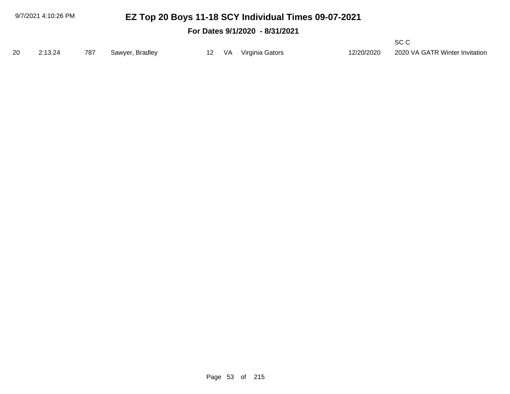|    | 9/7/2021 4:10:26 PM |     |                 | EZ Top 20 Boys 11-18 SCY Individual Times 09-07-2021 |            |                                |
|----|---------------------|-----|-----------------|------------------------------------------------------|------------|--------------------------------|
|    |                     |     |                 | For Dates 9/1/2020 - 8/31/2021                       |            |                                |
|    |                     |     |                 |                                                      |            | SC C                           |
| 20 | 2:13.24             | 787 | Sawyer, Bradley | Virginia Gators<br>VA.<br>12                         | 12/20/2020 | 2020 VA GATR Winter Invitation |

| Page | -53 | οf | 215 |
|------|-----|----|-----|
|      |     |    |     |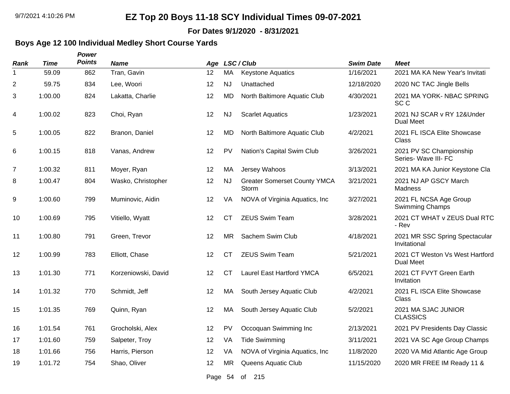**For Dates 9/1/2020 - 8/31/2021**

### **Boys Age 12 100 Individual Medley Short Course Yards**

| <b>Rank</b>    | <b>Time</b> | Power<br><b>Points</b> | <b>Name</b>         | Age |           | LSC / Club                                   | <b>Swim Date</b> | <b>Meet</b>                                         |
|----------------|-------------|------------------------|---------------------|-----|-----------|----------------------------------------------|------------------|-----------------------------------------------------|
| 1              | 59.09       | 862                    | Tran, Gavin         | 12  | MA        | <b>Keystone Aquatics</b>                     | 1/16/2021        | 2021 MA KA New Year's Invitati                      |
| 2              | 59.75       | 834                    | Lee, Woori          | 12  | <b>NJ</b> | Unattached                                   | 12/18/2020       | 2020 NC TAC Jingle Bells                            |
| 3              | 1:00.00     | 824                    | Lakatta, Charlie    | 12  | <b>MD</b> | North Baltimore Aquatic Club                 | 4/30/2021        | 2021 MA YORK- NBAC SPRING<br>SC <sub>C</sub>        |
| 4              | 1:00.02     | 823                    | Choi, Ryan          | 12  | <b>NJ</b> | <b>Scarlet Aquatics</b>                      | 1/23/2021        | 2021 NJ SCAR v RY 12&Under<br><b>Dual Meet</b>      |
| 5              | 1:00.05     | 822                    | Branon, Daniel      | 12  | <b>MD</b> | North Baltimore Aquatic Club                 | 4/2/2021         | 2021 FL ISCA Elite Showcase<br>Class                |
| 6              | 1:00.15     | 818                    | Vanas, Andrew       | 12  | PV        | Nation's Capital Swim Club                   | 3/26/2021        | 2021 PV SC Championship<br>Series- Wave III- FC     |
| $\overline{7}$ | 1:00.32     | 811                    | Moyer, Ryan         | 12  | МA        | Jersey Wahoos                                | 3/13/2021        | 2021 MA KA Junior Keystone Cla                      |
| 8              | 1:00.47     | 804                    | Wasko, Christopher  | 12  | <b>NJ</b> | <b>Greater Somerset County YMCA</b><br>Storm | 3/21/2021        | 2021 NJ AP GSCY March<br><b>Madness</b>             |
| 9              | 1:00.60     | 799                    | Muminovic, Aidin    | 12  | VA        | NOVA of Virginia Aquatics, Inc.              | 3/27/2021        | 2021 FL NCSA Age Group<br><b>Swimming Champs</b>    |
| 10             | 1:00.69     | 795                    | Vitiello, Wyatt     | 12  | <b>CT</b> | <b>ZEUS Swim Team</b>                        | 3/28/2021        | 2021 CT WHAT v ZEUS Dual RTC<br>- Rev               |
| 11             | 1:00.80     | 791                    | Green, Trevor       | 12  | <b>MR</b> | Sachem Swim Club                             | 4/18/2021        | 2021 MR SSC Spring Spectacular<br>Invitational      |
| 12             | 1:00.99     | 783                    | Elliott, Chase      | 12  | <b>CT</b> | <b>ZEUS Swim Team</b>                        | 5/21/2021        | 2021 CT Weston Vs West Hartford<br><b>Dual Meet</b> |
| 13             | 1:01.30     | 771                    | Korzeniowski, David | 12  | <b>CT</b> | Laurel East Hartford YMCA                    | 6/5/2021         | 2021 CT FVYT Green Earth<br>Invitation              |
| 14             | 1:01.32     | 770                    | Schmidt, Jeff       | 12  | MA        | South Jersey Aquatic Club                    | 4/2/2021         | 2021 FL ISCA Elite Showcase<br>Class                |
| 15             | 1:01.35     | 769                    | Quinn, Ryan         | 12  | МA        | South Jersey Aquatic Club                    | 5/2/2021         | 2021 MA SJAC JUNIOR<br><b>CLASSICS</b>              |
| 16             | 1:01.54     | 761                    | Grocholski, Alex    | 12  | PV        | Occoquan Swimming Inc                        | 2/13/2021        | 2021 PV Presidents Day Classic                      |
| 17             | 1:01.60     | 759                    | Salpeter, Troy      | 12  | VA        | <b>Tide Swimming</b>                         | 3/11/2021        | 2021 VA SC Age Group Champs                         |
| 18             | 1:01.66     | 756                    | Harris, Pierson     | 12  | VA        | NOVA of Virginia Aquatics, Inc.              | 11/8/2020        | 2020 VA Mid Atlantic Age Group                      |
| 19             | 1:01.72     | 754                    | Shao, Oliver        | 12  | <b>MR</b> | Queens Aquatic Club                          | 11/15/2020       | 2020 MR FREE IM Ready 11 &                          |
|                |             |                        |                     |     |           | Page 54 of 215                               |                  |                                                     |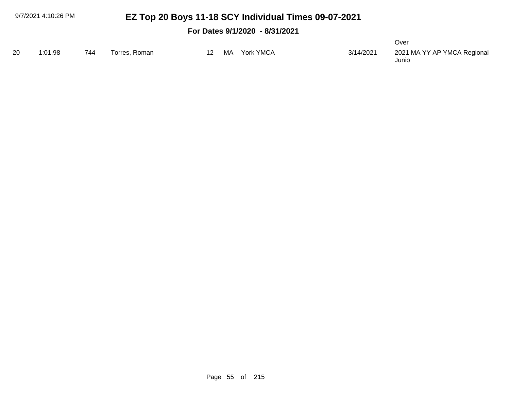|    | 9/7/2021 4:10:26 PM |     |               |    | EZ Top 20 Boys 11-18 SCY Individual Times 09-07-2021 |           |                             |
|----|---------------------|-----|---------------|----|------------------------------------------------------|-----------|-----------------------------|
|    |                     |     |               |    | For Dates 9/1/2020 - 8/31/2021                       |           |                             |
|    |                     |     |               |    |                                                      |           | Over                        |
| 20 | 1:01.98             | 744 | Torres. Roman | МA | York YMCA                                            | 3/14/2021 | 2021 MA YY AP YMCA Regional |

Junio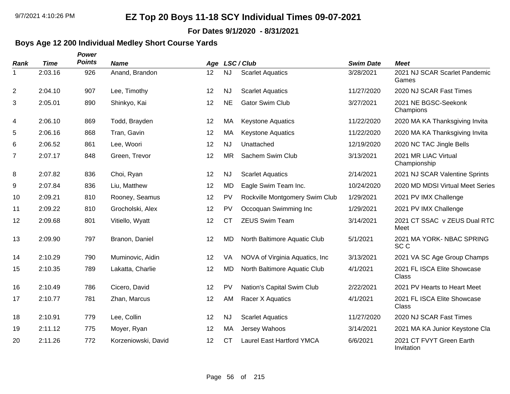**For Dates 9/1/2020 - 8/31/2021**

### **Boys Age 12 200 Individual Medley Short Course Yards**

| <b>Rank</b>    | <b>Time</b> | Power<br><b>Points</b> | <b>Name</b>         | Age |           | LSC / Club                      | <b>Swim Date</b> | <b>Meet</b>                                  |
|----------------|-------------|------------------------|---------------------|-----|-----------|---------------------------------|------------------|----------------------------------------------|
| 1              | 2:03.16     | 926                    | Anand, Brandon      | 12  | <b>NJ</b> | <b>Scarlet Aquatics</b>         | 3/28/2021        | 2021 NJ SCAR Scarlet Pandemic<br>Games       |
| $\overline{2}$ | 2:04.10     | 907                    | Lee, Timothy        | 12  | <b>NJ</b> | <b>Scarlet Aquatics</b>         | 11/27/2020       | 2020 NJ SCAR Fast Times                      |
| 3              | 2:05.01     | 890                    | Shinkyo, Kai        | 12  | <b>NE</b> | <b>Gator Swim Club</b>          | 3/27/2021        | 2021 NE BGSC-Seekonk<br>Champions            |
| 4              | 2:06.10     | 869                    | Todd, Brayden       | 12  | MA        | <b>Keystone Aquatics</b>        | 11/22/2020       | 2020 MA KA Thanksgiving Invita               |
| 5              | 2:06.16     | 868                    | Tran, Gavin         | 12  | MA        | <b>Keystone Aquatics</b>        | 11/22/2020       | 2020 MA KA Thanksgiving Invita               |
| 6              | 2:06.52     | 861                    | Lee, Woori          | 12  | <b>NJ</b> | Unattached                      | 12/19/2020       | 2020 NC TAC Jingle Bells                     |
| 7              | 2:07.17     | 848                    | Green, Trevor       | 12  | <b>MR</b> | Sachem Swim Club                | 3/13/2021        | 2021 MR LIAC Virtual<br>Championship         |
| 8              | 2:07.82     | 836                    | Choi, Ryan          | 12  | <b>NJ</b> | <b>Scarlet Aquatics</b>         | 2/14/2021        | 2021 NJ SCAR Valentine Sprints               |
| 9              | 2:07.84     | 836                    | Liu, Matthew        | 12  | <b>MD</b> | Eagle Swim Team Inc.            | 10/24/2020       | 2020 MD MDSI Virtual Meet Series             |
| 10             | 2:09.21     | 810                    | Rooney, Seamus      | 12  | PV        | Rockville Montgomery Swim Club  | 1/29/2021        | 2021 PV IMX Challenge                        |
| 11             | 2:09.22     | 810                    | Grocholski, Alex    | 12  | <b>PV</b> | Occoquan Swimming Inc           | 1/29/2021        | 2021 PV IMX Challenge                        |
| 12             | 2:09.68     | 801                    | Vitiello, Wyatt     | 12  | <b>CT</b> | <b>ZEUS Swim Team</b>           | 3/14/2021        | 2021 CT SSAC v ZEUS Dual RTC<br>Meet         |
| 13             | 2:09.90     | 797                    | Branon, Daniel      | 12  | MD        | North Baltimore Aquatic Club    | 5/1/2021         | 2021 MA YORK- NBAC SPRING<br>SC <sub>C</sub> |
| 14             | 2:10.29     | 790                    | Muminovic, Aidin    | 12  | VA        | NOVA of Virginia Aquatics, Inc. | 3/13/2021        | 2021 VA SC Age Group Champs                  |
| 15             | 2:10.35     | 789                    | Lakatta, Charlie    | 12  | <b>MD</b> | North Baltimore Aquatic Club    | 4/1/2021         | 2021 FL ISCA Elite Showcase<br>Class         |
| 16             | 2:10.49     | 786                    | Cicero, David       | 12  | <b>PV</b> | Nation's Capital Swim Club      | 2/22/2021        | 2021 PV Hearts to Heart Meet                 |
| 17             | 2:10.77     | 781                    | Zhan, Marcus        | 12  | AM        | Racer X Aquatics                | 4/1/2021         | 2021 FL ISCA Elite Showcase<br>Class         |
| 18             | 2:10.91     | 779                    | Lee, Collin         | 12  | <b>NJ</b> | <b>Scarlet Aquatics</b>         | 11/27/2020       | 2020 NJ SCAR Fast Times                      |
| 19             | 2:11.12     | 775                    | Moyer, Ryan         | 12  | MA        | Jersey Wahoos                   | 3/14/2021        | 2021 MA KA Junior Keystone Cla               |
| 20             | 2:11.26     | 772                    | Korzeniowski, David | 12  | <b>CT</b> | Laurel East Hartford YMCA       | 6/6/2021         | 2021 CT FVYT Green Earth<br>Invitation       |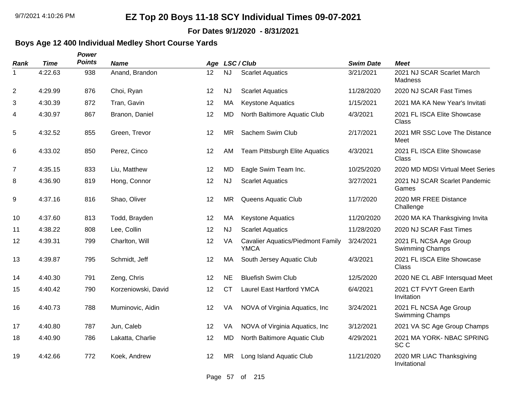**For Dates 9/1/2020 - 8/31/2021**

### **Boys Age 12 400 Individual Medley Short Course Yards**

| <b>Rank</b>    | <b>Time</b> | Power<br><b>Points</b> | <b>Name</b>         |    |           | Age LSC/Club                                            | <b>Swim Date</b> | <b>Meet</b>                                      |
|----------------|-------------|------------------------|---------------------|----|-----------|---------------------------------------------------------|------------------|--------------------------------------------------|
| -1             | 4:22.63     | 938                    | Anand, Brandon      | 12 | <b>NJ</b> | <b>Scarlet Aquatics</b>                                 | 3/21/2021        | 2021 NJ SCAR Scarlet March<br>Madness            |
| $\overline{2}$ | 4:29.99     | 876                    | Choi, Ryan          | 12 | <b>NJ</b> | <b>Scarlet Aquatics</b>                                 | 11/28/2020       | 2020 NJ SCAR Fast Times                          |
| 3              | 4:30.39     | 872                    | Tran, Gavin         | 12 | MA        | <b>Keystone Aquatics</b>                                | 1/15/2021        | 2021 MA KA New Year's Invitati                   |
| 4              | 4:30.97     | 867                    | Branon, Daniel      | 12 | MD        | North Baltimore Aquatic Club                            | 4/3/2021         | 2021 FL ISCA Elite Showcase<br>Class             |
| 5              | 4:32.52     | 855                    | Green, Trevor       | 12 | <b>MR</b> | Sachem Swim Club                                        | 2/17/2021        | 2021 MR SSC Love The Distance<br>Meet            |
| 6              | 4:33.02     | 850                    | Perez, Cinco        | 12 | AM        | <b>Team Pittsburgh Elite Aquatics</b>                   | 4/3/2021         | 2021 FL ISCA Elite Showcase<br>Class             |
| 7              | 4:35.15     | 833                    | Liu, Matthew        | 12 | MD        | Eagle Swim Team Inc.                                    | 10/25/2020       | 2020 MD MDSI Virtual Meet Series                 |
| 8              | 4:36.90     | 819                    | Hong, Connor        | 12 | <b>NJ</b> | <b>Scarlet Aquatics</b>                                 | 3/27/2021        | 2021 NJ SCAR Scarlet Pandemic<br>Games           |
| 9              | 4:37.16     | 816                    | Shao, Oliver        | 12 | <b>MR</b> | Queens Aquatic Club                                     | 11/7/2020        | 2020 MR FREE Distance<br>Challenge               |
| 10             | 4:37.60     | 813                    | Todd, Brayden       | 12 | МA        | <b>Keystone Aquatics</b>                                | 11/20/2020       | 2020 MA KA Thanksgiving Invita                   |
| 11             | 4:38.22     | 808                    | Lee, Collin         | 12 | <b>NJ</b> | <b>Scarlet Aquatics</b>                                 | 11/28/2020       | 2020 NJ SCAR Fast Times                          |
| 12             | 4:39.31     | 799                    | Charlton, Will      | 12 | VA        | <b>Cavalier Aquatics/Piedmont Family</b><br><b>YMCA</b> | 3/24/2021        | 2021 FL NCSA Age Group<br><b>Swimming Champs</b> |
| 13             | 4:39.87     | 795                    | Schmidt, Jeff       | 12 | MA        | South Jersey Aquatic Club                               | 4/3/2021         | 2021 FL ISCA Elite Showcase<br>Class             |
| 14             | 4:40.30     | 791                    | Zeng, Chris         | 12 | <b>NE</b> | <b>Bluefish Swim Club</b>                               | 12/5/2020        | 2020 NE CL ABF Intersquad Meet                   |
| 15             | 4:40.42     | 790                    | Korzeniowski, David | 12 | <b>CT</b> | Laurel East Hartford YMCA                               | 6/4/2021         | 2021 CT FVYT Green Earth<br>Invitation           |
| 16             | 4:40.73     | 788                    | Muminovic, Aidin    | 12 | VA        | NOVA of Virginia Aquatics, Inc.                         | 3/24/2021        | 2021 FL NCSA Age Group<br><b>Swimming Champs</b> |
| 17             | 4:40.80     | 787                    | Jun, Caleb          | 12 | VA        | NOVA of Virginia Aquatics, Inc.                         | 3/12/2021        | 2021 VA SC Age Group Champs                      |
| 18             | 4:40.90     | 786                    | Lakatta, Charlie    | 12 | <b>MD</b> | North Baltimore Aquatic Club                            | 4/29/2021        | 2021 MA YORK- NBAC SPRING<br>SC <sub>C</sub>     |
| 19             | 4:42.66     | 772                    | Koek, Andrew        | 12 | <b>MR</b> | Long Island Aquatic Club                                | 11/21/2020       | 2020 MR LIAC Thanksgiving<br>Invitational        |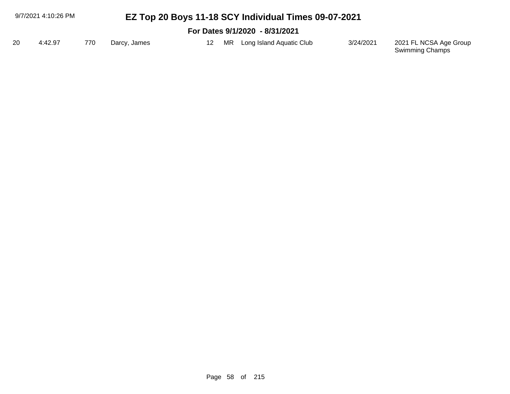| 9/7/2021 4:10:26 PM |         |     | EZ Top 20 Boys 11-18 SCY Individual Times 09-07-2021 |    |  |                                |           |                                                  |  |  |  |
|---------------------|---------|-----|------------------------------------------------------|----|--|--------------------------------|-----------|--------------------------------------------------|--|--|--|
|                     |         |     |                                                      |    |  | For Dates 9/1/2020 - 8/31/2021 |           |                                                  |  |  |  |
| 20                  | 4:42.97 | 770 | Darcy, James                                         | 12 |  | MR Long Island Aquatic Club    | 3/24/2021 | 2021 FL NCSA Age Group<br><b>Swimming Champs</b> |  |  |  |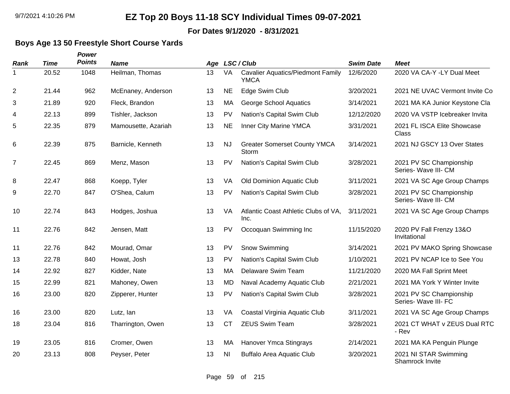#### **For Dates 9/1/2020 - 8/31/2021**

### **Boys Age 13 50 Freestyle Short Course Yards**

| <b>Rank</b>    | <b>Time</b> | Power<br><b>Points</b> | <b>Name</b>         |    |                | Age LSC/Club                                            | <b>Swim Date</b> | <b>Meet</b>                                     |
|----------------|-------------|------------------------|---------------------|----|----------------|---------------------------------------------------------|------------------|-------------------------------------------------|
| 1              | 20.52       | 1048                   | Heilman, Thomas     | 13 | VA             | <b>Cavalier Aquatics/Piedmont Family</b><br><b>YMCA</b> | 12/6/2020        | 2020 VA CA-Y -LY Dual Meet                      |
| $\overline{2}$ | 21.44       | 962                    | McEnaney, Anderson  | 13 | <b>NE</b>      | Edge Swim Club                                          | 3/20/2021        | 2021 NE UVAC Vermont Invite Co                  |
| 3              | 21.89       | 920                    | Fleck, Brandon      | 13 | MA             | George School Aquatics                                  | 3/14/2021        | 2021 MA KA Junior Keystone Cla                  |
| 4              | 22.13       | 899                    | Tishler, Jackson    | 13 | <b>PV</b>      | Nation's Capital Swim Club                              | 12/12/2020       | 2020 VA VSTP Icebreaker Invita                  |
| 5              | 22.35       | 879                    | Mamousette, Azariah | 13 | <b>NE</b>      | Inner City Marine YMCA                                  | 3/31/2021        | 2021 FL ISCA Elite Showcase<br>Class            |
| 6              | 22.39       | 875                    | Barnicle, Kenneth   | 13 | <b>NJ</b>      | <b>Greater Somerset County YMCA</b><br>Storm            | 3/14/2021        | 2021 NJ GSCY 13 Over States                     |
| $\overline{7}$ | 22.45       | 869                    | Menz, Mason         | 13 | PV             | Nation's Capital Swim Club                              | 3/28/2021        | 2021 PV SC Championship<br>Series- Wave III- CM |
| 8              | 22.47       | 868                    | Koepp, Tyler        | 13 | VA             | Old Dominion Aquatic Club                               | 3/11/2021        | 2021 VA SC Age Group Champs                     |
| 9              | 22.70       | 847                    | O'Shea, Calum       | 13 | <b>PV</b>      | Nation's Capital Swim Club                              | 3/28/2021        | 2021 PV SC Championship<br>Series- Wave III- CM |
| 10             | 22.74       | 843                    | Hodges, Joshua      | 13 | VA             | Atlantic Coast Athletic Clubs of VA,<br>Inc.            | 3/11/2021        | 2021 VA SC Age Group Champs                     |
| 11             | 22.76       | 842                    | Jensen, Matt        | 13 | PV             | Occoquan Swimming Inc                                   | 11/15/2020       | 2020 PV Fall Frenzy 13&O<br>Invitational        |
| 11             | 22.76       | 842                    | Mourad, Omar        | 13 | PV             | Snow Swimming                                           | 3/14/2021        | 2021 PV MAKO Spring Showcase                    |
| 13             | 22.78       | 840                    | Howat, Josh         | 13 | <b>PV</b>      | Nation's Capital Swim Club                              | 1/10/2021        | 2021 PV NCAP Ice to See You                     |
| 14             | 22.92       | 827                    | Kidder, Nate        | 13 | MA             | Delaware Swim Team                                      | 11/21/2020       | 2020 MA Fall Sprint Meet                        |
| 15             | 22.99       | 821                    | Mahoney, Owen       | 13 | <b>MD</b>      | Naval Academy Aquatic Club                              | 2/21/2021        | 2021 MA York Y Winter Invite                    |
| 16             | 23.00       | 820                    | Zipperer, Hunter    | 13 | <b>PV</b>      | Nation's Capital Swim Club                              | 3/28/2021        | 2021 PV SC Championship<br>Series- Wave III- FC |
| 16             | 23.00       | 820                    | Lutz, lan           | 13 | VA             | Coastal Virginia Aquatic Club                           | 3/11/2021        | 2021 VA SC Age Group Champs                     |
| 18             | 23.04       | 816                    | Tharrington, Owen   | 13 | <b>CT</b>      | <b>ZEUS Swim Team</b>                                   | 3/28/2021        | 2021 CT WHAT v ZEUS Dual RTC<br>- Rev           |
| 19             | 23.05       | 816                    | Cromer, Owen        | 13 | MA             | Hanover Ymca Stingrays                                  | 2/14/2021        | 2021 MA KA Penguin Plunge                       |
| 20             | 23.13       | 808                    | Peyser, Peter       | 13 | N <sub>l</sub> | <b>Buffalo Area Aquatic Club</b>                        | 3/20/2021        | 2021 NI STAR Swimming<br>Shamrock Invite        |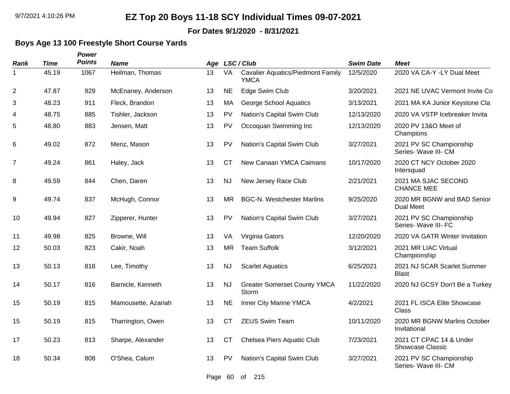#### **For Dates 9/1/2020 - 8/31/2021**

#### **Boys Age 13 100 Freestyle Short Course Yards**

| Rank           | Time  | Power<br><b>Points</b> | <b>Name</b>         |    |           | Age LSC/Club                                            | <b>Swim Date</b> | <b>Meet</b>                                        |
|----------------|-------|------------------------|---------------------|----|-----------|---------------------------------------------------------|------------------|----------------------------------------------------|
| 1              | 45.19 | 1067                   | Heilman, Thomas     | 13 | VA        | <b>Cavalier Aquatics/Piedmont Family</b><br><b>YMCA</b> | 12/5/2020        | 2020 VA CA-Y -LY Dual Meet                         |
| 2              | 47.87 | 929                    | McEnaney, Anderson  | 13 | <b>NE</b> | Edge Swim Club                                          | 3/20/2021        | 2021 NE UVAC Vermont Invite Co                     |
| 3              | 48.23 | 911                    | Fleck, Brandon      | 13 | MA        | <b>George School Aquatics</b>                           | 3/13/2021        | 2021 MA KA Junior Keystone Cla                     |
| 4              | 48.75 | 885                    | Tishler, Jackson    | 13 | PV        | Nation's Capital Swim Club                              | 12/13/2020       | 2020 VA VSTP Icebreaker Invita                     |
| 5              | 48.80 | 883                    | Jensen, Matt        | 13 | PV        | Occoquan Swimming Inc                                   | 12/13/2020       | 2020 PV 13&O Meet of<br>Champions                  |
| 6              | 49.02 | 872                    | Menz, Mason         | 13 | PV        | Nation's Capital Swim Club                              | 3/27/2021        | 2021 PV SC Championship<br>Series- Wave III- CM    |
| $\overline{7}$ | 49.24 | 861                    | Haley, Jack         | 13 | <b>CT</b> | New Canaan YMCA Caimans                                 | 10/17/2020       | 2020 CT NCY October 2020<br>Intersquad             |
| 8              | 49.59 | 844                    | Chen, Daren         | 13 | <b>NJ</b> | New Jersey Race Club                                    | 2/21/2021        | 2021 MA SJAC SECOND<br><b>CHANCE MEE</b>           |
| 9              | 49.74 | 837                    | McHugh, Connor      | 13 | <b>MR</b> | <b>BGC-N. Westchester Marlins</b>                       | 9/25/2020        | 2020 MR BGNW and BAD Senior<br><b>Dual Meet</b>    |
| 10             | 49.94 | 827                    | Zipperer, Hunter    | 13 | PV        | Nation's Capital Swim Club                              | 3/27/2021        | 2021 PV SC Championship<br>Series- Wave III- FC    |
| 11             | 49.98 | 825                    | Browne, Will        | 13 | VA        | Virginia Gators                                         | 12/20/2020       | 2020 VA GATR Winter Invitation                     |
| 12             | 50.03 | 823                    | Cakir, Noah         | 13 | <b>MR</b> | <b>Team Suffolk</b>                                     | 3/12/2021        | 2021 MR LIAC Virtual<br>Championship               |
| 13             | 50.13 | 818                    | Lee, Timothy        | 13 | <b>NJ</b> | <b>Scarlet Aquatics</b>                                 | 6/25/2021        | 2021 NJ SCAR Scarlet Summer<br><b>Blast</b>        |
| 14             | 50.17 | 816                    | Barnicle, Kenneth   | 13 | <b>NJ</b> | <b>Greater Somerset County YMCA</b><br>Storm            | 11/22/2020       | 2020 NJ GCSY Don't Be a Turkey                     |
| 15             | 50.19 | 815                    | Mamousette, Azariah | 13 | <b>NE</b> | Inner City Marine YMCA                                  | 4/2/2021         | 2021 FL ISCA Elite Showcase<br>Class               |
| 15             | 50.19 | 815                    | Tharrington, Owen   | 13 | <b>CT</b> | <b>ZEUS Swim Team</b>                                   | 10/11/2020       | 2020 MR BGNW Marlins October<br>Invitational       |
| 17             | 50.23 | 813                    | Sharpe, Alexander   | 13 | <b>CT</b> | Chelsea Piers Aquatic Club                              | 7/23/2021        | 2021 CT CPAC 14 & Under<br><b>Showcase Classic</b> |
| 18             | 50.34 | 808                    | O'Shea, Calum       | 13 | <b>PV</b> | Nation's Capital Swim Club                              | 3/27/2021        | 2021 PV SC Championship<br>Series- Wave III- CM    |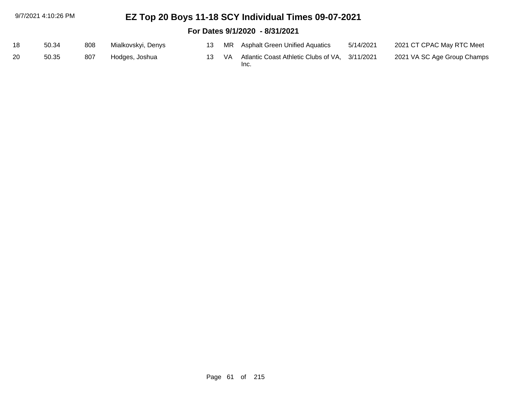|                                | 9/7/2021 4:10:26 PM |     | EZ Top 20 Boys 11-18 SCY Individual Times 09-07-2021 |     |     |                                              |           |                             |  |  |  |
|--------------------------------|---------------------|-----|------------------------------------------------------|-----|-----|----------------------------------------------|-----------|-----------------------------|--|--|--|
| For Dates 9/1/2020 - 8/31/2021 |                     |     |                                                      |     |     |                                              |           |                             |  |  |  |
| 18                             | 50.34               | 808 | Mialkovskyi, Denys                                   |     |     | MR Asphalt Green Unified Aquatics            | 5/14/2021 | 2021 CT CPAC May RTC Meet   |  |  |  |
| 20                             | 50.35               | 807 | Hodges, Joshua                                       | 13. | VA. | Atlantic Coast Athletic Clubs of VA,<br>Inc. | 3/11/2021 | 2021 VA SC Age Group Champs |  |  |  |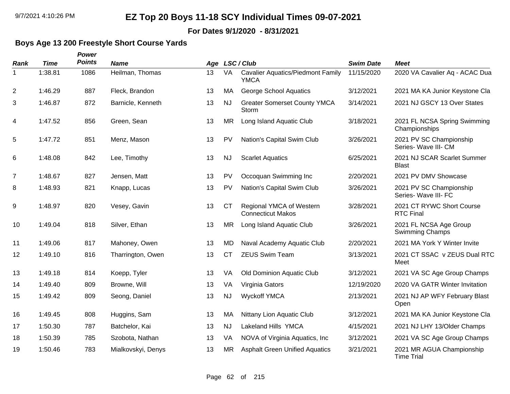#### **For Dates 9/1/2020 - 8/31/2021**

#### **Boys Age 13 200 Freestyle Short Course Yards**

| Rank           | <b>Time</b> | Power<br><b>Points</b> | <b>Name</b>        |    |           | Age LSC/Club                                            | <b>Swim Date</b> | <b>Meet</b>                                      |
|----------------|-------------|------------------------|--------------------|----|-----------|---------------------------------------------------------|------------------|--------------------------------------------------|
| 1              | 1:38.81     | 1086                   | Heilman, Thomas    | 13 | <b>VA</b> | <b>Cavalier Aquatics/Piedmont Family</b><br><b>YMCA</b> | 11/15/2020       | 2020 VA Cavalier Aq - ACAC Dua                   |
| $\overline{2}$ | 1:46.29     | 887                    | Fleck, Brandon     | 13 | <b>MA</b> | <b>George School Aquatics</b>                           | 3/12/2021        | 2021 MA KA Junior Keystone Cla                   |
| 3              | 1:46.87     | 872                    | Barnicle, Kenneth  | 13 | <b>NJ</b> | <b>Greater Somerset County YMCA</b><br>Storm            | 3/14/2021        | 2021 NJ GSCY 13 Over States                      |
| 4              | 1:47.52     | 856                    | Green, Sean        | 13 | <b>MR</b> | Long Island Aquatic Club                                | 3/18/2021        | 2021 FL NCSA Spring Swimming<br>Championships    |
| 5              | 1:47.72     | 851                    | Menz, Mason        | 13 | PV        | Nation's Capital Swim Club                              | 3/26/2021        | 2021 PV SC Championship<br>Series- Wave III- CM  |
| 6              | 1:48.08     | 842                    | Lee, Timothy       | 13 | <b>NJ</b> | <b>Scarlet Aquatics</b>                                 | 6/25/2021        | 2021 NJ SCAR Scarlet Summer<br><b>Blast</b>      |
| 7              | 1:48.67     | 827                    | Jensen, Matt       | 13 | PV        | Occoquan Swimming Inc                                   | 2/20/2021        | 2021 PV DMV Showcase                             |
| 8              | 1:48.93     | 821                    | Knapp, Lucas       | 13 | PV        | Nation's Capital Swim Club                              | 3/26/2021        | 2021 PV SC Championship<br>Series- Wave III- FC  |
| 9              | 1:48.97     | 820                    | Vesey, Gavin       | 13 | <b>CT</b> | Regional YMCA of Western<br><b>Connecticut Makos</b>    | 3/28/2021        | 2021 CT RYWC Short Course<br><b>RTC Final</b>    |
| 10             | 1:49.04     | 818                    | Silver, Ethan      | 13 | <b>MR</b> | Long Island Aquatic Club                                | 3/26/2021        | 2021 FL NCSA Age Group<br><b>Swimming Champs</b> |
| 11             | 1:49.06     | 817                    | Mahoney, Owen      | 13 | <b>MD</b> | Naval Academy Aquatic Club                              | 2/20/2021        | 2021 MA York Y Winter Invite                     |
| 12             | 1:49.10     | 816                    | Tharrington, Owen  | 13 | <b>CT</b> | <b>ZEUS Swim Team</b>                                   | 3/13/2021        | 2021 CT SSAC v ZEUS Dual RTC<br>Meet             |
| 13             | 1:49.18     | 814                    | Koepp, Tyler       | 13 | VA        | Old Dominion Aquatic Club                               | 3/12/2021        | 2021 VA SC Age Group Champs                      |
| 14             | 1:49.40     | 809                    | Browne, Will       | 13 | VA        | Virginia Gators                                         | 12/19/2020       | 2020 VA GATR Winter Invitation                   |
| 15             | 1:49.42     | 809                    | Seong, Daniel      | 13 | <b>NJ</b> | <b>Wyckoff YMCA</b>                                     | 2/13/2021        | 2021 NJ AP WFY February Blast<br>Open            |
| 16             | 1:49.45     | 808                    | Huggins, Sam       | 13 | MA        | Nittany Lion Aquatic Club                               | 3/12/2021        | 2021 MA KA Junior Keystone Cla                   |
| 17             | 1:50.30     | 787                    | Batchelor, Kai     | 13 | <b>NJ</b> | Lakeland Hills YMCA                                     | 4/15/2021        | 2021 NJ LHY 13/Older Champs                      |
| 18             | 1:50.39     | 785                    | Szobota, Nathan    | 13 | VA        | NOVA of Virginia Aquatics, Inc.                         | 3/12/2021        | 2021 VA SC Age Group Champs                      |
| 19             | 1:50.46     | 783                    | Mialkovskyi, Denys | 13 | <b>MR</b> | <b>Asphalt Green Unified Aquatics</b>                   | 3/21/2021        | 2021 MR AGUA Championship<br><b>Time Trial</b>   |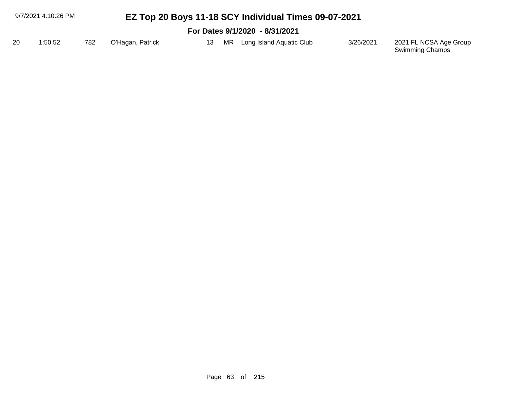| 9/7/2021 4:10:26 PM |         |     |                  | EZ Top 20 Boys 11-18 SCY Individual Times 09-07-2021 |  |                                |           |                                                  |  |  |
|---------------------|---------|-----|------------------|------------------------------------------------------|--|--------------------------------|-----------|--------------------------------------------------|--|--|
|                     |         |     |                  |                                                      |  | For Dates 9/1/2020 - 8/31/2021 |           |                                                  |  |  |
| 20                  | 1:50.52 | 782 | O'Hagan, Patrick | 13                                                   |  | MR Long Island Aquatic Club    | 3/26/2021 | 2021 FL NCSA Age Group<br><b>Swimming Champs</b> |  |  |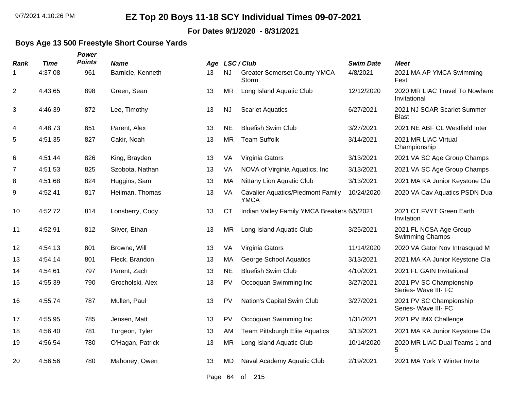**For Dates 9/1/2020 - 8/31/2021**

#### **Boys Age 13 500 Freestyle Short Course Yards**

| <b>Rank</b>    | <b>Time</b> | Power<br><b>Points</b> | <b>Name</b>       |    |           | Age LSC/Club                                            | <b>Swim Date</b> | <b>Meet</b>                                      |
|----------------|-------------|------------------------|-------------------|----|-----------|---------------------------------------------------------|------------------|--------------------------------------------------|
| 1              | 4:37.08     | 961                    | Barnicle, Kenneth | 13 | <b>NJ</b> | <b>Greater Somerset County YMCA</b><br>Storm            | 4/8/2021         | 2021 MA AP YMCA Swimming<br>Festi                |
| $\overline{2}$ | 4:43.65     | 898                    | Green, Sean       | 13 | <b>MR</b> | Long Island Aquatic Club                                | 12/12/2020       | 2020 MR LIAC Travel To Nowhere<br>Invitational   |
| 3              | 4:46.39     | 872                    | Lee, Timothy      | 13 | <b>NJ</b> | <b>Scarlet Aquatics</b>                                 | 6/27/2021        | 2021 NJ SCAR Scarlet Summer<br><b>Blast</b>      |
| 4              | 4:48.73     | 851                    | Parent, Alex      | 13 | <b>NE</b> | <b>Bluefish Swim Club</b>                               | 3/27/2021        | 2021 NE ABF CL Westfield Inter                   |
| 5              | 4:51.35     | 827                    | Cakir, Noah       | 13 | <b>MR</b> | <b>Team Suffolk</b>                                     | 3/14/2021        | 2021 MR LIAC Virtual<br>Championship             |
| 6              | 4:51.44     | 826                    | King, Brayden     | 13 | VA        | Virginia Gators                                         | 3/13/2021        | 2021 VA SC Age Group Champs                      |
| 7              | 4:51.53     | 825                    | Szobota, Nathan   | 13 | VA        | NOVA of Virginia Aquatics, Inc                          | 3/13/2021        | 2021 VA SC Age Group Champs                      |
| 8              | 4:51.68     | 824                    | Huggins, Sam      | 13 | MA        | Nittany Lion Aquatic Club                               | 3/13/2021        | 2021 MA KA Junior Keystone Cla                   |
| 9              | 4:52.41     | 817                    | Heilman, Thomas   | 13 | <b>VA</b> | <b>Cavalier Aquatics/Piedmont Family</b><br><b>YMCA</b> | 10/24/2020       | 2020 VA Cav Aquatics PSDN Dual                   |
| 10             | 4:52.72     | 814                    | Lonsberry, Cody   | 13 | <b>CT</b> | Indian Valley Family YMCA Breakers 6/5/2021             |                  | 2021 CT FVYT Green Earth<br>Invitation           |
| 11             | 4:52.91     | 812                    | Silver, Ethan     | 13 | <b>MR</b> | Long Island Aquatic Club                                | 3/25/2021        | 2021 FL NCSA Age Group<br><b>Swimming Champs</b> |
| 12             | 4:54.13     | 801                    | Browne, Will      | 13 | VA        | Virginia Gators                                         | 11/14/2020       | 2020 VA Gator Nov Intrasquad M                   |
| 13             | 4:54.14     | 801                    | Fleck, Brandon    | 13 | MA        | <b>George School Aquatics</b>                           | 3/13/2021        | 2021 MA KA Junior Keystone Cla                   |
| 14             | 4:54.61     | 797                    | Parent, Zach      | 13 | <b>NE</b> | <b>Bluefish Swim Club</b>                               | 4/10/2021        | 2021 FL GAIN Invitational                        |
| 15             | 4:55.39     | 790                    | Grocholski, Alex  | 13 | PV        | Occoquan Swimming Inc                                   | 3/27/2021        | 2021 PV SC Championship<br>Series- Wave III- FC  |
| 16             | 4:55.74     | 787                    | Mullen, Paul      | 13 | PV        | Nation's Capital Swim Club                              | 3/27/2021        | 2021 PV SC Championship<br>Series- Wave III- FC  |
| 17             | 4:55.95     | 785                    | Jensen, Matt      | 13 | PV        | Occoquan Swimming Inc                                   | 1/31/2021        | 2021 PV IMX Challenge                            |
| 18             | 4:56.40     | 781                    | Turgeon, Tyler    | 13 | AM        | <b>Team Pittsburgh Elite Aquatics</b>                   | 3/13/2021        | 2021 MA KA Junior Keystone Cla                   |
| 19             | 4:56.54     | 780                    | O'Hagan, Patrick  | 13 | <b>MR</b> | Long Island Aquatic Club                                | 10/14/2020       | 2020 MR LIAC Dual Teams 1 and<br>5               |
| 20             | 4:56.56     | 780                    | Mahoney, Owen     | 13 | MD        | Naval Academy Aquatic Club                              | 2/19/2021        | 2021 MA York Y Winter Invite                     |

Page 64 of 215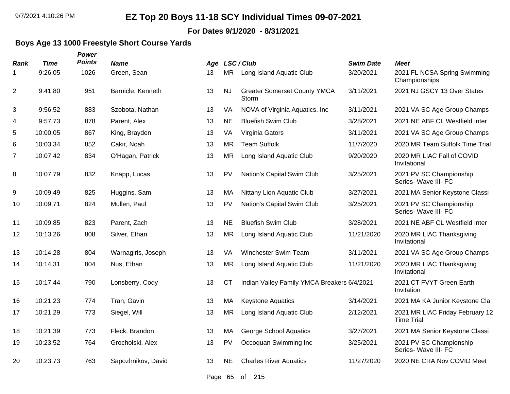#### **For Dates 9/1/2020 - 8/31/2021**

#### **Boys Age 13 1000 Freestyle Short Course Yards**

| Rank           | <b>Time</b> | Power<br><b>Points</b> | <b>Name</b>        |    |           | Age LSC/Club                                 | <b>Swim Date</b> | <b>Meet</b>                                          |
|----------------|-------------|------------------------|--------------------|----|-----------|----------------------------------------------|------------------|------------------------------------------------------|
| 1              | 9:26.05     | 1026                   | Green, Sean        | 13 | <b>MR</b> | Long Island Aquatic Club                     | 3/20/2021        | 2021 FL NCSA Spring Swimming<br>Championships        |
| $\overline{2}$ | 9:41.80     | 951                    | Barnicle, Kenneth  | 13 | <b>NJ</b> | <b>Greater Somerset County YMCA</b><br>Storm | 3/11/2021        | 2021 NJ GSCY 13 Over States                          |
| 3              | 9:56.52     | 883                    | Szobota, Nathan    | 13 | <b>VA</b> | NOVA of Virginia Aquatics, Inc.              | 3/11/2021        | 2021 VA SC Age Group Champs                          |
| 4              | 9:57.73     | 878                    | Parent, Alex       | 13 | <b>NE</b> | <b>Bluefish Swim Club</b>                    | 3/28/2021        | 2021 NE ABF CL Westfield Inter                       |
| 5              | 10:00.05    | 867                    | King, Brayden      | 13 | VA        | Virginia Gators                              | 3/11/2021        | 2021 VA SC Age Group Champs                          |
| 6              | 10:03.34    | 852                    | Cakir, Noah        | 13 | <b>MR</b> | <b>Team Suffolk</b>                          | 11/7/2020        | 2020 MR Team Suffolk Time Trial                      |
| 7              | 10:07.42    | 834                    | O'Hagan, Patrick   | 13 | <b>MR</b> | Long Island Aquatic Club                     | 9/20/2020        | 2020 MR LIAC Fall of COVID<br>Invitational           |
| 8              | 10:07.79    | 832                    | Knapp, Lucas       | 13 | PV        | Nation's Capital Swim Club                   | 3/25/2021        | 2021 PV SC Championship<br>Series- Wave III- FC      |
| 9              | 10:09.49    | 825                    | Huggins, Sam       | 13 | MA        | Nittany Lion Aquatic Club                    | 3/27/2021        | 2021 MA Senior Keystone Classi                       |
| 10             | 10:09.71    | 824                    | Mullen, Paul       | 13 | <b>PV</b> | Nation's Capital Swim Club                   | 3/25/2021        | 2021 PV SC Championship<br>Series- Wave III- FC      |
| 11             | 10:09.85    | 823                    | Parent, Zach       | 13 | <b>NE</b> | <b>Bluefish Swim Club</b>                    | 3/28/2021        | 2021 NE ABF CL Westfield Inter                       |
| 12             | 10:13.26    | 808                    | Silver, Ethan      | 13 | <b>MR</b> | Long Island Aquatic Club                     | 11/21/2020       | 2020 MR LIAC Thanksgiving<br>Invitational            |
| 13             | 10:14.28    | 804                    | Warnagiris, Joseph | 13 | VA        | Winchester Swim Team                         | 3/11/2021        | 2021 VA SC Age Group Champs                          |
| 14             | 10:14.31    | 804                    | Nus, Ethan         | 13 | <b>MR</b> | Long Island Aquatic Club                     | 11/21/2020       | 2020 MR LIAC Thanksgiving<br>Invitational            |
| 15             | 10:17.44    | 790                    | Lonsberry, Cody    | 13 | <b>CT</b> | Indian Valley Family YMCA Breakers 6/4/2021  |                  | 2021 CT FVYT Green Earth<br>Invitation               |
| 16             | 10:21.23    | 774                    | Tran, Gavin        | 13 | MA        | <b>Keystone Aquatics</b>                     | 3/14/2021        | 2021 MA KA Junior Keystone Cla                       |
| 17             | 10:21.29    | 773                    | Siegel, Will       | 13 | <b>MR</b> | Long Island Aquatic Club                     | 2/12/2021        | 2021 MR LIAC Friday February 12<br><b>Time Trial</b> |
| 18             | 10:21.39    | 773                    | Fleck, Brandon     | 13 | МA        | George School Aquatics                       | 3/27/2021        | 2021 MA Senior Keystone Classi                       |
| 19             | 10:23.52    | 764                    | Grocholski, Alex   | 13 | PV        | Occoquan Swimming Inc                        | 3/25/2021        | 2021 PV SC Championship<br>Series- Wave III- FC      |
| 20             | 10:23.73    | 763                    | Sapozhnikov, David | 13 | <b>NE</b> | <b>Charles River Aquatics</b>                | 11/27/2020       | 2020 NE CRA Nov COVID Meet                           |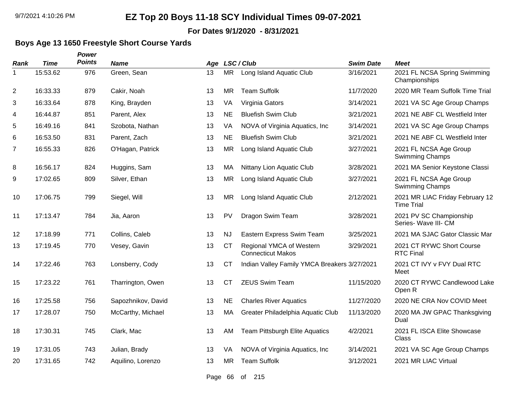#### **For Dates 9/1/2020 - 8/31/2021**

#### **Boys Age 13 1650 Freestyle Short Course Yards**

| Rank           | <b>Time</b> | Power<br><b>Points</b> | <b>Name</b>        |    |           | Age LSC/Club                                         | <b>Swim Date</b> | <b>Meet</b>                                          |
|----------------|-------------|------------------------|--------------------|----|-----------|------------------------------------------------------|------------------|------------------------------------------------------|
| -1             | 15:53.62    | 976                    | Green, Sean        | 13 | <b>MR</b> | Long Island Aquatic Club                             | 3/16/2021        | 2021 FL NCSA Spring Swimming<br>Championships        |
| $\overline{2}$ | 16:33.33    | 879                    | Cakir, Noah        | 13 | <b>MR</b> | <b>Team Suffolk</b>                                  | 11/7/2020        | 2020 MR Team Suffolk Time Trial                      |
| 3              | 16:33.64    | 878                    | King, Brayden      | 13 | VA        | Virginia Gators                                      | 3/14/2021        | 2021 VA SC Age Group Champs                          |
| 4              | 16:44.87    | 851                    | Parent, Alex       | 13 | <b>NE</b> | <b>Bluefish Swim Club</b>                            | 3/21/2021        | 2021 NE ABF CL Westfield Inter                       |
| 5              | 16:49.16    | 841                    | Szobota, Nathan    | 13 | <b>VA</b> | NOVA of Virginia Aquatics, Inc.                      | 3/14/2021        | 2021 VA SC Age Group Champs                          |
| 6              | 16:53.50    | 831                    | Parent, Zach       | 13 | <b>NE</b> | <b>Bluefish Swim Club</b>                            | 3/21/2021        | 2021 NE ABF CL Westfield Inter                       |
| $\overline{7}$ | 16:55.33    | 826                    | O'Hagan, Patrick   | 13 | <b>MR</b> | Long Island Aquatic Club                             | 3/27/2021        | 2021 FL NCSA Age Group<br>Swimming Champs            |
| 8              | 16:56.17    | 824                    | Huggins, Sam       | 13 | MA        | Nittany Lion Aquatic Club                            | 3/28/2021        | 2021 MA Senior Keystone Classi                       |
| 9              | 17:02.65    | 809                    | Silver, Ethan      | 13 | <b>MR</b> | Long Island Aquatic Club                             | 3/27/2021        | 2021 FL NCSA Age Group<br>Swimming Champs            |
| 10             | 17:06.75    | 799                    | Siegel, Will       | 13 | <b>MR</b> | Long Island Aquatic Club                             | 2/12/2021        | 2021 MR LIAC Friday February 12<br><b>Time Trial</b> |
| 11             | 17:13.47    | 784                    | Jia, Aaron         | 13 | PV        | Dragon Swim Team                                     | 3/28/2021        | 2021 PV SC Championship<br>Series- Wave III- CM      |
| 12             | 17:18.99    | 771                    | Collins, Caleb     | 13 | <b>NJ</b> | Eastern Express Swim Team                            | 3/25/2021        | 2021 MA SJAC Gator Classic Mar                       |
| 13             | 17:19.45    | 770                    | Vesey, Gavin       | 13 | СT        | Regional YMCA of Western<br><b>Connecticut Makos</b> | 3/29/2021        | 2021 CT RYWC Short Course<br><b>RTC Final</b>        |
| 14             | 17:22.46    | 763                    | Lonsberry, Cody    | 13 | <b>CT</b> | Indian Valley Family YMCA Breakers 3/27/2021         |                  | 2021 CT IVY v FVY Dual RTC<br>Meet                   |
| 15             | 17:23.22    | 761                    | Tharrington, Owen  | 13 | <b>CT</b> | <b>ZEUS Swim Team</b>                                | 11/15/2020       | 2020 CT RYWC Candlewood Lake<br>Open R               |
| 16             | 17:25.58    | 756                    | Sapozhnikov, David | 13 | <b>NE</b> | <b>Charles River Aquatics</b>                        | 11/27/2020       | 2020 NE CRA Nov COVID Meet                           |
| 17             | 17:28.07    | 750                    | McCarthy, Michael  | 13 | MA        | Greater Philadelphia Aquatic Club                    | 11/13/2020       | 2020 MA JW GPAC Thanksgiving<br>Dual                 |
| 18             | 17:30.31    | 745                    | Clark, Mac         | 13 | AM        | Team Pittsburgh Elite Aquatics                       | 4/2/2021         | 2021 FL ISCA Elite Showcase<br>Class                 |
| 19             | 17:31.05    | 743                    | Julian, Brady      | 13 | VA        | NOVA of Virginia Aquatics, Inc.                      | 3/14/2021        | 2021 VA SC Age Group Champs                          |
| 20             | 17:31.65    | 742                    | Aquilino, Lorenzo  | 13 | MR        | <b>Team Suffolk</b>                                  | 3/12/2021        | 2021 MR LIAC Virtual                                 |

Page 66 of 215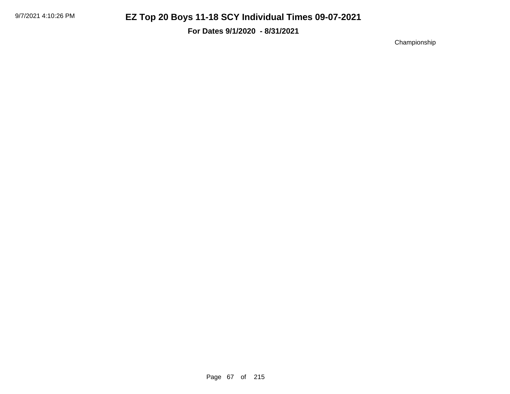**For Dates 9/1/2020 - 8/31/2021**

Championship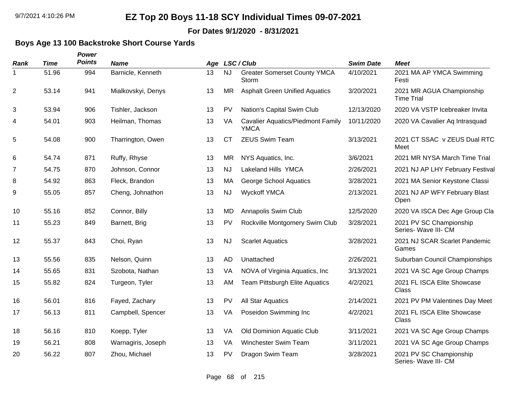**For Dates 9/1/2020 - 8/31/2021**

### **Boys Age 13 100 Backstroke Short Course Yards**

| <b>Rank</b> | <b>Time</b> | Power<br><b>Points</b> | <b>Name</b>        |    |           | Age LSC/Club                                            | <b>Swim Date</b> | <b>Meet</b>                                     |
|-------------|-------------|------------------------|--------------------|----|-----------|---------------------------------------------------------|------------------|-------------------------------------------------|
| 1           | 51.96       | 994                    | Barnicle, Kenneth  | 13 | <b>NJ</b> | <b>Greater Somerset County YMCA</b><br>Storm            | 4/10/2021        | 2021 MA AP YMCA Swimming<br>Festi               |
| 2           | 53.14       | 941                    | Mialkovskyi, Denys | 13 | <b>MR</b> | <b>Asphalt Green Unified Aquatics</b>                   | 3/20/2021        | 2021 MR AGUA Championship<br><b>Time Trial</b>  |
| 3           | 53.94       | 906                    | Tishler, Jackson   | 13 | <b>PV</b> | Nation's Capital Swim Club                              | 12/13/2020       | 2020 VA VSTP Icebreaker Invita                  |
| 4           | 54.01       | 903                    | Heilman, Thomas    | 13 | <b>VA</b> | <b>Cavalier Aquatics/Piedmont Family</b><br><b>YMCA</b> | 10/11/2020       | 2020 VA Cavalier Aq Intrasquad                  |
| 5           | 54.08       | 900                    | Tharrington, Owen  | 13 | <b>CT</b> | <b>ZEUS Swim Team</b>                                   | 3/13/2021        | 2021 CT SSAC v ZEUS Dual RTC<br>Meet            |
| 6           | 54.74       | 871                    | Ruffy, Rhyse       | 13 | <b>MR</b> | NYS Aquatics, Inc.                                      | 3/6/2021         | 2021 MR NYSA March Time Trial                   |
| 7           | 54.75       | 870                    | Johnson, Connor    | 13 | <b>NJ</b> | Lakeland Hills YMCA                                     | 2/26/2021        | 2021 NJ AP LHY February Festival                |
| 8           | 54.92       | 863                    | Fleck, Brandon     | 13 | MA        | George School Aquatics                                  | 3/28/2021        | 2021 MA Senior Keystone Classi                  |
| 9           | 55.05       | 857                    | Cheng, Johnathon   | 13 | <b>NJ</b> | <b>Wyckoff YMCA</b>                                     | 2/13/2021        | 2021 NJ AP WFY February Blast<br>Open           |
| 10          | 55.16       | 852                    | Connor, Billy      | 13 | <b>MD</b> | Annapolis Swim Club                                     | 12/5/2020        | 2020 VA ISCA Dec Age Group Cla                  |
| 11          | 55.23       | 849                    | Barnett, Brig      | 13 | <b>PV</b> | Rockville Montgomery Swim Club                          | 3/28/2021        | 2021 PV SC Championship<br>Series- Wave III- CM |
| 12          | 55.37       | 843                    | Choi, Ryan         | 13 | <b>NJ</b> | <b>Scarlet Aquatics</b>                                 | 3/28/2021        | 2021 NJ SCAR Scarlet Pandemic<br>Games          |
| 13          | 55.56       | 835                    | Nelson, Quinn      | 13 | <b>AD</b> | Unattached                                              | 2/26/2021        | Suburban Council Championships                  |
| 14          | 55.65       | 831                    | Szobota, Nathan    | 13 | VA        | NOVA of Virginia Aquatics, Inc.                         | 3/13/2021        | 2021 VA SC Age Group Champs                     |
| 15          | 55.82       | 824                    | Turgeon, Tyler     | 13 | AM        | <b>Team Pittsburgh Elite Aquatics</b>                   | 4/2/2021         | 2021 FL ISCA Elite Showcase<br>Class            |
| 16          | 56.01       | 816                    | Fayed, Zachary     | 13 | <b>PV</b> | All Star Aquatics                                       | 2/14/2021        | 2021 PV PM Valentines Day Meet                  |
| 17          | 56.13       | 811                    | Campbell, Spencer  | 13 | VA        | Poseidon Swimming Inc                                   | 4/2/2021         | 2021 FL ISCA Elite Showcase<br>Class            |
| 18          | 56.16       | 810                    | Koepp, Tyler       | 13 | VA        | Old Dominion Aquatic Club                               | 3/11/2021        | 2021 VA SC Age Group Champs                     |
| 19          | 56.21       | 808                    | Warnagiris, Joseph | 13 | VA        | Winchester Swim Team                                    | 3/11/2021        | 2021 VA SC Age Group Champs                     |
| 20          | 56.22       | 807                    | Zhou, Michael      | 13 | <b>PV</b> | Dragon Swim Team                                        | 3/28/2021        | 2021 PV SC Championship<br>Series- Wave III- CM |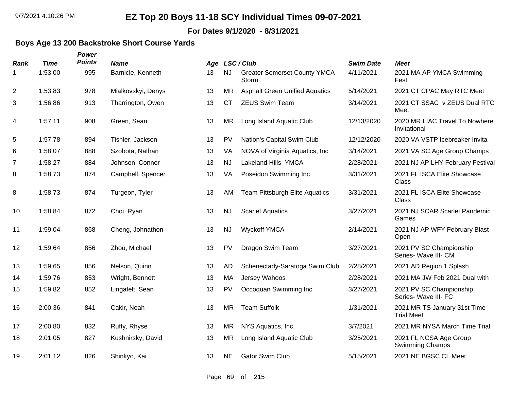**For Dates 9/1/2020 - 8/31/2021**

#### **Boys Age 13 200 Backstroke Short Course Yards**

| <b>Rank</b> | <b>Time</b> | Power<br><b>Points</b> | <b>Name</b>        |    |           | Age LSC/Club                                 | <b>Swim Date</b> | <b>Meet</b>                                       |
|-------------|-------------|------------------------|--------------------|----|-----------|----------------------------------------------|------------------|---------------------------------------------------|
| 1           | 1:53.00     | 995                    | Barnicle, Kenneth  | 13 | <b>NJ</b> | <b>Greater Somerset County YMCA</b><br>Storm | 4/11/2021        | 2021 MA AP YMCA Swimming<br>Festi                 |
| 2           | 1:53.83     | 978                    | Mialkovskyi, Denys | 13 | <b>MR</b> | <b>Asphalt Green Unified Aquatics</b>        | 5/14/2021        | 2021 CT CPAC May RTC Meet                         |
| 3           | 1:56.86     | 913                    | Tharrington, Owen  | 13 | <b>CT</b> | <b>ZEUS Swim Team</b>                        | 3/14/2021        | 2021 CT SSAC v ZEUS Dual RTC<br>Meet              |
| 4           | 1:57.11     | 908                    | Green, Sean        | 13 | <b>MR</b> | Long Island Aquatic Club                     | 12/13/2020       | 2020 MR LIAC Travel To Nowhere<br>Invitational    |
| 5           | 1:57.78     | 894                    | Tishler, Jackson   | 13 | PV        | Nation's Capital Swim Club                   | 12/12/2020       | 2020 VA VSTP Icebreaker Invita                    |
| 6           | 1:58.07     | 888                    | Szobota, Nathan    | 13 | VA        | NOVA of Virginia Aquatics, Inc.              | 3/14/2021        | 2021 VA SC Age Group Champs                       |
| 7           | 1:58.27     | 884                    | Johnson, Connor    | 13 | <b>NJ</b> | Lakeland Hills YMCA                          | 2/28/2021        | 2021 NJ AP LHY February Festival                  |
| 8           | 1:58.73     | 874                    | Campbell, Spencer  | 13 | VA        | Poseidon Swimming Inc                        | 3/31/2021        | 2021 FL ISCA Elite Showcase<br>Class              |
| 8           | 1:58.73     | 874                    | Turgeon, Tyler     | 13 | <b>AM</b> | <b>Team Pittsburgh Elite Aquatics</b>        | 3/31/2021        | 2021 FL ISCA Elite Showcase<br>Class              |
| 10          | 1:58.84     | 872                    | Choi, Ryan         | 13 | <b>NJ</b> | <b>Scarlet Aquatics</b>                      | 3/27/2021        | 2021 NJ SCAR Scarlet Pandemic<br>Games            |
| 11          | 1:59.04     | 868                    | Cheng, Johnathon   | 13 | <b>NJ</b> | <b>Wyckoff YMCA</b>                          | 2/14/2021        | 2021 NJ AP WFY February Blast<br>Open             |
| 12          | 1:59.64     | 856                    | Zhou, Michael      | 13 | PV        | Dragon Swim Team                             | 3/27/2021        | 2021 PV SC Championship<br>Series- Wave III- CM   |
| 13          | 1:59.65     | 856                    | Nelson, Quinn      | 13 | <b>AD</b> | Schenectady-Saratoga Swim Club               | 2/28/2021        | 2021 AD Region 1 Splash                           |
| 14          | 1:59.76     | 853                    | Wright, Bennett    | 13 | MA        | Jersey Wahoos                                | 2/28/2021        | 2021 MA JW Feb 2021 Dual with                     |
| 15          | 1:59.82     | 852                    | Lingafelt, Sean    | 13 | PV        | Occoquan Swimming Inc                        | 3/27/2021        | 2021 PV SC Championship<br>Series- Wave III- FC   |
| 16          | 2:00.36     | 841                    | Cakir, Noah        | 13 | <b>MR</b> | <b>Team Suffolk</b>                          | 1/31/2021        | 2021 MR TS January 31st Time<br><b>Trial Meet</b> |
| 17          | 2:00.80     | 832                    | Ruffy, Rhyse       | 13 | <b>MR</b> | NYS Aquatics, Inc.                           | 3/7/2021         | 2021 MR NYSA March Time Trial                     |
| 18          | 2:01.05     | 827                    | Kushnirsky, David  | 13 | <b>MR</b> | Long Island Aquatic Club                     | 3/25/2021        | 2021 FL NCSA Age Group<br>Swimming Champs         |
| 19          | 2:01.12     | 826                    | Shinkyo, Kai       | 13 | <b>NE</b> | <b>Gator Swim Club</b>                       | 5/15/2021        | 2021 NE BGSC CL Meet                              |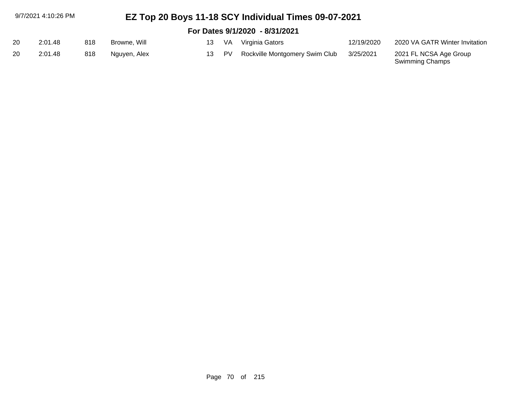| 9/7/2021 4:10:26 PM |                                |     |              | EZ Top 20 Boys 11-18 SCY Individual Times 09-07-2021 |           |                                |            |                                |  |  |  |
|---------------------|--------------------------------|-----|--------------|------------------------------------------------------|-----------|--------------------------------|------------|--------------------------------|--|--|--|
|                     | For Dates 9/1/2020 - 8/31/2021 |     |              |                                                      |           |                                |            |                                |  |  |  |
| 20                  | 2:01.48                        | 818 | Browne, Will |                                                      |           | 13 VA Virginia Gators          | 12/19/2020 | 2020 VA GATR Winter Invitation |  |  |  |
| 20                  | 2:01.48                        | 818 | Nguyen, Alex | 13                                                   | <b>PV</b> | Rockville Montgomery Swim Club | 3/25/2021  | 2021 FL NCSA Age Group         |  |  |  |

Swimming Champs

Page 70 of 215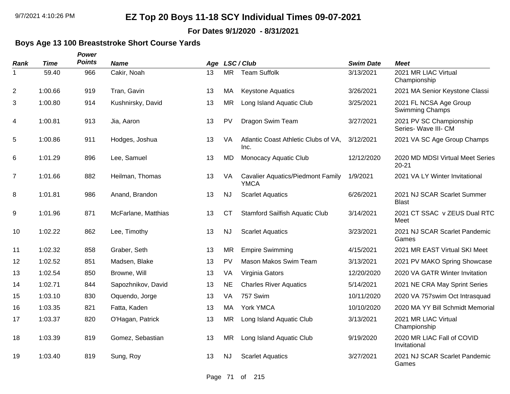**For Dates 9/1/2020 - 8/31/2021**

### **Boys Age 13 100 Breaststroke Short Course Yards**

| Rank           | <b>Time</b> | Power<br><b>Points</b> | <b>Name</b>         | Age |           | LSC / Club                                              | <b>Swim Date</b> | <b>Meet</b>                                     |
|----------------|-------------|------------------------|---------------------|-----|-----------|---------------------------------------------------------|------------------|-------------------------------------------------|
| 1              | 59.40       | 966                    | Cakir, Noah         | 13  | <b>MR</b> | <b>Team Suffolk</b>                                     | 3/13/2021        | 2021 MR LIAC Virtual<br>Championship            |
| $\overline{c}$ | 1:00.66     | 919                    | Tran, Gavin         | 13  | МA        | <b>Keystone Aquatics</b>                                | 3/26/2021        | 2021 MA Senior Keystone Classi                  |
| 3              | 1:00.80     | 914                    | Kushnirsky, David   | 13  | <b>MR</b> | Long Island Aquatic Club                                | 3/25/2021        | 2021 FL NCSA Age Group<br>Swimming Champs       |
| 4              | 1:00.81     | 913                    | Jia, Aaron          | 13  | PV        | Dragon Swim Team                                        | 3/27/2021        | 2021 PV SC Championship<br>Series- Wave III- CM |
| 5              | 1:00.86     | 911                    | Hodges, Joshua      | 13  | VA        | Atlantic Coast Athletic Clubs of VA,<br>Inc.            | 3/12/2021        | 2021 VA SC Age Group Champs                     |
| 6              | 1:01.29     | 896                    | Lee, Samuel         | 13  | <b>MD</b> | Monocacy Aquatic Club                                   | 12/12/2020       | 2020 MD MDSI Virtual Meet Series<br>$20 - 21$   |
| $\overline{7}$ | 1:01.66     | 882                    | Heilman, Thomas     | 13  | VA        | <b>Cavalier Aquatics/Piedmont Family</b><br><b>YMCA</b> | 1/9/2021         | 2021 VA LY Winter Invitational                  |
| 8              | 1:01.81     | 986                    | Anand, Brandon      | 13  | <b>NJ</b> | <b>Scarlet Aquatics</b>                                 | 6/26/2021        | 2021 NJ SCAR Scarlet Summer<br><b>Blast</b>     |
| 9              | 1:01.96     | 871                    | McFarlane, Matthias | 13  | <b>CT</b> | <b>Stamford Sailfish Aquatic Club</b>                   | 3/14/2021        | 2021 CT SSAC v ZEUS Dual RTC<br>Meet            |
| 10             | 1:02.22     | 862                    | Lee, Timothy        | 13  | <b>NJ</b> | <b>Scarlet Aquatics</b>                                 | 3/23/2021        | 2021 NJ SCAR Scarlet Pandemic<br>Games          |
| 11             | 1:02.32     | 858                    | Graber, Seth        | 13  | <b>MR</b> | <b>Empire Swimming</b>                                  | 4/15/2021        | 2021 MR EAST Virtual SKI Meet                   |
| 12             | 1:02.52     | 851                    | Madsen, Blake       | 13  | PV        | Mason Makos Swim Team                                   | 3/13/2021        | 2021 PV MAKO Spring Showcase                    |
| 13             | 1:02.54     | 850                    | Browne, Will        | 13  | VA        | Virginia Gators                                         | 12/20/2020       | 2020 VA GATR Winter Invitation                  |
| 14             | 1:02.71     | 844                    | Sapozhnikov, David  | 13  | <b>NE</b> | <b>Charles River Aquatics</b>                           | 5/14/2021        | 2021 NE CRA May Sprint Series                   |
| 15             | 1:03.10     | 830                    | Oquendo, Jorge      | 13  | VA        | 757 Swim                                                | 10/11/2020       | 2020 VA 757swim Oct Intrasquad                  |
| 16             | 1:03.35     | 821                    | Fatta, Kaden        | 13  | MA        | York YMCA                                               | 10/10/2020       | 2020 MA YY Bill Schmidt Memorial                |
| 17             | 1:03.37     | 820                    | O'Hagan, Patrick    | 13  | <b>MR</b> | Long Island Aquatic Club                                | 3/13/2021        | 2021 MR LIAC Virtual<br>Championship            |
| 18             | 1:03.39     | 819                    | Gomez, Sebastian    | 13  | <b>MR</b> | Long Island Aquatic Club                                | 9/19/2020        | 2020 MR LIAC Fall of COVID<br>Invitational      |
| 19             | 1:03.40     | 819                    | Sung, Roy           | 13  | <b>NJ</b> | <b>Scarlet Aquatics</b>                                 | 3/27/2021        | 2021 NJ SCAR Scarlet Pandemic<br>Games          |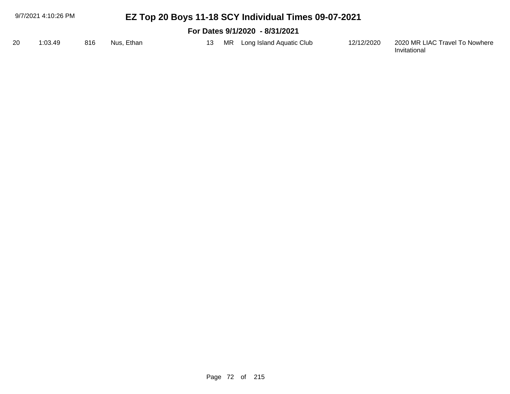|    | 9/7/2021 4:10:26 PM            |     | EZ Top 20 Boys 11-18 SCY Individual Times 09-07-2021 |    |  |                             |            |                                                |  |  |
|----|--------------------------------|-----|------------------------------------------------------|----|--|-----------------------------|------------|------------------------------------------------|--|--|
|    | For Dates 9/1/2020 - 8/31/2021 |     |                                                      |    |  |                             |            |                                                |  |  |
| 20 | 1:03.49                        | 816 | Nus. Ethan                                           | 13 |  | MR Long Island Aquatic Club | 12/12/2020 | 2020 MR LIAC Travel To Nowhere<br>Invitational |  |  |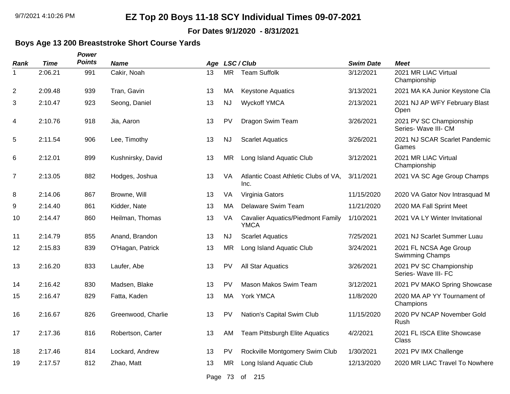#### **For Dates 9/1/2020 - 8/31/2021**

### **Boys Age 13 200 Breaststroke Short Course Yards**

*Power*

| Rank           | <b>Time</b> | <b>Points</b> | <b>Name</b>        | Age    |           | LSC / Club                                              | <b>Swim Date</b> | <b>Meet</b>                                      |
|----------------|-------------|---------------|--------------------|--------|-----------|---------------------------------------------------------|------------------|--------------------------------------------------|
| 1              | 2:06.21     | 991           | Cakir, Noah        | 13     | <b>MR</b> | <b>Team Suffolk</b>                                     | 3/12/2021        | 2021 MR LIAC Virtual<br>Championship             |
| $\overline{2}$ | 2:09.48     | 939           | Tran, Gavin        | 13     | MA        | <b>Keystone Aquatics</b>                                | 3/13/2021        | 2021 MA KA Junior Keystone Cla                   |
| 3              | 2:10.47     | 923           | Seong, Daniel      | 13     | <b>NJ</b> | <b>Wyckoff YMCA</b>                                     | 2/13/2021        | 2021 NJ AP WFY February Blast<br>Open            |
| 4              | 2:10.76     | 918           | Jia, Aaron         | 13     | PV        | Dragon Swim Team                                        | 3/26/2021        | 2021 PV SC Championship<br>Series- Wave III- CM  |
| 5              | 2:11.54     | 906           | Lee, Timothy       | 13     | <b>NJ</b> | <b>Scarlet Aquatics</b>                                 | 3/26/2021        | 2021 NJ SCAR Scarlet Pandemic<br>Games           |
| 6              | 2:12.01     | 899           | Kushnirsky, David  | 13     | <b>MR</b> | Long Island Aquatic Club                                | 3/12/2021        | 2021 MR LIAC Virtual<br>Championship             |
| $\overline{7}$ | 2:13.05     | 882           | Hodges, Joshua     | 13     | VA        | Atlantic Coast Athletic Clubs of VA,<br>Inc.            | 3/11/2021        | 2021 VA SC Age Group Champs                      |
| 8              | 2:14.06     | 867           | Browne, Will       | 13     | VA        | Virginia Gators                                         | 11/15/2020       | 2020 VA Gator Nov Intrasquad M                   |
| 9              | 2:14.40     | 861           | Kidder, Nate       | 13     | MA        | Delaware Swim Team                                      | 11/21/2020       | 2020 MA Fall Sprint Meet                         |
| 10             | 2:14.47     | 860           | Heilman, Thomas    | 13     | VA        | <b>Cavalier Aquatics/Piedmont Family</b><br><b>YMCA</b> | 1/10/2021        | 2021 VA LY Winter Invitational                   |
| 11             | 2:14.79     | 855           | Anand, Brandon     | 13     | <b>NJ</b> | <b>Scarlet Aquatics</b>                                 | 7/25/2021        | 2021 NJ Scarlet Summer Luau                      |
| 12             | 2:15.83     | 839           | O'Hagan, Patrick   | 13     | <b>MR</b> | Long Island Aquatic Club                                | 3/24/2021        | 2021 FL NCSA Age Group<br><b>Swimming Champs</b> |
| 13             | 2:16.20     | 833           | Laufer, Abe        | 13     | PV        | All Star Aquatics                                       | 3/26/2021        | 2021 PV SC Championship<br>Series- Wave III- FC  |
| 14             | 2:16.42     | 830           | Madsen, Blake      | 13     | PV        | Mason Makos Swim Team                                   | 3/12/2021        | 2021 PV MAKO Spring Showcase                     |
| 15             | 2:16.47     | 829           | Fatta, Kaden       | 13     | <b>MA</b> | York YMCA                                               | 11/8/2020        | 2020 MA AP YY Tournament of<br>Champions         |
| 16             | 2:16.67     | 826           | Greenwood, Charlie | 13     | <b>PV</b> | Nation's Capital Swim Club                              | 11/15/2020       | 2020 PV NCAP November Gold<br>Rush               |
| 17             | 2:17.36     | 816           | Robertson, Carter  | 13     | AM        | <b>Team Pittsburgh Elite Aquatics</b>                   | 4/2/2021         | 2021 FL ISCA Elite Showcase<br>Class             |
| 18             | 2:17.46     | 814           | Lockard, Andrew    | 13     | <b>PV</b> | Rockville Montgomery Swim Club                          | 1/30/2021        | 2021 PV IMX Challenge                            |
| 19             | 2:17.57     | 812           | Zhao, Matt         | 13     | <b>MR</b> | Long Island Aquatic Club                                | 12/13/2020       | 2020 MR LIAC Travel To Nowhere                   |
|                |             |               |                    | $\sim$ | $-1$      | $\sim$ $-$                                              |                  |                                                  |

Page 73 of 215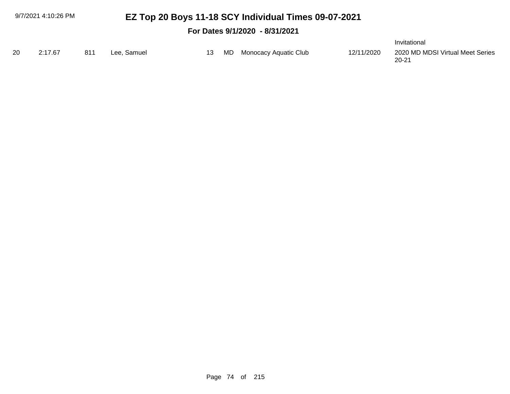#### **For Dates 9/1/2020 - 8/31/2021**

|    |         |     |             |    |                          |            | Invitational                              |
|----|---------|-----|-------------|----|--------------------------|------------|-------------------------------------------|
| 20 | 2:17.67 | 811 | Lee. Samuel | 13 | MD Monocacy Aquatic Club | 12/11/2020 | 2020 MD MDSI Virtual Meet Series<br>20-21 |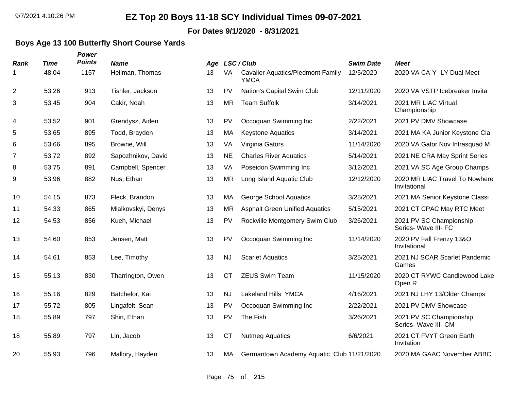**For Dates 9/1/2020 - 8/31/2021**

### **Boys Age 13 100 Butterfly Short Course Yards**

| <b>Rank</b>    | <b>Time</b> | Power<br><b>Points</b> | <b>Name</b>        | Age |           | LSC/Club                                                | <b>Swim Date</b> | <b>Meet</b>                                     |
|----------------|-------------|------------------------|--------------------|-----|-----------|---------------------------------------------------------|------------------|-------------------------------------------------|
| 1              | 48.04       | 1157                   | Heilman, Thomas    | 13  | VA        | <b>Cavalier Aquatics/Piedmont Family</b><br><b>YMCA</b> | 12/5/2020        | 2020 VA CA-Y -LY Dual Meet                      |
| $\overline{2}$ | 53.26       | 913                    | Tishler, Jackson   | 13  | PV        | Nation's Capital Swim Club                              | 12/11/2020       | 2020 VA VSTP Icebreaker Invita                  |
| 3              | 53.45       | 904                    | Cakir, Noah        | 13  | <b>MR</b> | <b>Team Suffolk</b>                                     | 3/14/2021        | 2021 MR LIAC Virtual<br>Championship            |
| 4              | 53.52       | 901                    | Grendysz, Aiden    | 13  | PV        | Occoquan Swimming Inc                                   | 2/22/2021        | 2021 PV DMV Showcase                            |
| 5              | 53.65       | 895                    | Todd, Brayden      | 13  | MA        | <b>Keystone Aquatics</b>                                | 3/14/2021        | 2021 MA KA Junior Keystone Cla                  |
| 6              | 53.66       | 895                    | Browne, Will       | 13  | VA        | Virginia Gators                                         | 11/14/2020       | 2020 VA Gator Nov Intrasquad M                  |
| 7              | 53.72       | 892                    | Sapozhnikov, David | 13  | <b>NE</b> | <b>Charles River Aquatics</b>                           | 5/14/2021        | 2021 NE CRA May Sprint Series                   |
| 8              | 53.75       | 891                    | Campbell, Spencer  | 13  | VA        | Poseidon Swimming Inc                                   | 3/12/2021        | 2021 VA SC Age Group Champs                     |
| 9              | 53.96       | 882                    | Nus, Ethan         | 13  | <b>MR</b> | Long Island Aquatic Club                                | 12/12/2020       | 2020 MR LIAC Travel To Nowhere<br>Invitational  |
| 10             | 54.15       | 873                    | Fleck, Brandon     | 13  | MA        | <b>George School Aquatics</b>                           | 3/28/2021        | 2021 MA Senior Keystone Classi                  |
| 11             | 54.33       | 865                    | Mialkovskyi, Denys | 13  | <b>MR</b> | <b>Asphalt Green Unified Aquatics</b>                   | 5/15/2021        | 2021 CT CPAC May RTC Meet                       |
| 12             | 54.53       | 856                    | Kueh, Michael      | 13  | <b>PV</b> | Rockville Montgomery Swim Club                          | 3/26/2021        | 2021 PV SC Championship<br>Series- Wave III- FC |
| 13             | 54.60       | 853                    | Jensen, Matt       | 13  | PV        | Occoquan Swimming Inc                                   | 11/14/2020       | 2020 PV Fall Frenzy 13&O<br>Invitational        |
| 14             | 54.61       | 853                    | Lee, Timothy       | 13  | <b>NJ</b> | <b>Scarlet Aquatics</b>                                 | 3/25/2021        | 2021 NJ SCAR Scarlet Pandemic<br>Games          |
| 15             | 55.13       | 830                    | Tharrington, Owen  | 13  | <b>CT</b> | <b>ZEUS Swim Team</b>                                   | 11/15/2020       | 2020 CT RYWC Candlewood Lake<br>Open R          |
| 16             | 55.16       | 829                    | Batchelor, Kai     | 13  | <b>NJ</b> | Lakeland Hills YMCA                                     | 4/16/2021        | 2021 NJ LHY 13/Older Champs                     |
| 17             | 55.72       | 805                    | Lingafelt, Sean    | 13  | <b>PV</b> | Occoquan Swimming Inc                                   | 2/22/2021        | 2021 PV DMV Showcase                            |
| 18             | 55.89       | 797                    | Shin, Ethan        | 13  | PV        | The Fish                                                | 3/26/2021        | 2021 PV SC Championship<br>Series- Wave III- CM |
| 18             | 55.89       | 797                    | Lin, Jacob         | 13  | <b>CT</b> | <b>Nutmeg Aquatics</b>                                  | 6/6/2021         | 2021 CT FVYT Green Earth<br>Invitation          |
| 20             | 55.93       | 796                    | Mallory, Hayden    | 13  | MA        | Germantown Academy Aquatic Club 11/21/2020              |                  | 2020 MA GAAC November ABBC                      |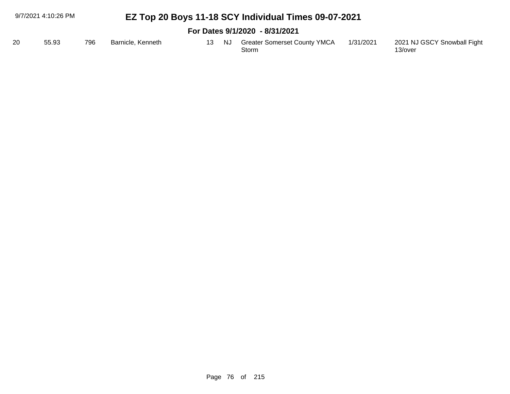| 9/7/2021 4:10:26 PM |       |     |                   |     |     | EZ Top 20 Boys 11-18 SCY Individual Times 09-07-2021 |           |                                        |  |  |  |  |  |
|---------------------|-------|-----|-------------------|-----|-----|------------------------------------------------------|-----------|----------------------------------------|--|--|--|--|--|
|                     |       |     |                   |     |     | For Dates 9/1/2020 - 8/31/2021                       |           |                                        |  |  |  |  |  |
| 20                  | 55.93 | 796 | Barnicle, Kenneth | 13. | NJ. | <b>Greater Somerset County YMCA</b><br>Storm         | 1/31/2021 | 2021 NJ GSCY Snowball Fight<br>13/over |  |  |  |  |  |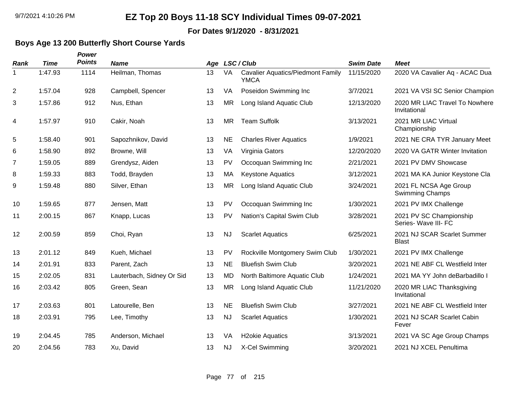**For Dates 9/1/2020 - 8/31/2021**

### **Boys Age 13 200 Butterfly Short Course Yards**

| Rank | <b>Time</b> | Power<br><b>Points</b> | <b>Name</b>               |    |           | Age LSC/Club                                            | <b>Swim Date</b> | <b>Meet</b>                                      |
|------|-------------|------------------------|---------------------------|----|-----------|---------------------------------------------------------|------------------|--------------------------------------------------|
| 1    | 1:47.93     | 1114                   | Heilman, Thomas           | 13 | VA        | <b>Cavalier Aquatics/Piedmont Family</b><br><b>YMCA</b> | 11/15/2020       | 2020 VA Cavalier Aq - ACAC Dua                   |
| 2    | 1:57.04     | 928                    | Campbell, Spencer         | 13 | VA        | Poseidon Swimming Inc                                   | 3/7/2021         | 2021 VA VSI SC Senior Champion                   |
| 3    | 1:57.86     | 912                    | Nus, Ethan                | 13 | <b>MR</b> | Long Island Aquatic Club                                | 12/13/2020       | 2020 MR LIAC Travel To Nowhere<br>Invitational   |
| 4    | 1:57.97     | 910                    | Cakir, Noah               | 13 | <b>MR</b> | <b>Team Suffolk</b>                                     | 3/13/2021        | 2021 MR LIAC Virtual<br>Championship             |
| 5    | 1:58.40     | 901                    | Sapozhnikov, David        | 13 | <b>NE</b> | <b>Charles River Aquatics</b>                           | 1/9/2021         | 2021 NE CRA TYR January Meet                     |
| 6    | 1:58.90     | 892                    | Browne, Will              | 13 | VA        | Virginia Gators                                         | 12/20/2020       | 2020 VA GATR Winter Invitation                   |
| 7    | 1:59.05     | 889                    | Grendysz, Aiden           | 13 | PV        | Occoquan Swimming Inc                                   | 2/21/2021        | 2021 PV DMV Showcase                             |
| 8    | 1:59.33     | 883                    | Todd, Brayden             | 13 | MA        | <b>Keystone Aquatics</b>                                | 3/12/2021        | 2021 MA KA Junior Keystone Cla                   |
| 9    | 1:59.48     | 880                    | Silver, Ethan             | 13 | <b>MR</b> | Long Island Aquatic Club                                | 3/24/2021        | 2021 FL NCSA Age Group<br><b>Swimming Champs</b> |
| 10   | 1:59.65     | 877                    | Jensen, Matt              | 13 | PV        | Occoquan Swimming Inc                                   | 1/30/2021        | 2021 PV IMX Challenge                            |
| 11   | 2:00.15     | 867                    | Knapp, Lucas              | 13 | PV        | Nation's Capital Swim Club                              | 3/28/2021        | 2021 PV SC Championship<br>Series- Wave III- FC  |
| 12   | 2:00.59     | 859                    | Choi, Ryan                | 13 | <b>NJ</b> | <b>Scarlet Aquatics</b>                                 | 6/25/2021        | 2021 NJ SCAR Scarlet Summer<br><b>Blast</b>      |
| 13   | 2:01.12     | 849                    | Kueh, Michael             | 13 | PV        | Rockville Montgomery Swim Club                          | 1/30/2021        | 2021 PV IMX Challenge                            |
| 14   | 2:01.91     | 833                    | Parent, Zach              | 13 | <b>NE</b> | <b>Bluefish Swim Club</b>                               | 3/20/2021        | 2021 NE ABF CL Westfield Inter                   |
| 15   | 2:02.05     | 831                    | Lauterbach, Sidney Or Sid | 13 | MD        | North Baltimore Aquatic Club                            | 1/24/2021        | 2021 MA YY John deBarbadillo I                   |
| 16   | 2:03.42     | 805                    | Green, Sean               | 13 | <b>MR</b> | Long Island Aquatic Club                                | 11/21/2020       | 2020 MR LIAC Thanksgiving<br>Invitational        |
| 17   | 2:03.63     | 801                    | Latourelle, Ben           | 13 | <b>NE</b> | <b>Bluefish Swim Club</b>                               | 3/27/2021        | 2021 NE ABF CL Westfield Inter                   |
| 18   | 2:03.91     | 795                    | Lee, Timothy              | 13 | <b>NJ</b> | <b>Scarlet Aquatics</b>                                 | 1/30/2021        | 2021 NJ SCAR Scarlet Cabin<br>Fever              |
| 19   | 2:04.45     | 785                    | Anderson, Michael         | 13 | VA        | <b>H2okie Aquatics</b>                                  | 3/13/2021        | 2021 VA SC Age Group Champs                      |
| 20   | 2:04.56     | 783                    | Xu, David                 | 13 | <b>NJ</b> | X-Cel Swimming                                          | 3/20/2021        | 2021 NJ XCEL Penultima                           |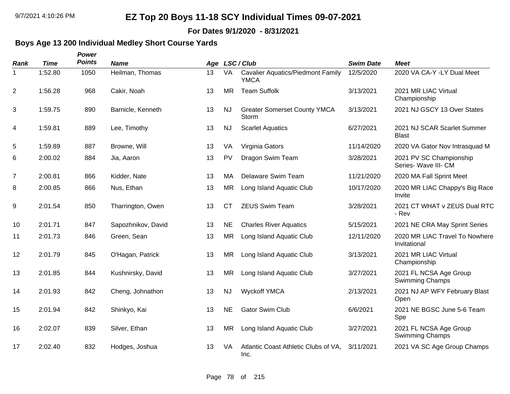**For Dates 9/1/2020 - 8/31/2021**

### **Boys Age 13 200 Individual Medley Short Course Yards**

| <b>Rank</b>    | <b>Time</b> | Power<br><b>Points</b> | <b>Name</b>        |    |           | Age LSC/Club                                            | <b>Swim Date</b> | <b>Meet</b>                                      |
|----------------|-------------|------------------------|--------------------|----|-----------|---------------------------------------------------------|------------------|--------------------------------------------------|
| 1              | 1:52.80     | 1050                   | Heilman, Thomas    | 13 | VA        | <b>Cavalier Aquatics/Piedmont Family</b><br><b>YMCA</b> | 12/5/2020        | 2020 VA CA-Y -LY Dual Meet                       |
| $\overline{2}$ | 1:56.28     | 968                    | Cakir, Noah        | 13 | <b>MR</b> | <b>Team Suffolk</b>                                     | 3/13/2021        | 2021 MR LIAC Virtual<br>Championship             |
| 3              | 1:59.75     | 890                    | Barnicle, Kenneth  | 13 | <b>NJ</b> | <b>Greater Somerset County YMCA</b><br>Storm            | 3/13/2021        | 2021 NJ GSCY 13 Over States                      |
| 4              | 1:59.81     | 889                    | Lee, Timothy       | 13 | <b>NJ</b> | <b>Scarlet Aquatics</b>                                 | 6/27/2021        | 2021 NJ SCAR Scarlet Summer<br><b>Blast</b>      |
| 5              | 1:59.89     | 887                    | Browne, Will       | 13 | VA        | Virginia Gators                                         | 11/14/2020       | 2020 VA Gator Nov Intrasquad M                   |
| 6              | 2:00.02     | 884                    | Jia, Aaron         | 13 | PV        | Dragon Swim Team                                        | 3/28/2021        | 2021 PV SC Championship<br>Series- Wave III- CM  |
| $\overline{7}$ | 2:00.81     | 866                    | Kidder, Nate       | 13 | MA        | Delaware Swim Team                                      | 11/21/2020       | 2020 MA Fall Sprint Meet                         |
| 8              | 2:00.85     | 866                    | Nus, Ethan         | 13 | <b>MR</b> | Long Island Aquatic Club                                | 10/17/2020       | 2020 MR LIAC Chappy's Big Race<br>Invite         |
| 9              | 2:01.54     | 850                    | Tharrington, Owen  | 13 | <b>CT</b> | <b>ZEUS Swim Team</b>                                   | 3/28/2021        | 2021 CT WHAT v ZEUS Dual RTC<br>- Rev            |
| 10             | 2:01.71     | 847                    | Sapozhnikov, David | 13 | <b>NE</b> | <b>Charles River Aquatics</b>                           | 5/15/2021        | 2021 NE CRA May Sprint Series                    |
| 11             | 2:01.73     | 846                    | Green, Sean        | 13 | <b>MR</b> | Long Island Aquatic Club                                | 12/11/2020       | 2020 MR LIAC Travel To Nowhere<br>Invitational   |
| 12             | 2:01.79     | 845                    | O'Hagan, Patrick   | 13 | <b>MR</b> | Long Island Aquatic Club                                | 3/13/2021        | 2021 MR LIAC Virtual<br>Championship             |
| 13             | 2:01.85     | 844                    | Kushnirsky, David  | 13 | <b>MR</b> | Long Island Aquatic Club                                | 3/27/2021        | 2021 FL NCSA Age Group<br><b>Swimming Champs</b> |
| 14             | 2:01.93     | 842                    | Cheng, Johnathon   | 13 | <b>NJ</b> | <b>Wyckoff YMCA</b>                                     | 2/13/2021        | 2021 NJ AP WFY February Blast<br>Open            |
| 15             | 2:01.94     | 842                    | Shinkyo, Kai       | 13 | <b>NE</b> | <b>Gator Swim Club</b>                                  | 6/6/2021         | 2021 NE BGSC June 5-6 Team<br>Spe                |
| 16             | 2:02.07     | 839                    | Silver, Ethan      | 13 | <b>MR</b> | Long Island Aquatic Club                                | 3/27/2021        | 2021 FL NCSA Age Group<br><b>Swimming Champs</b> |
| 17             | 2:02.40     | 832                    | Hodges, Joshua     | 13 | VA        | Atlantic Coast Athletic Clubs of VA,<br>Inc.            | 3/11/2021        | 2021 VA SC Age Group Champs                      |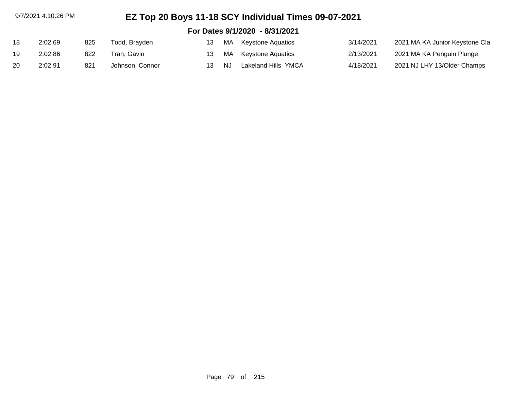|    | 9/7/2021 4:10:26 PM |     | EZ Top 20 Boys 11-18 SCY Individual Times 09-07-2021 |    |     |                                |           |                                |  |  |  |
|----|---------------------|-----|------------------------------------------------------|----|-----|--------------------------------|-----------|--------------------------------|--|--|--|
|    |                     |     |                                                      |    |     | For Dates 9/1/2020 - 8/31/2021 |           |                                |  |  |  |
| 18 | 2:02.69             | 825 | Todd, Brayden                                        | 13 | MA  | <b>Keystone Aquatics</b>       | 3/14/2021 | 2021 MA KA Junior Keystone Cla |  |  |  |
| 19 | 2:02.86             | 822 | Tran, Gavin                                          | 13 | MA. | <b>Keystone Aquatics</b>       | 2/13/2021 | 2021 MA KA Penguin Plunge      |  |  |  |
| 20 | 2:02.91             | 821 | Johnson, Connor                                      | 13 | NJ  | Lakeland Hills YMCA            | 4/18/2021 | 2021 NJ LHY 13/Older Champs    |  |  |  |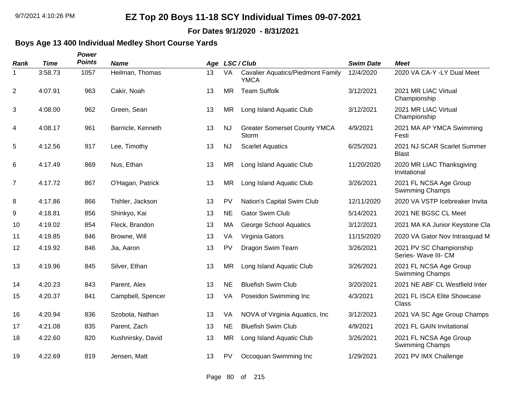**For Dates 9/1/2020 - 8/31/2021**

### **Boys Age 13 400 Individual Medley Short Course Yards**

| <b>Rank</b>    | <b>Time</b> | Power<br><b>Points</b> | <b>Name</b>       |    |           | Age LSC/Club                                            | <b>Swim Date</b> | <b>Meet</b>                                      |
|----------------|-------------|------------------------|-------------------|----|-----------|---------------------------------------------------------|------------------|--------------------------------------------------|
| 1              | 3:58.73     | 1057                   | Heilman, Thomas   | 13 | VA        | <b>Cavalier Aquatics/Piedmont Family</b><br><b>YMCA</b> | 12/4/2020        | 2020 VA CA-Y -LY Dual Meet                       |
| 2              | 4:07.91     | 963                    | Cakir, Noah       | 13 | <b>MR</b> | <b>Team Suffolk</b>                                     | 3/12/2021        | 2021 MR LIAC Virtual<br>Championship             |
| 3              | 4:08.00     | 962                    | Green, Sean       | 13 | <b>MR</b> | Long Island Aquatic Club                                | 3/12/2021        | 2021 MR LIAC Virtual<br>Championship             |
| 4              | 4:08.17     | 961                    | Barnicle, Kenneth | 13 | <b>NJ</b> | <b>Greater Somerset County YMCA</b><br>Storm            | 4/9/2021         | 2021 MA AP YMCA Swimming<br>Festi                |
| 5              | 4:12.56     | 917                    | Lee, Timothy      | 13 | <b>NJ</b> | <b>Scarlet Aquatics</b>                                 | 6/25/2021        | 2021 NJ SCAR Scarlet Summer<br><b>Blast</b>      |
| 6              | 4:17.49     | 869                    | Nus, Ethan        | 13 | <b>MR</b> | Long Island Aquatic Club                                | 11/20/2020       | 2020 MR LIAC Thanksgiving<br>Invitational        |
| $\overline{7}$ | 4:17.72     | 867                    | O'Hagan, Patrick  | 13 | <b>MR</b> | Long Island Aquatic Club                                | 3/26/2021        | 2021 FL NCSA Age Group<br><b>Swimming Champs</b> |
| 8              | 4:17.86     | 866                    | Tishler, Jackson  | 13 | PV        | Nation's Capital Swim Club                              | 12/11/2020       | 2020 VA VSTP Icebreaker Invita                   |
| 9              | 4:18.81     | 856                    | Shinkyo, Kai      | 13 | <b>NE</b> | <b>Gator Swim Club</b>                                  | 5/14/2021        | 2021 NE BGSC CL Meet                             |
| 10             | 4:19.02     | 854                    | Fleck, Brandon    | 13 | МA        | George School Aquatics                                  | 3/12/2021        | 2021 MA KA Junior Keystone Cla                   |
| 11             | 4:19.85     | 846                    | Browne, Will      | 13 | VA        | Virginia Gators                                         | 11/15/2020       | 2020 VA Gator Nov Intrasquad M                   |
| 12             | 4:19.92     | 846                    | Jia, Aaron        | 13 | PV        | Dragon Swim Team                                        | 3/26/2021        | 2021 PV SC Championship<br>Series- Wave III- CM  |
| 13             | 4:19.96     | 845                    | Silver, Ethan     | 13 | <b>MR</b> | Long Island Aquatic Club                                | 3/26/2021        | 2021 FL NCSA Age Group<br>Swimming Champs        |
| 14             | 4:20.23     | 843                    | Parent, Alex      | 13 | <b>NE</b> | <b>Bluefish Swim Club</b>                               | 3/20/2021        | 2021 NE ABF CL Westfield Inter                   |
| 15             | 4:20.37     | 841                    | Campbell, Spencer | 13 | VA        | Poseidon Swimming Inc                                   | 4/3/2021         | 2021 FL ISCA Elite Showcase<br>Class             |
| 16             | 4:20.94     | 836                    | Szobota, Nathan   | 13 | VA        | NOVA of Virginia Aquatics, Inc.                         | 3/12/2021        | 2021 VA SC Age Group Champs                      |
| 17             | 4:21.08     | 835                    | Parent, Zach      | 13 | <b>NE</b> | <b>Bluefish Swim Club</b>                               | 4/9/2021         | 2021 FL GAIN Invitational                        |
| 18             | 4:22.60     | 820                    | Kushnirsky, David | 13 | <b>MR</b> | Long Island Aquatic Club                                | 3/26/2021        | 2021 FL NCSA Age Group<br><b>Swimming Champs</b> |
| 19             | 4:22.69     | 819                    | Jensen, Matt      | 13 | PV        | Occoquan Swimming Inc                                   | 1/29/2021        | 2021 PV IMX Challenge                            |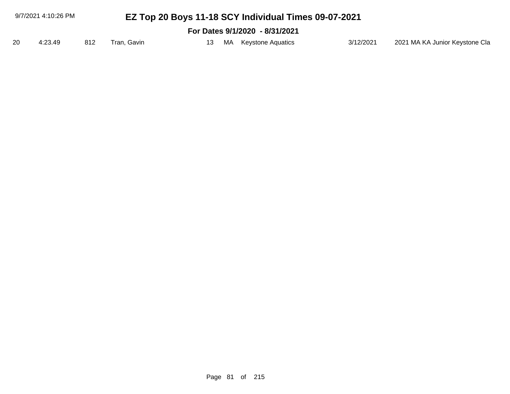|    | 9/7/2021 4:10:26 PM            |     |             |     |  | EZ Top 20 Boys 11-18 SCY Individual Times 09-07-2021 |           |                                |  |  |
|----|--------------------------------|-----|-------------|-----|--|------------------------------------------------------|-----------|--------------------------------|--|--|
|    | For Dates 9/1/2020 - 8/31/2021 |     |             |     |  |                                                      |           |                                |  |  |
| 20 | 4:23.49                        | 812 | Tran. Gavin | 13. |  | MA Keystone Aquatics                                 | 3/12/2021 | 2021 MA KA Junior Keystone Cla |  |  |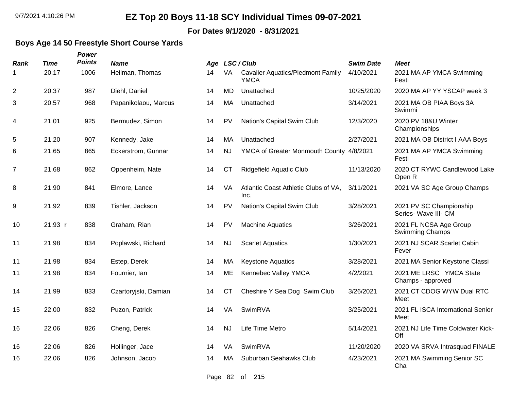**For Dates 9/1/2020 - 8/31/2021**

### **Boys Age 14 50 Freestyle Short Course Yards**

| <b>Rank</b>    | <b>Time</b> | Power<br><b>Points</b> | <b>Name</b>          |    |           | Age LSC/Club                                            | <b>Swim Date</b> | <b>Meet</b>                                      |
|----------------|-------------|------------------------|----------------------|----|-----------|---------------------------------------------------------|------------------|--------------------------------------------------|
| 1              | 20.17       | 1006                   | Heilman, Thomas      | 14 | VA        | <b>Cavalier Aquatics/Piedmont Family</b><br><b>YMCA</b> | 4/10/2021        | 2021 MA AP YMCA Swimming<br>Festi                |
| 2              | 20.37       | 987                    | Diehl, Daniel        | 14 | <b>MD</b> | Unattached                                              | 10/25/2020       | 2020 MA AP YY YSCAP week 3                       |
| 3              | 20.57       | 968                    | Papanikolaou, Marcus | 14 | MA        | Unattached                                              | 3/14/2021        | 2021 MA OB PIAA Boys 3A<br>Swimmi                |
| 4              | 21.01       | 925                    | Bermudez, Simon      | 14 | <b>PV</b> | Nation's Capital Swim Club                              | 12/3/2020        | 2020 PV 18&U Winter<br>Championships             |
| 5              | 21.20       | 907                    | Kennedy, Jake        | 14 | MA        | Unattached                                              | 2/27/2021        | 2021 MA OB District I AAA Boys                   |
| 6              | 21.65       | 865                    | Eckerstrom, Gunnar   | 14 | <b>NJ</b> | YMCA of Greater Monmouth County 4/8/2021                |                  | 2021 MA AP YMCA Swimming<br>Festi                |
| $\overline{7}$ | 21.68       | 862                    | Oppenheim, Nate      | 14 | <b>CT</b> | <b>Ridgefield Aquatic Club</b>                          | 11/13/2020       | 2020 CT RYWC Candlewood Lake<br>Open R           |
| 8              | 21.90       | 841                    | Elmore, Lance        | 14 | VA        | Atlantic Coast Athletic Clubs of VA,<br>Inc.            | 3/11/2021        | 2021 VA SC Age Group Champs                      |
| 9              | 21.92       | 839                    | Tishler, Jackson     | 14 | PV        | Nation's Capital Swim Club                              | 3/28/2021        | 2021 PV SC Championship<br>Series- Wave III- CM  |
| 10             | 21.93 r     | 838                    | Graham, Rian         | 14 | PV        | <b>Machine Aquatics</b>                                 | 3/26/2021        | 2021 FL NCSA Age Group<br><b>Swimming Champs</b> |
| 11             | 21.98       | 834                    | Poplawski, Richard   | 14 | <b>NJ</b> | <b>Scarlet Aquatics</b>                                 | 1/30/2021        | 2021 NJ SCAR Scarlet Cabin<br>Fever              |
| 11             | 21.98       | 834                    | Estep, Derek         | 14 | MA        | <b>Keystone Aquatics</b>                                | 3/28/2021        | 2021 MA Senior Keystone Classi                   |
| 11             | 21.98       | 834                    | Fournier, lan        | 14 | ME        | Kennebec Valley YMCA                                    | 4/2/2021         | 2021 ME LRSC YMCA State<br>Champs - approved     |
| 14             | 21.99       | 833                    | Czartoryjski, Damian | 14 | <b>CT</b> | Cheshire Y Sea Dog Swim Club                            | 3/26/2021        | 2021 CT CDOG WYW Dual RTC<br>Meet                |
| 15             | 22.00       | 832                    | Puzon, Patrick       | 14 | VA        | SwimRVA                                                 | 3/25/2021        | 2021 FL ISCA International Senior<br>Meet        |
| 16             | 22.06       | 826                    | Cheng, Derek         | 14 | <b>NJ</b> | Life Time Metro                                         | 5/14/2021        | 2021 NJ Life Time Coldwater Kick-<br>Off         |
| 16             | 22.06       | 826                    | Hollinger, Jace      | 14 | VA        | SwimRVA                                                 | 11/20/2020       | 2020 VA SRVA Intrasquad FINALE                   |
| 16             | 22.06       | 826                    | Johnson, Jacob       | 14 | MA        | Suburban Seahawks Club                                  | 4/23/2021        | 2021 MA Swimming Senior SC<br>Cha                |

Page 82 of 215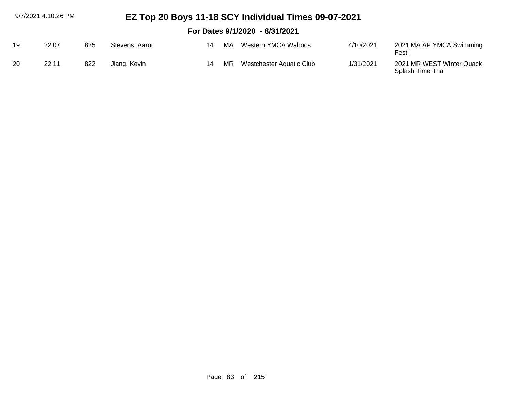| 9/7/2021 4:10:26 PM            |       |     |                |    | EZ Top 20 Boys 11-18 SCY Individual Times 09-07-2021 |                          |           |                                                |  |  |  |
|--------------------------------|-------|-----|----------------|----|------------------------------------------------------|--------------------------|-----------|------------------------------------------------|--|--|--|
| For Dates 9/1/2020 - 8/31/2021 |       |     |                |    |                                                      |                          |           |                                                |  |  |  |
| 19                             | 22.07 | 825 | Stevens, Aaron | 14 | MA                                                   | Western YMCA Wahoos      | 4/10/2021 | 2021 MA AP YMCA Swimming<br>Festi              |  |  |  |
| 20                             | 22.11 | 822 | Jiang, Kevin   | 14 | MR.                                                  | Westchester Aquatic Club | 1/31/2021 | 2021 MR WEST Winter Quack<br>Splash Time Trial |  |  |  |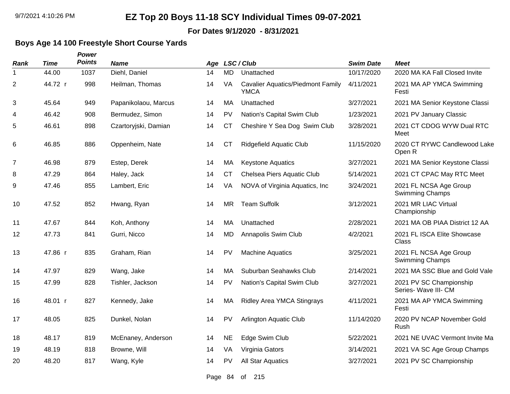#### **For Dates 9/1/2020 - 8/31/2021**

### **Boys Age 14 100 Freestyle Short Course Yards**

| Rank           | Time    | Power<br><b>Points</b> | <b>Name</b>          | Age |           | LSC / Club                                              | <b>Swim Date</b> | <b>Meet</b>                                      |
|----------------|---------|------------------------|----------------------|-----|-----------|---------------------------------------------------------|------------------|--------------------------------------------------|
| 1              | 44.00   | 1037                   | Diehl, Daniel        | 14  | <b>MD</b> | Unattached                                              | 10/17/2020       | 2020 MA KA Fall Closed Invite                    |
| $\overline{2}$ | 44.72 r | 998                    | Heilman, Thomas      | 14  | VA        | <b>Cavalier Aquatics/Piedmont Family</b><br><b>YMCA</b> | 4/11/2021        | 2021 MA AP YMCA Swimming<br>Festi                |
| 3              | 45.64   | 949                    | Papanikolaou, Marcus | 14  | MA        | Unattached                                              | 3/27/2021        | 2021 MA Senior Keystone Classi                   |
| 4              | 46.42   | 908                    | Bermudez, Simon      | 14  | PV        | Nation's Capital Swim Club                              | 1/23/2021        | 2021 PV January Classic                          |
| 5              | 46.61   | 898                    | Czartoryjski, Damian | 14  | <b>CT</b> | Cheshire Y Sea Dog Swim Club                            | 3/28/2021        | 2021 CT CDOG WYW Dual RTC<br>Meet                |
| 6              | 46.85   | 886                    | Oppenheim, Nate      | 14  | <b>CT</b> | <b>Ridgefield Aquatic Club</b>                          | 11/15/2020       | 2020 CT RYWC Candlewood Lake<br>Open R           |
| $\overline{7}$ | 46.98   | 879                    | Estep, Derek         | 14  | MA        | <b>Keystone Aquatics</b>                                | 3/27/2021        | 2021 MA Senior Keystone Classi                   |
| 8              | 47.29   | 864                    | Haley, Jack          | 14  | <b>CT</b> | Chelsea Piers Aquatic Club                              | 5/14/2021        | 2021 CT CPAC May RTC Meet                        |
| 9              | 47.46   | 855                    | Lambert, Eric        | 14  | VA        | NOVA of Virginia Aquatics, Inc                          | 3/24/2021        | 2021 FL NCSA Age Group<br>Swimming Champs        |
| 10             | 47.52   | 852                    | Hwang, Ryan          | 14  | <b>MR</b> | <b>Team Suffolk</b>                                     | 3/12/2021        | 2021 MR LIAC Virtual<br>Championship             |
| 11             | 47.67   | 844                    | Koh, Anthony         | 14  | MA        | Unattached                                              | 2/28/2021        | 2021 MA OB PIAA District 12 AA                   |
| 12             | 47.73   | 841                    | Gurri, Nicco         | 14  | <b>MD</b> | Annapolis Swim Club                                     | 4/2/2021         | 2021 FL ISCA Elite Showcase<br>Class             |
| 13             | 47.86 r | 835                    | Graham, Rian         | 14  | <b>PV</b> | <b>Machine Aquatics</b>                                 | 3/25/2021        | 2021 FL NCSA Age Group<br><b>Swimming Champs</b> |
| 14             | 47.97   | 829                    | Wang, Jake           | 14  | МA        | Suburban Seahawks Club                                  | 2/14/2021        | 2021 MA SSC Blue and Gold Vale                   |
| 15             | 47.99   | 828                    | Tishler, Jackson     | 14  | PV        | Nation's Capital Swim Club                              | 3/27/2021        | 2021 PV SC Championship<br>Series- Wave III- CM  |
| 16             | 48.01 r | 827                    | Kennedy, Jake        | 14  | MA        | <b>Ridley Area YMCA Stingrays</b>                       | 4/11/2021        | 2021 MA AP YMCA Swimming<br>Festi                |
| 17             | 48.05   | 825                    | Dunkel, Nolan        | 14  | <b>PV</b> | Arlington Aquatic Club                                  | 11/14/2020       | 2020 PV NCAP November Gold<br>Rush               |
| 18             | 48.17   | 819                    | McEnaney, Anderson   | 14  | <b>NE</b> | Edge Swim Club                                          | 5/22/2021        | 2021 NE UVAC Vermont Invite Ma                   |
| 19             | 48.19   | 818                    | Browne, Will         | 14  | VA        | Virginia Gators                                         | 3/14/2021        | 2021 VA SC Age Group Champs                      |
| 20             | 48.20   | 817                    | Wang, Kyle           | 14  | PV        | <b>All Star Aquatics</b>                                | 3/27/2021        | 2021 PV SC Championship                          |

Page 84 of 215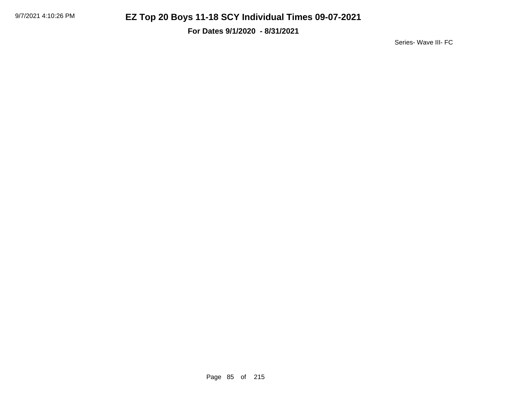**For Dates 9/1/2020 - 8/31/2021**

Series- Wave III- FC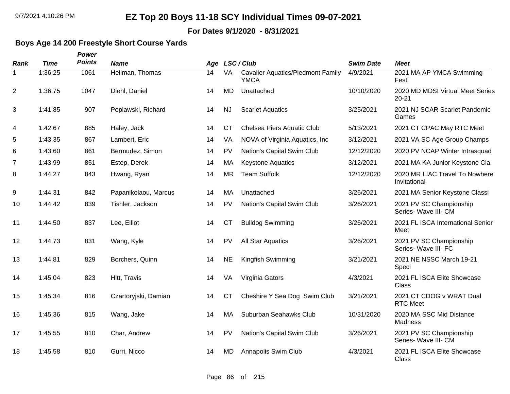**For Dates 9/1/2020 - 8/31/2021**

### **Boys Age 14 200 Freestyle Short Course Yards**

| Rank           | <b>Time</b> | Power<br><b>Points</b> | <b>Name</b>          |    |           | Age LSC/Club                                            | <b>Swim Date</b> | <b>Meet</b>                                     |
|----------------|-------------|------------------------|----------------------|----|-----------|---------------------------------------------------------|------------------|-------------------------------------------------|
| 1              | 1:36.25     | 1061                   | Heilman, Thomas      | 14 | VA        | <b>Cavalier Aquatics/Piedmont Family</b><br><b>YMCA</b> | 4/9/2021         | 2021 MA AP YMCA Swimming<br>Festi               |
| $\overline{c}$ | 1:36.75     | 1047                   | Diehl, Daniel        | 14 | <b>MD</b> | Unattached                                              | 10/10/2020       | 2020 MD MDSI Virtual Meet Series<br>$20 - 21$   |
| 3              | 1:41.85     | 907                    | Poplawski, Richard   | 14 | <b>NJ</b> | <b>Scarlet Aquatics</b>                                 | 3/25/2021        | 2021 NJ SCAR Scarlet Pandemic<br>Games          |
| 4              | 1:42.67     | 885                    | Haley, Jack          | 14 | <b>CT</b> | Chelsea Piers Aquatic Club                              | 5/13/2021        | 2021 CT CPAC May RTC Meet                       |
| 5              | 1:43.35     | 867                    | Lambert, Eric        | 14 | VA        | NOVA of Virginia Aquatics, Inc.                         | 3/12/2021        | 2021 VA SC Age Group Champs                     |
| 6              | 1:43.60     | 861                    | Bermudez, Simon      | 14 | <b>PV</b> | Nation's Capital Swim Club                              | 12/12/2020       | 2020 PV NCAP Winter Intrasquad                  |
| 7              | 1:43.99     | 851                    | Estep, Derek         | 14 | МA        | <b>Keystone Aquatics</b>                                | 3/12/2021        | 2021 MA KA Junior Keystone Cla                  |
| 8              | 1:44.27     | 843                    | Hwang, Ryan          | 14 | <b>MR</b> | <b>Team Suffolk</b>                                     | 12/12/2020       | 2020 MR LIAC Travel To Nowhere<br>Invitational  |
| 9              | 1:44.31     | 842                    | Papanikolaou, Marcus | 14 | МA        | Unattached                                              | 3/26/2021        | 2021 MA Senior Keystone Classi                  |
| 10             | 1:44.42     | 839                    | Tishler, Jackson     | 14 | PV        | Nation's Capital Swim Club                              | 3/26/2021        | 2021 PV SC Championship<br>Series- Wave III- CM |
| 11             | 1:44.50     | 837                    | Lee, Elliot          | 14 | <b>CT</b> | <b>Bulldog Swimming</b>                                 | 3/26/2021        | 2021 FL ISCA International Senior<br>Meet       |
| 12             | 1:44.73     | 831                    | Wang, Kyle           | 14 | <b>PV</b> | All Star Aquatics                                       | 3/26/2021        | 2021 PV SC Championship<br>Series- Wave III- FC |
| 13             | 1:44.81     | 829                    | Borchers, Quinn      | 14 | <b>NE</b> | Kingfish Swimming                                       | 3/21/2021        | 2021 NE NSSC March 19-21<br>Speci               |
| 14             | 1:45.04     | 823                    | Hitt, Travis         | 14 | VA        | Virginia Gators                                         | 4/3/2021         | 2021 FL ISCA Elite Showcase<br>Class            |
| 15             | 1:45.34     | 816                    | Czartoryjski, Damian | 14 | <b>CT</b> | Cheshire Y Sea Dog Swim Club                            | 3/21/2021        | 2021 CT CDOG v WRAT Dual<br><b>RTC Meet</b>     |
| 16             | 1:45.36     | 815                    | Wang, Jake           | 14 | МA        | Suburban Seahawks Club                                  | 10/31/2020       | 2020 MA SSC Mid Distance<br>Madness             |
| 17             | 1:45.55     | 810                    | Char, Andrew         | 14 | <b>PV</b> | Nation's Capital Swim Club                              | 3/26/2021        | 2021 PV SC Championship<br>Series- Wave III- CM |
| 18             | 1:45.58     | 810                    | Gurri, Nicco         | 14 | <b>MD</b> | Annapolis Swim Club                                     | 4/3/2021         | 2021 FL ISCA Elite Showcase<br>Class            |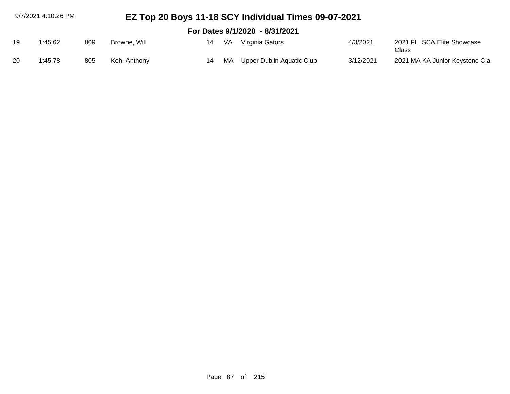|    | 9/7/2021 4:10:26 PM |     | EZ Top 20 Boys 11-18 SCY Individual Times 09-07-2021 |    |    |                                |           |                                      |
|----|---------------------|-----|------------------------------------------------------|----|----|--------------------------------|-----------|--------------------------------------|
|    |                     |     |                                                      |    |    | For Dates 9/1/2020 - 8/31/2021 |           |                                      |
| 19 | 1:45.62             | 809 | Browne, Will                                         | 14 | VA | Virginia Gators                | 4/3/2021  | 2021 FL ISCA Elite Showcase<br>Class |
| 20 | 1:45.78             | 805 | Koh, Anthony                                         | 14 | MA | Upper Dublin Aquatic Club      | 3/12/2021 | 2021 MA KA Junior Keystone Cla       |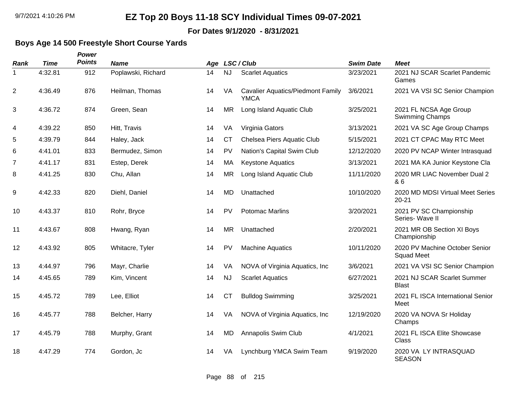**For Dates 9/1/2020 - 8/31/2021**

### **Boys Age 14 500 Freestyle Short Course Yards**

| <b>Rank</b> | <b>Time</b> | Power<br><b>Points</b> | <b>Name</b>        |    |           | Age LSC/Club                                            | <b>Swim Date</b> | <b>Meet</b>                                         |
|-------------|-------------|------------------------|--------------------|----|-----------|---------------------------------------------------------|------------------|-----------------------------------------------------|
| 1           | 4:32.81     | 912                    | Poplawski, Richard | 14 | NJ        | <b>Scarlet Aquatics</b>                                 | 3/23/2021        | 2021 NJ SCAR Scarlet Pandemic<br>Games              |
| 2           | 4:36.49     | 876                    | Heilman, Thomas    | 14 | VA        | <b>Cavalier Aquatics/Piedmont Family</b><br><b>YMCA</b> | 3/6/2021         | 2021 VA VSI SC Senior Champion                      |
| 3           | 4:36.72     | 874                    | Green, Sean        | 14 | <b>MR</b> | Long Island Aquatic Club                                | 3/25/2021        | 2021 FL NCSA Age Group<br><b>Swimming Champs</b>    |
| 4           | 4:39.22     | 850                    | Hitt, Travis       | 14 | VA        | Virginia Gators                                         | 3/13/2021        | 2021 VA SC Age Group Champs                         |
| 5           | 4:39.79     | 844                    | Haley, Jack        | 14 | <b>CT</b> | Chelsea Piers Aquatic Club                              | 5/15/2021        | 2021 CT CPAC May RTC Meet                           |
| 6           | 4:41.01     | 833                    | Bermudez, Simon    | 14 | <b>PV</b> | Nation's Capital Swim Club                              | 12/12/2020       | 2020 PV NCAP Winter Intrasquad                      |
| 7           | 4:41.17     | 831                    | Estep, Derek       | 14 | МA        | <b>Keystone Aquatics</b>                                | 3/13/2021        | 2021 MA KA Junior Keystone Cla                      |
| 8           | 4:41.25     | 830                    | Chu, Allan         | 14 | <b>MR</b> | Long Island Aquatic Club                                | 11/11/2020       | 2020 MR LIAC November Dual 2<br>& 6                 |
| 9           | 4:42.33     | 820                    | Diehl, Daniel      | 14 | <b>MD</b> | Unattached                                              | 10/10/2020       | 2020 MD MDSI Virtual Meet Series<br>$20 - 21$       |
| 10          | 4:43.37     | 810                    | Rohr, Bryce        | 14 | PV        | <b>Potomac Marlins</b>                                  | 3/20/2021        | 2021 PV SC Championship<br>Series- Wave II          |
| 11          | 4:43.67     | 808                    | Hwang, Ryan        | 14 | <b>MR</b> | Unattached                                              | 2/20/2021        | 2021 MR OB Section XI Boys<br>Championship          |
| 12          | 4:43.92     | 805                    | Whitacre, Tyler    | 14 | <b>PV</b> | <b>Machine Aquatics</b>                                 | 10/11/2020       | 2020 PV Machine October Senior<br><b>Squad Meet</b> |
| 13          | 4:44.97     | 796                    | Mayr, Charlie      | 14 | VA        | NOVA of Virginia Aquatics, Inc.                         | 3/6/2021         | 2021 VA VSI SC Senior Champion                      |
| 14          | 4:45.65     | 789                    | Kim, Vincent       | 14 | <b>NJ</b> | <b>Scarlet Aquatics</b>                                 | 6/27/2021        | 2021 NJ SCAR Scarlet Summer<br><b>Blast</b>         |
| 15          | 4:45.72     | 789                    | Lee, Elliot        | 14 | <b>CT</b> | <b>Bulldog Swimming</b>                                 | 3/25/2021        | 2021 FL ISCA International Senior<br>Meet           |
| 16          | 4:45.77     | 788                    | Belcher, Harry     | 14 | VA        | NOVA of Virginia Aquatics, Inc.                         | 12/19/2020       | 2020 VA NOVA Sr Holiday<br>Champs                   |
| 17          | 4:45.79     | 788                    | Murphy, Grant      | 14 | <b>MD</b> | Annapolis Swim Club                                     | 4/1/2021         | 2021 FL ISCA Elite Showcase<br>Class                |
| 18          | 4:47.29     | 774                    | Gordon, Jc         | 14 | <b>VA</b> | Lynchburg YMCA Swim Team                                | 9/19/2020        | 2020 VA LY INTRASQUAD<br><b>SEASON</b>              |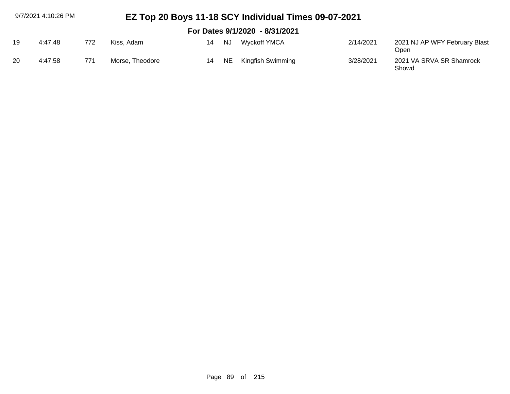| 9/7/2021 4:10:26 PM |         |     |                 | EZ Top 20 Boys 11-18 SCY Individual Times 09-07-2021 |     |                                |           |                                       |  |  |
|---------------------|---------|-----|-----------------|------------------------------------------------------|-----|--------------------------------|-----------|---------------------------------------|--|--|
|                     |         |     |                 |                                                      |     | For Dates 9/1/2020 - 8/31/2021 |           |                                       |  |  |
| 19                  | 4:47.48 | 772 | Kiss. Adam      | 14                                                   | NJ  | Wyckoff YMCA                   | 2/14/2021 | 2021 NJ AP WFY February Blast<br>Open |  |  |
| 20                  | 4:47.58 | 771 | Morse, Theodore | 14                                                   | NE. | Kingfish Swimming              | 3/28/2021 | 2021 VA SRVA SR Shamrock<br>Showd     |  |  |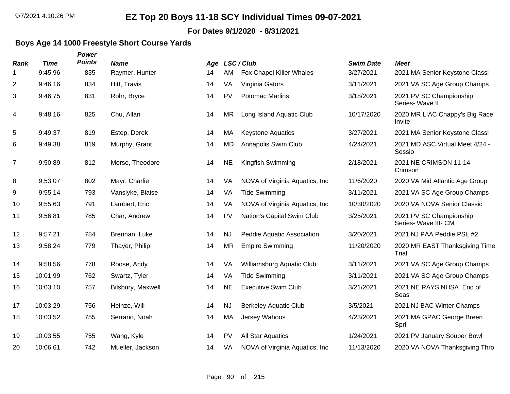#### **For Dates 9/1/2020 - 8/31/2021**

### **Boys Age 14 1000 Freestyle Short Course Yards**

| <b>Rank</b>    | <b>Time</b> | Power<br><b>Points</b> | <b>Name</b>       | Age |           | LSC / Club                      | <b>Swim Date</b> | <b>Meet</b>                                     |
|----------------|-------------|------------------------|-------------------|-----|-----------|---------------------------------|------------------|-------------------------------------------------|
| 1              | 9:45.96     | 835                    | Raymer, Hunter    | 14  | AM        | Fox Chapel Killer Whales        | 3/27/2021        | 2021 MA Senior Keystone Classi                  |
| $\overline{c}$ | 9:46.16     | 834                    | Hitt, Travis      | 14  | VA        | Virginia Gators                 | 3/11/2021        | 2021 VA SC Age Group Champs                     |
| 3              | 9:46.75     | 831                    | Rohr, Bryce       | 14  | <b>PV</b> | <b>Potomac Marlins</b>          | 3/18/2021        | 2021 PV SC Championship<br>Series- Wave II      |
| 4              | 9:48.16     | 825                    | Chu, Allan        | 14  | <b>MR</b> | Long Island Aquatic Club        | 10/17/2020       | 2020 MR LIAC Chappy's Big Race<br>Invite        |
| 5              | 9:49.37     | 819                    | Estep, Derek      | 14  | MA        | <b>Keystone Aquatics</b>        | 3/27/2021        | 2021 MA Senior Keystone Classi                  |
| 6              | 9:49.38     | 819                    | Murphy, Grant     | 14  | <b>MD</b> | Annapolis Swim Club             | 4/24/2021        | 2021 MD ASC Virtual Meet 4/24 -<br>Sessio       |
| $\overline{7}$ | 9:50.89     | 812                    | Morse, Theodore   | 14  | <b>NE</b> | Kingfish Swimming               | 2/18/2021        | 2021 NE CRIMSON 11-14<br>Crimson                |
| 8              | 9:53.07     | 802                    | Mayr, Charlie     | 14  | VA        | NOVA of Virginia Aquatics, Inc. | 11/6/2020        | 2020 VA Mid Atlantic Age Group                  |
| 9              | 9:55.14     | 793                    | Vanslyke, Blaise  | 14  | VA        | <b>Tide Swimming</b>            | 3/11/2021        | 2021 VA SC Age Group Champs                     |
| 10             | 9:55.63     | 791                    | Lambert, Eric     | 14  | VA        | NOVA of Virginia Aquatics, Inc. | 10/30/2020       | 2020 VA NOVA Senior Classic                     |
| 11             | 9:56.81     | 785                    | Char, Andrew      | 14  | PV        | Nation's Capital Swim Club      | 3/25/2021        | 2021 PV SC Championship<br>Series- Wave III- CM |
| 12             | 9:57.21     | 784                    | Brennan, Luke     | 14  | <b>NJ</b> | Peddie Aquatic Association      | 3/20/2021        | 2021 NJ PAA Peddie PSL #2                       |
| 13             | 9:58.24     | 779                    | Thayer, Philip    | 14  | <b>MR</b> | <b>Empire Swimming</b>          | 11/20/2020       | 2020 MR EAST Thanksgiving Time<br>Trial         |
| 14             | 9:58.56     | 778                    | Roose, Andy       | 14  | VA        | Williamsburg Aquatic Club       | 3/11/2021        | 2021 VA SC Age Group Champs                     |
| 15             | 10:01.99    | 762                    | Swartz, Tyler     | 14  | VA        | <b>Tide Swimming</b>            | 3/11/2021        | 2021 VA SC Age Group Champs                     |
| 16             | 10:03.10    | 757                    | Bilsbury, Maxwell | 14  | <b>NE</b> | <b>Executive Swim Club</b>      | 3/21/2021        | 2021 NE RAYS NHSA End of<br>Seas                |
| 17             | 10:03.29    | 756                    | Heinze, Will      | 14  | <b>NJ</b> | <b>Berkeley Aquatic Club</b>    | 3/5/2021         | 2021 NJ BAC Winter Champs                       |
| 18             | 10:03.52    | 755                    | Serrano, Noah     | 14  | MA        | Jersey Wahoos                   | 4/23/2021        | 2021 MA GPAC George Breen<br>Spri               |
| 19             | 10:03.55    | 755                    | Wang, Kyle        | 14  | PV        | <b>All Star Aquatics</b>        | 1/24/2021        | 2021 PV January Souper Bowl                     |
| 20             | 10:06.61    | 742                    | Mueller, Jackson  | 14  | VA        | NOVA of Virginia Aquatics, Inc  | 11/13/2020       | 2020 VA NOVA Thanksgiving Thro                  |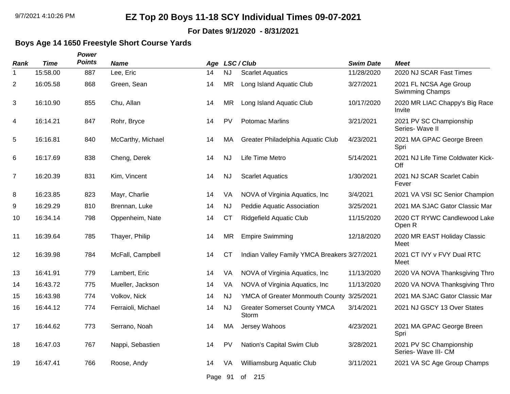**For Dates 9/1/2020 - 8/31/2021**

### **Boys Age 14 1650 Freestyle Short Course Yards**

| <b>Rank</b>    | <b>Time</b> | Power<br><b>Points</b> | <b>Name</b>        | Age     |           | LSC / Club                                   | <b>Swim Date</b> | <b>Meet</b>                                     |
|----------------|-------------|------------------------|--------------------|---------|-----------|----------------------------------------------|------------------|-------------------------------------------------|
| 1              | 15:58.00    | 887                    | Lee, Eric          | 14      | <b>NJ</b> | <b>Scarlet Aquatics</b>                      | 11/28/2020       | 2020 NJ SCAR Fast Times                         |
| $\overline{c}$ | 16:05.58    | 868                    | Green, Sean        | 14      | <b>MR</b> | Long Island Aquatic Club                     | 3/27/2021        | 2021 FL NCSA Age Group<br>Swimming Champs       |
| 3              | 16:10.90    | 855                    | Chu, Allan         | 14      | <b>MR</b> | Long Island Aquatic Club                     | 10/17/2020       | 2020 MR LIAC Chappy's Big Race<br>Invite        |
| 4              | 16:14.21    | 847                    | Rohr, Bryce        | 14      | PV        | <b>Potomac Marlins</b>                       | 3/21/2021        | 2021 PV SC Championship<br>Series- Wave II      |
| 5              | 16:16.81    | 840                    | McCarthy, Michael  | 14      | MA        | Greater Philadelphia Aquatic Club            | 4/23/2021        | 2021 MA GPAC George Breen<br>Spri               |
| 6              | 16:17.69    | 838                    | Cheng, Derek       | 14      | <b>NJ</b> | Life Time Metro                              | 5/14/2021        | 2021 NJ Life Time Coldwater Kick-<br>Off        |
| $\overline{7}$ | 16:20.39    | 831                    | Kim, Vincent       | 14      | <b>NJ</b> | <b>Scarlet Aquatics</b>                      | 1/30/2021        | 2021 NJ SCAR Scarlet Cabin<br>Fever             |
| 8              | 16:23.85    | 823                    | Mayr, Charlie      | 14      | VA        | NOVA of Virginia Aquatics, Inc               | 3/4/2021         | 2021 VA VSI SC Senior Champion                  |
| 9              | 16:29.29    | 810                    | Brennan, Luke      | 14      | <b>NJ</b> | Peddie Aquatic Association                   | 3/25/2021        | 2021 MA SJAC Gator Classic Mar                  |
| 10             | 16:34.14    | 798                    | Oppenheim, Nate    | 14      | <b>CT</b> | <b>Ridgefield Aquatic Club</b>               | 11/15/2020       | 2020 CT RYWC Candlewood Lake<br>Open R          |
| 11             | 16:39.64    | 785                    | Thayer, Philip     | 14      | <b>MR</b> | <b>Empire Swimming</b>                       | 12/18/2020       | 2020 MR EAST Holiday Classic<br>Meet            |
| 12             | 16:39.98    | 784                    | McFall, Campbell   | 14      | <b>CT</b> | Indian Valley Family YMCA Breakers 3/27/2021 |                  | 2021 CT IVY v FVY Dual RTC<br>Meet              |
| 13             | 16:41.91    | 779                    | Lambert, Eric      | 14      | VA        | NOVA of Virginia Aquatics, Inc.              | 11/13/2020       | 2020 VA NOVA Thanksgiving Thro                  |
| 14             | 16:43.72    | 775                    | Mueller, Jackson   | 14      | VA        | NOVA of Virginia Aquatics, Inc.              | 11/13/2020       | 2020 VA NOVA Thanksgiving Thro                  |
| 15             | 16:43.98    | 774                    | Volkov, Nick       | 14      | <b>NJ</b> | YMCA of Greater Monmouth County 3/25/2021    |                  | 2021 MA SJAC Gator Classic Mar                  |
| 16             | 16:44.12    | 774                    | Ferraioli, Michael | 14      | <b>NJ</b> | <b>Greater Somerset County YMCA</b><br>Storm | 3/14/2021        | 2021 NJ GSCY 13 Over States                     |
| 17             | 16:44.62    | 773                    | Serrano, Noah      | 14      | <b>MA</b> | Jersey Wahoos                                | 4/23/2021        | 2021 MA GPAC George Breen<br>Spri               |
| 18             | 16:47.03    | 767                    | Nappi, Sebastien   | 14      | <b>PV</b> | Nation's Capital Swim Club                   | 3/28/2021        | 2021 PV SC Championship<br>Series- Wave III- CM |
| 19             | 16:47.41    | 766                    | Roose, Andy        | 14      | VA        | Williamsburg Aquatic Club                    | 3/11/2021        | 2021 VA SC Age Group Champs                     |
|                |             |                        |                    | Page 91 |           | of<br>215                                    |                  |                                                 |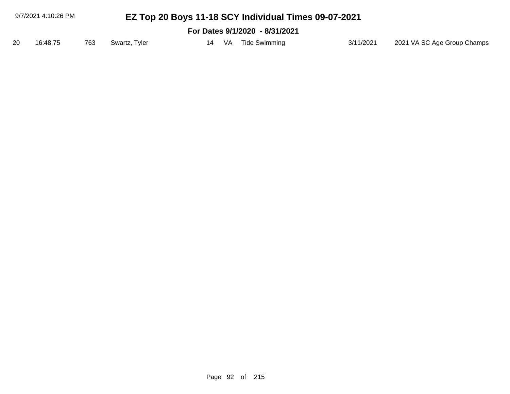| 9/7/2021 4:10:26 PM<br>EZ Top 20 Boys 11-18 SCY Individual Times 09-07-2021 |                                |     |               |  |  |                     |           |                             |  |  |
|-----------------------------------------------------------------------------|--------------------------------|-----|---------------|--|--|---------------------|-----------|-----------------------------|--|--|
|                                                                             | For Dates 9/1/2020 - 8/31/2021 |     |               |  |  |                     |           |                             |  |  |
| 20                                                                          | 16:48.75                       | 763 | Swartz, Tyler |  |  | 14 VA Tide Swimming | 3/11/2021 | 2021 VA SC Age Group Champs |  |  |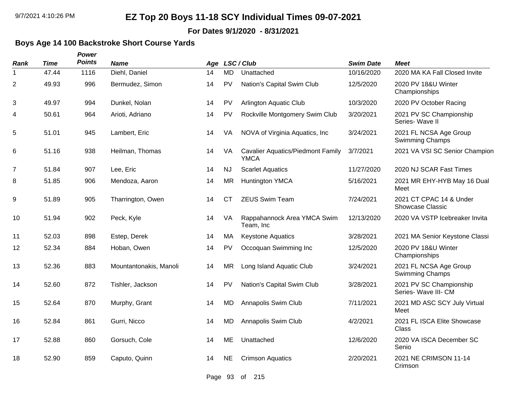**For Dates 9/1/2020 - 8/31/2021**

### **Boys Age 14 100 Backstroke Short Course Yards**

| <b>Rank</b>    | Time  | Power<br><b>Points</b> | <b>Name</b>            |    |           | Age LSC/Club                                            | <b>Swim Date</b> | <b>Meet</b>                                        |
|----------------|-------|------------------------|------------------------|----|-----------|---------------------------------------------------------|------------------|----------------------------------------------------|
| 1              | 47.44 | 1116                   | Diehl, Daniel          | 14 | <b>MD</b> | Unattached                                              | 10/16/2020       | 2020 MA KA Fall Closed Invite                      |
| $\overline{2}$ | 49.93 | 996                    | Bermudez, Simon        | 14 | <b>PV</b> | Nation's Capital Swim Club                              | 12/5/2020        | 2020 PV 18&U Winter<br>Championships               |
| 3              | 49.97 | 994                    | Dunkel, Nolan          | 14 | <b>PV</b> | Arlington Aquatic Club                                  | 10/3/2020        | 2020 PV October Racing                             |
| 4              | 50.61 | 964                    | Arioti, Adriano        | 14 | PV        | Rockville Montgomery Swim Club                          | 3/20/2021        | 2021 PV SC Championship<br>Series- Wave II         |
| 5              | 51.01 | 945                    | Lambert, Eric          | 14 | VA        | NOVA of Virginia Aquatics, Inc                          | 3/24/2021        | 2021 FL NCSA Age Group<br><b>Swimming Champs</b>   |
| 6              | 51.16 | 938                    | Heilman, Thomas        | 14 | VA        | <b>Cavalier Aquatics/Piedmont Family</b><br><b>YMCA</b> | 3/7/2021         | 2021 VA VSI SC Senior Champion                     |
| 7              | 51.84 | 907                    | Lee, Eric              | 14 | <b>NJ</b> | <b>Scarlet Aquatics</b>                                 | 11/27/2020       | 2020 NJ SCAR Fast Times                            |
| 8              | 51.85 | 906                    | Mendoza, Aaron         | 14 | <b>MR</b> | <b>Huntington YMCA</b>                                  | 5/16/2021        | 2021 MR EHY-HYB May 16 Dual<br>Meet                |
| 9              | 51.89 | 905                    | Tharrington, Owen      | 14 | <b>CT</b> | <b>ZEUS Swim Team</b>                                   | 7/24/2021        | 2021 CT CPAC 14 & Under<br><b>Showcase Classic</b> |
| 10             | 51.94 | 902                    | Peck, Kyle             | 14 | VA        | Rappahannock Area YMCA Swim<br>Team, Inc                | 12/13/2020       | 2020 VA VSTP Icebreaker Invita                     |
| 11             | 52.03 | 898                    | Estep, Derek           | 14 | <b>MA</b> | <b>Keystone Aquatics</b>                                | 3/28/2021        | 2021 MA Senior Keystone Classi                     |
| 12             | 52.34 | 884                    | Hoban, Owen            | 14 | PV        | Occoquan Swimming Inc                                   | 12/5/2020        | 2020 PV 18&U Winter<br>Championships               |
| 13             | 52.36 | 883                    | Mountantonakis, Manoli | 14 | <b>MR</b> | Long Island Aquatic Club                                | 3/24/2021        | 2021 FL NCSA Age Group<br>Swimming Champs          |
| 14             | 52.60 | 872                    | Tishler, Jackson       | 14 | PV        | Nation's Capital Swim Club                              | 3/28/2021        | 2021 PV SC Championship<br>Series- Wave III- CM    |
| 15             | 52.64 | 870                    | Murphy, Grant          | 14 | <b>MD</b> | Annapolis Swim Club                                     | 7/11/2021        | 2021 MD ASC SCY July Virtual<br>Meet               |
| 16             | 52.84 | 861                    | Gurri, Nicco           | 14 | <b>MD</b> | Annapolis Swim Club                                     | 4/2/2021         | 2021 FL ISCA Elite Showcase<br>Class               |
| 17             | 52.88 | 860                    | Gorsuch, Cole          | 14 | <b>ME</b> | Unattached                                              | 12/6/2020        | 2020 VA ISCA December SC<br>Senio                  |
| 18             | 52.90 | 859                    | Caputo, Quinn          | 14 | <b>NE</b> | <b>Crimson Aquatics</b>                                 | 2/20/2021        | 2021 NE CRIMSON 11-14<br>Crimson                   |

Page 93 of 215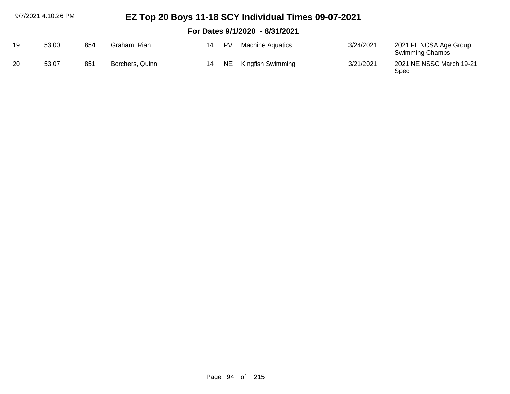| 9/7/2021 4:10:26 PM |       | EZ Top 20 Boys 11-18 SCY Individual Times 09-07-2021 |                 |    |           |                         |           |                                                  |  |  |
|---------------------|-------|------------------------------------------------------|-----------------|----|-----------|-------------------------|-----------|--------------------------------------------------|--|--|
|                     |       |                                                      |                 |    |           |                         |           |                                                  |  |  |
| 19                  | 53.00 | 854                                                  | Graham, Rian    | 14 | <b>PV</b> | <b>Machine Aquatics</b> | 3/24/2021 | 2021 FL NCSA Age Group<br><b>Swimming Champs</b> |  |  |
| 20                  | 53.07 | 851                                                  | Borchers, Quinn | 14 | NE.       | Kingfish Swimming       | 3/21/2021 | 2021 NE NSSC March 19-21<br>Speci                |  |  |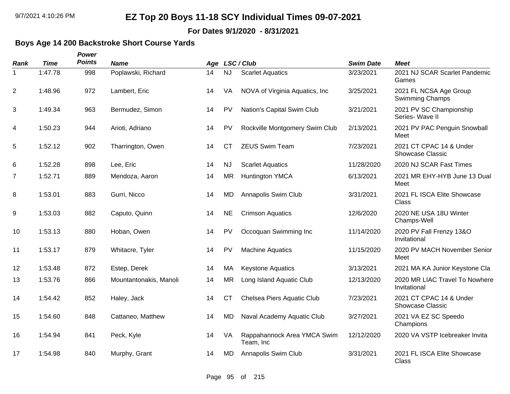**For Dates 9/1/2020 - 8/31/2021**

### **Boys Age 14 200 Backstroke Short Course Yards**

| <b>Rank</b> | <b>Time</b> | Power<br><b>Points</b> | <b>Name</b>            |    |           | Age LSC/Club                             | <b>Swim Date</b> | <b>Meet</b>                                    |
|-------------|-------------|------------------------|------------------------|----|-----------|------------------------------------------|------------------|------------------------------------------------|
| 1           | 1:47.78     | 998                    | Poplawski, Richard     | 14 | <b>NJ</b> | <b>Scarlet Aquatics</b>                  | 3/23/2021        | 2021 NJ SCAR Scarlet Pandemic<br>Games         |
| 2           | 1:48.96     | 972                    | Lambert, Eric          | 14 | VA        | NOVA of Virginia Aquatics, Inc.          | 3/25/2021        | 2021 FL NCSA Age Group<br>Swimming Champs      |
| 3           | 1:49.34     | 963                    | Bermudez, Simon        | 14 | <b>PV</b> | Nation's Capital Swim Club               | 3/21/2021        | 2021 PV SC Championship<br>Series- Wave II     |
| 4           | 1:50.23     | 944                    | Arioti, Adriano        | 14 | <b>PV</b> | Rockville Montgomery Swim Club           | 2/13/2021        | 2021 PV PAC Penguin Snowball<br>Meet           |
| 5           | 1:52.12     | 902                    | Tharrington, Owen      | 14 | <b>CT</b> | <b>ZEUS Swim Team</b>                    | 7/23/2021        | 2021 CT CPAC 14 & Under<br>Showcase Classic    |
| 6           | 1:52.28     | 898                    | Lee, Eric              | 14 | <b>NJ</b> | <b>Scarlet Aquatics</b>                  | 11/28/2020       | 2020 NJ SCAR Fast Times                        |
| 7           | 1:52.71     | 889                    | Mendoza, Aaron         | 14 | <b>MR</b> | Huntington YMCA                          | 6/13/2021        | 2021 MR EHY-HYB June 13 Dual<br>Meet           |
| 8           | 1:53.01     | 883                    | Gurri, Nicco           | 14 | <b>MD</b> | Annapolis Swim Club                      | 3/31/2021        | 2021 FL ISCA Elite Showcase<br>Class           |
| 9           | 1:53.03     | 882                    | Caputo, Quinn          | 14 | <b>NE</b> | <b>Crimson Aquatics</b>                  | 12/6/2020        | 2020 NE USA 18U Winter<br>Champs-Well          |
| 10          | 1:53.13     | 880                    | Hoban, Owen            | 14 | <b>PV</b> | Occoquan Swimming Inc                    | 11/14/2020       | 2020 PV Fall Frenzy 13&O<br>Invitational       |
| 11          | 1:53.17     | 879                    | Whitacre, Tyler        | 14 | <b>PV</b> | <b>Machine Aquatics</b>                  | 11/15/2020       | 2020 PV MACH November Senior<br>Meet           |
| 12          | 1:53.48     | 872                    | Estep, Derek           | 14 | МA        | <b>Keystone Aquatics</b>                 | 3/13/2021        | 2021 MA KA Junior Keystone Cla                 |
| 13          | 1:53.76     | 866                    | Mountantonakis, Manoli | 14 | <b>MR</b> | Long Island Aquatic Club                 | 12/13/2020       | 2020 MR LIAC Travel To Nowhere<br>Invitational |
| 14          | 1:54.42     | 852                    | Haley, Jack            | 14 | <b>CT</b> | Chelsea Piers Aquatic Club               | 7/23/2021        | 2021 CT CPAC 14 & Under<br>Showcase Classic    |
| 15          | 1:54.60     | 848                    | Cattaneo, Matthew      | 14 | <b>MD</b> | Naval Academy Aquatic Club               | 3/27/2021        | 2021 VA EZ SC Speedo<br>Champions              |
| 16          | 1:54.94     | 841                    | Peck, Kyle             | 14 | VA        | Rappahannock Area YMCA Swim<br>Team, Inc | 12/12/2020       | 2020 VA VSTP Icebreaker Invita                 |
| 17          | 1:54.98     | 840                    | Murphy, Grant          | 14 | <b>MD</b> | Annapolis Swim Club                      | 3/31/2021        | 2021 FL ISCA Elite Showcase<br>Class           |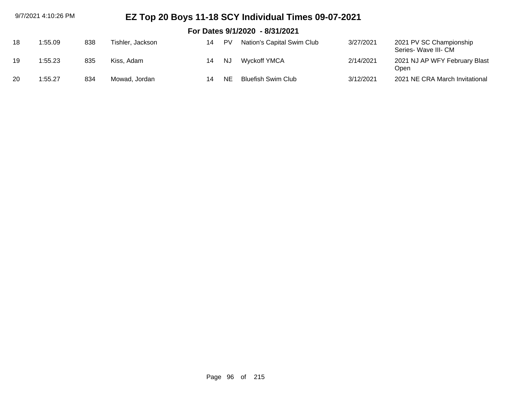| 9/7/2021 4:10:26 PM |         |     |                  | EZ Top 20 Boys 11-18 SCY Individual Times 09-07-2021 |           |                            |           |                                                 |  |  |
|---------------------|---------|-----|------------------|------------------------------------------------------|-----------|----------------------------|-----------|-------------------------------------------------|--|--|
|                     |         |     |                  |                                                      |           |                            |           |                                                 |  |  |
| 18                  | 1:55.09 | 838 | Tishler, Jackson | 14                                                   | PV        | Nation's Capital Swim Club | 3/27/2021 | 2021 PV SC Championship<br>Series- Wave III- CM |  |  |
| 19                  | 1:55.23 | 835 | Kiss, Adam       | 14                                                   | NJ        | <b>Wyckoff YMCA</b>        | 2/14/2021 | 2021 NJ AP WFY February Blast<br>Open           |  |  |
| 20                  | 1:55.27 | 834 | Mowad, Jordan    | 14                                                   | <b>NE</b> | <b>Bluefish Swim Club</b>  | 3/12/2021 | 2021 NE CRA March Invitational                  |  |  |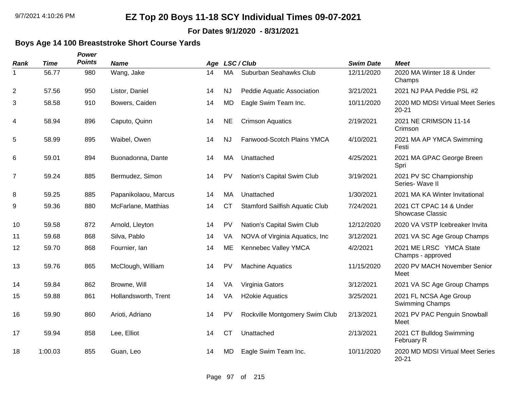**For Dates 9/1/2020 - 8/31/2021**

### **Boys Age 14 100 Breaststroke Short Course Yards**

| <b>Rank</b>    | <b>Time</b> | Power<br><b>Points</b> | <b>Name</b>          |    |           | Age LSC/Club                          | <b>Swim Date</b> | <b>Meet</b>                                        |
|----------------|-------------|------------------------|----------------------|----|-----------|---------------------------------------|------------------|----------------------------------------------------|
| 1              | 56.77       | 980                    | Wang, Jake           | 14 | MA        | Suburban Seahawks Club                | 12/11/2020       | 2020 MA Winter 18 & Under<br>Champs                |
| 2              | 57.56       | 950                    | Listor, Daniel       | 14 | <b>NJ</b> | Peddie Aquatic Association            | 3/21/2021        | 2021 NJ PAA Peddie PSL #2                          |
| 3              | 58.58       | 910                    | Bowers, Caiden       | 14 | <b>MD</b> | Eagle Swim Team Inc.                  | 10/11/2020       | 2020 MD MDSI Virtual Meet Series<br>$20 - 21$      |
| 4              | 58.94       | 896                    | Caputo, Quinn        | 14 | <b>NE</b> | <b>Crimson Aquatics</b>               | 2/19/2021        | 2021 NE CRIMSON 11-14<br>Crimson                   |
| 5              | 58.99       | 895                    | Waibel, Owen         | 14 | <b>NJ</b> | Fanwood-Scotch Plains YMCA            | 4/10/2021        | 2021 MA AP YMCA Swimming<br>Festi                  |
| 6              | 59.01       | 894                    | Buonadonna, Dante    | 14 | MA        | Unattached                            | 4/25/2021        | 2021 MA GPAC George Breen<br>Spri                  |
| $\overline{7}$ | 59.24       | 885                    | Bermudez, Simon      | 14 | <b>PV</b> | Nation's Capital Swim Club            | 3/19/2021        | 2021 PV SC Championship<br>Series- Wave II         |
| 8              | 59.25       | 885                    | Papanikolaou, Marcus | 14 | MA        | Unattached                            | 1/30/2021        | 2021 MA KA Winter Invitational                     |
| 9              | 59.36       | 880                    | McFarlane, Matthias  | 14 | <b>CT</b> | <b>Stamford Sailfish Aquatic Club</b> | 7/24/2021        | 2021 CT CPAC 14 & Under<br><b>Showcase Classic</b> |
| 10             | 59.58       | 872                    | Arnold, Lleyton      | 14 | <b>PV</b> | Nation's Capital Swim Club            | 12/12/2020       | 2020 VA VSTP Icebreaker Invita                     |
| 11             | 59.68       | 868                    | Silva, Pablo         | 14 | VA        | NOVA of Virginia Aquatics, Inc.       | 3/12/2021        | 2021 VA SC Age Group Champs                        |
| 12             | 59.70       | 868                    | Fournier, lan        | 14 | ME        | Kennebec Valley YMCA                  | 4/2/2021         | 2021 ME LRSC YMCA State<br>Champs - approved       |
| 13             | 59.76       | 865                    | McClough, William    | 14 | <b>PV</b> | <b>Machine Aquatics</b>               | 11/15/2020       | 2020 PV MACH November Senior<br>Meet               |
| 14             | 59.84       | 862                    | Browne, Will         | 14 | VA        | Virginia Gators                       | 3/12/2021        | 2021 VA SC Age Group Champs                        |
| 15             | 59.88       | 861                    | Hollandsworth, Trent | 14 | VA        | <b>H2okie Aquatics</b>                | 3/25/2021        | 2021 FL NCSA Age Group<br><b>Swimming Champs</b>   |
| 16             | 59.90       | 860                    | Arioti, Adriano      | 14 | <b>PV</b> | Rockville Montgomery Swim Club        | 2/13/2021        | 2021 PV PAC Penguin Snowball<br>Meet               |
| 17             | 59.94       | 858                    | Lee, Elliot          | 14 | <b>CT</b> | Unattached                            | 2/13/2021        | 2021 CT Bulldog Swimming<br>February R             |
| 18             | 1:00.03     | 855                    | Guan, Leo            | 14 | <b>MD</b> | Eagle Swim Team Inc.                  | 10/11/2020       | 2020 MD MDSI Virtual Meet Series<br>$20 - 21$      |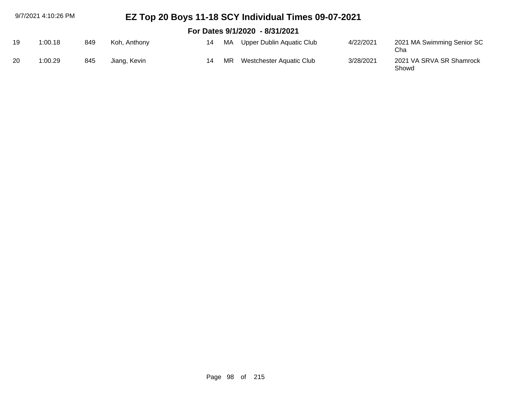| 9/7/2021 4:10:26 PM |         | EZ Top 20 Boys 11-18 SCY Individual Times 09-07-2021 |              |    |     |                                |           |                                   |  |  |  |
|---------------------|---------|------------------------------------------------------|--------------|----|-----|--------------------------------|-----------|-----------------------------------|--|--|--|
|                     |         |                                                      |              |    |     | For Dates 9/1/2020 - 8/31/2021 |           |                                   |  |  |  |
| 19                  | 1:00.18 | 849                                                  | Koh, Anthony | 14 | MA. | Upper Dublin Aquatic Club      | 4/22/2021 | 2021 MA Swimming Senior SC<br>Cha |  |  |  |
| 20                  | 1:00.29 | 845                                                  | Jiang, Kevin | 14 | MR  | Westchester Aquatic Club       | 3/28/2021 | 2021 VA SRVA SR Shamrock<br>Showd |  |  |  |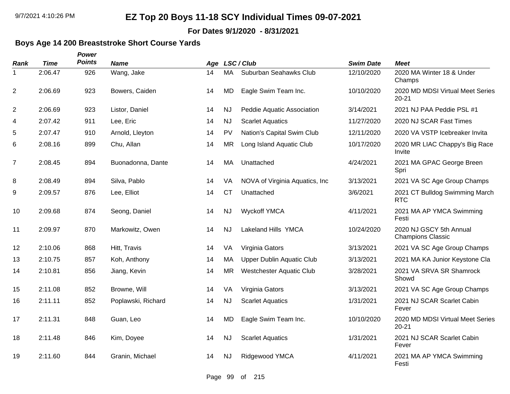**For Dates 9/1/2020 - 8/31/2021**

### **Boys Age 14 200 Breaststroke Short Course Yards**

| <b>Rank</b>    | <b>Time</b> | Power<br><b>Points</b> | <b>Name</b>        | Age |           | LSC / Club                       | <b>Swim Date</b> | <b>Meet</b>                                         |
|----------------|-------------|------------------------|--------------------|-----|-----------|----------------------------------|------------------|-----------------------------------------------------|
| 1              | 2:06.47     | 926                    | Wang, Jake         | 14  | MA        | Suburban Seahawks Club           | 12/10/2020       | 2020 MA Winter 18 & Under<br>Champs                 |
| $\overline{c}$ | 2:06.69     | 923                    | Bowers, Caiden     | 14  | <b>MD</b> | Eagle Swim Team Inc.             | 10/10/2020       | 2020 MD MDSI Virtual Meet Series<br>$20 - 21$       |
| $\overline{c}$ | 2:06.69     | 923                    | Listor, Daniel     | 14  | <b>NJ</b> | Peddie Aquatic Association       | 3/14/2021        | 2021 NJ PAA Peddie PSL #1                           |
| 4              | 2:07.42     | 911                    | Lee, Eric          | 14  | <b>NJ</b> | <b>Scarlet Aquatics</b>          | 11/27/2020       | 2020 NJ SCAR Fast Times                             |
| 5              | 2:07.47     | 910                    | Arnold, Lleyton    | 14  | PV        | Nation's Capital Swim Club       | 12/11/2020       | 2020 VA VSTP Icebreaker Invita                      |
| 6              | 2:08.16     | 899                    | Chu, Allan         | 14  | <b>MR</b> | Long Island Aquatic Club         | 10/17/2020       | 2020 MR LIAC Chappy's Big Race<br>Invite            |
| $\overline{7}$ | 2:08.45     | 894                    | Buonadonna, Dante  | 14  | MA        | Unattached                       | 4/24/2021        | 2021 MA GPAC George Breen<br>Spri                   |
| 8              | 2:08.49     | 894                    | Silva, Pablo       | 14  | VA        | NOVA of Virginia Aquatics, Inc.  | 3/13/2021        | 2021 VA SC Age Group Champs                         |
| 9              | 2:09.57     | 876                    | Lee, Elliot        | 14  | <b>CT</b> | Unattached                       | 3/6/2021         | 2021 CT Bulldog Swimming March<br><b>RTC</b>        |
| 10             | 2:09.68     | 874                    | Seong, Daniel      | 14  | <b>NJ</b> | <b>Wyckoff YMCA</b>              | 4/11/2021        | 2021 MA AP YMCA Swimming<br>Festi                   |
| 11             | 2:09.97     | 870                    | Markowitz, Owen    | 14  | <b>NJ</b> | Lakeland Hills YMCA              | 10/24/2020       | 2020 NJ GSCY 5th Annual<br><b>Champions Classic</b> |
| 12             | 2:10.06     | 868                    | Hitt, Travis       | 14  | VA        | Virginia Gators                  | 3/13/2021        | 2021 VA SC Age Group Champs                         |
| 13             | 2:10.75     | 857                    | Koh, Anthony       | 14  | <b>MA</b> | <b>Upper Dublin Aquatic Club</b> | 3/13/2021        | 2021 MA KA Junior Keystone Cla                      |
| 14             | 2:10.81     | 856                    | Jiang, Kevin       | 14  | <b>MR</b> | <b>Westchester Aquatic Club</b>  | 3/28/2021        | 2021 VA SRVA SR Shamrock<br>Showd                   |
| 15             | 2:11.08     | 852                    | Browne, Will       | 14  | VA        | Virginia Gators                  | 3/13/2021        | 2021 VA SC Age Group Champs                         |
| 16             | 2:11.11     | 852                    | Poplawski, Richard | 14  | <b>NJ</b> | <b>Scarlet Aquatics</b>          | 1/31/2021        | 2021 NJ SCAR Scarlet Cabin<br>Fever                 |
| 17             | 2:11.31     | 848                    | Guan, Leo          | 14  | <b>MD</b> | Eagle Swim Team Inc.             | 10/10/2020       | 2020 MD MDSI Virtual Meet Series<br>$20 - 21$       |
| 18             | 2:11.48     | 846                    | Kim, Doyee         | 14  | <b>NJ</b> | <b>Scarlet Aquatics</b>          | 1/31/2021        | 2021 NJ SCAR Scarlet Cabin<br>Fever                 |
| 19             | 2:11.60     | 844                    | Granin, Michael    | 14  | <b>NJ</b> | Ridgewood YMCA                   | 4/11/2021        | 2021 MA AP YMCA Swimming<br>Festi                   |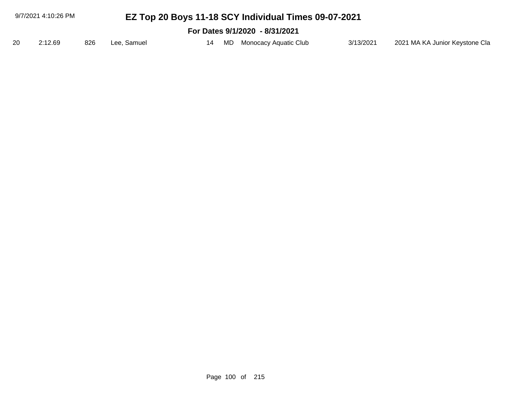| 9/7/2021 4:10:26 PM<br>EZ Top 20 Boys 11-18 SCY Individual Times 09-07-2021 |                                |     |             |  |  |                          |           |                                |  |  |  |
|-----------------------------------------------------------------------------|--------------------------------|-----|-------------|--|--|--------------------------|-----------|--------------------------------|--|--|--|
|                                                                             | For Dates 9/1/2020 - 8/31/2021 |     |             |  |  |                          |           |                                |  |  |  |
| 20                                                                          | 2:12.69                        | 826 | Lee, Samuel |  |  | MD Monocacy Aquatic Club | 3/13/2021 | 2021 MA KA Junior Keystone Cla |  |  |  |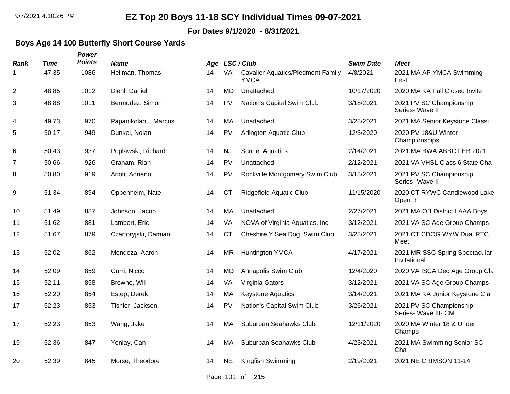#### **For Dates 9/1/2020 - 8/31/2021**

### **Boys Age 14 100 Butterfly Short Course Yards**

| Rank           | <b>Time</b> | Power<br><b>Points</b> | <b>Name</b>          |    |           | Age LSC/Club                                            | <b>Swim Date</b> | <b>Meet</b>                                     |
|----------------|-------------|------------------------|----------------------|----|-----------|---------------------------------------------------------|------------------|-------------------------------------------------|
| 1              | 47.35       | 1086                   | Heilman, Thomas      | 14 | VA        | <b>Cavalier Aquatics/Piedmont Family</b><br><b>YMCA</b> | 4/8/2021         | 2021 MA AP YMCA Swimming<br>Festi               |
| $\overline{2}$ | 48.85       | 1012                   | Diehl, Daniel        | 14 | <b>MD</b> | Unattached                                              | 10/17/2020       | 2020 MA KA Fall Closed Invite                   |
| 3              | 48.88       | 1011                   | Bermudez, Simon      | 14 | <b>PV</b> | Nation's Capital Swim Club                              | 3/18/2021        | 2021 PV SC Championship<br>Series- Wave II      |
| 4              | 49.73       | 970                    | Papanikolaou, Marcus | 14 | MA        | Unattached                                              | 3/28/2021        | 2021 MA Senior Keystone Classi                  |
| 5              | 50.17       | 949                    | Dunkel, Nolan        | 14 | <b>PV</b> | Arlington Aquatic Club                                  | 12/3/2020        | 2020 PV 18&U Winter<br>Championships            |
| 6              | 50.43       | 937                    | Poplawski, Richard   | 14 | <b>NJ</b> | <b>Scarlet Aquatics</b>                                 | 2/14/2021        | 2021 MA BWA ABBC FEB 2021                       |
| 7              | 50.66       | 926                    | Graham, Rian         | 14 | <b>PV</b> | Unattached                                              | 2/12/2021        | 2021 VA VHSL Class 6 State Cha                  |
| 8              | 50.80       | 919                    | Arioti, Adriano      | 14 | PV        | Rockville Montgomery Swim Club                          | 3/18/2021        | 2021 PV SC Championship<br>Series- Wave II      |
| 9              | 51.34       | 894                    | Oppenheim, Nate      | 14 | <b>CT</b> | <b>Ridgefield Aquatic Club</b>                          | 11/15/2020       | 2020 CT RYWC Candlewood Lake<br>Open R          |
| 10             | 51.49       | 887                    | Johnson, Jacob       | 14 | MA        | Unattached                                              | 2/27/2021        | 2021 MA OB District I AAA Boys                  |
| 11             | 51.62       | 881                    | Lambert, Eric        | 14 | VA        | NOVA of Virginia Aquatics, Inc.                         | 3/12/2021        | 2021 VA SC Age Group Champs                     |
| 12             | 51.67       | 879                    | Czartoryjski, Damian | 14 | <b>CT</b> | Cheshire Y Sea Dog Swim Club                            | 3/28/2021        | 2021 CT CDOG WYW Dual RTC<br>Meet               |
| 13             | 52.02       | 862                    | Mendoza, Aaron       | 14 | <b>MR</b> | Huntington YMCA                                         | 4/17/2021        | 2021 MR SSC Spring Spectacular<br>Invitational  |
| 14             | 52.09       | 859                    | Gurri, Nicco         | 14 | <b>MD</b> | Annapolis Swim Club                                     | 12/4/2020        | 2020 VA ISCA Dec Age Group Cla                  |
| 15             | 52.11       | 858                    | Browne, Will         | 14 | VA        | Virginia Gators                                         | 3/12/2021        | 2021 VA SC Age Group Champs                     |
| 16             | 52.20       | 854                    | Estep, Derek         | 14 | МA        | <b>Keystone Aquatics</b>                                | 3/14/2021        | 2021 MA KA Junior Keystone Cla                  |
| 17             | 52.23       | 853                    | Tishler, Jackson     | 14 | PV        | Nation's Capital Swim Club                              | 3/26/2021        | 2021 PV SC Championship<br>Series- Wave III- CM |
| 17             | 52.23       | 853                    | Wang, Jake           | 14 | MA        | Suburban Seahawks Club                                  | 12/11/2020       | 2020 MA Winter 18 & Under<br>Champs             |
| 19             | 52.36       | 847                    | Yeniay, Can          | 14 | МA        | Suburban Seahawks Club                                  | 4/23/2021        | 2021 MA Swimming Senior SC<br>Cha               |
| 20             | 52.39       | 845                    | Morse, Theodore      | 14 | <b>NE</b> | Kingfish Swimming                                       | 2/19/2021        | 2021 NE CRIMSON 11-14                           |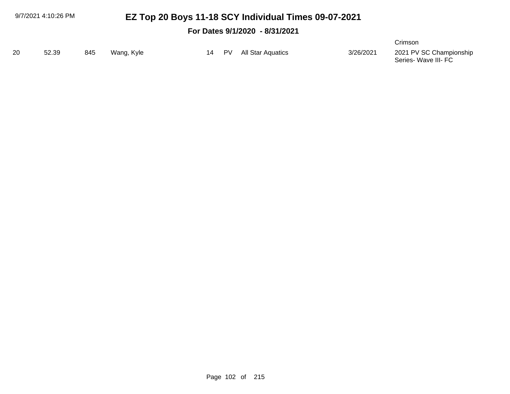#### **For Dates 9/1/2020 - 8/31/2021**

Crimson

| 20 | 52.39 | 845 | Wang, Kyle |  | 14 PV All Star Aquatics | 3/26/2021 | 2021 PV SC Championship |
|----|-------|-----|------------|--|-------------------------|-----------|-------------------------|
|    |       |     |            |  |                         |           | Series- Wave III- FC    |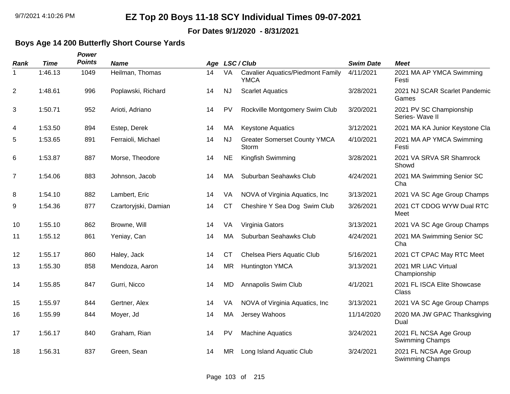**For Dates 9/1/2020 - 8/31/2021**

### **Boys Age 14 200 Butterfly Short Course Yards**

| <b>Rank</b>    | <b>Time</b> | Power<br><b>Points</b> | <b>Name</b>          |    |           | Age LSC/Club                                            | <b>Swim Date</b> | <b>Meet</b>                                      |
|----------------|-------------|------------------------|----------------------|----|-----------|---------------------------------------------------------|------------------|--------------------------------------------------|
| 1              | 1:46.13     | 1049                   | Heilman, Thomas      | 14 | VA        | <b>Cavalier Aquatics/Piedmont Family</b><br><b>YMCA</b> | 4/11/2021        | 2021 MA AP YMCA Swimming<br>Festi                |
| 2              | 1:48.61     | 996                    | Poplawski, Richard   | 14 | <b>NJ</b> | <b>Scarlet Aquatics</b>                                 | 3/28/2021        | 2021 NJ SCAR Scarlet Pandemic<br>Games           |
| 3              | 1:50.71     | 952                    | Arioti, Adriano      | 14 | PV        | Rockville Montgomery Swim Club                          | 3/20/2021        | 2021 PV SC Championship<br>Series- Wave II       |
| 4              | 1:53.50     | 894                    | Estep, Derek         | 14 | МA        | <b>Keystone Aquatics</b>                                | 3/12/2021        | 2021 MA KA Junior Keystone Cla                   |
| 5              | 1:53.65     | 891                    | Ferraioli, Michael   | 14 | <b>NJ</b> | <b>Greater Somerset County YMCA</b><br>Storm            | 4/10/2021        | 2021 MA AP YMCA Swimming<br>Festi                |
| 6              | 1:53.87     | 887                    | Morse, Theodore      | 14 | <b>NE</b> | Kingfish Swimming                                       | 3/28/2021        | 2021 VA SRVA SR Shamrock<br>Showd                |
| $\overline{7}$ | 1:54.06     | 883                    | Johnson, Jacob       | 14 | МA        | Suburban Seahawks Club                                  | 4/24/2021        | 2021 MA Swimming Senior SC<br>Cha                |
| 8              | 1:54.10     | 882                    | Lambert, Eric        | 14 | VA        | NOVA of Virginia Aquatics, Inc.                         | 3/13/2021        | 2021 VA SC Age Group Champs                      |
| 9              | 1:54.36     | 877                    | Czartoryjski, Damian | 14 | <b>CT</b> | Cheshire Y Sea Dog Swim Club                            | 3/26/2021        | 2021 CT CDOG WYW Dual RTC<br>Meet                |
| 10             | 1:55.10     | 862                    | Browne, Will         | 14 | VA        | Virginia Gators                                         | 3/13/2021        | 2021 VA SC Age Group Champs                      |
| 11             | 1:55.12     | 861                    | Yeniay, Can          | 14 | MA        | Suburban Seahawks Club                                  | 4/24/2021        | 2021 MA Swimming Senior SC<br>Cha                |
| 12             | 1:55.17     | 860                    | Haley, Jack          | 14 | <b>CT</b> | Chelsea Piers Aquatic Club                              | 5/16/2021        | 2021 CT CPAC May RTC Meet                        |
| 13             | 1:55.30     | 858                    | Mendoza, Aaron       | 14 | <b>MR</b> | <b>Huntington YMCA</b>                                  | 3/13/2021        | 2021 MR LIAC Virtual<br>Championship             |
| 14             | 1:55.85     | 847                    | Gurri, Nicco         | 14 | <b>MD</b> | Annapolis Swim Club                                     | 4/1/2021         | 2021 FL ISCA Elite Showcase<br>Class             |
| 15             | 1:55.97     | 844                    | Gertner, Alex        | 14 | VA        | NOVA of Virginia Aquatics, Inc.                         | 3/13/2021        | 2021 VA SC Age Group Champs                      |
| 16             | 1:55.99     | 844                    | Moyer, Jd            | 14 | MA        | Jersey Wahoos                                           | 11/14/2020       | 2020 MA JW GPAC Thanksgiving<br>Dual             |
| 17             | 1:56.17     | 840                    | Graham, Rian         | 14 | PV        | <b>Machine Aquatics</b>                                 | 3/24/2021        | 2021 FL NCSA Age Group<br>Swimming Champs        |
| 18             | 1:56.31     | 837                    | Green, Sean          | 14 | <b>MR</b> | Long Island Aquatic Club                                | 3/24/2021        | 2021 FL NCSA Age Group<br><b>Swimming Champs</b> |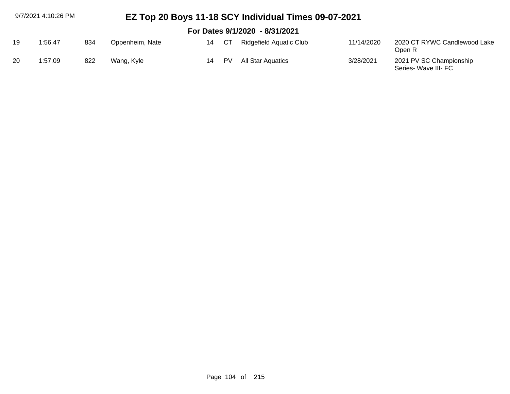| 9/7/2021 4:10:26 PM |         |     | EZ Top 20 Boys 11-18 SCY Individual Times 09-07-2021 |    |      |                                |            |                                                 |  |  |  |  |
|---------------------|---------|-----|------------------------------------------------------|----|------|--------------------------------|------------|-------------------------------------------------|--|--|--|--|
|                     |         |     |                                                      |    |      | For Dates 9/1/2020 - 8/31/2021 |            |                                                 |  |  |  |  |
| 19                  | 1:56.47 | 834 | Oppenheim, Nate                                      | 14 | - CT | <b>Ridgefield Aquatic Club</b> | 11/14/2020 | 2020 CT RYWC Candlewood Lake<br>Open R          |  |  |  |  |
| 20                  | 1:57.09 | 822 | Wang, Kyle                                           | 14 | . PV | All Star Aquatics              | 3/28/2021  | 2021 PV SC Championship<br>Series- Wave III- FC |  |  |  |  |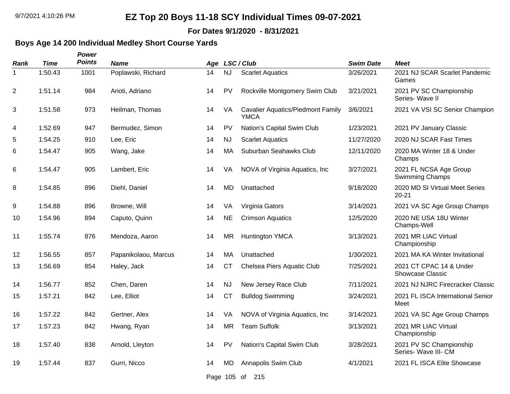**For Dates 9/1/2020 - 8/31/2021**

### **Boys Age 14 200 Individual Medley Short Course Yards**

| <b>Rank</b>    | Time    | Power<br><b>Points</b> | <b>Name</b>          | Age |           | LSC / Club                                              | <b>Swim Date</b> | <b>Meet</b>                                        |
|----------------|---------|------------------------|----------------------|-----|-----------|---------------------------------------------------------|------------------|----------------------------------------------------|
| 1              | 1:50.43 | 1001                   | Poplawski, Richard   | 14  | NJ        | <b>Scarlet Aquatics</b>                                 | 3/26/2021        | 2021 NJ SCAR Scarlet Pandemic<br>Games             |
| $\overline{c}$ | 1:51.14 | 984                    | Arioti, Adriano      | 14  | PV        | Rockville Montgomery Swim Club                          | 3/21/2021        | 2021 PV SC Championship<br>Series- Wave II         |
| 3              | 1:51.58 | 973                    | Heilman, Thomas      | 14  | VA        | <b>Cavalier Aquatics/Piedmont Family</b><br><b>YMCA</b> | 3/6/2021         | 2021 VA VSI SC Senior Champion                     |
| 4              | 1:52.69 | 947                    | Bermudez, Simon      | 14  | PV        | Nation's Capital Swim Club                              | 1/23/2021        | 2021 PV January Classic                            |
| 5              | 1:54.25 | 910                    | Lee, Eric            | 14  | <b>NJ</b> | <b>Scarlet Aquatics</b>                                 | 11/27/2020       | 2020 NJ SCAR Fast Times                            |
| 6              | 1:54.47 | 905                    | Wang, Jake           | 14  | MA        | Suburban Seahawks Club                                  | 12/11/2020       | 2020 MA Winter 18 & Under<br>Champs                |
| 6              | 1:54.47 | 905                    | Lambert, Eric        | 14  | VA        | NOVA of Virginia Aquatics, Inc.                         | 3/27/2021        | 2021 FL NCSA Age Group<br>Swimming Champs          |
| 8              | 1:54.85 | 896                    | Diehl, Daniel        | 14  | <b>MD</b> | Unattached                                              | 9/18/2020        | 2020 MD SI Virtual Meet Series<br>$20 - 21$        |
| 9              | 1:54.88 | 896                    | Browne, Will         | 14  | VA        | Virginia Gators                                         | 3/14/2021        | 2021 VA SC Age Group Champs                        |
| 10             | 1:54.96 | 894                    | Caputo, Quinn        | 14  | <b>NE</b> | <b>Crimson Aquatics</b>                                 | 12/5/2020        | 2020 NE USA 18U Winter<br>Champs-Well              |
| 11             | 1:55.74 | 876                    | Mendoza, Aaron       | 14  | <b>MR</b> | <b>Huntington YMCA</b>                                  | 3/13/2021        | 2021 MR LIAC Virtual<br>Championship               |
| 12             | 1:56.55 | 857                    | Papanikolaou, Marcus | 14  | MA        | Unattached                                              | 1/30/2021        | 2021 MA KA Winter Invitational                     |
| 13             | 1:56.69 | 854                    | Haley, Jack          | 14  | <b>CT</b> | Chelsea Piers Aquatic Club                              | 7/25/2021        | 2021 CT CPAC 14 & Under<br><b>Showcase Classic</b> |
| 14             | 1:56.77 | 852                    | Chen, Daren          | 14  | <b>NJ</b> | New Jersey Race Club                                    | 7/11/2021        | 2021 NJ NJRC Firecracker Classic                   |
| 15             | 1:57.21 | 842                    | Lee, Elliot          | 14  | <b>CT</b> | <b>Bulldog Swimming</b>                                 | 3/24/2021        | 2021 FL ISCA International Senior<br>Meet          |
| 16             | 1:57.22 | 842                    | Gertner, Alex        | 14  | VA        | NOVA of Virginia Aquatics, Inc.                         | 3/14/2021        | 2021 VA SC Age Group Champs                        |
| 17             | 1:57.23 | 842                    | Hwang, Ryan          | 14  | <b>MR</b> | <b>Team Suffolk</b>                                     | 3/13/2021        | 2021 MR LIAC Virtual<br>Championship               |
| 18             | 1:57.40 | 838                    | Arnold, Lleyton      | 14  | PV        | Nation's Capital Swim Club                              | 3/28/2021        | 2021 PV SC Championship<br>Series- Wave III- CM    |
| 19             | 1:57.44 | 837                    | Gurri, Nicco         | 14  | MD        | Annapolis Swim Club                                     | 4/1/2021         | 2021 FL ISCA Elite Showcase                        |
|                |         |                        |                      |     |           | Page 105 of 215                                         |                  |                                                    |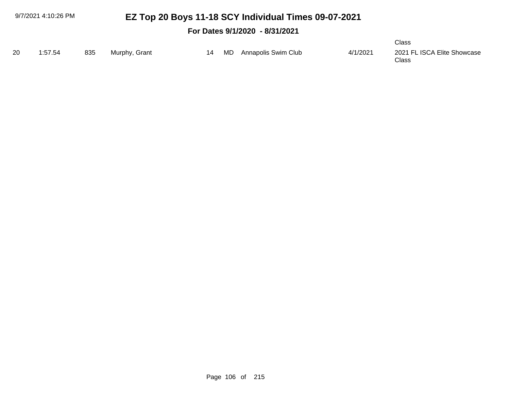| 9/7/2021 4:10:26 PM | EZ Top 20 Boys 11-18 SCY Individual Times 09-07-2021 |       |
|---------------------|------------------------------------------------------|-------|
|                     | For Dates 9/1/2020 - 8/31/2021                       |       |
|                     |                                                      | Class |

| 20 | :57.54 | 835 | Murphy, Grant | <b>MD</b> | Annapolis Swim Club | 4/1/2021 | 2021 FL ISCA Elite Showcase |
|----|--------|-----|---------------|-----------|---------------------|----------|-----------------------------|
|    |        |     |               |           |                     |          | Class                       |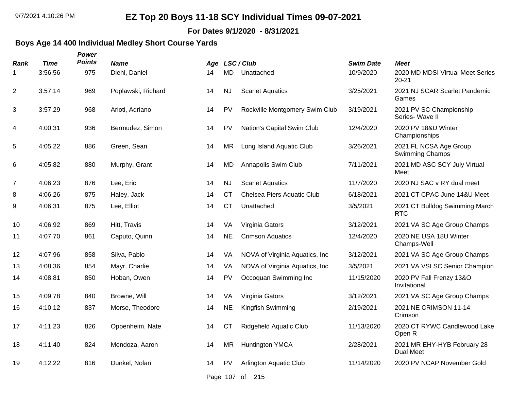**For Dates 9/1/2020 - 8/31/2021**

### **Boys Age 14 400 Individual Medley Short Course Yards**

| <b>Rank</b>    | <b>Time</b> | Power<br><b>Points</b> | <b>Name</b>        | Age |             | LSC / Club                        | <b>Swim Date</b> | <b>Meet</b>                                     |
|----------------|-------------|------------------------|--------------------|-----|-------------|-----------------------------------|------------------|-------------------------------------------------|
| 1              | 3:56.56     | 975                    | Diehl, Daniel      | 14  | <b>MD</b>   | Unattached                        | 10/9/2020        | 2020 MD MDSI Virtual Meet Series<br>$20 - 21$   |
| $\overline{2}$ | 3:57.14     | 969                    | Poplawski, Richard | 14  | <b>NJ</b>   | <b>Scarlet Aquatics</b>           | 3/25/2021        | 2021 NJ SCAR Scarlet Pandemic<br>Games          |
| 3              | 3:57.29     | 968                    | Arioti, Adriano    | 14  | PV          | Rockville Montgomery Swim Club    | 3/19/2021        | 2021 PV SC Championship<br>Series- Wave II      |
| 4              | 4:00.31     | 936                    | Bermudez, Simon    | 14  | PV          | Nation's Capital Swim Club        | 12/4/2020        | 2020 PV 18&U Winter<br>Championships            |
| 5              | 4:05.22     | 886                    | Green, Sean        | 14  | <b>MR</b>   | Long Island Aquatic Club          | 3/26/2021        | 2021 FL NCSA Age Group<br>Swimming Champs       |
| 6              | 4:05.82     | 880                    | Murphy, Grant      | 14  | MD          | Annapolis Swim Club               | 7/11/2021        | 2021 MD ASC SCY July Virtual<br>Meet            |
| $\overline{7}$ | 4:06.23     | 876                    | Lee, Eric          | 14  | <b>NJ</b>   | <b>Scarlet Aquatics</b>           | 11/7/2020        | 2020 NJ SAC v RY dual meet                      |
| 8              | 4:06.26     | 875                    | Haley, Jack        | 14  | <b>CT</b>   | <b>Chelsea Piers Aquatic Club</b> | 6/18/2021        | 2021 CT CPAC June 14&U Meet                     |
| 9              | 4:06.31     | 875                    | Lee, Elliot        | 14  | <b>CT</b>   | Unattached                        | 3/5/2021         | 2021 CT Bulldog Swimming March<br><b>RTC</b>    |
| 10             | 4:06.92     | 869                    | Hitt, Travis       | 14  | VA          | Virginia Gators                   | 3/12/2021        | 2021 VA SC Age Group Champs                     |
| 11             | 4:07.70     | 861                    | Caputo, Quinn      | 14  | <b>NE</b>   | <b>Crimson Aquatics</b>           | 12/4/2020        | 2020 NE USA 18U Winter<br>Champs-Well           |
| 12             | 4:07.96     | 858                    | Silva, Pablo       | 14  | VA          | NOVA of Virginia Aquatics, Inc.   | 3/12/2021        | 2021 VA SC Age Group Champs                     |
| 13             | 4:08.36     | 854                    | Mayr, Charlie      | 14  | VA          | NOVA of Virginia Aquatics, Inc    | 3/5/2021         | 2021 VA VSI SC Senior Champion                  |
| 14             | 4:08.81     | 850                    | Hoban, Owen        | 14  | PV          | Occoquan Swimming Inc             | 11/15/2020       | 2020 PV Fall Frenzy 13&O<br>Invitational        |
| 15             | 4:09.78     | 840                    | Browne, Will       | 14  | VA          | Virginia Gators                   | 3/12/2021        | 2021 VA SC Age Group Champs                     |
| 16             | 4:10.12     | 837                    | Morse, Theodore    | 14  | <b>NE</b>   | Kingfish Swimming                 | 2/19/2021        | 2021 NE CRIMSON 11-14<br>Crimson                |
| 17             | 4:11.23     | 826                    | Oppenheim, Nate    | 14  | <b>CT</b>   | <b>Ridgefield Aquatic Club</b>    | 11/13/2020       | 2020 CT RYWC Candlewood Lake<br>Open R          |
| 18             | 4:11.40     | 824                    | Mendoza, Aaron     | 14  | <b>MR</b>   | Huntington YMCA                   | 2/28/2021        | 2021 MR EHY-HYB February 28<br><b>Dual Meet</b> |
| 19             | 4:12.22     | 816                    | Dunkel, Nolan      | 14  | <b>PV</b>   | Arlington Aquatic Club            | 11/14/2020       | 2020 PV NCAP November Gold                      |
|                |             |                        |                    |     | Page 107 of | 215                               |                  |                                                 |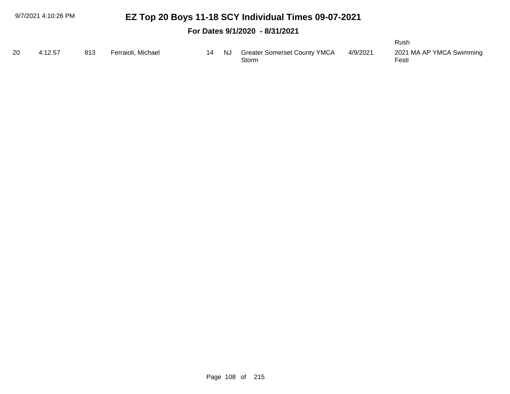| 9/7/2021 4:10:26 PM |         |     | EZ Top 20 Boys 11-18 SCY Individual Times 09-07-2021 |    |     |                                              |          |                                           |  |  |  |  |
|---------------------|---------|-----|------------------------------------------------------|----|-----|----------------------------------------------|----------|-------------------------------------------|--|--|--|--|
|                     |         |     |                                                      |    |     | For Dates 9/1/2020 - 8/31/2021               |          |                                           |  |  |  |  |
| 20                  | 4:12.57 | 813 | Ferraioli, Michael                                   | 14 | NJ. | <b>Greater Somerset County YMCA</b><br>Storm | 4/9/2021 | Rush<br>2021 MA AP YMCA Swimming<br>Festi |  |  |  |  |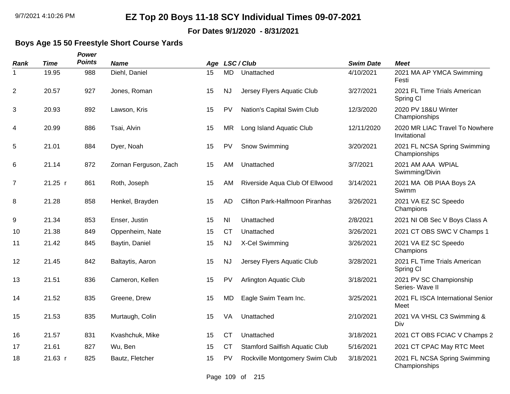**For Dates 9/1/2020 - 8/31/2021**

### **Boys Age 15 50 Freestyle Short Course Yards**

| <b>Rank</b>    | <b>Time</b> | Power<br><b>Points</b> | <b>Name</b>           |    |                | Age LSC/Club                          | <b>Swim Date</b> | <b>Meet</b>                                    |
|----------------|-------------|------------------------|-----------------------|----|----------------|---------------------------------------|------------------|------------------------------------------------|
| 1              | 19.95       | 988                    | Diehl, Daniel         | 15 | <b>MD</b>      | Unattached                            | 4/10/2021        | 2021 MA AP YMCA Swimming<br>Festi              |
| $\overline{2}$ | 20.57       | 927                    | Jones, Roman          | 15 | <b>NJ</b>      | Jersey Flyers Aquatic Club            | 3/27/2021        | 2021 FL Time Trials American<br>Spring Cl      |
| 3              | 20.93       | 892                    | Lawson, Kris          | 15 | PV             | Nation's Capital Swim Club            | 12/3/2020        | 2020 PV 18&U Winter<br>Championships           |
| 4              | 20.99       | 886                    | Tsai, Alvin           | 15 | <b>MR</b>      | Long Island Aquatic Club              | 12/11/2020       | 2020 MR LIAC Travel To Nowhere<br>Invitational |
| 5              | 21.01       | 884                    | Dyer, Noah            | 15 | PV             | Snow Swimming                         | 3/20/2021        | 2021 FL NCSA Spring Swimming<br>Championships  |
| 6              | 21.14       | 872                    | Zornan Ferguson, Zach | 15 | AM             | Unattached                            | 3/7/2021         | 2021 AM AAA WPIAL<br>Swimming/Divin            |
| $\overline{7}$ | $21.25$ r   | 861                    | Roth, Joseph          | 15 | AM             | Riverside Aqua Club Of Ellwood        | 3/14/2021        | 2021 MA OB PIAA Boys 2A<br>Swimm               |
| 8              | 21.28       | 858                    | Henkel, Brayden       | 15 | <b>AD</b>      | Clifton Park-Halfmoon Piranhas        | 3/26/2021        | 2021 VA EZ SC Speedo<br>Champions              |
| 9              | 21.34       | 853                    | Enser, Justin         | 15 | N <sub>1</sub> | Unattached                            | 2/8/2021         | 2021 NI OB Sec V Boys Class A                  |
| 10             | 21.38       | 849                    | Oppenheim, Nate       | 15 | <b>CT</b>      | Unattached                            | 3/26/2021        | 2021 CT OBS SWC V Champs 1                     |
| 11             | 21.42       | 845                    | Baytin, Daniel        | 15 | NJ             | X-Cel Swimming                        | 3/26/2021        | 2021 VA EZ SC Speedo<br>Champions              |
| 12             | 21.45       | 842                    | Baltaytis, Aaron      | 15 | <b>NJ</b>      | Jersey Flyers Aquatic Club            | 3/28/2021        | 2021 FL Time Trials American<br>Spring CI      |
| 13             | 21.51       | 836                    | Cameron, Kellen       | 15 | PV             | <b>Arlington Aquatic Club</b>         | 3/18/2021        | 2021 PV SC Championship<br>Series- Wave II     |
| 14             | 21.52       | 835                    | Greene, Drew          | 15 | <b>MD</b>      | Eagle Swim Team Inc.                  | 3/25/2021        | 2021 FL ISCA International Senior<br>Meet      |
| 15             | 21.53       | 835                    | Murtaugh, Colin       | 15 | VA             | Unattached                            | 2/10/2021        | 2021 VA VHSL C3 Swimming &<br>Div              |
| 16             | 21.57       | 831                    | Kvashchuk, Mike       | 15 | <b>CT</b>      | Unattached                            | 3/18/2021        | 2021 CT OBS FCIAC V Champs 2                   |
| 17             | 21.61       | 827                    | Wu, Ben               | 15 | <b>CT</b>      | <b>Stamford Sailfish Aquatic Club</b> | 5/16/2021        | 2021 CT CPAC May RTC Meet                      |
| 18             | $21.63$ r   | 825                    | Bautz, Fletcher       | 15 | <b>PV</b>      | Rockville Montgomery Swim Club        | 3/18/2021        | 2021 FL NCSA Spring Swimming<br>Championships  |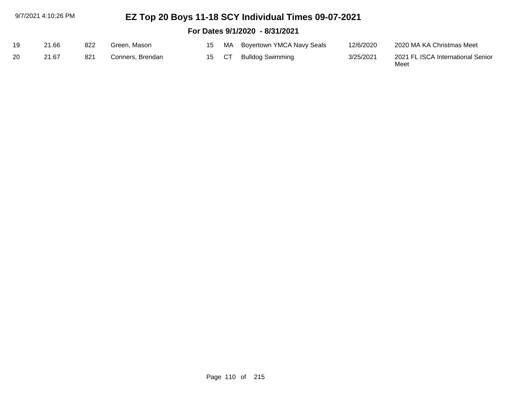|    | 9/7/2021 4:10:26 PM            |     |                  | EZ Top 20 Boys 11-18 SCY Individual Times 09-07-2021 |       |                           |           |                                           |  |  |
|----|--------------------------------|-----|------------------|------------------------------------------------------|-------|---------------------------|-----------|-------------------------------------------|--|--|
|    | For Dates 9/1/2020 - 8/31/2021 |     |                  |                                                      |       |                           |           |                                           |  |  |
| 19 | 21.66                          | 822 | Green, Mason     | 15                                                   | MA    | Boyertown YMCA Navy Seals | 12/6/2020 | 2020 MA KA Christmas Meet                 |  |  |
| 20 | 21.67                          | 821 | Conners, Brendan |                                                      | 15 CT | <b>Bulldog Swimming</b>   | 3/25/2021 | 2021 FL ISCA International Senior<br>Meet |  |  |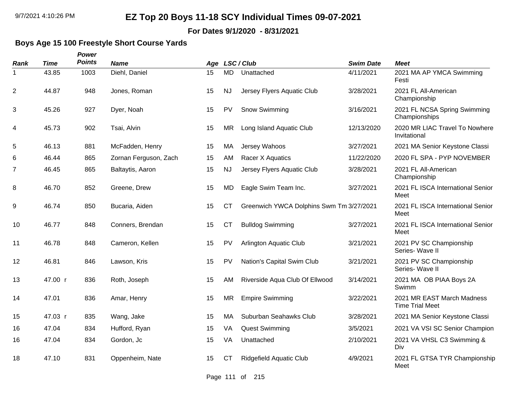**For Dates 9/1/2020 - 8/31/2021**

### **Boys Age 15 100 Freestyle Short Course Yards**

| <b>Rank</b>    | <b>Time</b> | Power<br><b>Points</b> | <b>Name</b>           | Age |           | LSC / Club                               | <b>Swim Date</b> | <b>Meet</b>                                          |
|----------------|-------------|------------------------|-----------------------|-----|-----------|------------------------------------------|------------------|------------------------------------------------------|
| 1              | 43.85       | 1003                   | Diehl, Daniel         | 15  | <b>MD</b> | Unattached                               | 4/11/2021        | 2021 MA AP YMCA Swimming<br>Festi                    |
| 2              | 44.87       | 948                    | Jones, Roman          | 15  | <b>NJ</b> | Jersey Flyers Aquatic Club               | 3/28/2021        | 2021 FL All-American<br>Championship                 |
| 3              | 45.26       | 927                    | Dyer, Noah            | 15  | PV        | Snow Swimming                            | 3/16/2021        | 2021 FL NCSA Spring Swimming<br>Championships        |
| 4              | 45.73       | 902                    | Tsai, Alvin           | 15  | <b>MR</b> | Long Island Aquatic Club                 | 12/13/2020       | 2020 MR LIAC Travel To Nowhere<br>Invitational       |
| 5              | 46.13       | 881                    | McFadden, Henry       | 15  | MA        | Jersey Wahoos                            | 3/27/2021        | 2021 MA Senior Keystone Classi                       |
| 6              | 46.44       | 865                    | Zornan Ferguson, Zach | 15  | AM        | Racer X Aquatics                         | 11/22/2020       | 2020 FL SPA - PYP NOVEMBER                           |
| $\overline{7}$ | 46.45       | 865                    | Baltaytis, Aaron      | 15  | <b>NJ</b> | Jersey Flyers Aquatic Club               | 3/28/2021        | 2021 FL All-American<br>Championship                 |
| 8              | 46.70       | 852                    | Greene, Drew          | 15  | <b>MD</b> | Eagle Swim Team Inc.                     | 3/27/2021        | 2021 FL ISCA International Senior<br>Meet            |
| 9              | 46.74       | 850                    | Bucaria, Aiden        | 15  | <b>CT</b> | Greenwich YWCA Dolphins Swm Tm 3/27/2021 |                  | 2021 FL ISCA International Senior<br>Meet            |
| 10             | 46.77       | 848                    | Conners, Brendan      | 15  | <b>CT</b> | <b>Bulldog Swimming</b>                  | 3/27/2021        | 2021 FL ISCA International Senior<br>Meet            |
| 11             | 46.78       | 848                    | Cameron, Kellen       | 15  | <b>PV</b> | <b>Arlington Aquatic Club</b>            | 3/21/2021        | 2021 PV SC Championship<br>Series- Wave II           |
| 12             | 46.81       | 846                    | Lawson, Kris          | 15  | <b>PV</b> | Nation's Capital Swim Club               | 3/21/2021        | 2021 PV SC Championship<br>Series- Wave II           |
| 13             | 47.00 r     | 836                    | Roth, Joseph          | 15  | AM        | Riverside Aqua Club Of Ellwood           | 3/14/2021        | 2021 MA OB PIAA Boys 2A<br>Swimm                     |
| 14             | 47.01       | 836                    | Amar, Henry           | 15  | <b>MR</b> | <b>Empire Swimming</b>                   | 3/22/2021        | 2021 MR EAST March Madness<br><b>Time Trial Meet</b> |
| 15             | 47.03 r     | 835                    | Wang, Jake            | 15  | MA        | Suburban Seahawks Club                   | 3/28/2021        | 2021 MA Senior Keystone Classi                       |
| 16             | 47.04       | 834                    | Hufford, Ryan         | 15  | VA        | <b>Quest Swimming</b>                    | 3/5/2021         | 2021 VA VSI SC Senior Champion                       |
| 16             | 47.04       | 834                    | Gordon, Jc            | 15  | VA        | Unattached                               | 2/10/2021        | 2021 VA VHSL C3 Swimming &<br>Div                    |
| 18             | 47.10       | 831                    | Oppenheim, Nate       | 15  | <b>CT</b> | Ridgefield Aquatic Club                  | 4/9/2021         | 2021 FL GTSA TYR Championship<br>Meet                |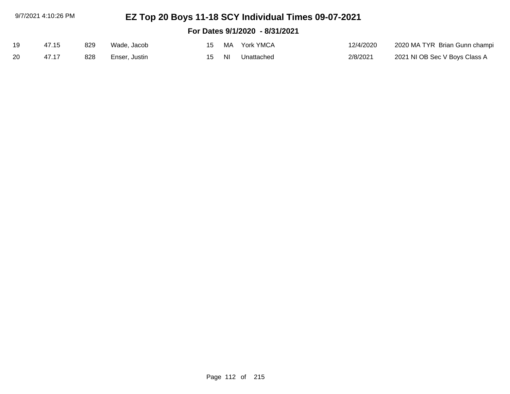#### 9/7/2021 4:10:26 PM

# **EZ Top 20 Boys 11-18 SCY Individual Times 09-07-2021**

#### **For Dates 9/1/2020 - 8/31/2021**

| 19 | 47.15 |     | 829 Wade, Jacob |  | 15 MA York YMCA  | 12/4/2020 | 2020 MA TYR Brian Gunn champi |
|----|-------|-----|-----------------|--|------------------|-----------|-------------------------------|
| 20 | 47.17 | 828 | Enser, Justin   |  | 15 NI Unattached | 2/8/2021  | 2021 NI OB Sec V Boys Class A |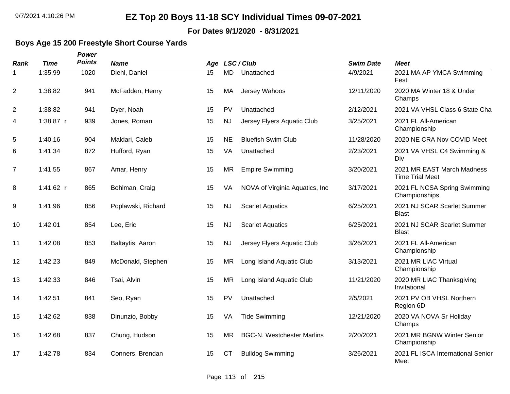#### **For Dates 9/1/2020 - 8/31/2021**

### **Boys Age 15 200 Freestyle Short Course Yards**

| <b>Rank</b>       | <b>Time</b> | Power<br><b>Points</b> | <b>Name</b>        |    |           | Age LSC/Club                      | <b>Swim Date</b> | <b>Meet</b>                                          |
|-------------------|-------------|------------------------|--------------------|----|-----------|-----------------------------------|------------------|------------------------------------------------------|
| 1                 | 1:35.99     | 1020                   | Diehl, Daniel      | 15 | MD        | Unattached                        | 4/9/2021         | 2021 MA AP YMCA Swimming<br>Festi                    |
| 2                 | 1:38.82     | 941                    | McFadden, Henry    | 15 | MA        | Jersey Wahoos                     | 12/11/2020       | 2020 MA Winter 18 & Under<br>Champs                  |
| $\overline{2}$    | 1:38.82     | 941                    | Dyer, Noah         | 15 | PV        | Unattached                        | 2/12/2021        | 2021 VA VHSL Class 6 State Cha                       |
| 4                 | 1:38.87 r   | 939                    | Jones, Roman       | 15 | <b>NJ</b> | Jersey Flyers Aquatic Club        | 3/25/2021        | 2021 FL All-American<br>Championship                 |
| 5                 | 1:40.16     | 904                    | Maldari, Caleb     | 15 | <b>NE</b> | <b>Bluefish Swim Club</b>         | 11/28/2020       | 2020 NE CRA Nov COVID Meet                           |
| 6                 | 1:41.34     | 872                    | Hufford, Ryan      | 15 | VA        | Unattached                        | 2/23/2021        | 2021 VA VHSL C4 Swimming &<br>Div                    |
| 7                 | 1:41.55     | 867                    | Amar, Henry        | 15 | <b>MR</b> | <b>Empire Swimming</b>            | 3/20/2021        | 2021 MR EAST March Madness<br><b>Time Trial Meet</b> |
| 8                 | 1:41.62 $r$ | 865                    | Bohlman, Craig     | 15 | VA        | NOVA of Virginia Aquatics, Inc.   | 3/17/2021        | 2021 FL NCSA Spring Swimming<br>Championships        |
| 9                 | 1:41.96     | 856                    | Poplawski, Richard | 15 | <b>NJ</b> | <b>Scarlet Aquatics</b>           | 6/25/2021        | 2021 NJ SCAR Scarlet Summer<br><b>Blast</b>          |
| 10                | 1:42.01     | 854                    | Lee, Eric          | 15 | <b>NJ</b> | <b>Scarlet Aquatics</b>           | 6/25/2021        | 2021 NJ SCAR Scarlet Summer<br><b>Blast</b>          |
| 11                | 1:42.08     | 853                    | Baltaytis, Aaron   | 15 | <b>NJ</b> | Jersey Flyers Aquatic Club        | 3/26/2021        | 2021 FL All-American<br>Championship                 |
| $12 \overline{ }$ | 1:42.23     | 849                    | McDonald, Stephen  | 15 | <b>MR</b> | Long Island Aquatic Club          | 3/13/2021        | 2021 MR LIAC Virtual<br>Championship                 |
| 13                | 1:42.33     | 846                    | Tsai, Alvin        | 15 | <b>MR</b> | Long Island Aquatic Club          | 11/21/2020       | 2020 MR LIAC Thanksgiving<br>Invitational            |
| 14                | 1:42.51     | 841                    | Seo, Ryan          | 15 | PV        | Unattached                        | 2/5/2021         | 2021 PV OB VHSL Northern<br>Region 6D                |
| 15                | 1:42.62     | 838                    | Dinunzio, Bobby    | 15 | VA        | <b>Tide Swimming</b>              | 12/21/2020       | 2020 VA NOVA Sr Holiday<br>Champs                    |
| 16                | 1:42.68     | 837                    | Chung, Hudson      | 15 | <b>MR</b> | <b>BGC-N. Westchester Marlins</b> | 2/20/2021        | 2021 MR BGNW Winter Senior<br>Championship           |
| 17                | 1:42.78     | 834                    | Conners, Brendan   | 15 | <b>CT</b> | <b>Bulldog Swimming</b>           | 3/26/2021        | 2021 FL ISCA International Senior<br>Meet            |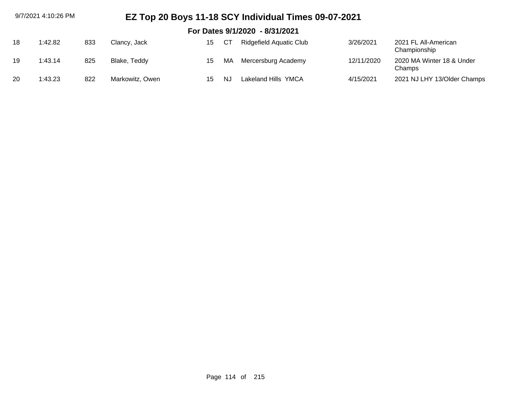| 9/7/2021 4:10:26 PM |                                |     | EZ Top 20 Boys 11-18 SCY Individual Times 09-07-2021 |    |     |                                |            |                                      |  |  |  |  |
|---------------------|--------------------------------|-----|------------------------------------------------------|----|-----|--------------------------------|------------|--------------------------------------|--|--|--|--|
|                     | For Dates 9/1/2020 - 8/31/2021 |     |                                                      |    |     |                                |            |                                      |  |  |  |  |
| 18                  | 1:42.82                        | 833 | Clancy, Jack                                         | 15 | CT. | <b>Ridgefield Aquatic Club</b> | 3/26/2021  | 2021 FL All-American<br>Championship |  |  |  |  |
| 19                  | 1:43.14                        | 825 | Blake, Teddy                                         | 15 | MA  | Mercersburg Academy            | 12/11/2020 | 2020 MA Winter 18 & Under<br>Champs  |  |  |  |  |
| 20                  | 1:43.23                        | 822 | Markowitz, Owen                                      | 15 | NJ  | Lakeland Hills YMCA            | 4/15/2021  | 2021 NJ LHY 13/Older Champs          |  |  |  |  |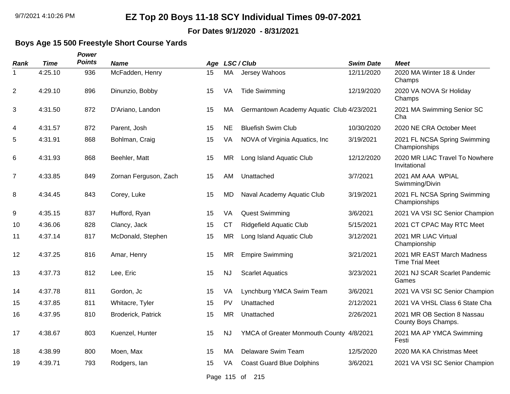**For Dates 9/1/2020 - 8/31/2021**

### **Boys Age 15 500 Freestyle Short Course Yards**

| <b>Rank</b>    | <b>Time</b> | Power<br><b>Points</b> | <b>Name</b>           |    |           | Age LSC/Club                              | <b>Swim Date</b> | <b>Meet</b>                                          |
|----------------|-------------|------------------------|-----------------------|----|-----------|-------------------------------------------|------------------|------------------------------------------------------|
| 1              | 4:25.10     | 936                    | McFadden, Henry       | 15 | MA        | Jersey Wahoos                             | 12/11/2020       | 2020 MA Winter 18 & Under<br>Champs                  |
| $\overline{2}$ | 4:29.10     | 896                    | Dinunzio, Bobby       | 15 | VA        | <b>Tide Swimming</b>                      | 12/19/2020       | 2020 VA NOVA Sr Holiday<br>Champs                    |
| 3              | 4:31.50     | 872                    | D'Ariano, Landon      | 15 | MA        | Germantown Academy Aquatic Club 4/23/2021 |                  | 2021 MA Swimming Senior SC<br>Cha                    |
| 4              | 4:31.57     | 872                    | Parent, Josh          | 15 | <b>NE</b> | <b>Bluefish Swim Club</b>                 | 10/30/2020       | 2020 NE CRA October Meet                             |
| 5              | 4:31.91     | 868                    | Bohlman, Craig        | 15 | VA        | NOVA of Virginia Aquatics, Inc.           | 3/19/2021        | 2021 FL NCSA Spring Swimming<br>Championships        |
| 6              | 4:31.93     | 868                    | Beehler, Matt         | 15 | <b>MR</b> | Long Island Aquatic Club                  | 12/12/2020       | 2020 MR LIAC Travel To Nowhere<br>Invitational       |
| $\overline{7}$ | 4:33.85     | 849                    | Zornan Ferguson, Zach | 15 | AM        | Unattached                                | 3/7/2021         | 2021 AM AAA WPIAL<br>Swimming/Divin                  |
| 8              | 4:34.45     | 843                    | Corey, Luke           | 15 | <b>MD</b> | Naval Academy Aquatic Club                | 3/19/2021        | 2021 FL NCSA Spring Swimming<br>Championships        |
| 9              | 4:35.15     | 837                    | Hufford, Ryan         | 15 | VA        | <b>Quest Swimming</b>                     | 3/6/2021         | 2021 VA VSI SC Senior Champion                       |
| 10             | 4:36.06     | 828                    | Clancy, Jack          | 15 | <b>CT</b> | Ridgefield Aquatic Club                   | 5/15/2021        | 2021 CT CPAC May RTC Meet                            |
| 11             | 4:37.14     | 817                    | McDonald, Stephen     | 15 | <b>MR</b> | Long Island Aquatic Club                  | 3/12/2021        | 2021 MR LIAC Virtual<br>Championship                 |
| 12             | 4:37.25     | 816                    | Amar, Henry           | 15 | <b>MR</b> | <b>Empire Swimming</b>                    | 3/21/2021        | 2021 MR EAST March Madness<br><b>Time Trial Meet</b> |
| 13             | 4:37.73     | 812                    | Lee, Eric             | 15 | <b>NJ</b> | <b>Scarlet Aquatics</b>                   | 3/23/2021        | 2021 NJ SCAR Scarlet Pandemic<br>Games               |
| 14             | 4:37.78     | 811                    | Gordon, Jc            | 15 | VA        | Lynchburg YMCA Swim Team                  | 3/6/2021         | 2021 VA VSI SC Senior Champion                       |
| 15             | 4:37.85     | 811                    | Whitacre, Tyler       | 15 | PV        | Unattached                                | 2/12/2021        | 2021 VA VHSL Class 6 State Cha                       |
| 16             | 4:37.95     | 810                    | Broderick, Patrick    | 15 | <b>MR</b> | Unattached                                | 2/26/2021        | 2021 MR OB Section 8 Nassau<br>County Boys Champs.   |
| 17             | 4:38.67     | 803                    | Kuenzel, Hunter       | 15 | <b>NJ</b> | YMCA of Greater Monmouth County 4/8/2021  |                  | 2021 MA AP YMCA Swimming<br>Festi                    |
| 18             | 4:38.99     | 800                    | Moen, Max             | 15 | <b>MA</b> | Delaware Swim Team                        | 12/5/2020        | 2020 MA KA Christmas Meet                            |
| 19             | 4:39.71     | 793                    | Rodgers, lan          | 15 | VA        | <b>Coast Guard Blue Dolphins</b>          | 3/6/2021         | 2021 VA VSI SC Senior Champion                       |
|                |             |                        |                       |    |           | Page 115 of 215                           |                  |                                                      |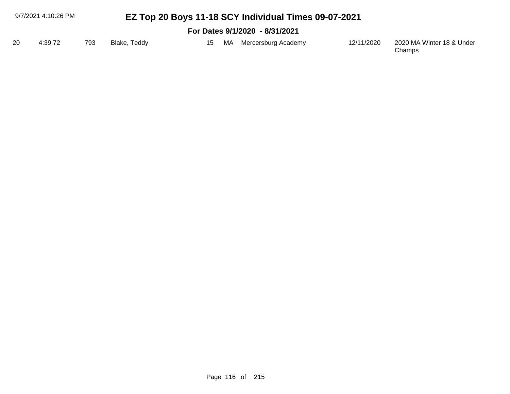| 9/7/2021 4:10:26 PM |     |              | EZ Top 20 Boys 11-18 SCY Individual Times 09-07-2021 |  |                                |            |                                     |  |  |
|---------------------|-----|--------------|------------------------------------------------------|--|--------------------------------|------------|-------------------------------------|--|--|
|                     |     |              |                                                      |  | For Dates 9/1/2020 - 8/31/2021 |            |                                     |  |  |
| 4:39.72             | 793 | Blake, Teddy | 15                                                   |  | MA Mercersburg Academy         | 12/11/2020 | 2020 MA Winter 18 & Under<br>Champs |  |  |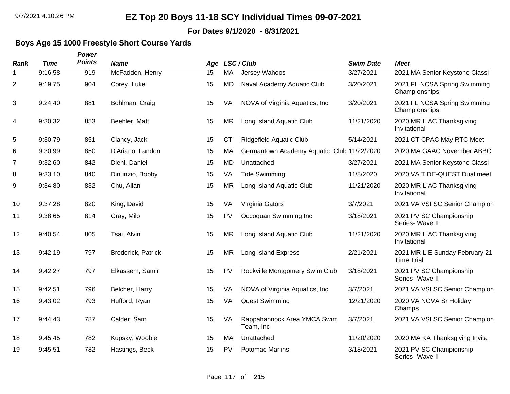**For Dates 9/1/2020 - 8/31/2021**

### **Boys Age 15 1000 Freestyle Short Course Yards**

| Rank           | <b>Time</b> | Power<br><b>Points</b> | <b>Name</b>        | Age |           | LSC / Club                                 | <b>Swim Date</b> | <b>Meet</b>                                         |
|----------------|-------------|------------------------|--------------------|-----|-----------|--------------------------------------------|------------------|-----------------------------------------------------|
| 1              | 9:16.58     | 919                    | McFadden, Henry    | 15  | MA        | Jersey Wahoos                              | 3/27/2021        | 2021 MA Senior Keystone Classi                      |
| 2              | 9:19.75     | 904                    | Corey, Luke        | 15  | <b>MD</b> | Naval Academy Aquatic Club                 | 3/20/2021        | 2021 FL NCSA Spring Swimming<br>Championships       |
| 3              | 9:24.40     | 881                    | Bohlman, Craig     | 15  | VA        | NOVA of Virginia Aquatics, Inc.            | 3/20/2021        | 2021 FL NCSA Spring Swimming<br>Championships       |
| 4              | 9:30.32     | 853                    | Beehler, Matt      | 15  | <b>MR</b> | Long Island Aquatic Club                   | 11/21/2020       | 2020 MR LIAC Thanksgiving<br>Invitational           |
| 5              | 9:30.79     | 851                    | Clancy, Jack       | 15  | <b>CT</b> | <b>Ridgefield Aquatic Club</b>             | 5/14/2021        | 2021 CT CPAC May RTC Meet                           |
| 6              | 9:30.99     | 850                    | D'Ariano, Landon   | 15  | MA        | Germantown Academy Aquatic Club 11/22/2020 |                  | 2020 MA GAAC November ABBC                          |
| $\overline{7}$ | 9:32.60     | 842                    | Diehl, Daniel      | 15  | <b>MD</b> | Unattached                                 | 3/27/2021        | 2021 MA Senior Keystone Classi                      |
| 8              | 9:33.10     | 840                    | Dinunzio, Bobby    | 15  | VA        | <b>Tide Swimming</b>                       | 11/8/2020        | 2020 VA TIDE-QUEST Dual meet                        |
| 9              | 9:34.80     | 832                    | Chu, Allan         | 15  | <b>MR</b> | Long Island Aquatic Club                   | 11/21/2020       | 2020 MR LIAC Thanksgiving<br>Invitational           |
| 10             | 9:37.28     | 820                    | King, David        | 15  | VA        | Virginia Gators                            | 3/7/2021         | 2021 VA VSI SC Senior Champion                      |
| 11             | 9:38.65     | 814                    | Gray, Milo         | 15  | PV        | Occoquan Swimming Inc                      | 3/18/2021        | 2021 PV SC Championship<br>Series- Wave II          |
| 12             | 9:40.54     | 805                    | Tsai, Alvin        | 15  | <b>MR</b> | Long Island Aquatic Club                   | 11/21/2020       | 2020 MR LIAC Thanksgiving<br>Invitational           |
| 13             | 9:42.19     | 797                    | Broderick, Patrick | 15  | <b>MR</b> | Long Island Express                        | 2/21/2021        | 2021 MR LIE Sunday February 21<br><b>Time Trial</b> |
| 14             | 9:42.27     | 797                    | Elkassem, Samir    | 15  | <b>PV</b> | Rockville Montgomery Swim Club             | 3/18/2021        | 2021 PV SC Championship<br>Series- Wave II          |
| 15             | 9:42.51     | 796                    | Belcher, Harry     | 15  | VA        | NOVA of Virginia Aquatics, Inc.            | 3/7/2021         | 2021 VA VSI SC Senior Champion                      |
| 16             | 9:43.02     | 793                    | Hufford, Ryan      | 15  | <b>VA</b> | <b>Quest Swimming</b>                      | 12/21/2020       | 2020 VA NOVA Sr Holiday<br>Champs                   |
| 17             | 9:44.43     | 787                    | Calder, Sam        | 15  | VA        | Rappahannock Area YMCA Swim<br>Team, Inc   | 3/7/2021         | 2021 VA VSI SC Senior Champion                      |
| 18             | 9:45.45     | 782                    | Kupsky, Woobie     | 15  | МA        | Unattached                                 | 11/20/2020       | 2020 MA KA Thanksgiving Invita                      |
| 19             | 9:45.51     | 782                    | Hastings, Beck     | 15  | PV        | <b>Potomac Marlins</b>                     | 3/18/2021        | 2021 PV SC Championship<br>Series- Wave II          |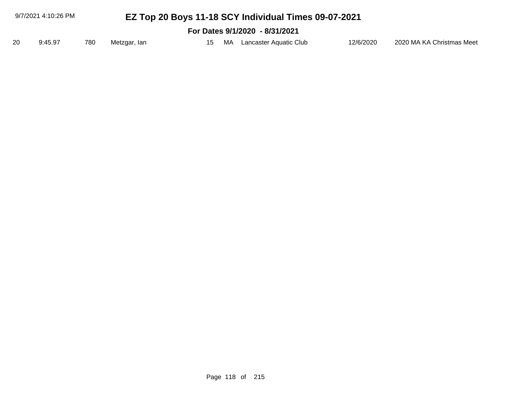| 9/7/2021 4:10:26 PM<br>EZ Top 20 Boys 11-18 SCY Individual Times 09-07-2021 |                                |     |              |    |    |                        |           |                           |  |  |
|-----------------------------------------------------------------------------|--------------------------------|-----|--------------|----|----|------------------------|-----------|---------------------------|--|--|
|                                                                             | For Dates 9/1/2020 - 8/31/2021 |     |              |    |    |                        |           |                           |  |  |
| 20                                                                          | 9:45.97                        | 780 | Metzgar, lan | 15 | MA | Lancaster Aquatic Club | 12/6/2020 | 2020 MA KA Christmas Meet |  |  |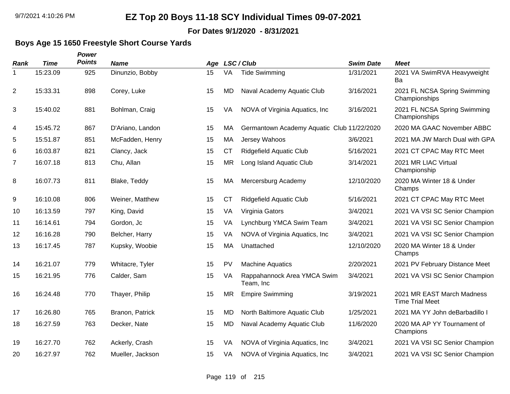**For Dates 9/1/2020 - 8/31/2021**

### **Boys Age 15 1650 Freestyle Short Course Yards**

| <b>Rank</b>    | <b>Time</b> | Power<br><b>Points</b> | <b>Name</b>      |    |           | Age LSC/Club                               | <b>Swim Date</b> | <b>Meet</b>                                          |
|----------------|-------------|------------------------|------------------|----|-----------|--------------------------------------------|------------------|------------------------------------------------------|
| 1              | 15:23.09    | 925                    | Dinunzio, Bobby  | 15 | VA        | <b>Tide Swimming</b>                       | 1/31/2021        | 2021 VA SwimRVA Heavyweight<br>Ba                    |
| $\overline{c}$ | 15:33.31    | 898                    | Corey, Luke      | 15 | <b>MD</b> | Naval Academy Aquatic Club                 | 3/16/2021        | 2021 FL NCSA Spring Swimming<br>Championships        |
| 3              | 15:40.02    | 881                    | Bohlman, Craig   | 15 | VA        | NOVA of Virginia Aquatics, Inc.            | 3/16/2021        | 2021 FL NCSA Spring Swimming<br>Championships        |
| 4              | 15:45.72    | 867                    | D'Ariano, Landon | 15 | MA        | Germantown Academy Aquatic Club 11/22/2020 |                  | 2020 MA GAAC November ABBC                           |
| 5              | 15:51.87    | 851                    | McFadden, Henry  | 15 | MA        | Jersey Wahoos                              | 3/6/2021         | 2021 MA JW March Dual with GPA                       |
| 6              | 16:03.87    | 821                    | Clancy, Jack     | 15 | <b>CT</b> | Ridgefield Aquatic Club                    | 5/16/2021        | 2021 CT CPAC May RTC Meet                            |
| $\overline{7}$ | 16:07.18    | 813                    | Chu, Allan       | 15 | <b>MR</b> | Long Island Aquatic Club                   | 3/14/2021        | 2021 MR LIAC Virtual<br>Championship                 |
| 8              | 16:07.73    | 811                    | Blake, Teddy     | 15 | MA        | Mercersburg Academy                        | 12/10/2020       | 2020 MA Winter 18 & Under<br>Champs                  |
| 9              | 16:10.08    | 806                    | Weiner, Matthew  | 15 | <b>CT</b> | <b>Ridgefield Aquatic Club</b>             | 5/16/2021        | 2021 CT CPAC May RTC Meet                            |
| 10             | 16:13.59    | 797                    | King, David      | 15 | <b>VA</b> | Virginia Gators                            | 3/4/2021         | 2021 VA VSI SC Senior Champion                       |
| 11             | 16:14.61    | 794                    | Gordon, Jc       | 15 | <b>VA</b> | Lynchburg YMCA Swim Team                   | 3/4/2021         | 2021 VA VSI SC Senior Champion                       |
| 12             | 16:16.28    | 790                    | Belcher, Harry   | 15 | VA        | NOVA of Virginia Aquatics, Inc             | 3/4/2021         | 2021 VA VSI SC Senior Champion                       |
| 13             | 16:17.45    | 787                    | Kupsky, Woobie   | 15 | MA        | Unattached                                 | 12/10/2020       | 2020 MA Winter 18 & Under<br>Champs                  |
| 14             | 16:21.07    | 779                    | Whitacre, Tyler  | 15 | PV        | <b>Machine Aquatics</b>                    | 2/20/2021        | 2021 PV February Distance Meet                       |
| 15             | 16:21.95    | 776                    | Calder, Sam      | 15 | VA        | Rappahannock Area YMCA Swim<br>Team, Inc   | 3/4/2021         | 2021 VA VSI SC Senior Champion                       |
| 16             | 16:24.48    | 770                    | Thayer, Philip   | 15 | <b>MR</b> | <b>Empire Swimming</b>                     | 3/19/2021        | 2021 MR EAST March Madness<br><b>Time Trial Meet</b> |
| 17             | 16:26.80    | 765                    | Branon, Patrick  | 15 | <b>MD</b> | North Baltimore Aquatic Club               | 1/25/2021        | 2021 MA YY John deBarbadillo I                       |
| 18             | 16:27.59    | 763                    | Decker, Nate     | 15 | <b>MD</b> | Naval Academy Aquatic Club                 | 11/6/2020        | 2020 MA AP YY Tournament of<br>Champions             |
| 19             | 16:27.70    | 762                    | Ackerly, Crash   | 15 | VA        | NOVA of Virginia Aquatics, Inc.            | 3/4/2021         | 2021 VA VSI SC Senior Champion                       |
| 20             | 16:27.97    | 762                    | Mueller, Jackson | 15 | <b>VA</b> | NOVA of Virginia Aquatics, Inc.            | 3/4/2021         | 2021 VA VSI SC Senior Champion                       |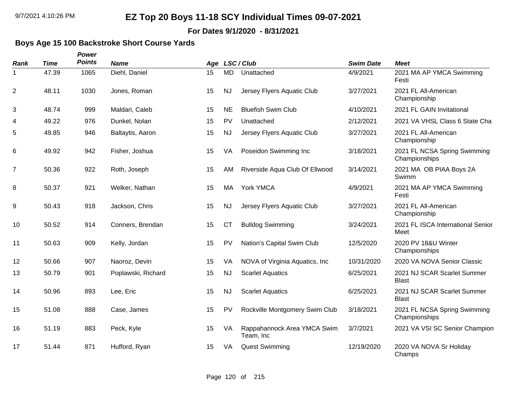#### **For Dates 9/1/2020 - 8/31/2021**

### **Boys Age 15 100 Backstroke Short Course Yards**

| <b>Rank</b>    | <b>Time</b> | Power<br><b>Points</b> | <b>Name</b>        | Age |           | LSC / Club                               | <b>Swim Date</b> | <b>Meet</b>                                   |
|----------------|-------------|------------------------|--------------------|-----|-----------|------------------------------------------|------------------|-----------------------------------------------|
| 1              | 47.39       | 1065                   | Diehl, Daniel      | 15  | <b>MD</b> | Unattached                               | 4/9/2021         | 2021 MA AP YMCA Swimming<br>Festi             |
| $\overline{2}$ | 48.11       | 1030                   | Jones, Roman       | 15  | <b>NJ</b> | Jersey Flyers Aquatic Club               | 3/27/2021        | 2021 FL All-American<br>Championship          |
| 3              | 48.74       | 999                    | Maldari, Caleb     | 15  | <b>NE</b> | <b>Bluefish Swim Club</b>                | 4/10/2021        | 2021 FL GAIN Invitational                     |
| 4              | 49.22       | 976                    | Dunkel, Nolan      | 15  | <b>PV</b> | Unattached                               | 2/12/2021        | 2021 VA VHSL Class 6 State Cha                |
| 5              | 49.85       | 946                    | Baltaytis, Aaron   | 15  | <b>NJ</b> | Jersey Flyers Aquatic Club               | 3/27/2021        | 2021 FL All-American<br>Championship          |
| 6              | 49.92       | 942                    | Fisher, Joshua     | 15  | VA        | Poseidon Swimming Inc                    | 3/18/2021        | 2021 FL NCSA Spring Swimming<br>Championships |
| $\overline{7}$ | 50.36       | 922                    | Roth, Joseph       | 15  | <b>AM</b> | Riverside Aqua Club Of Ellwood           | 3/14/2021        | 2021 MA OB PIAA Boys 2A<br>Swimm              |
| 8              | 50.37       | 921                    | Welker, Nathan     | 15  | MA        | York YMCA                                | 4/9/2021         | 2021 MA AP YMCA Swimming<br>Festi             |
| 9              | 50.43       | 918                    | Jackson, Chris     | 15  | <b>NJ</b> | Jersey Flyers Aquatic Club               | 3/27/2021        | 2021 FL All-American<br>Championship          |
| 10             | 50.52       | 914                    | Conners, Brendan   | 15  | <b>CT</b> | <b>Bulldog Swimming</b>                  | 3/24/2021        | 2021 FL ISCA International Senior<br>Meet     |
| 11             | 50.63       | 909                    | Kelly, Jordan      | 15  | <b>PV</b> | Nation's Capital Swim Club               | 12/5/2020        | 2020 PV 18&U Winter<br>Championships          |
| 12             | 50.66       | 907                    | Naoroz, Devin      | 15  | VA        | NOVA of Virginia Aquatics, Inc           | 10/31/2020       | 2020 VA NOVA Senior Classic                   |
| 13             | 50.79       | 901                    | Poplawski, Richard | 15  | <b>NJ</b> | <b>Scarlet Aquatics</b>                  | 6/25/2021        | 2021 NJ SCAR Scarlet Summer<br><b>Blast</b>   |
| 14             | 50.96       | 893                    | Lee, Eric          | 15  | <b>NJ</b> | <b>Scarlet Aquatics</b>                  | 6/25/2021        | 2021 NJ SCAR Scarlet Summer<br><b>Blast</b>   |
| 15             | 51.08       | 888                    | Case, James        | 15  | <b>PV</b> | Rockville Montgomery Swim Club           | 3/18/2021        | 2021 FL NCSA Spring Swimming<br>Championships |
| 16             | 51.19       | 883                    | Peck, Kyle         | 15  | VA        | Rappahannock Area YMCA Swim<br>Team, Inc | 3/7/2021         | 2021 VA VSI SC Senior Champion                |
| 17             | 51.44       | 871                    | Hufford, Ryan      | 15  | VA        | <b>Quest Swimming</b>                    | 12/19/2020       | 2020 VA NOVA Sr Holiday<br>Champs             |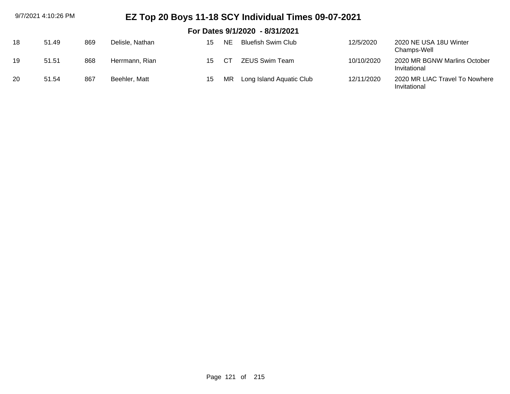| 9/7/2021 4:10:26 PM |       |     |                 |    |     | EZ Top 20 Boys 11-18 SCY Individual Times 09-07-2021 |            |                                                |  |  |  |
|---------------------|-------|-----|-----------------|----|-----|------------------------------------------------------|------------|------------------------------------------------|--|--|--|
|                     |       |     |                 |    |     | For Dates 9/1/2020 - 8/31/2021                       |            |                                                |  |  |  |
| 18                  | 51.49 | 869 | Delisle, Nathan | 15 | NE. | <b>Bluefish Swim Club</b>                            | 12/5/2020  | 2020 NE USA 18U Winter<br>Champs-Well          |  |  |  |
| 19                  | 51.51 | 868 | Herrmann, Rian  | 15 | CТ  | <b>ZEUS Swim Team</b>                                | 10/10/2020 | 2020 MR BGNW Marlins October<br>Invitational   |  |  |  |
| 20                  | 51.54 | 867 | Beehler, Matt   | 15 | MR  | Long Island Aquatic Club                             | 12/11/2020 | 2020 MR LIAC Travel To Nowhere<br>Invitational |  |  |  |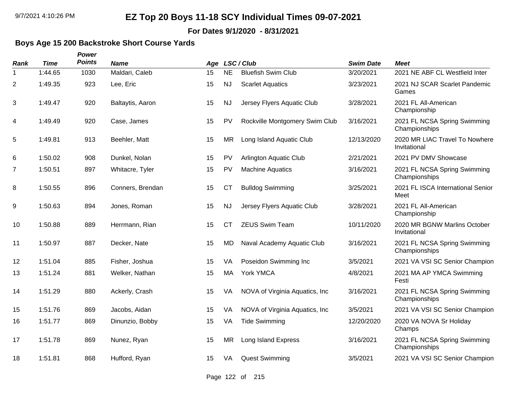**For Dates 9/1/2020 - 8/31/2021**

### **Boys Age 15 200 Backstroke Short Course Yards**

| <b>Rank</b>    | <b>Time</b> | Power<br><b>Points</b> | <b>Name</b>      |    |           | Age LSC/Club                    | <b>Swim Date</b> | <b>Meet</b>                                    |
|----------------|-------------|------------------------|------------------|----|-----------|---------------------------------|------------------|------------------------------------------------|
| 1              | 1:44.65     | 1030                   | Maldari, Caleb   | 15 | <b>NE</b> | <b>Bluefish Swim Club</b>       | 3/20/2021        | 2021 NE ABF CL Westfield Inter                 |
| $\overline{2}$ | 1:49.35     | 923                    | Lee, Eric        | 15 | <b>NJ</b> | <b>Scarlet Aquatics</b>         | 3/23/2021        | 2021 NJ SCAR Scarlet Pandemic<br>Games         |
| 3              | 1:49.47     | 920                    | Baltaytis, Aaron | 15 | <b>NJ</b> | Jersey Flyers Aquatic Club      | 3/28/2021        | 2021 FL All-American<br>Championship           |
| 4              | 1:49.49     | 920                    | Case, James      | 15 | PV        | Rockville Montgomery Swim Club  | 3/16/2021        | 2021 FL NCSA Spring Swimming<br>Championships  |
| 5              | 1:49.81     | 913                    | Beehler, Matt    | 15 | <b>MR</b> | Long Island Aquatic Club        | 12/13/2020       | 2020 MR LIAC Travel To Nowhere<br>Invitational |
| 6              | 1:50.02     | 908                    | Dunkel, Nolan    | 15 | PV        | Arlington Aquatic Club          | 2/21/2021        | 2021 PV DMV Showcase                           |
| $\overline{7}$ | 1:50.51     | 897                    | Whitacre, Tyler  | 15 | <b>PV</b> | <b>Machine Aquatics</b>         | 3/16/2021        | 2021 FL NCSA Spring Swimming<br>Championships  |
| 8              | 1:50.55     | 896                    | Conners, Brendan | 15 | <b>CT</b> | <b>Bulldog Swimming</b>         | 3/25/2021        | 2021 FL ISCA International Senior<br>Meet      |
| 9              | 1:50.63     | 894                    | Jones, Roman     | 15 | <b>NJ</b> | Jersey Flyers Aquatic Club      | 3/28/2021        | 2021 FL All-American<br>Championship           |
| 10             | 1:50.88     | 889                    | Herrmann, Rian   | 15 | <b>CT</b> | <b>ZEUS Swim Team</b>           | 10/11/2020       | 2020 MR BGNW Marlins October<br>Invitational   |
| 11             | 1:50.97     | 887                    | Decker, Nate     | 15 | MD        | Naval Academy Aquatic Club      | 3/16/2021        | 2021 FL NCSA Spring Swimming<br>Championships  |
| 12             | 1:51.04     | 885                    | Fisher, Joshua   | 15 | VA        | Poseidon Swimming Inc           | 3/5/2021         | 2021 VA VSI SC Senior Champion                 |
| 13             | 1:51.24     | 881                    | Welker, Nathan   | 15 | MA        | York YMCA                       | 4/8/2021         | 2021 MA AP YMCA Swimming<br>Festi              |
| 14             | 1:51.29     | 880                    | Ackerly, Crash   | 15 | VA        | NOVA of Virginia Aquatics, Inc. | 3/16/2021        | 2021 FL NCSA Spring Swimming<br>Championships  |
| 15             | 1:51.76     | 869                    | Jacobs, Aidan    | 15 | VA        | NOVA of Virginia Aquatics, Inc. | 3/5/2021         | 2021 VA VSI SC Senior Champion                 |
| 16             | 1:51.77     | 869                    | Dinunzio, Bobby  | 15 | VA        | <b>Tide Swimming</b>            | 12/20/2020       | 2020 VA NOVA Sr Holiday<br>Champs              |
| 17             | 1:51.78     | 869                    | Nunez, Ryan      | 15 | <b>MR</b> | Long Island Express             | 3/16/2021        | 2021 FL NCSA Spring Swimming<br>Championships  |
| 18             | 1:51.81     | 868                    | Hufford, Ryan    | 15 | VA        | <b>Quest Swimming</b>           | 3/5/2021         | 2021 VA VSI SC Senior Champion                 |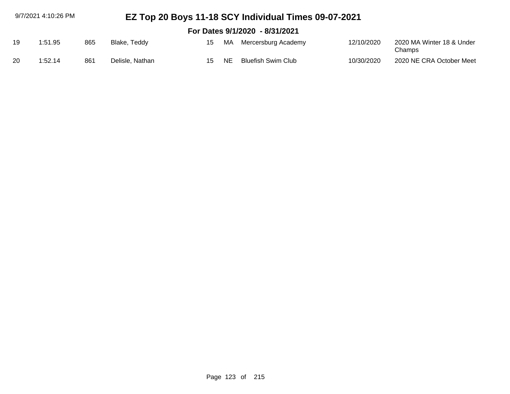|                                | 9/7/2021 4:10:26 PM |     |                 | EZ Top 20 Boys 11-18 SCY Individual Times 09-07-2021 |           |                        |            |                                     |  |  |
|--------------------------------|---------------------|-----|-----------------|------------------------------------------------------|-----------|------------------------|------------|-------------------------------------|--|--|
| For Dates 9/1/2020 - 8/31/2021 |                     |     |                 |                                                      |           |                        |            |                                     |  |  |
| 19                             | 1:51.95             | 865 | Blake, Teddy    | 15                                                   |           | MA Mercersburg Academy | 12/10/2020 | 2020 MA Winter 18 & Under<br>Champs |  |  |
| 20                             | 1:52.14             | 861 | Delisle, Nathan | 15.                                                  | <b>NE</b> | Bluefish Swim Club     | 10/30/2020 | 2020 NE CRA October Meet            |  |  |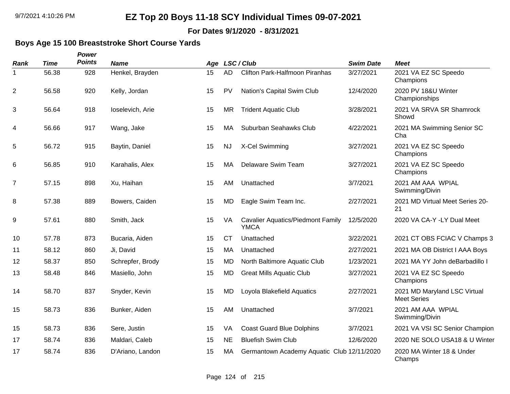**For Dates 9/1/2020 - 8/31/2021**

### **Boys Age 15 100 Breaststroke Short Course Yards**

| <b>Rank</b>    | <b>Time</b> | Power<br><b>Points</b> | <b>Name</b>      |    |           | Age LSC/Club                                            | <b>Swim Date</b> | <b>Meet</b>                                        |
|----------------|-------------|------------------------|------------------|----|-----------|---------------------------------------------------------|------------------|----------------------------------------------------|
| 1              | 56.38       | 928                    | Henkel, Brayden  | 15 | <b>AD</b> | Clifton Park-Halfmoon Piranhas                          | 3/27/2021        | 2021 VA EZ SC Speedo<br>Champions                  |
| $\overline{2}$ | 56.58       | 920                    | Kelly, Jordan    | 15 | PV        | Nation's Capital Swim Club                              | 12/4/2020        | 2020 PV 18&U Winter<br>Championships               |
| 3              | 56.64       | 918                    | loselevich, Arie | 15 | <b>MR</b> | <b>Trident Aquatic Club</b>                             | 3/28/2021        | 2021 VA SRVA SR Shamrock<br>Showd                  |
| 4              | 56.66       | 917                    | Wang, Jake       | 15 | MA        | Suburban Seahawks Club                                  | 4/22/2021        | 2021 MA Swimming Senior SC<br>Cha                  |
| 5              | 56.72       | 915                    | Baytin, Daniel   | 15 | <b>NJ</b> | X-Cel Swimming                                          | 3/27/2021        | 2021 VA EZ SC Speedo<br>Champions                  |
| 6              | 56.85       | 910                    | Karahalis, Alex  | 15 | <b>MA</b> | Delaware Swim Team                                      | 3/27/2021        | 2021 VA EZ SC Speedo<br>Champions                  |
| $\overline{7}$ | 57.15       | 898                    | Xu, Haihan       | 15 | AM        | Unattached                                              | 3/7/2021         | 2021 AM AAA WPIAL<br>Swimming/Divin                |
| 8              | 57.38       | 889                    | Bowers, Caiden   | 15 | <b>MD</b> | Eagle Swim Team Inc.                                    | 2/27/2021        | 2021 MD Virtual Meet Series 20-<br>21              |
| 9              | 57.61       | 880                    | Smith, Jack      | 15 | <b>VA</b> | <b>Cavalier Aquatics/Piedmont Family</b><br><b>YMCA</b> | 12/5/2020        | 2020 VA CA-Y -LY Dual Meet                         |
| 10             | 57.78       | 873                    | Bucaria, Aiden   | 15 | <b>CT</b> | Unattached                                              | 3/22/2021        | 2021 CT OBS FCIAC V Champs 3                       |
| 11             | 58.12       | 860                    | Ji, David        | 15 | MA        | Unattached                                              | 2/27/2021        | 2021 MA OB District I AAA Boys                     |
| 12             | 58.37       | 850                    | Schrepfer, Brody | 15 | <b>MD</b> | North Baltimore Aquatic Club                            | 1/23/2021        | 2021 MA YY John deBarbadillo I                     |
| 13             | 58.48       | 846                    | Masiello, John   | 15 | <b>MD</b> | <b>Great Mills Aquatic Club</b>                         | 3/27/2021        | 2021 VA EZ SC Speedo<br>Champions                  |
| 14             | 58.70       | 837                    | Snyder, Kevin    | 15 | <b>MD</b> | Loyola Blakefield Aquatics                              | 2/27/2021        | 2021 MD Maryland LSC Virtual<br><b>Meet Series</b> |
| 15             | 58.73       | 836                    | Bunker, Aiden    | 15 | AM        | Unattached                                              | 3/7/2021         | 2021 AM AAA WPIAL<br>Swimming/Divin                |
| 15             | 58.73       | 836                    | Sere, Justin     | 15 | VA        | <b>Coast Guard Blue Dolphins</b>                        | 3/7/2021         | 2021 VA VSI SC Senior Champion                     |
| 17             | 58.74       | 836                    | Maldari, Caleb   | 15 | <b>NE</b> | <b>Bluefish Swim Club</b>                               | 12/6/2020        | 2020 NE SOLO USA18 & U Winter                      |
| 17             | 58.74       | 836                    | D'Ariano, Landon | 15 | МA        | Germantown Academy Aquatic Club 12/11/2020              |                  | 2020 MA Winter 18 & Under<br>Champs                |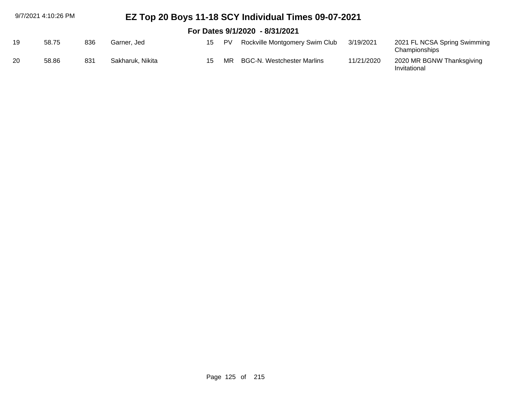| 9/7/2021 4:10:26 PM            |       |     | EZ Top 20 Boys 11-18 SCY Individual Times 09-07-2021 |    |     |                                   |            |                                               |  |
|--------------------------------|-------|-----|------------------------------------------------------|----|-----|-----------------------------------|------------|-----------------------------------------------|--|
| For Dates 9/1/2020 - 8/31/2021 |       |     |                                                      |    |     |                                   |            |                                               |  |
| 19                             | 58.75 | 836 | Garner, Jed                                          | 15 | PV. | Rockville Montgomery Swim Club    | 3/19/2021  | 2021 FL NCSA Spring Swimming<br>Championships |  |
| 20                             | 58.86 | 831 | Sakharuk, Nikita                                     | 15 | MR  | <b>BGC-N. Westchester Marlins</b> | 11/21/2020 | 2020 MR BGNW Thanksgiving<br>Invitational     |  |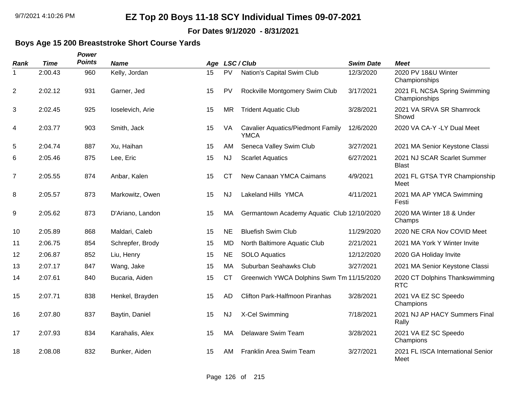**For Dates 9/1/2020 - 8/31/2021**

### **Boys Age 15 200 Breaststroke Short Course Yards**

| Rank           | <b>Time</b> | Power<br><b>Points</b> | <b>Name</b>      | Age |           | LSC / Club                                              | <b>Swim Date</b> | <b>Meet</b>                                   |
|----------------|-------------|------------------------|------------------|-----|-----------|---------------------------------------------------------|------------------|-----------------------------------------------|
| 1              | 2:00.43     | 960                    | Kelly, Jordan    | 15  | PV        | Nation's Capital Swim Club                              | 12/3/2020        | 2020 PV 18&U Winter<br>Championships          |
| 2              | 2:02.12     | 931                    | Garner, Jed      | 15  | PV        | Rockville Montgomery Swim Club                          | 3/17/2021        | 2021 FL NCSA Spring Swimming<br>Championships |
| 3              | 2:02.45     | 925                    | loselevich, Arie | 15  | <b>MR</b> | <b>Trident Aquatic Club</b>                             | 3/28/2021        | 2021 VA SRVA SR Shamrock<br>Showd             |
| 4              | 2:03.77     | 903                    | Smith, Jack      | 15  | VA        | <b>Cavalier Aquatics/Piedmont Family</b><br><b>YMCA</b> | 12/6/2020        | 2020 VA CA-Y -LY Dual Meet                    |
| 5              | 2:04.74     | 887                    | Xu, Haihan       | 15  | AM        | Seneca Valley Swim Club                                 | 3/27/2021        | 2021 MA Senior Keystone Classi                |
| 6              | 2:05.46     | 875                    | Lee, Eric        | 15  | <b>NJ</b> | <b>Scarlet Aquatics</b>                                 | 6/27/2021        | 2021 NJ SCAR Scarlet Summer<br><b>Blast</b>   |
| $\overline{7}$ | 2:05.55     | 874                    | Anbar, Kalen     | 15  | <b>CT</b> | New Canaan YMCA Caimans                                 | 4/9/2021         | 2021 FL GTSA TYR Championship<br>Meet         |
| 8              | 2:05.57     | 873                    | Markowitz, Owen  | 15  | <b>NJ</b> | Lakeland Hills YMCA                                     | 4/11/2021        | 2021 MA AP YMCA Swimming<br>Festi             |
| 9              | 2:05.62     | 873                    | D'Ariano, Landon | 15  | MA        | Germantown Academy Aquatic Club 12/10/2020              |                  | 2020 MA Winter 18 & Under<br>Champs           |
| 10             | 2:05.89     | 868                    | Maldari, Caleb   | 15  | <b>NE</b> | <b>Bluefish Swim Club</b>                               | 11/29/2020       | 2020 NE CRA Nov COVID Meet                    |
| 11             | 2:06.75     | 854                    | Schrepfer, Brody | 15  | <b>MD</b> | North Baltimore Aquatic Club                            | 2/21/2021        | 2021 MA York Y Winter Invite                  |
| 12             | 2:06.87     | 852                    | Liu, Henry       | 15  | <b>NE</b> | <b>SOLO Aquatics</b>                                    | 12/12/2020       | 2020 GA Holiday Invite                        |
| 13             | 2:07.17     | 847                    | Wang, Jake       | 15  | MA        | Suburban Seahawks Club                                  | 3/27/2021        | 2021 MA Senior Keystone Classi                |
| 14             | 2:07.61     | 840                    | Bucaria, Aiden   | 15  | <b>CT</b> | Greenwich YWCA Dolphins Swm Tm 11/15/2020               |                  | 2020 CT Dolphins Thankswimming<br><b>RTC</b>  |
| 15             | 2:07.71     | 838                    | Henkel, Brayden  | 15  | <b>AD</b> | <b>Clifton Park-Halfmoon Piranhas</b>                   | 3/28/2021        | 2021 VA EZ SC Speedo<br>Champions             |
| 16             | 2:07.80     | 837                    | Baytin, Daniel   | 15  | <b>NJ</b> | X-Cel Swimming                                          | 7/18/2021        | 2021 NJ AP HACY Summers Final<br>Rally        |
| 17             | 2:07.93     | 834                    | Karahalis, Alex  | 15  | MA        | Delaware Swim Team                                      | 3/28/2021        | 2021 VA EZ SC Speedo<br>Champions             |
| 18             | 2:08.08     | 832                    | Bunker, Aiden    | 15  | AM        | Franklin Area Swim Team                                 | 3/27/2021        | 2021 FL ISCA International Senior<br>Meet     |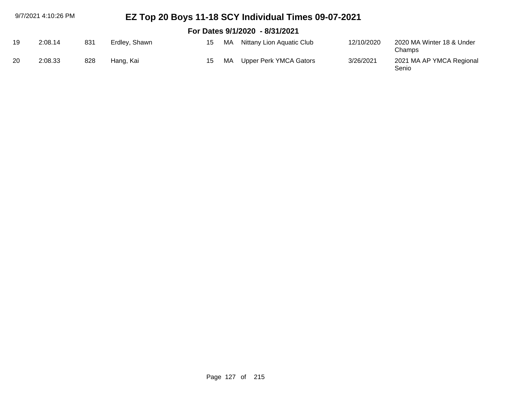| 9/7/2021 4:10:26 PM |         |     | EZ Top 20 Boys 11-18 SCY Individual Times 09-07-2021 |    |    |                                |            |                                     |  |  |
|---------------------|---------|-----|------------------------------------------------------|----|----|--------------------------------|------------|-------------------------------------|--|--|
|                     |         |     |                                                      |    |    | For Dates 9/1/2020 - 8/31/2021 |            |                                     |  |  |
| 19                  | 2:08.14 | 831 | Erdley, Shawn                                        | 15 | MA | Nittany Lion Aquatic Club      | 12/10/2020 | 2020 MA Winter 18 & Under<br>Champs |  |  |
| 20                  | 2:08.33 | 828 | Hang, Kai                                            | 15 | MA | Upper Perk YMCA Gators         | 3/26/2021  | 2021 MA AP YMCA Regional<br>Senio   |  |  |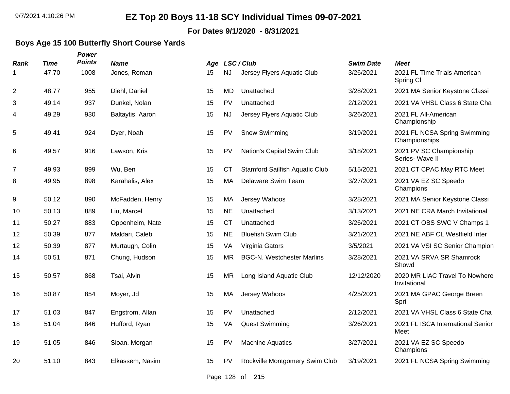#### **For Dates 9/1/2020 - 8/31/2021**

### **Boys Age 15 100 Butterfly Short Course Yards**

*Power*

| Rank           | <b>Time</b> | <b>Points</b> | <b>Name</b>      |    |           | Age LSC/Club                          | <b>Swim Date</b> | <b>Meet</b>                                    |
|----------------|-------------|---------------|------------------|----|-----------|---------------------------------------|------------------|------------------------------------------------|
| 1              | 47.70       | 1008          | Jones, Roman     | 15 | NJ        | Jersey Flyers Aquatic Club            | 3/26/2021        | 2021 FL Time Trials American<br>Spring Cl      |
| $\overline{2}$ | 48.77       | 955           | Diehl, Daniel    | 15 | <b>MD</b> | Unattached                            | 3/28/2021        | 2021 MA Senior Keystone Classi                 |
| 3              | 49.14       | 937           | Dunkel, Nolan    | 15 | PV        | Unattached                            | 2/12/2021        | 2021 VA VHSL Class 6 State Cha                 |
| 4              | 49.29       | 930           | Baltaytis, Aaron | 15 | <b>NJ</b> | Jersey Flyers Aquatic Club            | 3/26/2021        | 2021 FL All-American<br>Championship           |
| 5              | 49.41       | 924           | Dyer, Noah       | 15 | PV        | Snow Swimming                         | 3/19/2021        | 2021 FL NCSA Spring Swimming<br>Championships  |
| 6              | 49.57       | 916           | Lawson, Kris     | 15 | <b>PV</b> | Nation's Capital Swim Club            | 3/18/2021        | 2021 PV SC Championship<br>Series- Wave II     |
| $\overline{7}$ | 49.93       | 899           | Wu, Ben          | 15 | <b>CT</b> | <b>Stamford Sailfish Aquatic Club</b> | 5/15/2021        | 2021 CT CPAC May RTC Meet                      |
| 8              | 49.95       | 898           | Karahalis, Alex  | 15 | MA        | Delaware Swim Team                    | 3/27/2021        | 2021 VA EZ SC Speedo<br>Champions              |
| 9              | 50.12       | 890           | McFadden, Henry  | 15 | МA        | Jersey Wahoos                         | 3/28/2021        | 2021 MA Senior Keystone Classi                 |
| 10             | 50.13       | 889           | Liu, Marcel      | 15 | <b>NE</b> | Unattached                            | 3/13/2021        | 2021 NE CRA March Invitational                 |
| 11             | 50.27       | 883           | Oppenheim, Nate  | 15 | <b>CT</b> | Unattached                            | 3/26/2021        | 2021 CT OBS SWC V Champs 1                     |
| 12             | 50.39       | 877           | Maldari, Caleb   | 15 | <b>NE</b> | <b>Bluefish Swim Club</b>             | 3/21/2021        | 2021 NE ABF CL Westfield Inter                 |
| 12             | 50.39       | 877           | Murtaugh, Colin  | 15 | VA        | Virginia Gators                       | 3/5/2021         | 2021 VA VSI SC Senior Champion                 |
| 14             | 50.51       | 871           | Chung, Hudson    | 15 | <b>MR</b> | <b>BGC-N. Westchester Marlins</b>     | 3/28/2021        | 2021 VA SRVA SR Shamrock<br>Showd              |
| 15             | 50.57       | 868           | Tsai, Alvin      | 15 | <b>MR</b> | Long Island Aquatic Club              | 12/12/2020       | 2020 MR LIAC Travel To Nowhere<br>Invitational |
| 16             | 50.87       | 854           | Moyer, Jd        | 15 | МA        | Jersey Wahoos                         | 4/25/2021        | 2021 MA GPAC George Breen<br>Spri              |
| 17             | 51.03       | 847           | Engstrom, Allan  | 15 | PV        | Unattached                            | 2/12/2021        | 2021 VA VHSL Class 6 State Cha                 |
| 18             | 51.04       | 846           | Hufford, Ryan    | 15 | VA        | <b>Quest Swimming</b>                 | 3/26/2021        | 2021 FL ISCA International Senior<br>Meet      |
| 19             | 51.05       | 846           | Sloan, Morgan    | 15 | PV        | <b>Machine Aquatics</b>               | 3/27/2021        | 2021 VA EZ SC Speedo<br>Champions              |
| 20             | 51.10       | 843           | Elkassem, Nasim  | 15 | <b>PV</b> | Rockville Montgomery Swim Club        | 3/19/2021        | 2021 FL NCSA Spring Swimming                   |

Page 128 of 215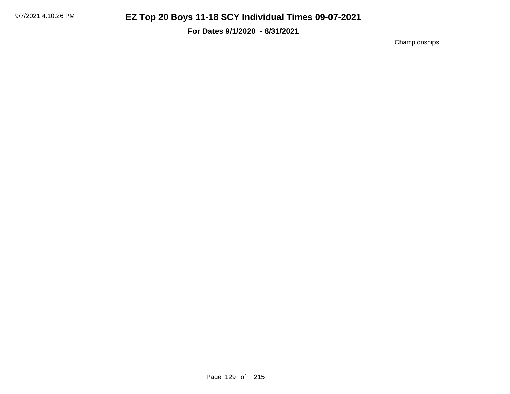**For Dates 9/1/2020 - 8/31/2021**

Championships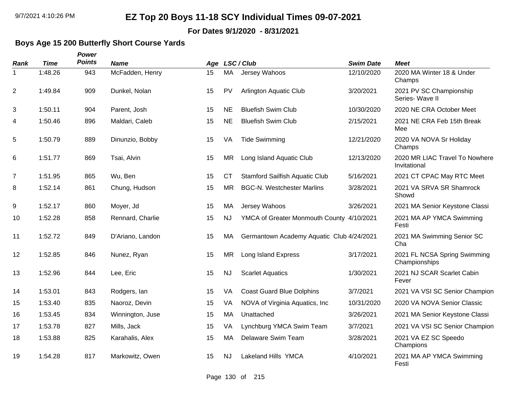**For Dates 9/1/2020 - 8/31/2021**

### **Boys Age 15 200 Butterfly Short Course Yards**

| <b>Rank</b>    | <b>Time</b> | Power<br><b>Points</b> | <b>Name</b>      | Age |           | LSC / Club                                | <b>Swim Date</b> | <b>Meet</b>                                    |
|----------------|-------------|------------------------|------------------|-----|-----------|-------------------------------------------|------------------|------------------------------------------------|
| $\mathbf 1$    | 1:48.26     | 943                    | McFadden, Henry  | 15  | MA        | Jersey Wahoos                             | 12/10/2020       | 2020 MA Winter 18 & Under<br>Champs            |
| $\overline{2}$ | 1:49.84     | 909                    | Dunkel, Nolan    | 15  | <b>PV</b> | Arlington Aquatic Club                    | 3/20/2021        | 2021 PV SC Championship<br>Series- Wave II     |
| 3              | 1:50.11     | 904                    | Parent, Josh     | 15  | NE.       | <b>Bluefish Swim Club</b>                 | 10/30/2020       | 2020 NE CRA October Meet                       |
| 4              | 1:50.46     | 896                    | Maldari, Caleb   | 15  | <b>NE</b> | <b>Bluefish Swim Club</b>                 | 2/15/2021        | 2021 NE CRA Feb 15th Break<br>Mee              |
| 5              | 1:50.79     | 889                    | Dinunzio, Bobby  | 15  | VA        | <b>Tide Swimming</b>                      | 12/21/2020       | 2020 VA NOVA Sr Holiday<br>Champs              |
| 6              | 1:51.77     | 869                    | Tsai, Alvin      | 15  | <b>MR</b> | Long Island Aquatic Club                  | 12/13/2020       | 2020 MR LIAC Travel To Nowhere<br>Invitational |
| $\overline{7}$ | 1:51.95     | 865                    | Wu, Ben          | 15  | <b>CT</b> | <b>Stamford Sailfish Aquatic Club</b>     | 5/16/2021        | 2021 CT CPAC May RTC Meet                      |
| 8              | 1:52.14     | 861                    | Chung, Hudson    | 15  | <b>MR</b> | <b>BGC-N. Westchester Marlins</b>         | 3/28/2021        | 2021 VA SRVA SR Shamrock<br>Showd              |
| 9              | 1:52.17     | 860                    | Moyer, Jd        | 15  | MA        | Jersey Wahoos                             | 3/26/2021        | 2021 MA Senior Keystone Classi                 |
| 10             | 1:52.28     | 858                    | Rennard, Charlie | 15  | <b>NJ</b> | YMCA of Greater Monmouth County 4/10/2021 |                  | 2021 MA AP YMCA Swimming<br>Festi              |
| 11             | 1:52.72     | 849                    | D'Ariano, Landon | 15  | MA        | Germantown Academy Aquatic Club 4/24/2021 |                  | 2021 MA Swimming Senior SC<br>Cha              |
| 12             | 1:52.85     | 846                    | Nunez, Ryan      | 15  | <b>MR</b> | Long Island Express                       | 3/17/2021        | 2021 FL NCSA Spring Swimming<br>Championships  |
| 13             | 1:52.96     | 844                    | Lee, Eric        | 15  | <b>NJ</b> | <b>Scarlet Aquatics</b>                   | 1/30/2021        | 2021 NJ SCAR Scarlet Cabin<br>Fever            |
| 14             | 1:53.01     | 843                    | Rodgers, lan     | 15  | VA        | <b>Coast Guard Blue Dolphins</b>          | 3/7/2021         | 2021 VA VSI SC Senior Champion                 |
| 15             | 1:53.40     | 835                    | Naoroz, Devin    | 15  | VA        | NOVA of Virginia Aquatics, Inc.           | 10/31/2020       | 2020 VA NOVA Senior Classic                    |
| 16             | 1:53.45     | 834                    | Winnington, Juse | 15  | <b>MA</b> | Unattached                                | 3/26/2021        | 2021 MA Senior Keystone Classi                 |
| 17             | 1:53.78     | 827                    | Mills, Jack      | 15  | VA        | Lynchburg YMCA Swim Team                  | 3/7/2021         | 2021 VA VSI SC Senior Champion                 |
| 18             | 1:53.88     | 825                    | Karahalis, Alex  | 15  | MA        | Delaware Swim Team                        | 3/28/2021        | 2021 VA EZ SC Speedo<br>Champions              |
| 19             | 1:54.28     | 817                    | Markowitz, Owen  | 15  | <b>NJ</b> | Lakeland Hills YMCA                       | 4/10/2021        | 2021 MA AP YMCA Swimming<br>Festi              |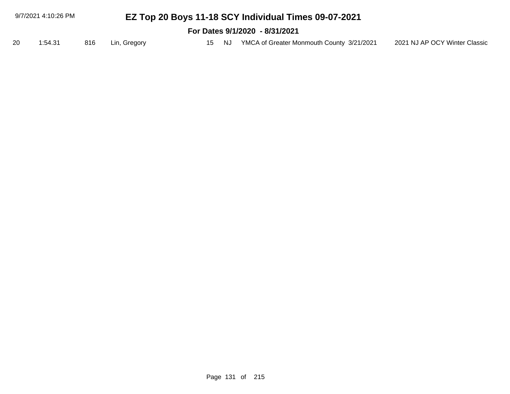| 9/7/2021 4:10:26 PM<br>EZ Top 20 Boys 11-18 SCY Individual Times 09-07-2021 |  |     |              |  |  |  |                                                 |                               |
|-----------------------------------------------------------------------------|--|-----|--------------|--|--|--|-------------------------------------------------|-------------------------------|
| For Dates 9/1/2020 - 8/31/2021                                              |  |     |              |  |  |  |                                                 |                               |
| 20<br>1:54.31                                                               |  | 816 | Lin, Gregory |  |  |  | 15 NJ YMCA of Greater Monmouth County 3/21/2021 | 2021 NJ AP OCY Winter Classic |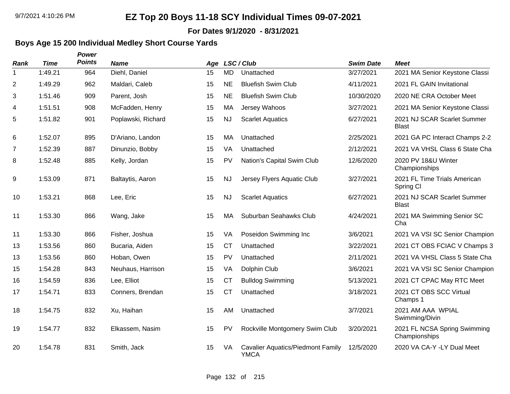**For Dates 9/1/2020 - 8/31/2021**

### **Boys Age 15 200 Individual Medley Short Course Yards**

| <b>Rank</b> | <b>Time</b> | Power<br><b>Points</b> | <b>Name</b>        |    |           | Age LSC/Club                                            | <b>Swim Date</b> | <b>Meet</b>                                   |
|-------------|-------------|------------------------|--------------------|----|-----------|---------------------------------------------------------|------------------|-----------------------------------------------|
| 1           | 1:49.21     | 964                    | Diehl, Daniel      | 15 | <b>MD</b> | Unattached                                              | 3/27/2021        | 2021 MA Senior Keystone Classi                |
| 2           | 1:49.29     | 962                    | Maldari, Caleb     | 15 | <b>NE</b> | <b>Bluefish Swim Club</b>                               | 4/11/2021        | 2021 FL GAIN Invitational                     |
| 3           | 1:51.46     | 909                    | Parent, Josh       | 15 | <b>NE</b> | <b>Bluefish Swim Club</b>                               | 10/30/2020       | 2020 NE CRA October Meet                      |
| 4           | 1:51.51     | 908                    | McFadden, Henry    | 15 | MA        | Jersey Wahoos                                           | 3/27/2021        | 2021 MA Senior Keystone Classi                |
| 5           | 1:51.82     | 901                    | Poplawski, Richard | 15 | <b>NJ</b> | <b>Scarlet Aquatics</b>                                 | 6/27/2021        | 2021 NJ SCAR Scarlet Summer<br><b>Blast</b>   |
| 6           | 1:52.07     | 895                    | D'Ariano, Landon   | 15 | MA        | Unattached                                              | 2/25/2021        | 2021 GA PC Interact Champs 2-2                |
| 7           | 1:52.39     | 887                    | Dinunzio, Bobby    | 15 | VA        | Unattached                                              | 2/12/2021        | 2021 VA VHSL Class 6 State Cha                |
| 8           | 1:52.48     | 885                    | Kelly, Jordan      | 15 | <b>PV</b> | Nation's Capital Swim Club                              | 12/6/2020        | 2020 PV 18&U Winter<br>Championships          |
| 9           | 1:53.09     | 871                    | Baltaytis, Aaron   | 15 | <b>NJ</b> | Jersey Flyers Aquatic Club                              | 3/27/2021        | 2021 FL Time Trials American<br>Spring Cl     |
| 10          | 1:53.21     | 868                    | Lee, Eric          | 15 | <b>NJ</b> | <b>Scarlet Aquatics</b>                                 | 6/27/2021        | 2021 NJ SCAR Scarlet Summer<br><b>Blast</b>   |
| 11          | 1:53.30     | 866                    | Wang, Jake         | 15 | МA        | Suburban Seahawks Club                                  | 4/24/2021        | 2021 MA Swimming Senior SC<br>Cha             |
| 11          | 1:53.30     | 866                    | Fisher, Joshua     | 15 | VA        | Poseidon Swimming Inc                                   | 3/6/2021         | 2021 VA VSI SC Senior Champion                |
| 13          | 1:53.56     | 860                    | Bucaria, Aiden     | 15 | <b>CT</b> | Unattached                                              | 3/22/2021        | 2021 CT OBS FCIAC V Champs 3                  |
| 13          | 1:53.56     | 860                    | Hoban, Owen        | 15 | PV        | Unattached                                              | 2/11/2021        | 2021 VA VHSL Class 5 State Cha                |
| 15          | 1:54.28     | 843                    | Neuhaus, Harrison  | 15 | VA        | Dolphin Club                                            | 3/6/2021         | 2021 VA VSI SC Senior Champion                |
| 16          | 1:54.59     | 836                    | Lee, Elliot        | 15 | <b>CT</b> | <b>Bulldog Swimming</b>                                 | 5/13/2021        | 2021 CT CPAC May RTC Meet                     |
| 17          | 1:54.71     | 833                    | Conners, Brendan   | 15 | <b>CT</b> | Unattached                                              | 3/18/2021        | 2021 CT OBS SCC Virtual<br>Champs 1           |
| 18          | 1:54.75     | 832                    | Xu, Haihan         | 15 | AM        | Unattached                                              | 3/7/2021         | 2021 AM AAA WPIAL<br>Swimming/Divin           |
| 19          | 1:54.77     | 832                    | Elkassem, Nasim    | 15 | PV        | Rockville Montgomery Swim Club                          | 3/20/2021        | 2021 FL NCSA Spring Swimming<br>Championships |
| 20          | 1:54.78     | 831                    | Smith, Jack        | 15 | VA        | <b>Cavalier Aquatics/Piedmont Family</b><br><b>YMCA</b> | 12/5/2020        | 2020 VA CA-Y -LY Dual Meet                    |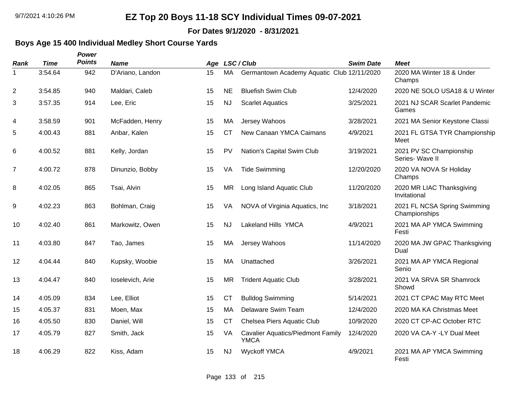**For Dates 9/1/2020 - 8/31/2021**

### **Boys Age 15 400 Individual Medley Short Course Yards**

| Rank | <b>Time</b> | Power<br><b>Points</b> | <b>Name</b>      | Age |           | LSC / Club                                              | <b>Swim Date</b> | <b>Meet</b>                                   |
|------|-------------|------------------------|------------------|-----|-----------|---------------------------------------------------------|------------------|-----------------------------------------------|
| 1    | 3:54.64     | 942                    | D'Ariano, Landon | 15  | MA        | Germantown Academy Aquatic Club 12/11/2020              |                  | 2020 MA Winter 18 & Under<br>Champs           |
| 2    | 3:54.85     | 940                    | Maldari, Caleb   | 15  | <b>NE</b> | <b>Bluefish Swim Club</b>                               | 12/4/2020        | 2020 NE SOLO USA18 & U Winter                 |
| 3    | 3:57.35     | 914                    | Lee, Eric        | 15  | <b>NJ</b> | <b>Scarlet Aquatics</b>                                 | 3/25/2021        | 2021 NJ SCAR Scarlet Pandemic<br>Games        |
| 4    | 3:58.59     | 901                    | McFadden, Henry  | 15  | MA        | Jersey Wahoos                                           | 3/28/2021        | 2021 MA Senior Keystone Classi                |
| 5    | 4:00.43     | 881                    | Anbar, Kalen     | 15  | <b>CT</b> | New Canaan YMCA Caimans                                 | 4/9/2021         | 2021 FL GTSA TYR Championship<br>Meet         |
| 6    | 4:00.52     | 881                    | Kelly, Jordan    | 15  | <b>PV</b> | Nation's Capital Swim Club                              | 3/19/2021        | 2021 PV SC Championship<br>Series- Wave II    |
| 7    | 4:00.72     | 878                    | Dinunzio, Bobby  | 15  | VA        | <b>Tide Swimming</b>                                    | 12/20/2020       | 2020 VA NOVA Sr Holiday<br>Champs             |
| 8    | 4:02.05     | 865                    | Tsai, Alvin      | 15  | <b>MR</b> | Long Island Aquatic Club                                | 11/20/2020       | 2020 MR LIAC Thanksgiving<br>Invitational     |
| 9    | 4:02.23     | 863                    | Bohlman, Craig   | 15  | VA        | NOVA of Virginia Aquatics, Inc.                         | 3/18/2021        | 2021 FL NCSA Spring Swimming<br>Championships |
| 10   | 4:02.40     | 861                    | Markowitz, Owen  | 15  | <b>NJ</b> | Lakeland Hills YMCA                                     | 4/9/2021         | 2021 MA AP YMCA Swimming<br>Festi             |
| 11   | 4:03.80     | 847                    | Tao, James       | 15  | MA        | Jersey Wahoos                                           | 11/14/2020       | 2020 MA JW GPAC Thanksgiving<br>Dual          |
| 12   | 4:04.44     | 840                    | Kupsky, Woobie   | 15  | MA        | Unattached                                              | 3/26/2021        | 2021 MA AP YMCA Regional<br>Senio             |
| 13   | 4:04.47     | 840                    | loselevich, Arie | 15  | <b>MR</b> | <b>Trident Aquatic Club</b>                             | 3/28/2021        | 2021 VA SRVA SR Shamrock<br>Showd             |
| 14   | 4:05.09     | 834                    | Lee, Elliot      | 15  | <b>CT</b> | <b>Bulldog Swimming</b>                                 | 5/14/2021        | 2021 CT CPAC May RTC Meet                     |
| 15   | 4:05.37     | 831                    | Moen, Max        | 15  | MA        | Delaware Swim Team                                      | 12/4/2020        | 2020 MA KA Christmas Meet                     |
| 16   | 4:05.50     | 830                    | Daniel, Will     | 15  | <b>CT</b> | Chelsea Piers Aquatic Club                              | 10/9/2020        | 2020 CT CP-AC October RTC                     |
| 17   | 4:05.79     | 827                    | Smith, Jack      | 15  | VA        | <b>Cavalier Aquatics/Piedmont Family</b><br><b>YMCA</b> | 12/4/2020        | 2020 VA CA-Y -LY Dual Meet                    |
| 18   | 4:06.29     | 822                    | Kiss, Adam       | 15  | <b>NJ</b> | <b>Wyckoff YMCA</b>                                     | 4/9/2021         | 2021 MA AP YMCA Swimming<br>Festi             |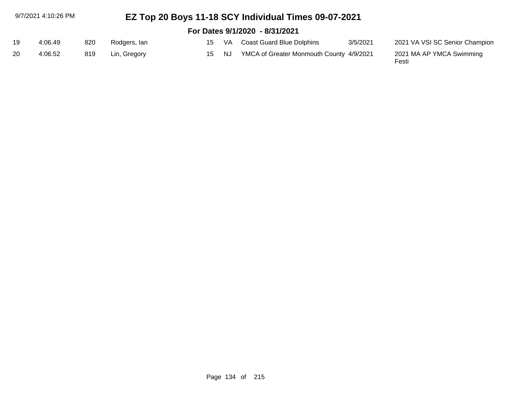| 9/7/2021 4:10:26 PM |         |     |              |    |     | EZ Top 20 Boys 11-18 SCY Individual Times 09-07-2021 |          |                                |
|---------------------|---------|-----|--------------|----|-----|------------------------------------------------------|----------|--------------------------------|
|                     |         |     |              |    |     | For Dates 9/1/2020 - 8/31/2021                       |          |                                |
| 19                  | 4:06.49 | 820 | Rodgers, lan | 15 | VA. | <b>Coast Guard Blue Dolphins</b>                     | 3/5/2021 | 2021 VA VSI SC Senior Champion |
| 20                  | 4:06.52 | 819 | Lin, Gregory | 15 | NJ. | YMCA of Greater Monmouth County 4/9/2021             |          | 2021 MA AP YMCA Swimming       |

Festi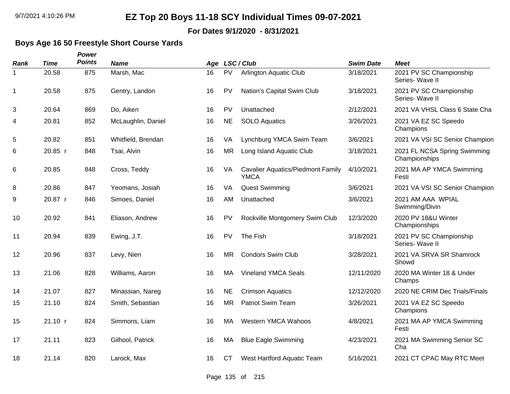**For Dates 9/1/2020 - 8/31/2021**

### **Boys Age 16 50 Freestyle Short Course Yards**

| <b>Rank</b> | <b>Time</b> | Power<br><b>Points</b> | <b>Name</b>        | Age |           | LSC / Club                                              | <b>Swim Date</b> | <b>Meet</b>                                   |
|-------------|-------------|------------------------|--------------------|-----|-----------|---------------------------------------------------------|------------------|-----------------------------------------------|
| 1           | 20.58       | 875                    | Marsh, Mac         | 16  | <b>PV</b> | <b>Arlington Aquatic Club</b>                           | 3/18/2021        | 2021 PV SC Championship<br>Series- Wave II    |
| 1           | 20.58       | 875                    | Gentry, Landon     | 16  | <b>PV</b> | Nation's Capital Swim Club                              | 3/18/2021        | 2021 PV SC Championship<br>Series- Wave II    |
| 3           | 20.64       | 869                    | Do, Aiken          | 16  | PV        | Unattached                                              | 2/12/2021        | 2021 VA VHSL Class 6 State Cha                |
| 4           | 20.81       | 852                    | McLaughlin, Daniel | 16  | <b>NE</b> | <b>SOLO Aquatics</b>                                    | 3/26/2021        | 2021 VA EZ SC Speedo<br>Champions             |
| 5           | 20.82       | 851                    | Whitfield, Brendan | 16  | VA        | Lynchburg YMCA Swim Team                                | 3/6/2021         | 2021 VA VSI SC Senior Champion                |
| 6           | 20.85 r     | 848                    | Tsai, Alvin        | 16  | <b>MR</b> | Long Island Aquatic Club                                | 3/18/2021        | 2021 FL NCSA Spring Swimming<br>Championships |
| 6           | 20.85       | 848                    | Cross, Teddy       | 16  | <b>VA</b> | <b>Cavalier Aquatics/Piedmont Family</b><br><b>YMCA</b> | 4/10/2021        | 2021 MA AP YMCA Swimming<br>Festi             |
| 8           | 20.86       | 847                    | Yeomans, Josiah    | 16  | VA        | <b>Quest Swimming</b>                                   | 3/6/2021         | 2021 VA VSI SC Senior Champion                |
| 9           | 20.87 r     | 846                    | Simoes, Daniel     | 16  | AM        | Unattached                                              | 3/6/2021         | 2021 AM AAA WPIAL<br>Swimming/Divin           |
| 10          | 20.92       | 841                    | Eliason, Andrew    | 16  | <b>PV</b> | Rockville Montgomery Swim Club                          | 12/3/2020        | 2020 PV 18&U Winter<br>Championships          |
| 11          | 20.94       | 839                    | Ewing, J.T.        | 16  | PV        | The Fish                                                | 3/18/2021        | 2021 PV SC Championship<br>Series- Wave II    |
| 12          | 20.96       | 837                    | Levy, Nien         | 16  | <b>MR</b> | <b>Condors Swim Club</b>                                | 3/28/2021        | 2021 VA SRVA SR Shamrock<br>Showd             |
| 13          | 21.06       | 828                    | Williams, Aaron    | 16  | <b>MA</b> | <b>Vineland YMCA Seals</b>                              | 12/11/2020       | 2020 MA Winter 18 & Under<br>Champs           |
| 14          | 21.07       | 827                    | Minassian, Nareg   | 16  | <b>NE</b> | <b>Crimson Aquatics</b>                                 | 12/12/2020       | 2020 NE CRIM Dec Trials/Finals                |
| 15          | 21.10       | 824                    | Smith, Sebastian   | 16  | <b>MR</b> | <b>Patriot Swim Team</b>                                | 3/26/2021        | 2021 VA EZ SC Speedo<br>Champions             |
| 15          | 21.10 r     | 824                    | Simmons, Liam      | 16  | MA        | Western YMCA Wahoos                                     | 4/8/2021         | 2021 MA AP YMCA Swimming<br>Festi             |
| 17          | 21.11       | 823                    | Gilhool, Patrick   | 16  | MA        | <b>Blue Eagle Swimming</b>                              | 4/23/2021        | 2021 MA Swimming Senior SC<br>Cha             |
| 18          | 21.14       | 820                    | Larock, Max        | 16  | <b>CT</b> | West Hartford Aquatic Team                              | 5/16/2021        | 2021 CT CPAC May RTC Meet                     |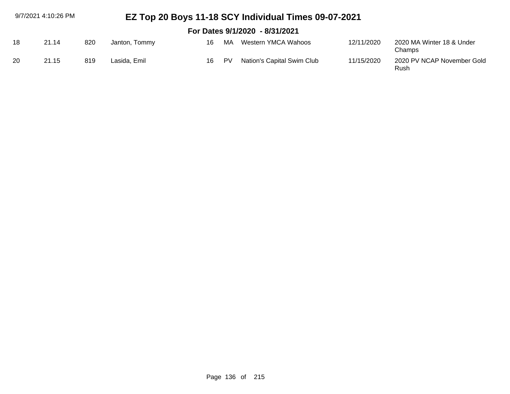| 9/7/2021 4:10:26 PM |       |     | EZ Top 20 Boys 11-18 SCY Individual Times 09-07-2021 |    |    |                                |            |                                     |  |  |  |  |
|---------------------|-------|-----|------------------------------------------------------|----|----|--------------------------------|------------|-------------------------------------|--|--|--|--|
|                     |       |     |                                                      |    |    | For Dates 9/1/2020 - 8/31/2021 |            |                                     |  |  |  |  |
| 18                  | 21.14 | 820 | Janton, Tommy                                        | 16 | MA | Western YMCA Wahoos            | 12/11/2020 | 2020 MA Winter 18 & Under<br>Champs |  |  |  |  |
| 20                  | 21.15 | 819 | Lasida, Emil                                         | 16 | PV | Nation's Capital Swim Club     | 11/15/2020 | 2020 PV NCAP November Gold<br>Rush  |  |  |  |  |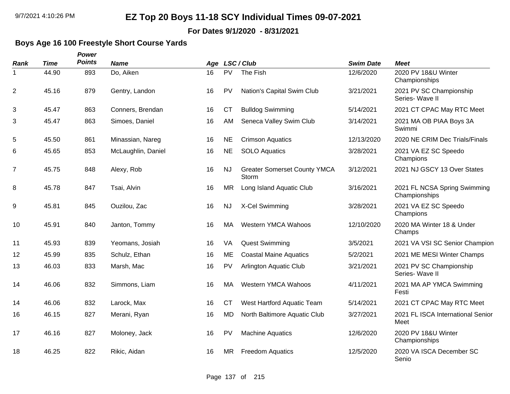#### **For Dates 9/1/2020 - 8/31/2021**

### **Boys Age 16 100 Freestyle Short Course Yards**

| Rank           | <b>Time</b> | Power<br><b>Points</b> | <b>Name</b>        | Age |           | LSC / Club                                   | <b>Swim Date</b> | <b>Meet</b>                                   |
|----------------|-------------|------------------------|--------------------|-----|-----------|----------------------------------------------|------------------|-----------------------------------------------|
| 1              | 44.90       | 893                    | Do, Aiken          | 16  | <b>PV</b> | The Fish                                     | 12/6/2020        | 2020 PV 18&U Winter<br>Championships          |
| $\overline{2}$ | 45.16       | 879                    | Gentry, Landon     | 16  | <b>PV</b> | Nation's Capital Swim Club                   | 3/21/2021        | 2021 PV SC Championship<br>Series- Wave II    |
| 3              | 45.47       | 863                    | Conners, Brendan   | 16  | <b>CT</b> | <b>Bulldog Swimming</b>                      | 5/14/2021        | 2021 CT CPAC May RTC Meet                     |
| 3              | 45.47       | 863                    | Simoes, Daniel     | 16  | <b>AM</b> | Seneca Valley Swim Club                      | 3/14/2021        | 2021 MA OB PIAA Boys 3A<br>Swimmi             |
| 5              | 45.50       | 861                    | Minassian, Nareg   | 16  | <b>NE</b> | <b>Crimson Aquatics</b>                      | 12/13/2020       | 2020 NE CRIM Dec Trials/Finals                |
| 6              | 45.65       | 853                    | McLaughlin, Daniel | 16  | <b>NE</b> | <b>SOLO Aquatics</b>                         | 3/28/2021        | 2021 VA EZ SC Speedo<br>Champions             |
| 7              | 45.75       | 848                    | Alexy, Rob         | 16  | <b>NJ</b> | <b>Greater Somerset County YMCA</b><br>Storm | 3/12/2021        | 2021 NJ GSCY 13 Over States                   |
| 8              | 45.78       | 847                    | Tsai, Alvin        | 16  | <b>MR</b> | Long Island Aquatic Club                     | 3/16/2021        | 2021 FL NCSA Spring Swimming<br>Championships |
| 9              | 45.81       | 845                    | Ouzilou, Zac       | 16  | <b>NJ</b> | X-Cel Swimming                               | 3/28/2021        | 2021 VA EZ SC Speedo<br>Champions             |
| 10             | 45.91       | 840                    | Janton, Tommy      | 16  | MA        | <b>Western YMCA Wahoos</b>                   | 12/10/2020       | 2020 MA Winter 18 & Under<br>Champs           |
| 11             | 45.93       | 839                    | Yeomans, Josiah    | 16  | VA        | <b>Quest Swimming</b>                        | 3/5/2021         | 2021 VA VSI SC Senior Champion                |
| 12             | 45.99       | 835                    | Schulz, Ethan      | 16  | <b>ME</b> | <b>Coastal Maine Aquatics</b>                | 5/2/2021         | 2021 ME MESI Winter Champs                    |
| 13             | 46.03       | 833                    | Marsh, Mac         | 16  | PV        | Arlington Aquatic Club                       | 3/21/2021        | 2021 PV SC Championship<br>Series- Wave II    |
| 14             | 46.06       | 832                    | Simmons, Liam      | 16  | <b>MA</b> | <b>Western YMCA Wahoos</b>                   | 4/11/2021        | 2021 MA AP YMCA Swimming<br>Festi             |
| 14             | 46.06       | 832                    | Larock, Max        | 16  | <b>CT</b> | West Hartford Aquatic Team                   | 5/14/2021        | 2021 CT CPAC May RTC Meet                     |
| 16             | 46.15       | 827                    | Merani, Ryan       | 16  | <b>MD</b> | North Baltimore Aquatic Club                 | 3/27/2021        | 2021 FL ISCA International Senior<br>Meet     |
| 17             | 46.16       | 827                    | Moloney, Jack      | 16  | <b>PV</b> | <b>Machine Aquatics</b>                      | 12/6/2020        | 2020 PV 18&U Winter<br>Championships          |
| 18             | 46.25       | 822                    | Rikic, Aidan       | 16  | <b>MR</b> | <b>Freedom Aquatics</b>                      | 12/5/2020        | 2020 VA ISCA December SC<br>Senio             |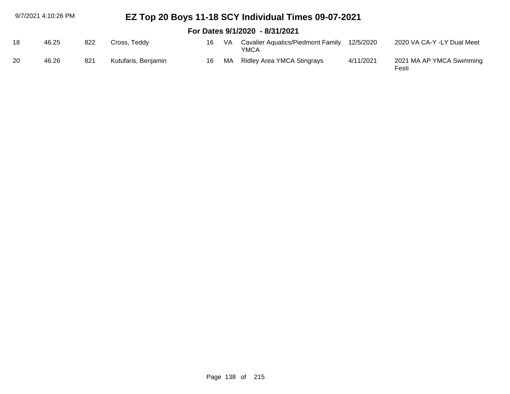| 9/7/2021 4:10:26 PM |       |     | EZ Top 20 Boys 11-18 SCY Individual Times 09-07-2021 |     |     |                                                  |           |                                   |  |  |  |  |
|---------------------|-------|-----|------------------------------------------------------|-----|-----|--------------------------------------------------|-----------|-----------------------------------|--|--|--|--|
|                     |       |     |                                                      |     |     | For Dates 9/1/2020 - 8/31/2021                   |           |                                   |  |  |  |  |
| 18                  | 46.25 | 822 | Cross, Teddy                                         | 16. | VA. | <b>Cavalier Aquatics/Piedmont Family</b><br>YMCA | 12/5/2020 | 2020 VA CA-Y -LY Dual Meet        |  |  |  |  |
| 20                  | 46.26 | 821 | Kutufaris, Benjamin                                  | 16  | MA. | Ridley Area YMCA Stingrays                       | 4/11/2021 | 2021 MA AP YMCA Swimming<br>Festi |  |  |  |  |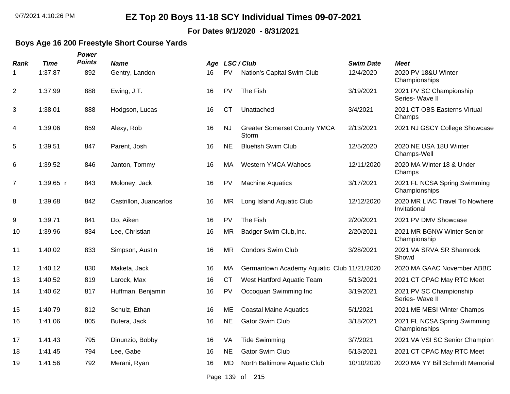**For Dates 9/1/2020 - 8/31/2021**

### **Boys Age 16 200 Freestyle Short Course Yards**

| <b>Rank</b>    | <b>Time</b> | Power<br><b>Points</b> | <b>Name</b>            |    |           | Age LSC/Club                                 | <b>Swim Date</b> | <b>Meet</b>                                    |
|----------------|-------------|------------------------|------------------------|----|-----------|----------------------------------------------|------------------|------------------------------------------------|
| 1              | 1:37.87     | 892                    | Gentry, Landon         | 16 | <b>PV</b> | Nation's Capital Swim Club                   | 12/4/2020        | 2020 PV 18&U Winter<br>Championships           |
| $\sqrt{2}$     | 1:37.99     | 888                    | Ewing, J.T.            | 16 | PV        | The Fish                                     | 3/19/2021        | 2021 PV SC Championship<br>Series- Wave II     |
| 3              | 1:38.01     | 888                    | Hodgson, Lucas         | 16 | <b>CT</b> | Unattached                                   | 3/4/2021         | 2021 CT OBS Easterns Virtual<br>Champs         |
| 4              | 1:39.06     | 859                    | Alexy, Rob             | 16 | <b>NJ</b> | <b>Greater Somerset County YMCA</b><br>Storm | 2/13/2021        | 2021 NJ GSCY College Showcase                  |
| 5              | 1:39.51     | 847                    | Parent, Josh           | 16 | <b>NE</b> | <b>Bluefish Swim Club</b>                    | 12/5/2020        | 2020 NE USA 18U Winter<br>Champs-Well          |
| 6              | 1:39.52     | 846                    | Janton, Tommy          | 16 | MA        | <b>Western YMCA Wahoos</b>                   | 12/11/2020       | 2020 MA Winter 18 & Under<br>Champs            |
| $\overline{7}$ | 1:39.65 r   | 843                    | Moloney, Jack          | 16 | PV        | <b>Machine Aquatics</b>                      | 3/17/2021        | 2021 FL NCSA Spring Swimming<br>Championships  |
| 8              | 1:39.68     | 842                    | Castrillon, Juancarlos | 16 | <b>MR</b> | Long Island Aquatic Club                     | 12/12/2020       | 2020 MR LIAC Travel To Nowhere<br>Invitational |
| 9              | 1:39.71     | 841                    | Do, Aiken              | 16 | <b>PV</b> | The Fish                                     | 2/20/2021        | 2021 PV DMV Showcase                           |
| 10             | 1:39.96     | 834                    | Lee, Christian         | 16 | <b>MR</b> | Badger Swim Club, Inc.                       | 2/20/2021        | 2021 MR BGNW Winter Senior<br>Championship     |
| 11             | 1:40.02     | 833                    | Simpson, Austin        | 16 | <b>MR</b> | <b>Condors Swim Club</b>                     | 3/28/2021        | 2021 VA SRVA SR Shamrock<br>Showd              |
| 12             | 1:40.12     | 830                    | Maketa, Jack           | 16 | MA        | Germantown Academy Aquatic Club 11/21/2020   |                  | 2020 MA GAAC November ABBC                     |
| 13             | 1:40.52     | 819                    | Larock, Max            | 16 | <b>CT</b> | West Hartford Aquatic Team                   | 5/13/2021        | 2021 CT CPAC May RTC Meet                      |
| 14             | 1:40.62     | 817                    | Huffman, Benjamin      | 16 | <b>PV</b> | Occoquan Swimming Inc                        | 3/19/2021        | 2021 PV SC Championship<br>Series- Wave II     |
| 15             | 1:40.79     | 812                    | Schulz, Ethan          | 16 | ME        | <b>Coastal Maine Aquatics</b>                | 5/1/2021         | 2021 ME MESI Winter Champs                     |
| 16             | 1:41.06     | 805                    | Butera, Jack           | 16 | <b>NE</b> | <b>Gator Swim Club</b>                       | 3/18/2021        | 2021 FL NCSA Spring Swimming<br>Championships  |
| 17             | 1:41.43     | 795                    | Dinunzio, Bobby        | 16 | VA        | <b>Tide Swimming</b>                         | 3/7/2021         | 2021 VA VSI SC Senior Champion                 |
| 18             | 1:41.45     | 794                    | Lee, Gabe              | 16 | <b>NE</b> | <b>Gator Swim Club</b>                       | 5/13/2021        | 2021 CT CPAC May RTC Meet                      |
| 19             | 1:41.56     | 792                    | Merani, Ryan           | 16 | <b>MD</b> | North Baltimore Aquatic Club                 | 10/10/2020       | 2020 MA YY Bill Schmidt Memorial               |
|                |             |                        |                        |    |           |                                              |                  |                                                |

Page 139 of 215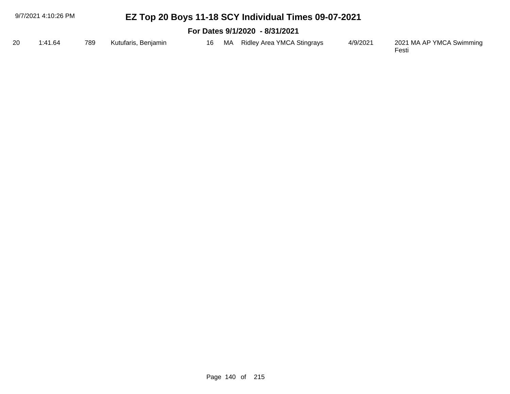| 9/7/2021 4:10:26 PM |         |     |                     |  | EZ Top 20 Boys 11-18 SCY Individual Times 09-07-2021 |          |                                   |
|---------------------|---------|-----|---------------------|--|------------------------------------------------------|----------|-----------------------------------|
|                     |         |     |                     |  | For Dates 9/1/2020 - 8/31/2021                       |          |                                   |
| 20                  | 1:41.64 | 789 | Kutufaris, Benjamin |  | 16 MA Ridley Area YMCA Stingrays                     | 4/9/2021 | 2021 MA AP YMCA Swimming<br>Festi |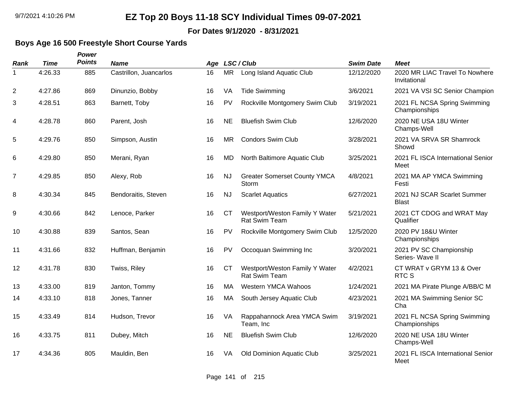#### **For Dates 9/1/2020 - 8/31/2021**

### **Boys Age 16 500 Freestyle Short Course Yards**

| <b>Rank</b> | <b>Time</b> | Power<br><b>Points</b> | <b>Name</b>            |    |           | Age LSC/Club                                           | <b>Swim Date</b> | <b>Meet</b>                                    |
|-------------|-------------|------------------------|------------------------|----|-----------|--------------------------------------------------------|------------------|------------------------------------------------|
| 1           | 4:26.33     | 885                    | Castrillon, Juancarlos | 16 | <b>MR</b> | Long Island Aquatic Club                               | 12/12/2020       | 2020 MR LIAC Travel To Nowhere<br>Invitational |
| 2           | 4:27.86     | 869                    | Dinunzio, Bobby        | 16 | <b>VA</b> | <b>Tide Swimming</b>                                   | 3/6/2021         | 2021 VA VSI SC Senior Champion                 |
| 3           | 4:28.51     | 863                    | Barnett, Toby          | 16 | PV        | Rockville Montgomery Swim Club                         | 3/19/2021        | 2021 FL NCSA Spring Swimming<br>Championships  |
| 4           | 4:28.78     | 860                    | Parent, Josh           | 16 | <b>NE</b> | <b>Bluefish Swim Club</b>                              | 12/6/2020        | 2020 NE USA 18U Winter<br>Champs-Well          |
| 5           | 4:29.76     | 850                    | Simpson, Austin        | 16 | <b>MR</b> | <b>Condors Swim Club</b>                               | 3/28/2021        | 2021 VA SRVA SR Shamrock<br>Showd              |
| 6           | 4:29.80     | 850                    | Merani, Ryan           | 16 | <b>MD</b> | North Baltimore Aquatic Club                           | 3/25/2021        | 2021 FL ISCA International Senior<br>Meet      |
| 7           | 4:29.85     | 850                    | Alexy, Rob             | 16 | <b>NJ</b> | <b>Greater Somerset County YMCA</b><br>Storm           | 4/8/2021         | 2021 MA AP YMCA Swimming<br>Festi              |
| 8           | 4:30.34     | 845                    | Bendoraitis, Steven    | 16 | <b>NJ</b> | <b>Scarlet Aquatics</b>                                | 6/27/2021        | 2021 NJ SCAR Scarlet Summer<br><b>Blast</b>    |
| 9           | 4:30.66     | 842                    | Lenoce, Parker         | 16 | <b>CT</b> | Westport/Weston Family Y Water<br><b>Rat Swim Team</b> | 5/21/2021        | 2021 CT CDOG and WRAT May<br>Qualifier         |
| 10          | 4:30.88     | 839                    | Santos, Sean           | 16 | <b>PV</b> | Rockville Montgomery Swim Club                         | 12/5/2020        | 2020 PV 18&U Winter<br>Championships           |
| 11          | 4:31.66     | 832                    | Huffman, Benjamin      | 16 | PV        | Occoquan Swimming Inc                                  | 3/20/2021        | 2021 PV SC Championship<br>Series- Wave II     |
| 12          | 4:31.78     | 830                    | Twiss, Riley           | 16 | <b>CT</b> | Westport/Weston Family Y Water<br><b>Rat Swim Team</b> | 4/2/2021         | CT WRAT v GRYM 13 & Over<br>RTC S              |
| 13          | 4:33.00     | 819                    | Janton, Tommy          | 16 | MA        | Western YMCA Wahoos                                    | 1/24/2021        | 2021 MA Pirate Plunge A/BB/C M                 |
| 14          | 4:33.10     | 818                    | Jones, Tanner          | 16 | МA        | South Jersey Aquatic Club                              | 4/23/2021        | 2021 MA Swimming Senior SC<br>Cha              |
| 15          | 4:33.49     | 814                    | Hudson, Trevor         | 16 | VA        | Rappahannock Area YMCA Swim<br>Team, Inc               | 3/19/2021        | 2021 FL NCSA Spring Swimming<br>Championships  |
| 16          | 4:33.75     | 811                    | Dubey, Mitch           | 16 | <b>NE</b> | <b>Bluefish Swim Club</b>                              | 12/6/2020        | 2020 NE USA 18U Winter<br>Champs-Well          |
| 17          | 4:34.36     | 805                    | Mauldin, Ben           | 16 | VA        | Old Dominion Aquatic Club                              | 3/25/2021        | 2021 FL ISCA International Senior<br>Meet      |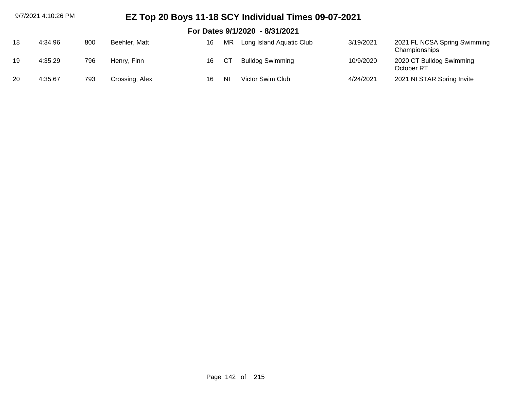| 9/7/2021 4:10:26 PM |         |     | EZ Top 20 Boys 11-18 SCY Individual Times 09-07-2021 |    |     |                                |           |                                               |  |  |  |  |  |
|---------------------|---------|-----|------------------------------------------------------|----|-----|--------------------------------|-----------|-----------------------------------------------|--|--|--|--|--|
|                     |         |     |                                                      |    |     | For Dates 9/1/2020 - 8/31/2021 |           |                                               |  |  |  |  |  |
| 18                  | 4:34.96 | 800 | Beehler, Matt                                        | 16 | MR. | Long Island Aquatic Club       | 3/19/2021 | 2021 FL NCSA Spring Swimming<br>Championships |  |  |  |  |  |
| 19                  | 4:35.29 | 796 | Henry, Finn                                          | 16 | -CT | <b>Bulldog Swimming</b>        | 10/9/2020 | 2020 CT Bulldog Swimming<br>October RT        |  |  |  |  |  |
| 20                  | 4:35.67 | 793 | Crossing, Alex                                       | 16 | ΝI  | Victor Swim Club               | 4/24/2021 | 2021 NI STAR Spring Invite                    |  |  |  |  |  |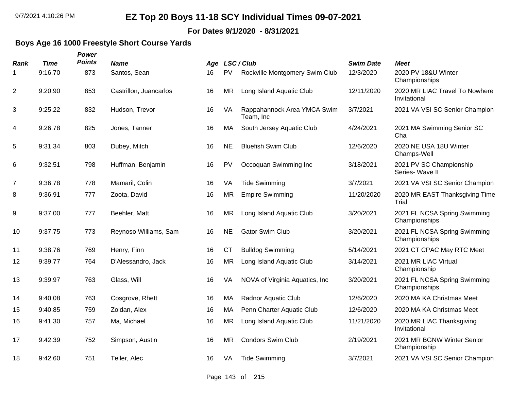**For Dates 9/1/2020 - 8/31/2021**

### **Boys Age 16 1000 Freestyle Short Course Yards**

| <b>Rank</b>    | <b>Time</b> | Power<br><b>Points</b> | <b>Name</b>            | Age |           | LSC / Club                               | <b>Swim Date</b> | <b>Meet</b>                                    |
|----------------|-------------|------------------------|------------------------|-----|-----------|------------------------------------------|------------------|------------------------------------------------|
| 1              | 9:16.70     | 873                    | Santos, Sean           | 16  | PV        | Rockville Montgomery Swim Club           | 12/3/2020        | 2020 PV 18&U Winter<br>Championships           |
| $\overline{2}$ | 9:20.90     | 853                    | Castrillon, Juancarlos | 16  | <b>MR</b> | Long Island Aquatic Club                 | 12/11/2020       | 2020 MR LIAC Travel To Nowhere<br>Invitational |
| 3              | 9:25.22     | 832                    | Hudson, Trevor         | 16  | VA        | Rappahannock Area YMCA Swim<br>Team, Inc | 3/7/2021         | 2021 VA VSI SC Senior Champion                 |
| 4              | 9:26.78     | 825                    | Jones, Tanner          | 16  | MA        | South Jersey Aquatic Club                | 4/24/2021        | 2021 MA Swimming Senior SC<br>Cha              |
| 5              | 9:31.34     | 803                    | Dubey, Mitch           | 16  | <b>NE</b> | <b>Bluefish Swim Club</b>                | 12/6/2020        | 2020 NE USA 18U Winter<br>Champs-Well          |
| 6              | 9:32.51     | 798                    | Huffman, Benjamin      | 16  | PV        | Occoquan Swimming Inc                    | 3/18/2021        | 2021 PV SC Championship<br>Series- Wave II     |
| 7              | 9:36.78     | 778                    | Mamaril, Colin         | 16  | VA        | <b>Tide Swimming</b>                     | 3/7/2021         | 2021 VA VSI SC Senior Champion                 |
| 8              | 9:36.91     | 777                    | Zoota, David           | 16  | <b>MR</b> | <b>Empire Swimming</b>                   | 11/20/2020       | 2020 MR EAST Thanksgiving Time<br>Trial        |
| 9              | 9:37.00     | 777                    | Beehler, Matt          | 16  | <b>MR</b> | Long Island Aquatic Club                 | 3/20/2021        | 2021 FL NCSA Spring Swimming<br>Championships  |
| 10             | 9:37.75     | 773                    | Reynoso Williams, Sam  | 16  | <b>NE</b> | <b>Gator Swim Club</b>                   | 3/20/2021        | 2021 FL NCSA Spring Swimming<br>Championships  |
| 11             | 9:38.76     | 769                    | Henry, Finn            | 16  | <b>CT</b> | <b>Bulldog Swimming</b>                  | 5/14/2021        | 2021 CT CPAC May RTC Meet                      |
| 12             | 9:39.77     | 764                    | D'Alessandro, Jack     | 16  | <b>MR</b> | Long Island Aquatic Club                 | 3/14/2021        | 2021 MR LIAC Virtual<br>Championship           |
| 13             | 9:39.97     | 763                    | Glass, Will            | 16  | VA        | NOVA of Virginia Aquatics, Inc.          | 3/20/2021        | 2021 FL NCSA Spring Swimming<br>Championships  |
| 14             | 9:40.08     | 763                    | Cosgrove, Rhett        | 16  | MA        | Radnor Aquatic Club                      | 12/6/2020        | 2020 MA KA Christmas Meet                      |
| 15             | 9:40.85     | 759                    | Zoldan, Alex           | 16  | MA        | Penn Charter Aquatic Club                | 12/6/2020        | 2020 MA KA Christmas Meet                      |
| 16             | 9:41.30     | 757                    | Ma, Michael            | 16  | <b>MR</b> | Long Island Aquatic Club                 | 11/21/2020       | 2020 MR LIAC Thanksgiving<br>Invitational      |
| 17             | 9:42.39     | 752                    | Simpson, Austin        | 16  | <b>MR</b> | <b>Condors Swim Club</b>                 | 2/19/2021        | 2021 MR BGNW Winter Senior<br>Championship     |
| 18             | 9:42.60     | 751                    | Teller, Alec           | 16  | VA        | <b>Tide Swimming</b>                     | 3/7/2021         | 2021 VA VSI SC Senior Champion                 |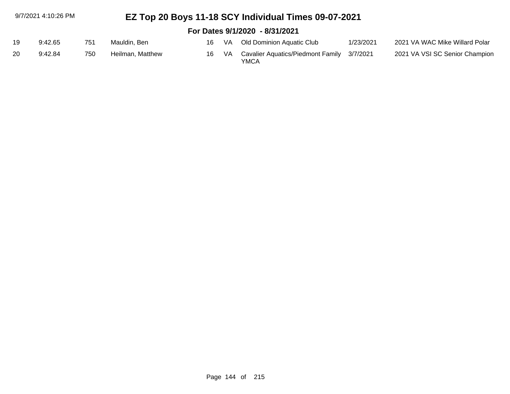|    | 9/7/2021 4:10:26 PM            |     | EZ Top 20 Boys 11-18 SCY Individual Times 09-07-2021 |     |    |                                                  |           |                                |  |  |  |  |
|----|--------------------------------|-----|------------------------------------------------------|-----|----|--------------------------------------------------|-----------|--------------------------------|--|--|--|--|
|    | For Dates 9/1/2020 - 8/31/2021 |     |                                                      |     |    |                                                  |           |                                |  |  |  |  |
| 19 | 9:42.65                        | 751 | Mauldin, Ben                                         | 16. |    | VA Old Dominion Aquatic Club                     | 1/23/2021 | 2021 VA WAC Mike Willard Polar |  |  |  |  |
| 20 | 9:42.84                        | 750 | Heilman, Matthew                                     | 16  | VA | Cavalier Aquatics/Piedmont Family<br><b>YMCA</b> | 3/7/2021  | 2021 VA VSI SC Senior Champion |  |  |  |  |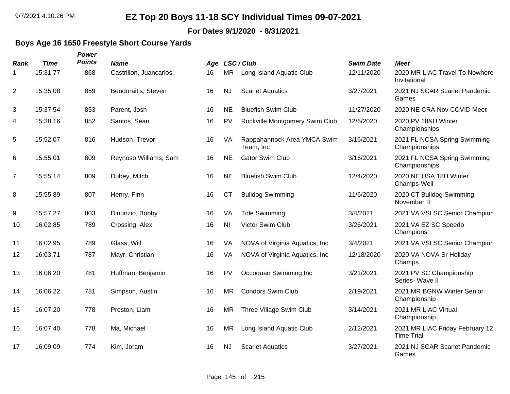**For Dates 9/1/2020 - 8/31/2021**

#### **Boys Age 16 1650 Freestyle Short Course Yards**

| <b>Rank</b>    | <b>Time</b> | Power<br><b>Points</b> | <b>Name</b>            | Age |                | LSC / Club                               | <b>Swim Date</b> | <b>Meet</b>                                          |
|----------------|-------------|------------------------|------------------------|-----|----------------|------------------------------------------|------------------|------------------------------------------------------|
| 1              | 15:31.77    | 868                    | Castrillon, Juancarlos | 16  | <b>MR</b>      | Long Island Aquatic Club                 | 12/11/2020       | 2020 MR LIAC Travel To Nowhere<br>Invitational       |
| $\overline{2}$ | 15:35.08    | 859                    | Bendoraitis, Steven    | 16  | <b>NJ</b>      | <b>Scarlet Aquatics</b>                  | 3/27/2021        | 2021 NJ SCAR Scarlet Pandemic<br>Games               |
| 3              | 15:37.54    | 853                    | Parent, Josh           | 16  | <b>NE</b>      | <b>Bluefish Swim Club</b>                | 11/27/2020       | 2020 NE CRA Nov COVID Meet                           |
| 4              | 15:38.16    | 852                    | Santos, Sean           | 16  | <b>PV</b>      | Rockville Montgomery Swim Club           | 12/6/2020        | 2020 PV 18&U Winter<br>Championships                 |
| 5              | 15:52.07    | 816                    | Hudson, Trevor         | 16  | VA             | Rappahannock Area YMCA Swim<br>Team, Inc | 3/16/2021        | 2021 FL NCSA Spring Swimming<br>Championships        |
| 6              | 15:55.01    | 809                    | Reynoso Williams, Sam  | 16  | <b>NE</b>      | <b>Gator Swim Club</b>                   | 3/16/2021        | 2021 FL NCSA Spring Swimming<br>Championships        |
| $\overline{7}$ | 15:55.14    | 809                    | Dubey, Mitch           | 16  | <b>NE</b>      | <b>Bluefish Swim Club</b>                | 12/4/2020        | 2020 NE USA 18U Winter<br>Champs-Well                |
| 8              | 15:55.89    | 807                    | Henry, Finn            | 16  | <b>CT</b>      | <b>Bulldog Swimming</b>                  | 11/6/2020        | 2020 CT Bulldog Swimming<br>November R               |
| 9              | 15:57.27    | 803                    | Dinunzio, Bobby        | 16  | VA             | <b>Tide Swimming</b>                     | 3/4/2021         | 2021 VA VSI SC Senior Champion                       |
| 10             | 16:02.85    | 789                    | Crossing, Alex         | 16  | N <sub>l</sub> | Victor Swim Club                         | 3/26/2021        | 2021 VA EZ SC Speedo<br>Champions                    |
| 11             | 16:02.95    | 789                    | Glass, Will            | 16  | VA             | NOVA of Virginia Aquatics, Inc.          | 3/4/2021         | 2021 VA VSI SC Senior Champion                       |
| 12             | 16:03.71    | 787                    | Mayr, Christian        | 16  | VA             | NOVA of Virginia Aquatics, Inc.          | 12/18/2020       | 2020 VA NOVA Sr Holiday<br>Champs                    |
| 13             | 16:06.20    | 781                    | Huffman, Benjamin      | 16  | PV             | Occoquan Swimming Inc                    | 3/21/2021        | 2021 PV SC Championship<br>Series- Wave II           |
| 14             | 16:06.22    | 781                    | Simpson, Austin        | 16  | <b>MR</b>      | <b>Condors Swim Club</b>                 | 2/19/2021        | 2021 MR BGNW Winter Senior<br>Championship           |
| 15             | 16:07.20    | 778                    | Preston, Liam          | 16  | <b>MR</b>      | Three Village Swim Club                  | 3/14/2021        | 2021 MR LIAC Virtual<br>Championship                 |
| 16             | 16:07.40    | 778                    | Ma, Michael            | 16  | <b>MR</b>      | Long Island Aquatic Club                 | 2/12/2021        | 2021 MR LIAC Friday February 12<br><b>Time Trial</b> |
| 17             | 16:09.09    | 774                    | Kim, Joram             | 16  | <b>NJ</b>      | <b>Scarlet Aquatics</b>                  | 3/27/2021        | 2021 NJ SCAR Scarlet Pandemic<br>Games               |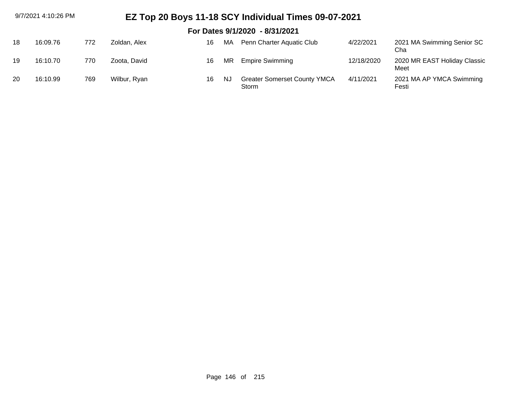| 9/7/2021 4:10:26 PM |          | EZ Top 20 Boys 11-18 SCY Individual Times 09-07-2021 |              |    |     |                                              |            |                                      |  |  |  |  |
|---------------------|----------|------------------------------------------------------|--------------|----|-----|----------------------------------------------|------------|--------------------------------------|--|--|--|--|
|                     |          |                                                      |              |    |     | For Dates 9/1/2020 - 8/31/2021               |            |                                      |  |  |  |  |
| 18                  | 16:09.76 | 772                                                  | Zoldan, Alex | 16 | MA  | Penn Charter Aquatic Club                    | 4/22/2021  | 2021 MA Swimming Senior SC<br>Cha    |  |  |  |  |
| 19                  | 16:10.70 | 770                                                  | Zoota, David | 16 | MR. | <b>Empire Swimming</b>                       | 12/18/2020 | 2020 MR EAST Holiday Classic<br>Meet |  |  |  |  |
| 20                  | 16:10.99 | 769                                                  | Wilbur, Ryan | 16 | NJ  | <b>Greater Somerset County YMCA</b><br>Storm | 4/11/2021  | 2021 MA AP YMCA Swimming<br>Festi    |  |  |  |  |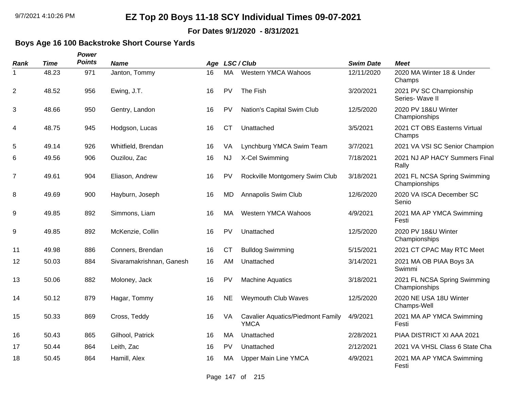**For Dates 9/1/2020 - 8/31/2021**

#### **Boys Age 16 100 Backstroke Short Course Yards**

| <b>Rank</b>    | <b>Time</b> | Power<br><b>Points</b> | <b>Name</b>              |    |           | Age LSC/Club                                            | <b>Swim Date</b> | <b>Meet</b>                                   |
|----------------|-------------|------------------------|--------------------------|----|-----------|---------------------------------------------------------|------------------|-----------------------------------------------|
| 1              | 48.23       | 971                    | Janton, Tommy            | 16 | <b>MA</b> | Western YMCA Wahoos                                     | 12/11/2020       | 2020 MA Winter 18 & Under<br>Champs           |
| $\overline{2}$ | 48.52       | 956                    | Ewing, J.T.              | 16 | <b>PV</b> | The Fish                                                | 3/20/2021        | 2021 PV SC Championship<br>Series- Wave II    |
| 3              | 48.66       | 950                    | Gentry, Landon           | 16 | <b>PV</b> | Nation's Capital Swim Club                              | 12/5/2020        | 2020 PV 18&U Winter<br>Championships          |
| 4              | 48.75       | 945                    | Hodgson, Lucas           | 16 | <b>CT</b> | Unattached                                              | 3/5/2021         | 2021 CT OBS Easterns Virtual<br>Champs        |
| 5              | 49.14       | 926                    | Whitfield, Brendan       | 16 | VA        | Lynchburg YMCA Swim Team                                | 3/7/2021         | 2021 VA VSI SC Senior Champion                |
| 6              | 49.56       | 906                    | Ouzilou, Zac             | 16 | <b>NJ</b> | X-Cel Swimming                                          | 7/18/2021        | 2021 NJ AP HACY Summers Final<br>Rally        |
| 7              | 49.61       | 904                    | Eliason, Andrew          | 16 | PV        | Rockville Montgomery Swim Club                          | 3/18/2021        | 2021 FL NCSA Spring Swimming<br>Championships |
| 8              | 49.69       | 900                    | Hayburn, Joseph          | 16 | <b>MD</b> | Annapolis Swim Club                                     | 12/6/2020        | 2020 VA ISCA December SC<br>Senio             |
| 9              | 49.85       | 892                    | Simmons, Liam            | 16 | MA        | Western YMCA Wahoos                                     | 4/9/2021         | 2021 MA AP YMCA Swimming<br>Festi             |
| 9              | 49.85       | 892                    | McKenzie, Collin         | 16 | <b>PV</b> | Unattached                                              | 12/5/2020        | 2020 PV 18&U Winter<br>Championships          |
| 11             | 49.98       | 886                    | Conners, Brendan         | 16 | <b>CT</b> | <b>Bulldog Swimming</b>                                 | 5/15/2021        | 2021 CT CPAC May RTC Meet                     |
| 12             | 50.03       | 884                    | Sivaramakrishnan, Ganesh | 16 | AM        | Unattached                                              | 3/14/2021        | 2021 MA OB PIAA Boys 3A<br>Swimmi             |
| 13             | 50.06       | 882                    | Moloney, Jack            | 16 | <b>PV</b> | <b>Machine Aquatics</b>                                 | 3/18/2021        | 2021 FL NCSA Spring Swimming<br>Championships |
| 14             | 50.12       | 879                    | Hagar, Tommy             | 16 | <b>NE</b> | <b>Weymouth Club Waves</b>                              | 12/5/2020        | 2020 NE USA 18U Winter<br>Champs-Well         |
| 15             | 50.33       | 869                    | Cross, Teddy             | 16 | VA        | <b>Cavalier Aquatics/Piedmont Family</b><br><b>YMCA</b> | 4/9/2021         | 2021 MA AP YMCA Swimming<br>Festi             |
| 16             | 50.43       | 865                    | Gilhool, Patrick         | 16 | MA        | Unattached                                              | 2/28/2021        | PIAA DISTRICT XI AAA 2021                     |
| 17             | 50.44       | 864                    | Leith, Zac               | 16 | PV        | Unattached                                              | 2/12/2021        | 2021 VA VHSL Class 6 State Cha                |
| 18             | 50.45       | 864                    | Hamill, Alex             | 16 | MA        | <b>Upper Main Line YMCA</b>                             | 4/9/2021         | 2021 MA AP YMCA Swimming<br>Festi             |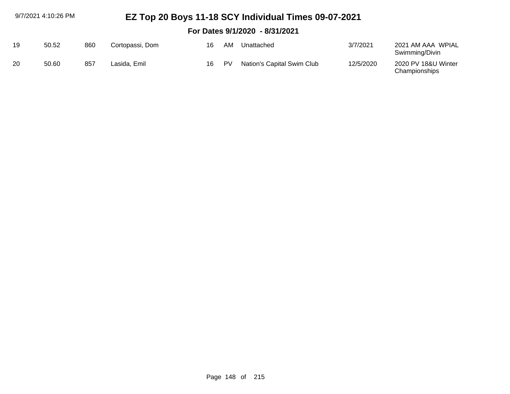| 9/7/2021 4:10:26 PM |                                |     | EZ Top 20 Boys 11-18 SCY Individual Times 09-07-2021 |    |     |                            |           |                                     |  |  |  |
|---------------------|--------------------------------|-----|------------------------------------------------------|----|-----|----------------------------|-----------|-------------------------------------|--|--|--|
|                     | For Dates 9/1/2020 - 8/31/2021 |     |                                                      |    |     |                            |           |                                     |  |  |  |
| 19                  | 50.52                          | 860 | Cortopassi, Dom                                      | 16 | AM  | Unattached                 | 3/7/2021  | 2021 AM AAA WPIAL<br>Swimming/Divin |  |  |  |
| 20                  | 50.60                          | 857 | Lasida, Emil                                         | 16 | PV. | Nation's Capital Swim Club | 12/5/2020 | 2020 PV 18&U Winter                 |  |  |  |

Championships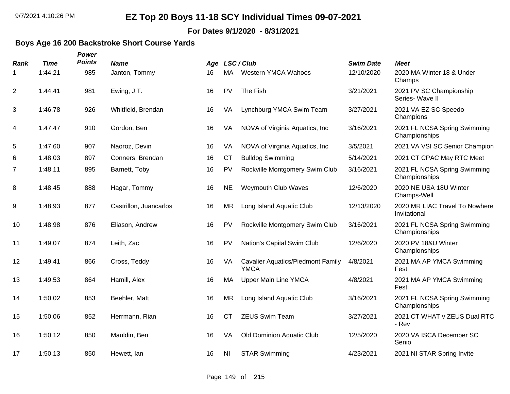**For Dates 9/1/2020 - 8/31/2021**

#### **Boys Age 16 200 Backstroke Short Course Yards**

| Rank           | <b>Time</b> | Power<br><b>Points</b> | <b>Name</b>            | Age |           | LSC / Club                                              | <b>Swim Date</b> | <b>Meet</b>                                    |
|----------------|-------------|------------------------|------------------------|-----|-----------|---------------------------------------------------------|------------------|------------------------------------------------|
| 1              | 1:44.21     | 985                    | Janton, Tommy          | 16  | MA        | <b>Western YMCA Wahoos</b>                              | 12/10/2020       | 2020 MA Winter 18 & Under<br>Champs            |
| 2              | 1:44.41     | 981                    | Ewing, J.T.            | 16  | PV        | The Fish                                                | 3/21/2021        | 2021 PV SC Championship<br>Series- Wave II     |
| 3              | 1:46.78     | 926                    | Whitfield, Brendan     | 16  | VA        | Lynchburg YMCA Swim Team                                | 3/27/2021        | 2021 VA EZ SC Speedo<br>Champions              |
| 4              | 1:47.47     | 910                    | Gordon, Ben            | 16  | VA        | NOVA of Virginia Aquatics, Inc                          | 3/16/2021        | 2021 FL NCSA Spring Swimming<br>Championships  |
| 5              | 1:47.60     | 907                    | Naoroz, Devin          | 16  | VA        | NOVA of Virginia Aquatics, Inc.                         | 3/5/2021         | 2021 VA VSI SC Senior Champion                 |
| 6              | 1:48.03     | 897                    | Conners, Brendan       | 16  | <b>CT</b> | <b>Bulldog Swimming</b>                                 | 5/14/2021        | 2021 CT CPAC May RTC Meet                      |
| $\overline{7}$ | 1:48.11     | 895                    | Barnett, Toby          | 16  | PV        | Rockville Montgomery Swim Club                          | 3/16/2021        | 2021 FL NCSA Spring Swimming<br>Championships  |
| 8              | 1:48.45     | 888                    | Hagar, Tommy           | 16  | <b>NE</b> | Weymouth Club Waves                                     | 12/6/2020        | 2020 NE USA 18U Winter<br>Champs-Well          |
| 9              | 1:48.93     | 877                    | Castrillon, Juancarlos | 16  | <b>MR</b> | Long Island Aquatic Club                                | 12/13/2020       | 2020 MR LIAC Travel To Nowhere<br>Invitational |
| 10             | 1:48.98     | 876                    | Eliason, Andrew        | 16  | <b>PV</b> | Rockville Montgomery Swim Club                          | 3/16/2021        | 2021 FL NCSA Spring Swimming<br>Championships  |
| 11             | 1:49.07     | 874                    | Leith, Zac             | 16  | <b>PV</b> | Nation's Capital Swim Club                              | 12/6/2020        | 2020 PV 18&U Winter<br>Championships           |
| 12             | 1:49.41     | 866                    | Cross, Teddy           | 16  | VA        | <b>Cavalier Aquatics/Piedmont Family</b><br><b>YMCA</b> | 4/8/2021         | 2021 MA AP YMCA Swimming<br>Festi              |
| 13             | 1:49.53     | 864                    | Hamill, Alex           | 16  | MA        | <b>Upper Main Line YMCA</b>                             | 4/8/2021         | 2021 MA AP YMCA Swimming<br>Festi              |
| 14             | 1:50.02     | 853                    | Beehler, Matt          | 16  | <b>MR</b> | Long Island Aquatic Club                                | 3/16/2021        | 2021 FL NCSA Spring Swimming<br>Championships  |
| 15             | 1:50.06     | 852                    | Herrmann, Rian         | 16  | <b>CT</b> | <b>ZEUS Swim Team</b>                                   | 3/27/2021        | 2021 CT WHAT v ZEUS Dual RTC<br>- Rev          |
| 16             | 1:50.12     | 850                    | Mauldin, Ben           | 16  | VA        | Old Dominion Aquatic Club                               | 12/5/2020        | 2020 VA ISCA December SC<br>Senio              |
| 17             | 1:50.13     | 850                    | Hewett, lan            | 16  | <b>NI</b> | <b>STAR Swimming</b>                                    | 4/23/2021        | 2021 NI STAR Spring Invite                     |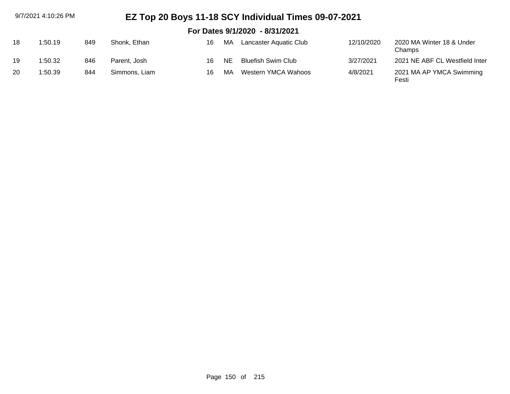| 9/7/2021 4:10:26 PM |                                |     |               | EZ Top 20 Boys 11-18 SCY Individual Times 09-07-2021 |     |                        |            |                                     |  |  |  |
|---------------------|--------------------------------|-----|---------------|------------------------------------------------------|-----|------------------------|------------|-------------------------------------|--|--|--|
|                     | For Dates 9/1/2020 - 8/31/2021 |     |               |                                                      |     |                        |            |                                     |  |  |  |
| 18                  | 1:50.19                        | 849 | Shonk, Ethan  | 16                                                   | MA  | Lancaster Aquatic Club | 12/10/2020 | 2020 MA Winter 18 & Under<br>Champs |  |  |  |
| 19                  | 1:50.32                        | 846 | Parent, Josh  |                                                      | NE. | Bluefish Swim Club     | 3/27/2021  | 2021 NE ABF CL Westfield Inter      |  |  |  |
| 20                  | 1:50.39                        | 844 | Simmons, Liam | 16                                                   | MA  | Western YMCA Wahoos    | 4/8/2021   | 2021 MA AP YMCA Swimming<br>Festi   |  |  |  |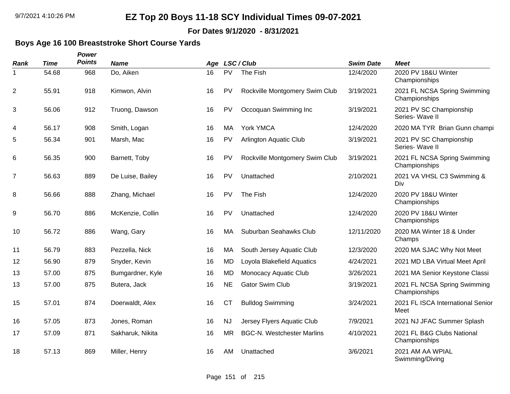**For Dates 9/1/2020 - 8/31/2021**

### **Boys Age 16 100 Breaststroke Short Course Yards**

| <b>Rank</b>    | <b>Time</b> | Power<br><b>Points</b> | <b>Name</b>      | Age |           | LSC / Club                        | <b>Swim Date</b> | <b>Meet</b>                                   |
|----------------|-------------|------------------------|------------------|-----|-----------|-----------------------------------|------------------|-----------------------------------------------|
| 1              | 54.68       | 968                    | Do, Aiken        | 16  | PV        | The Fish                          | 12/4/2020        | 2020 PV 18&U Winter<br>Championships          |
| $\overline{2}$ | 55.91       | 918                    | Kimwon, Alvin    | 16  | PV        | Rockville Montgomery Swim Club    | 3/19/2021        | 2021 FL NCSA Spring Swimming<br>Championships |
| 3              | 56.06       | 912                    | Truong, Dawson   | 16  | <b>PV</b> | Occoquan Swimming Inc             | 3/19/2021        | 2021 PV SC Championship<br>Series- Wave II    |
| 4              | 56.17       | 908                    | Smith, Logan     | 16  | <b>MA</b> | York YMCA                         | 12/4/2020        | 2020 MA TYR Brian Gunn champi                 |
| 5              | 56.34       | 901                    | Marsh, Mac       | 16  | PV        | Arlington Aquatic Club            | 3/19/2021        | 2021 PV SC Championship<br>Series- Wave II    |
| 6              | 56.35       | 900                    | Barnett, Toby    | 16  | PV        | Rockville Montgomery Swim Club    | 3/19/2021        | 2021 FL NCSA Spring Swimming<br>Championships |
| $\overline{7}$ | 56.63       | 889                    | De Luise, Bailey | 16  | <b>PV</b> | Unattached                        | 2/10/2021        | 2021 VA VHSL C3 Swimming &<br>Div.            |
| 8              | 56.66       | 888                    | Zhang, Michael   | 16  | <b>PV</b> | The Fish                          | 12/4/2020        | 2020 PV 18&U Winter<br>Championships          |
| 9              | 56.70       | 886                    | McKenzie, Collin | 16  | PV        | Unattached                        | 12/4/2020        | 2020 PV 18&U Winter<br>Championships          |
| 10             | 56.72       | 886                    | Wang, Gary       | 16  | MA        | Suburban Seahawks Club            | 12/11/2020       | 2020 MA Winter 18 & Under<br>Champs           |
| 11             | 56.79       | 883                    | Pezzella, Nick   | 16  | MA        | South Jersey Aquatic Club         | 12/3/2020        | 2020 MA SJAC Why Not Meet                     |
| 12             | 56.90       | 879                    | Snyder, Kevin    | 16  | <b>MD</b> | Loyola Blakefield Aquatics        | 4/24/2021        | 2021 MD LBA Virtual Meet April                |
| 13             | 57.00       | 875                    | Bumgardner, Kyle | 16  | <b>MD</b> | Monocacy Aquatic Club             | 3/26/2021        | 2021 MA Senior Keystone Classi                |
| 13             | 57.00       | 875                    | Butera, Jack     | 16  | <b>NE</b> | <b>Gator Swim Club</b>            | 3/19/2021        | 2021 FL NCSA Spring Swimming<br>Championships |
| 15             | 57.01       | 874                    | Doerwaldt, Alex  | 16  | <b>CT</b> | <b>Bulldog Swimming</b>           | 3/24/2021        | 2021 FL ISCA International Senior<br>Meet     |
| 16             | 57.05       | 873                    | Jones, Roman     | 16  | <b>NJ</b> | Jersey Flyers Aquatic Club        | 7/9/2021         | 2021 NJ JFAC Summer Splash                    |
| 17             | 57.09       | 871                    | Sakharuk, Nikita | 16  | <b>MR</b> | <b>BGC-N. Westchester Marlins</b> | 4/10/2021        | 2021 FL B&G Clubs National<br>Championships   |
| 18             | 57.13       | 869                    | Miller, Henry    | 16  | <b>AM</b> | Unattached                        | 3/6/2021         | 2021 AM AA WPIAL<br>Swimming/Diving           |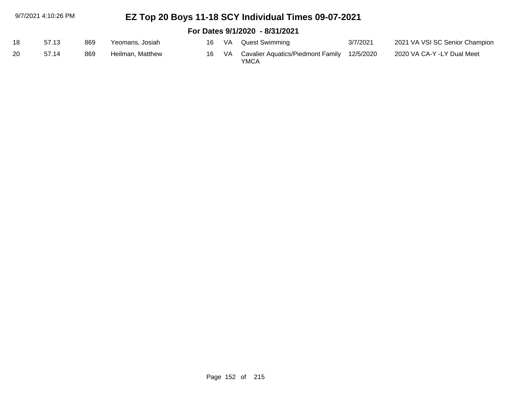| 9/7/2021 4:10:26 PM |       |     | EZ Top 20 Boys 11-18 SCY Individual Times 09-07-2021 |    |     |                                                  |           |                                |  |  |
|---------------------|-------|-----|------------------------------------------------------|----|-----|--------------------------------------------------|-----------|--------------------------------|--|--|
|                     |       |     |                                                      |    |     | For Dates 9/1/2020 - 8/31/2021                   |           |                                |  |  |
| 18                  | 57.13 | 869 | Yeomans, Josiah                                      | 16 | VA. | Quest Swimming                                   | 3/7/2021  | 2021 VA VSI SC Senior Champion |  |  |
| 20                  | 57.14 | 869 | Heilman, Matthew                                     | 16 | VA  | <b>Cavalier Aquatics/Piedmont Family</b><br>YMCA | 12/5/2020 | 2020 VA CA-Y -LY Dual Meet     |  |  |

Page 152 of 215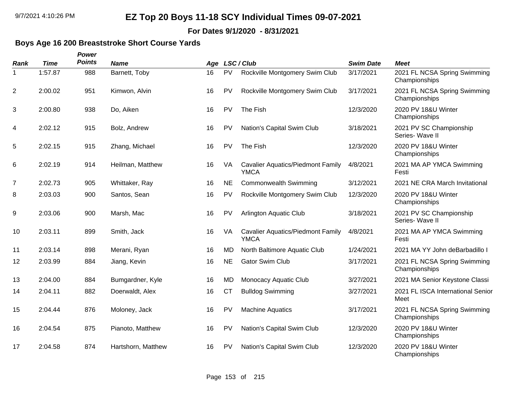**For Dates 9/1/2020 - 8/31/2021**

### **Boys Age 16 200 Breaststroke Short Course Yards**

| <b>Rank</b>    | <b>Time</b> | Power<br><b>Points</b> | <b>Name</b>        |    |           | Age LSC/Club                                            | <b>Swim Date</b> | <b>Meet</b>                                   |
|----------------|-------------|------------------------|--------------------|----|-----------|---------------------------------------------------------|------------------|-----------------------------------------------|
| 1              | 1:57.87     | 988                    | Barnett, Toby      | 16 | <b>PV</b> | Rockville Montgomery Swim Club                          | 3/17/2021        | 2021 FL NCSA Spring Swimming<br>Championships |
| $\overline{c}$ | 2:00.02     | 951                    | Kimwon, Alvin      | 16 | PV        | Rockville Montgomery Swim Club                          | 3/17/2021        | 2021 FL NCSA Spring Swimming<br>Championships |
| 3              | 2:00.80     | 938                    | Do, Aiken          | 16 | <b>PV</b> | The Fish                                                | 12/3/2020        | 2020 PV 18&U Winter<br>Championships          |
| 4              | 2:02.12     | 915                    | Bolz, Andrew       | 16 | PV        | Nation's Capital Swim Club                              | 3/18/2021        | 2021 PV SC Championship<br>Series- Wave II    |
| 5              | 2:02.15     | 915                    | Zhang, Michael     | 16 | PV        | The Fish                                                | 12/3/2020        | 2020 PV 18&U Winter<br>Championships          |
| 6              | 2:02.19     | 914                    | Heilman, Matthew   | 16 | VA        | <b>Cavalier Aquatics/Piedmont Family</b><br><b>YMCA</b> | 4/8/2021         | 2021 MA AP YMCA Swimming<br>Festi             |
| 7              | 2:02.73     | 905                    | Whittaker, Ray     | 16 | <b>NE</b> | <b>Commonwealth Swimming</b>                            | 3/12/2021        | 2021 NE CRA March Invitational                |
| 8              | 2:03.03     | 900                    | Santos, Sean       | 16 | PV        | Rockville Montgomery Swim Club                          | 12/3/2020        | 2020 PV 18&U Winter<br>Championships          |
| 9              | 2:03.06     | 900                    | Marsh, Mac         | 16 | PV        | Arlington Aquatic Club                                  | 3/18/2021        | 2021 PV SC Championship<br>Series- Wave II    |
| 10             | 2:03.11     | 899                    | Smith, Jack        | 16 | VA        | <b>Cavalier Aquatics/Piedmont Family</b><br><b>YMCA</b> | 4/8/2021         | 2021 MA AP YMCA Swimming<br>Festi             |
| 11             | 2:03.14     | 898                    | Merani, Ryan       | 16 | <b>MD</b> | North Baltimore Aquatic Club                            | 1/24/2021        | 2021 MA YY John deBarbadillo I                |
| 12             | 2:03.99     | 884                    | Jiang, Kevin       | 16 | <b>NE</b> | <b>Gator Swim Club</b>                                  | 3/17/2021        | 2021 FL NCSA Spring Swimming<br>Championships |
| 13             | 2:04.00     | 884                    | Bumgardner, Kyle   | 16 | <b>MD</b> | Monocacy Aquatic Club                                   | 3/27/2021        | 2021 MA Senior Keystone Classi                |
| 14             | 2:04.11     | 882                    | Doerwaldt, Alex    | 16 | <b>CT</b> | <b>Bulldog Swimming</b>                                 | 3/27/2021        | 2021 FL ISCA International Senior<br>Meet     |
| 15             | 2:04.44     | 876                    | Moloney, Jack      | 16 | PV        | <b>Machine Aquatics</b>                                 | 3/17/2021        | 2021 FL NCSA Spring Swimming<br>Championships |
| 16             | 2:04.54     | 875                    | Pianoto, Matthew   | 16 | PV        | Nation's Capital Swim Club                              | 12/3/2020        | 2020 PV 18&U Winter<br>Championships          |
| 17             | 2:04.58     | 874                    | Hartshorn, Matthew | 16 | <b>PV</b> | Nation's Capital Swim Club                              | 12/3/2020        | 2020 PV 18&U Winter<br>Championships          |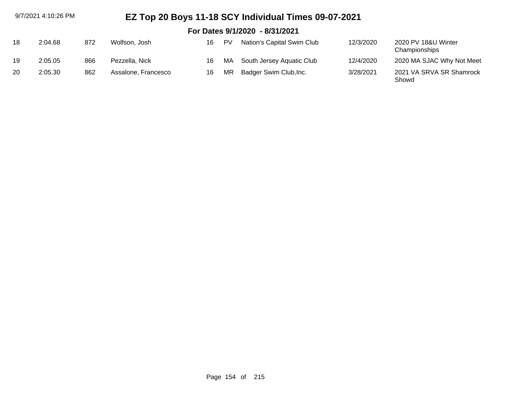| 9/7/2021 4:10:26 PM |                                |     |                     | EZ Top 20 Boys 11-18 SCY Individual Times 09-07-2021 |     |                            |           |                                      |  |  |  |
|---------------------|--------------------------------|-----|---------------------|------------------------------------------------------|-----|----------------------------|-----------|--------------------------------------|--|--|--|
|                     | For Dates 9/1/2020 - 8/31/2021 |     |                     |                                                      |     |                            |           |                                      |  |  |  |
| 18                  | 2:04.68                        | 872 | Wolfson, Josh       | 16                                                   | PV  | Nation's Capital Swim Club | 12/3/2020 | 2020 PV 18&U Winter<br>Championships |  |  |  |
| 19                  | 2:05.05                        | 866 | Pezzella, Nick      | 16                                                   | MA. | South Jersey Aquatic Club  | 12/4/2020 | 2020 MA SJAC Why Not Meet            |  |  |  |
| 20                  | 2:05.30                        | 862 | Assalone, Francesco | 16.                                                  | MR  | Badger Swim Club, Inc.     | 3/28/2021 | 2021 VA SRVA SR Shamrock<br>Showd    |  |  |  |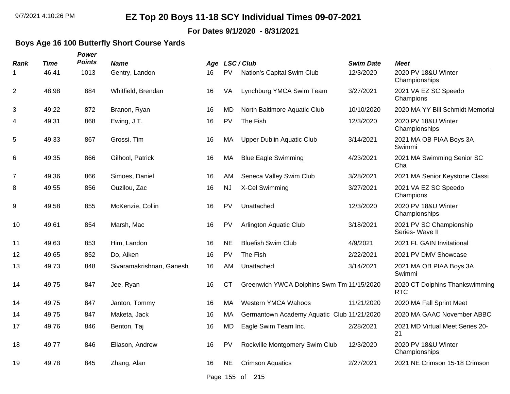**For Dates 9/1/2020 - 8/31/2021**

### **Boys Age 16 100 Butterfly Short Course Yards**

| <b>Rank</b>    | <b>Time</b> | Power<br><b>Points</b> | <b>Name</b>              |    |             | Age LSC/Club                               | <b>Swim Date</b> | <b>Meet</b>                                  |
|----------------|-------------|------------------------|--------------------------|----|-------------|--------------------------------------------|------------------|----------------------------------------------|
| 1              | 46.41       | 1013                   | Gentry, Landon           | 16 | <b>PV</b>   | Nation's Capital Swim Club                 | 12/3/2020        | 2020 PV 18&U Winter<br>Championships         |
| $\overline{2}$ | 48.98       | 884                    | Whitfield, Brendan       | 16 | VA          | Lynchburg YMCA Swim Team                   | 3/27/2021        | 2021 VA EZ SC Speedo<br>Champions            |
| 3              | 49.22       | 872                    | Branon, Ryan             | 16 | <b>MD</b>   | North Baltimore Aquatic Club               | 10/10/2020       | 2020 MA YY Bill Schmidt Memorial             |
| 4              | 49.31       | 868                    | Ewing, J.T.              | 16 | PV          | The Fish                                   | 12/3/2020        | 2020 PV 18&U Winter<br>Championships         |
| 5              | 49.33       | 867                    | Grossi, Tim              | 16 | MA          | <b>Upper Dublin Aquatic Club</b>           | 3/14/2021        | 2021 MA OB PIAA Boys 3A<br>Swimmi            |
| 6              | 49.35       | 866                    | Gilhool, Patrick         | 16 | MA          | <b>Blue Eagle Swimming</b>                 | 4/23/2021        | 2021 MA Swimming Senior SC<br>Cha            |
| $\overline{7}$ | 49.36       | 866                    | Simoes, Daniel           | 16 | AM          | Seneca Valley Swim Club                    | 3/28/2021        | 2021 MA Senior Keystone Classi               |
| 8              | 49.55       | 856                    | Ouzilou, Zac             | 16 | <b>NJ</b>   | X-Cel Swimming                             | 3/27/2021        | 2021 VA EZ SC Speedo<br>Champions            |
| 9              | 49.58       | 855                    | McKenzie, Collin         | 16 | PV          | Unattached                                 | 12/3/2020        | 2020 PV 18&U Winter<br>Championships         |
| 10             | 49.61       | 854                    | Marsh, Mac               | 16 | PV          | Arlington Aquatic Club                     | 3/18/2021        | 2021 PV SC Championship<br>Series- Wave II   |
| 11             | 49.63       | 853                    | Him, Landon              | 16 | <b>NE</b>   | <b>Bluefish Swim Club</b>                  | 4/9/2021         | 2021 FL GAIN Invitational                    |
| 12             | 49.65       | 852                    | Do, Aiken                | 16 | PV          | The Fish                                   | 2/22/2021        | 2021 PV DMV Showcase                         |
| 13             | 49.73       | 848                    | Sivaramakrishnan, Ganesh | 16 | AM          | Unattached                                 | 3/14/2021        | 2021 MA OB PIAA Boys 3A<br>Swimmi            |
| 14             | 49.75       | 847                    | Jee, Ryan                | 16 | <b>CT</b>   | Greenwich YWCA Dolphins Swm Tm 11/15/2020  |                  | 2020 CT Dolphins Thankswimming<br><b>RTC</b> |
| 14             | 49.75       | 847                    | Janton, Tommy            | 16 | МA          | Western YMCA Wahoos                        | 11/21/2020       | 2020 MA Fall Sprint Meet                     |
| 14             | 49.75       | 847                    | Maketa, Jack             | 16 | MA          | Germantown Academy Aquatic Club 11/21/2020 |                  | 2020 MA GAAC November ABBC                   |
| 17             | 49.76       | 846                    | Benton, Taj              | 16 | <b>MD</b>   | Eagle Swim Team Inc.                       | 2/28/2021        | 2021 MD Virtual Meet Series 20-<br>21        |
| 18             | 49.77       | 846                    | Eliason, Andrew          | 16 | PV          | Rockville Montgomery Swim Club             | 12/3/2020        | 2020 PV 18&U Winter<br>Championships         |
| 19             | 49.78       | 845                    | Zhang, Alan              | 16 | <b>NE</b>   | <b>Crimson Aquatics</b>                    | 2/27/2021        | 2021 NE Crimson 15-18 Crimson                |
|                |             |                        |                          |    | Page 155 of | 215                                        |                  |                                              |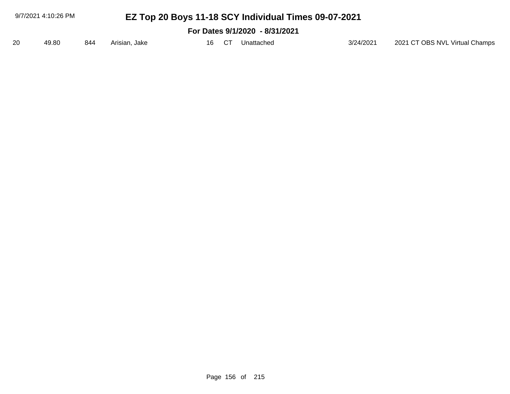|    | 9/7/2021 4:10:26 PM            |     |               |    |     |            |           |                                |  |  |
|----|--------------------------------|-----|---------------|----|-----|------------|-----------|--------------------------------|--|--|
|    | For Dates 9/1/2020 - 8/31/2021 |     |               |    |     |            |           |                                |  |  |
| 20 | 49.80                          | 844 | Arisian. Jake | 16 | .CT | Unattached | 3/24/2021 | 2021 CT OBS NVL Virtual Champs |  |  |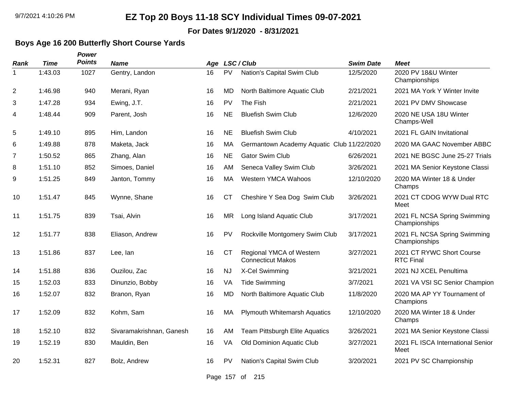**For Dates 9/1/2020 - 8/31/2021**

#### **Boys Age 16 200 Butterfly Short Course Yards**

| <b>Rank</b>    | <b>Time</b> | Power<br><b>Points</b> | <b>Name</b>              |    |           | Age LSC/Club                                                | <b>Swim Date</b> | <b>Meet</b>                                   |
|----------------|-------------|------------------------|--------------------------|----|-----------|-------------------------------------------------------------|------------------|-----------------------------------------------|
| 1              | 1:43.03     | 1027                   | Gentry, Landon           | 16 | PV        | Nation's Capital Swim Club                                  | 12/5/2020        | 2020 PV 18&U Winter<br>Championships          |
| $\overline{c}$ | 1:46.98     | 940                    | Merani, Ryan             | 16 | MD        | North Baltimore Aquatic Club                                | 2/21/2021        | 2021 MA York Y Winter Invite                  |
| 3              | 1:47.28     | 934                    | Ewing, J.T.              | 16 | PV        | The Fish                                                    | 2/21/2021        | 2021 PV DMV Showcase                          |
| 4              | 1:48.44     | 909                    | Parent, Josh             | 16 | <b>NE</b> | <b>Bluefish Swim Club</b>                                   | 12/6/2020        | 2020 NE USA 18U Winter<br>Champs-Well         |
| 5              | 1:49.10     | 895                    | Him, Landon              | 16 | <b>NE</b> | <b>Bluefish Swim Club</b>                                   | 4/10/2021        | 2021 FL GAIN Invitational                     |
| 6              | 1:49.88     | 878                    | Maketa, Jack             | 16 | MA        | Germantown Academy Aquatic Club 11/22/2020                  |                  | 2020 MA GAAC November ABBC                    |
| 7              | 1:50.52     | 865                    | Zhang, Alan              | 16 | <b>NE</b> | <b>Gator Swim Club</b>                                      | 6/26/2021        | 2021 NE BGSC June 25-27 Trials                |
| 8              | 1:51.10     | 852                    | Simoes, Daniel           | 16 | AM        | Seneca Valley Swim Club                                     | 3/26/2021        | 2021 MA Senior Keystone Classi                |
| 9              | 1:51.25     | 849                    | Janton, Tommy            | 16 | MA        | Western YMCA Wahoos                                         | 12/10/2020       | 2020 MA Winter 18 & Under<br>Champs           |
| 10             | 1:51.47     | 845                    | Wynne, Shane             | 16 | <b>CT</b> | Cheshire Y Sea Dog Swim Club                                | 3/26/2021        | 2021 CT CDOG WYW Dual RTC<br>Meet             |
| 11             | 1:51.75     | 839                    | Tsai, Alvin              | 16 | <b>MR</b> | Long Island Aquatic Club                                    | 3/17/2021        | 2021 FL NCSA Spring Swimming<br>Championships |
| 12             | 1:51.77     | 838                    | Eliason, Andrew          | 16 | PV        | Rockville Montgomery Swim Club                              | 3/17/2021        | 2021 FL NCSA Spring Swimming<br>Championships |
| 13             | 1:51.86     | 837                    | Lee, lan                 | 16 | <b>CT</b> | <b>Regional YMCA of Western</b><br><b>Connecticut Makos</b> | 3/27/2021        | 2021 CT RYWC Short Course<br><b>RTC Final</b> |
| 14             | 1:51.88     | 836                    | Ouzilou, Zac             | 16 | <b>NJ</b> | X-Cel Swimming                                              | 3/21/2021        | 2021 NJ XCEL Penultima                        |
| 15             | 1:52.03     | 833                    | Dinunzio, Bobby          | 16 | VA        | <b>Tide Swimming</b>                                        | 3/7/2021         | 2021 VA VSI SC Senior Champion                |
| 16             | 1:52.07     | 832                    | Branon, Ryan             | 16 | <b>MD</b> | North Baltimore Aquatic Club                                | 11/8/2020        | 2020 MA AP YY Tournament of<br>Champions      |
| 17             | 1:52.09     | 832                    | Kohm, Sam                | 16 | MA        | <b>Plymouth Whitemarsh Aquatics</b>                         | 12/10/2020       | 2020 MA Winter 18 & Under<br>Champs           |
| 18             | 1:52.10     | 832                    | Sivaramakrishnan, Ganesh | 16 | AM        | <b>Team Pittsburgh Elite Aquatics</b>                       | 3/26/2021        | 2021 MA Senior Keystone Classi                |
| 19             | 1:52.19     | 830                    | Mauldin, Ben             | 16 | VA        | <b>Old Dominion Aquatic Club</b>                            | 3/27/2021        | 2021 FL ISCA International Senior<br>Meet     |
| 20             | 1:52.31     | 827                    | Bolz, Andrew             | 16 | PV        | Nation's Capital Swim Club                                  | 3/20/2021        | 2021 PV SC Championship                       |

Page 157 of 215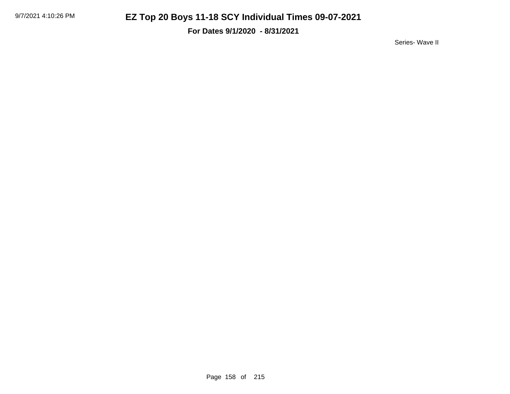**For Dates 9/1/2020 - 8/31/2021**

Series- Wave II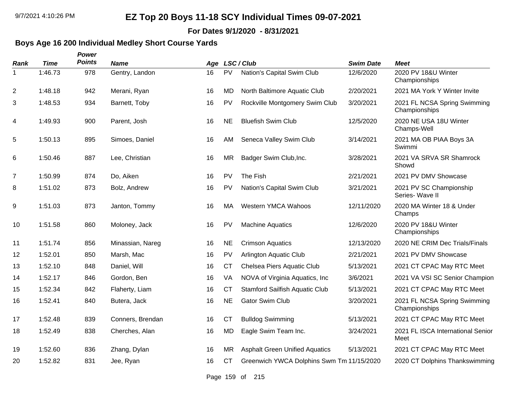**For Dates 9/1/2020 - 8/31/2021**

### **Boys Age 16 200 Individual Medley Short Course Yards**

| <b>Rank</b>    | <b>Time</b> | Power<br><b>Points</b> | <b>Name</b>      |    |           | Age LSC/Club                              | <b>Swim Date</b> | <b>Meet</b>                                   |
|----------------|-------------|------------------------|------------------|----|-----------|-------------------------------------------|------------------|-----------------------------------------------|
| 1              | 1:46.73     | 978                    | Gentry, Landon   | 16 | <b>PV</b> | Nation's Capital Swim Club                | 12/6/2020        | 2020 PV 18&U Winter<br>Championships          |
| 2              | 1:48.18     | 942                    | Merani, Ryan     | 16 | <b>MD</b> | North Baltimore Aquatic Club              | 2/20/2021        | 2021 MA York Y Winter Invite                  |
| 3              | 1:48.53     | 934                    | Barnett, Toby    | 16 | PV        | Rockville Montgomery Swim Club            | 3/20/2021        | 2021 FL NCSA Spring Swimming<br>Championships |
| 4              | 1:49.93     | 900                    | Parent, Josh     | 16 | <b>NE</b> | <b>Bluefish Swim Club</b>                 | 12/5/2020        | 2020 NE USA 18U Winter<br>Champs-Well         |
| 5              | 1:50.13     | 895                    | Simoes, Daniel   | 16 | AM        | Seneca Valley Swim Club                   | 3/14/2021        | 2021 MA OB PIAA Boys 3A<br>Swimmi             |
| 6              | 1:50.46     | 887                    | Lee, Christian   | 16 | <b>MR</b> | Badger Swim Club, Inc.                    | 3/28/2021        | 2021 VA SRVA SR Shamrock<br>Showd             |
| $\overline{7}$ | 1:50.99     | 874                    | Do, Aiken        | 16 | PV        | The Fish                                  | 2/21/2021        | 2021 PV DMV Showcase                          |
| 8              | 1:51.02     | 873                    | Bolz, Andrew     | 16 | PV        | Nation's Capital Swim Club                | 3/21/2021        | 2021 PV SC Championship<br>Series- Wave II    |
| 9              | 1:51.03     | 873                    | Janton, Tommy    | 16 | МA        | Western YMCA Wahoos                       | 12/11/2020       | 2020 MA Winter 18 & Under<br>Champs           |
| 10             | 1:51.58     | 860                    | Moloney, Jack    | 16 | PV        | <b>Machine Aquatics</b>                   | 12/6/2020        | 2020 PV 18&U Winter<br>Championships          |
| 11             | 1:51.74     | 856                    | Minassian, Nareg | 16 | <b>NE</b> | <b>Crimson Aquatics</b>                   | 12/13/2020       | 2020 NE CRIM Dec Trials/Finals                |
| 12             | 1:52.01     | 850                    | Marsh, Mac       | 16 | PV        | Arlington Aquatic Club                    | 2/21/2021        | 2021 PV DMV Showcase                          |
| 13             | 1:52.10     | 848                    | Daniel, Will     | 16 | <b>CT</b> | Chelsea Piers Aquatic Club                | 5/13/2021        | 2021 CT CPAC May RTC Meet                     |
| 14             | 1:52.17     | 846                    | Gordon, Ben      | 16 | VA        | NOVA of Virginia Aquatics, Inc.           | 3/6/2021         | 2021 VA VSI SC Senior Champion                |
| 15             | 1:52.34     | 842                    | Flaherty, Liam   | 16 | <b>CT</b> | <b>Stamford Sailfish Aquatic Club</b>     | 5/13/2021        | 2021 CT CPAC May RTC Meet                     |
| 16             | 1:52.41     | 840                    | Butera, Jack     | 16 | <b>NE</b> | Gator Swim Club                           | 3/20/2021        | 2021 FL NCSA Spring Swimming<br>Championships |
| 17             | 1:52.48     | 839                    | Conners, Brendan | 16 | <b>CT</b> | <b>Bulldog Swimming</b>                   | 5/13/2021        | 2021 CT CPAC May RTC Meet                     |
| 18             | 1:52.49     | 838                    | Cherches, Alan   | 16 | MD        | Eagle Swim Team Inc.                      | 3/24/2021        | 2021 FL ISCA International Senior<br>Meet     |
| 19             | 1:52.60     | 836                    | Zhang, Dylan     | 16 | <b>MR</b> | <b>Asphalt Green Unified Aquatics</b>     | 5/13/2021        | 2021 CT CPAC May RTC Meet                     |
| 20             | 1:52.82     | 831                    | Jee, Ryan        | 16 | <b>CT</b> | Greenwich YWCA Dolphins Swm Tm 11/15/2020 |                  | 2020 CT Dolphins Thankswimming                |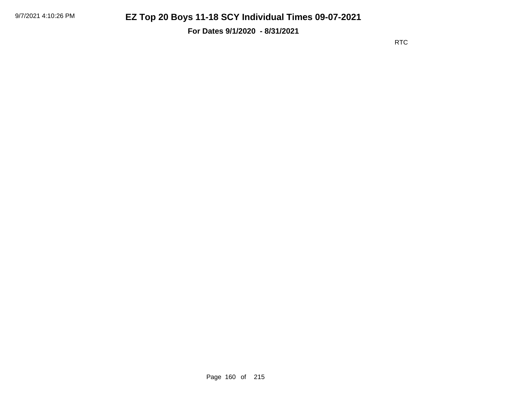**For Dates 9/1/2020 - 8/31/2021**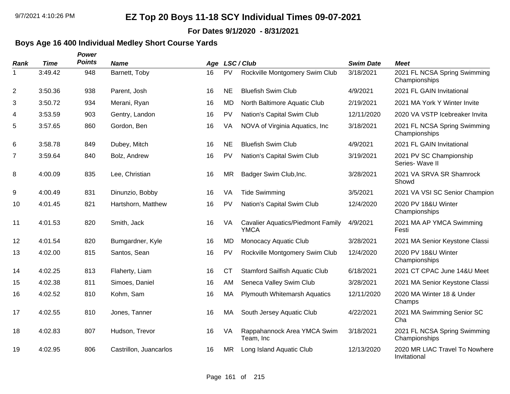**For Dates 9/1/2020 - 8/31/2021**

#### **Boys Age 16 400 Individual Medley Short Course Yards**

| Rank           | <b>Time</b> | Power<br><b>Points</b> | <b>Name</b>            |    |           | Age LSC/Club                                            | <b>Swim Date</b> | <b>Meet</b>                                    |
|----------------|-------------|------------------------|------------------------|----|-----------|---------------------------------------------------------|------------------|------------------------------------------------|
| 1              | 3:49.42     | 948                    | Barnett, Toby          | 16 | <b>PV</b> | Rockville Montgomery Swim Club                          | 3/18/2021        | 2021 FL NCSA Spring Swimming<br>Championships  |
| $\overline{2}$ | 3:50.36     | 938                    | Parent, Josh           | 16 | <b>NE</b> | <b>Bluefish Swim Club</b>                               | 4/9/2021         | 2021 FL GAIN Invitational                      |
| 3              | 3:50.72     | 934                    | Merani, Ryan           | 16 | <b>MD</b> | North Baltimore Aquatic Club                            | 2/19/2021        | 2021 MA York Y Winter Invite                   |
| 4              | 3:53.59     | 903                    | Gentry, Landon         | 16 | PV        | Nation's Capital Swim Club                              | 12/11/2020       | 2020 VA VSTP Icebreaker Invita                 |
| 5              | 3:57.65     | 860                    | Gordon, Ben            | 16 | VA        | NOVA of Virginia Aquatics, Inc.                         | 3/18/2021        | 2021 FL NCSA Spring Swimming<br>Championships  |
| 6              | 3:58.78     | 849                    | Dubey, Mitch           | 16 | <b>NE</b> | <b>Bluefish Swim Club</b>                               | 4/9/2021         | 2021 FL GAIN Invitational                      |
| 7              | 3:59.64     | 840                    | Bolz, Andrew           | 16 | PV        | Nation's Capital Swim Club                              | 3/19/2021        | 2021 PV SC Championship<br>Series- Wave II     |
| 8              | 4:00.09     | 835                    | Lee, Christian         | 16 | <b>MR</b> | Badger Swim Club, Inc.                                  | 3/28/2021        | 2021 VA SRVA SR Shamrock<br>Showd              |
| 9              | 4:00.49     | 831                    | Dinunzio, Bobby        | 16 | VA        | <b>Tide Swimming</b>                                    | 3/5/2021         | 2021 VA VSI SC Senior Champion                 |
| 10             | 4:01.45     | 821                    | Hartshorn, Matthew     | 16 | <b>PV</b> | Nation's Capital Swim Club                              | 12/4/2020        | 2020 PV 18&U Winter<br>Championships           |
| 11             | 4:01.53     | 820                    | Smith, Jack            | 16 | VA        | <b>Cavalier Aquatics/Piedmont Family</b><br><b>YMCA</b> | 4/9/2021         | 2021 MA AP YMCA Swimming<br>Festi              |
| 12             | 4:01.54     | 820                    | Bumgardner, Kyle       | 16 | <b>MD</b> | Monocacy Aquatic Club                                   | 3/28/2021        | 2021 MA Senior Keystone Classi                 |
| 13             | 4:02.00     | 815                    | Santos, Sean           | 16 | <b>PV</b> | Rockville Montgomery Swim Club                          | 12/4/2020        | 2020 PV 18&U Winter<br>Championships           |
| 14             | 4:02.25     | 813                    | Flaherty, Liam         | 16 | <b>CT</b> | <b>Stamford Sailfish Aquatic Club</b>                   | 6/18/2021        | 2021 CT CPAC June 14&U Meet                    |
| 15             | 4:02.38     | 811                    | Simoes, Daniel         | 16 | AM        | Seneca Valley Swim Club                                 | 3/28/2021        | 2021 MA Senior Keystone Classi                 |
| 16             | 4:02.52     | 810                    | Kohm, Sam              | 16 | MA        | <b>Plymouth Whitemarsh Aquatics</b>                     | 12/11/2020       | 2020 MA Winter 18 & Under<br>Champs            |
| 17             | 4:02.55     | 810                    | Jones, Tanner          | 16 | MA        | South Jersey Aquatic Club                               | 4/22/2021        | 2021 MA Swimming Senior SC<br>Cha              |
| 18             | 4:02.83     | 807                    | Hudson, Trevor         | 16 | VA        | Rappahannock Area YMCA Swim<br>Team, Inc                | 3/18/2021        | 2021 FL NCSA Spring Swimming<br>Championships  |
| 19             | 4:02.95     | 806                    | Castrillon, Juancarlos | 16 | <b>MR</b> | Long Island Aquatic Club                                | 12/13/2020       | 2020 MR LIAC Travel To Nowhere<br>Invitational |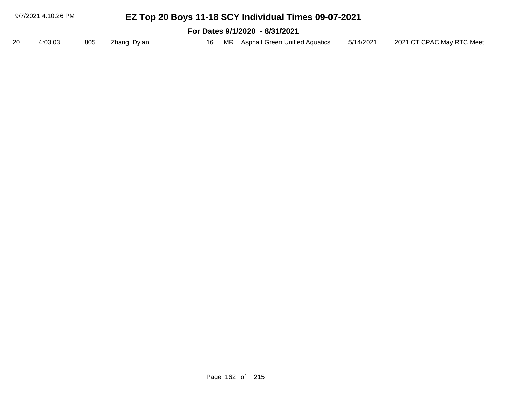| 9/7/2021 4:10:26 PM<br>EZ Top 20 Boys 11-18 SCY Individual Times 09-07-2021 |                                |     |              |  |     |  |                                   |           |                           |  |  |
|-----------------------------------------------------------------------------|--------------------------------|-----|--------------|--|-----|--|-----------------------------------|-----------|---------------------------|--|--|
|                                                                             | For Dates 9/1/2020 - 8/31/2021 |     |              |  |     |  |                                   |           |                           |  |  |
|                                                                             | 4:03.03                        | 805 | Zhang, Dylan |  | 16. |  | MR Asphalt Green Unified Aquatics | 5/14/2021 | 2021 CT CPAC May RTC Meet |  |  |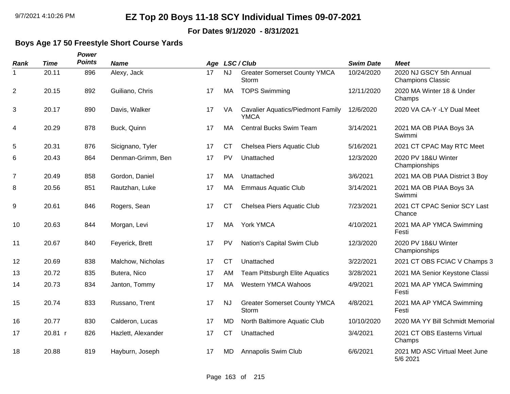#### **For Dates 9/1/2020 - 8/31/2021**

### **Boys Age 17 50 Freestyle Short Course Yards**

| <b>Rank</b>    | <b>Time</b> | Power<br><b>Points</b> | <b>Name</b>        |    |           | Age LSC/Club                                            | <b>Swim Date</b> | <b>Meet</b>                                         |
|----------------|-------------|------------------------|--------------------|----|-----------|---------------------------------------------------------|------------------|-----------------------------------------------------|
| 1              | 20.11       | 896                    | Alexy, Jack        | 17 | <b>NJ</b> | <b>Greater Somerset County YMCA</b><br>Storm            | 10/24/2020       | 2020 NJ GSCY 5th Annual<br><b>Champions Classic</b> |
| $\overline{2}$ | 20.15       | 892                    | Guiliano, Chris    | 17 | MA        | <b>TOPS Swimming</b>                                    | 12/11/2020       | 2020 MA Winter 18 & Under<br>Champs                 |
| 3              | 20.17       | 890                    | Davis, Walker      | 17 | VA        | <b>Cavalier Aquatics/Piedmont Family</b><br><b>YMCA</b> | 12/6/2020        | 2020 VA CA-Y -LY Dual Meet                          |
| 4              | 20.29       | 878                    | Buck, Quinn        | 17 | MA        | <b>Central Bucks Swim Team</b>                          | 3/14/2021        | 2021 MA OB PIAA Boys 3A<br>Swimmi                   |
| 5              | 20.31       | 876                    | Sicignano, Tyler   | 17 | <b>CT</b> | Chelsea Piers Aquatic Club                              | 5/16/2021        | 2021 CT CPAC May RTC Meet                           |
| 6              | 20.43       | 864                    | Denman-Grimm, Ben  | 17 | PV        | Unattached                                              | 12/3/2020        | 2020 PV 18&U Winter<br>Championships                |
| $\overline{7}$ | 20.49       | 858                    | Gordon, Daniel     | 17 | МA        | Unattached                                              | 3/6/2021         | 2021 MA OB PIAA District 3 Boy                      |
| 8              | 20.56       | 851                    | Rautzhan, Luke     | 17 | MA        | <b>Emmaus Aquatic Club</b>                              | 3/14/2021        | 2021 MA OB PIAA Boys 3A<br>Swimmi                   |
| 9              | 20.61       | 846                    | Rogers, Sean       | 17 | <b>CT</b> | Chelsea Piers Aquatic Club                              | 7/23/2021        | 2021 CT CPAC Senior SCY Last<br>Chance              |
| 10             | 20.63       | 844                    | Morgan, Levi       | 17 | MA        | York YMCA                                               | 4/10/2021        | 2021 MA AP YMCA Swimming<br>Festi                   |
| 11             | 20.67       | 840                    | Feyerick, Brett    | 17 | <b>PV</b> | Nation's Capital Swim Club                              | 12/3/2020        | 2020 PV 18&U Winter<br>Championships                |
| 12             | 20.69       | 838                    | Malchow, Nicholas  | 17 | <b>CT</b> | Unattached                                              | 3/22/2021        | 2021 CT OBS FCIAC V Champs 3                        |
| 13             | 20.72       | 835                    | Butera, Nico       | 17 | AM        | <b>Team Pittsburgh Elite Aquatics</b>                   | 3/28/2021        | 2021 MA Senior Keystone Classi                      |
| 14             | 20.73       | 834                    | Janton, Tommy      | 17 | MA        | Western YMCA Wahoos                                     | 4/9/2021         | 2021 MA AP YMCA Swimming<br>Festi                   |
| 15             | 20.74       | 833                    | Russano, Trent     | 17 | <b>NJ</b> | <b>Greater Somerset County YMCA</b><br><b>Storm</b>     | 4/8/2021         | 2021 MA AP YMCA Swimming<br>Festi                   |
| 16             | 20.77       | 830                    | Calderon, Lucas    | 17 | MD        | North Baltimore Aquatic Club                            | 10/10/2020       | 2020 MA YY Bill Schmidt Memorial                    |
| 17             | 20.81 r     | 826                    | Hazlett, Alexander | 17 | <b>CT</b> | Unattached                                              | 3/4/2021         | 2021 CT OBS Easterns Virtual<br>Champs              |
| 18             | 20.88       | 819                    | Hayburn, Joseph    | 17 | <b>MD</b> | Annapolis Swim Club                                     | 6/6/2021         | 2021 MD ASC Virtual Meet June<br>5/6 2021           |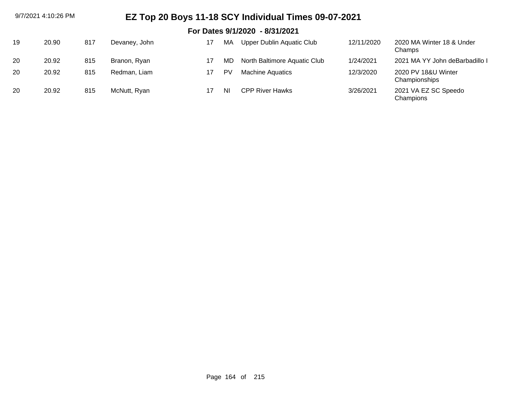| 9/7/2021 4:10:26 PM            |       |     | EZ Top 20 Boys 11-18 SCY Individual Times 09-07-2021 |    |    |                              |            |                                      |  |  |  |  |  |
|--------------------------------|-------|-----|------------------------------------------------------|----|----|------------------------------|------------|--------------------------------------|--|--|--|--|--|
| For Dates 9/1/2020 - 8/31/2021 |       |     |                                                      |    |    |                              |            |                                      |  |  |  |  |  |
| 19                             | 20.90 | 817 | Devaney, John                                        |    | MA | Upper Dublin Aquatic Club    | 12/11/2020 | 2020 MA Winter 18 & Under<br>Champs  |  |  |  |  |  |
| 20                             | 20.92 | 815 | Branon, Ryan                                         |    | MD | North Baltimore Aquatic Club | 1/24/2021  | 2021 MA YY John deBarbadillo I       |  |  |  |  |  |
| 20                             | 20.92 | 815 | Redman, Liam                                         | 17 | PV | <b>Machine Aquatics</b>      | 12/3/2020  | 2020 PV 18&U Winter<br>Championships |  |  |  |  |  |
| 20                             | 20.92 | 815 | McNutt, Ryan                                         | 17 | ΝI | <b>CPP River Hawks</b>       | 3/26/2021  | 2021 VA EZ SC Speedo<br>Champions    |  |  |  |  |  |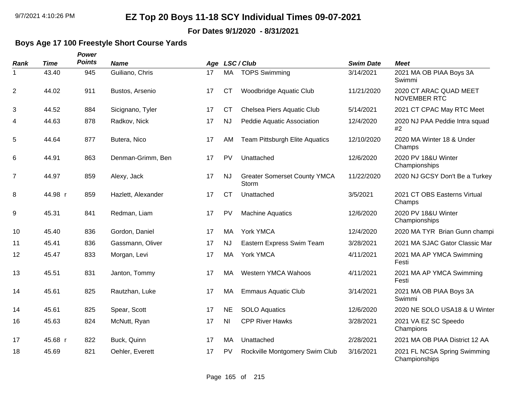**For Dates 9/1/2020 - 8/31/2021**

### **Boys Age 17 100 Freestyle Short Course Yards**

| Rank           | <b>Time</b> | Power<br><b>Points</b> | <b>Name</b>        |    |           | Age LSC/Club                                 | <b>Swim Date</b> | <b>Meet</b>                                   |
|----------------|-------------|------------------------|--------------------|----|-----------|----------------------------------------------|------------------|-----------------------------------------------|
| 1              | 43.40       | 945                    | Guiliano, Chris    | 17 | MA        | <b>TOPS Swimming</b>                         | 3/14/2021        | 2021 MA OB PIAA Boys 3A<br>Swimmi             |
| $\overline{2}$ | 44.02       | 911                    | Bustos, Arsenio    | 17 | <b>CT</b> | Woodbridge Aquatic Club                      | 11/21/2020       | 2020 CT ARAC QUAD MEET<br>NOVEMBER RTC        |
| 3              | 44.52       | 884                    | Sicignano, Tyler   | 17 | <b>CT</b> | Chelsea Piers Aquatic Club                   | 5/14/2021        | 2021 CT CPAC May RTC Meet                     |
| 4              | 44.63       | 878                    | Radkov, Nick       | 17 | <b>NJ</b> | Peddie Aquatic Association                   | 12/4/2020        | 2020 NJ PAA Peddie Intra squad<br>#2          |
| $\overline{5}$ | 44.64       | 877                    | Butera, Nico       | 17 | <b>AM</b> | <b>Team Pittsburgh Elite Aquatics</b>        | 12/10/2020       | 2020 MA Winter 18 & Under<br>Champs           |
| 6              | 44.91       | 863                    | Denman-Grimm, Ben  | 17 | PV        | Unattached                                   | 12/6/2020        | 2020 PV 18&U Winter<br>Championships          |
| $\overline{7}$ | 44.97       | 859                    | Alexy, Jack        | 17 | <b>NJ</b> | <b>Greater Somerset County YMCA</b><br>Storm | 11/22/2020       | 2020 NJ GCSY Don't Be a Turkey                |
| 8              | 44.98 r     | 859                    | Hazlett, Alexander | 17 | <b>CT</b> | Unattached                                   | 3/5/2021         | 2021 CT OBS Easterns Virtual<br>Champs        |
| 9              | 45.31       | 841                    | Redman, Liam       | 17 | <b>PV</b> | <b>Machine Aquatics</b>                      | 12/6/2020        | 2020 PV 18&U Winter<br>Championships          |
| 10             | 45.40       | 836                    | Gordon, Daniel     | 17 | MA        | York YMCA                                    | 12/4/2020        | 2020 MA TYR Brian Gunn champi                 |
| 11             | 45.41       | 836                    | Gassmann, Oliver   | 17 | <b>NJ</b> | Eastern Express Swim Team                    | 3/28/2021        | 2021 MA SJAC Gator Classic Mar                |
| 12             | 45.47       | 833                    | Morgan, Levi       | 17 | MA        | York YMCA                                    | 4/11/2021        | 2021 MA AP YMCA Swimming<br>Festi             |
| 13             | 45.51       | 831                    | Janton, Tommy      | 17 | МA        | <b>Western YMCA Wahoos</b>                   | 4/11/2021        | 2021 MA AP YMCA Swimming<br>Festi             |
| 14             | 45.61       | 825                    | Rautzhan, Luke     | 17 | MA        | <b>Emmaus Aquatic Club</b>                   | 3/14/2021        | 2021 MA OB PIAA Boys 3A<br>Swimmi             |
| 14             | 45.61       | 825                    | Spear, Scott       | 17 | <b>NE</b> | <b>SOLO Aquatics</b>                         | 12/6/2020        | 2020 NE SOLO USA18 & U Winter                 |
| 16             | 45.63       | 824                    | McNutt, Ryan       | 17 | <b>NI</b> | <b>CPP River Hawks</b>                       | 3/28/2021        | 2021 VA EZ SC Speedo<br>Champions             |
| 17             | 45.68 r     | 822                    | Buck, Quinn        | 17 | МA        | Unattached                                   | 2/28/2021        | 2021 MA OB PIAA District 12 AA                |
| 18             | 45.69       | 821                    | Oehler, Everett    | 17 | <b>PV</b> | Rockville Montgomery Swim Club               | 3/16/2021        | 2021 FL NCSA Spring Swimming<br>Championships |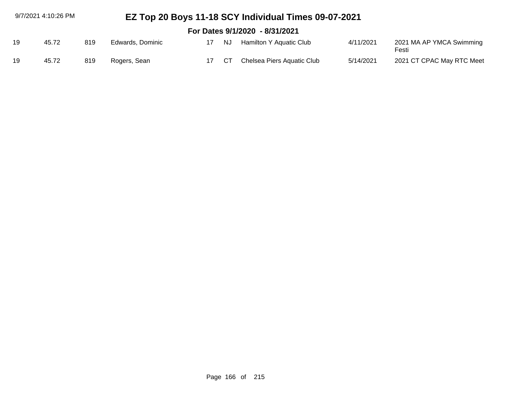|    | 9/7/2021 4:10:26 PM            |     |                  | EZ Top 20 Boys 11-18 SCY Individual Times 09-07-2021 |     |                            |           |                                   |  |  |  |  |
|----|--------------------------------|-----|------------------|------------------------------------------------------|-----|----------------------------|-----------|-----------------------------------|--|--|--|--|
|    | For Dates 9/1/2020 - 8/31/2021 |     |                  |                                                      |     |                            |           |                                   |  |  |  |  |
| 19 | 45.72                          | 819 | Edwards, Dominic |                                                      | NJ. | Hamilton Y Aquatic Club    | 4/11/2021 | 2021 MA AP YMCA Swimming<br>Festi |  |  |  |  |
| 19 | 45.72                          | 819 | Rogers, Sean     |                                                      |     | Chelsea Piers Aquatic Club | 5/14/2021 | 2021 CT CPAC May RTC Meet         |  |  |  |  |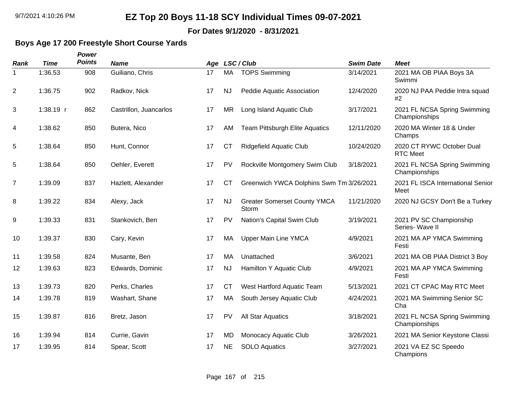**For Dates 9/1/2020 - 8/31/2021**

#### **Boys Age 17 200 Freestyle Short Course Yards**

| <b>Rank</b>    | <b>Time</b> | Power<br><b>Points</b> | <b>Name</b>            |    |           | Age LSC/Club                                 | <b>Swim Date</b> | <b>Meet</b>                                   |
|----------------|-------------|------------------------|------------------------|----|-----------|----------------------------------------------|------------------|-----------------------------------------------|
| 1              | 1:36.53     | 908                    | Guiliano, Chris        | 17 | MA        | <b>TOPS Swimming</b>                         | 3/14/2021        | 2021 MA OB PIAA Boys 3A<br>Swimmi             |
| $\overline{2}$ | 1:36.75     | 902                    | Radkov, Nick           | 17 | <b>NJ</b> | Peddie Aquatic Association                   | 12/4/2020        | 2020 NJ PAA Peddie Intra squad<br>#2          |
| 3              | $1:38.19$ r | 862                    | Castrillon, Juancarlos | 17 | <b>MR</b> | Long Island Aquatic Club                     | 3/17/2021        | 2021 FL NCSA Spring Swimming<br>Championships |
| 4              | 1:38.62     | 850                    | Butera, Nico           | 17 | AM        | <b>Team Pittsburgh Elite Aquatics</b>        | 12/11/2020       | 2020 MA Winter 18 & Under<br>Champs           |
| 5              | 1:38.64     | 850                    | Hunt, Connor           | 17 | <b>CT</b> | <b>Ridgefield Aquatic Club</b>               | 10/24/2020       | 2020 CT RYWC October Dual<br><b>RTC Meet</b>  |
| 5              | 1:38.64     | 850                    | Oehler, Everett        | 17 | PV        | Rockville Montgomery Swim Club               | 3/18/2021        | 2021 FL NCSA Spring Swimming<br>Championships |
| 7              | 1:39.09     | 837                    | Hazlett, Alexander     | 17 | <b>CT</b> | Greenwich YWCA Dolphins Swm Tm 3/26/2021     |                  | 2021 FL ISCA International Senior<br>Meet     |
| 8              | 1:39.22     | 834                    | Alexy, Jack            | 17 | <b>NJ</b> | <b>Greater Somerset County YMCA</b><br>Storm | 11/21/2020       | 2020 NJ GCSY Don't Be a Turkey                |
| 9              | 1:39.33     | 831                    | Stankovich, Ben        | 17 | <b>PV</b> | Nation's Capital Swim Club                   | 3/19/2021        | 2021 PV SC Championship<br>Series- Wave II    |
| 10             | 1:39.37     | 830                    | Cary, Kevin            | 17 | MA        | <b>Upper Main Line YMCA</b>                  | 4/9/2021         | 2021 MA AP YMCA Swimming<br>Festi             |
| 11             | 1:39.58     | 824                    | Musante, Ben           | 17 | MA        | Unattached                                   | 3/6/2021         | 2021 MA OB PIAA District 3 Boy                |
| 12             | 1:39.63     | 823                    | Edwards, Dominic       | 17 | <b>NJ</b> | Hamilton Y Aquatic Club                      | 4/9/2021         | 2021 MA AP YMCA Swimming<br>Festi             |
| 13             | 1:39.73     | 820                    | Perks, Charles         | 17 | <b>CT</b> | West Hartford Aquatic Team                   | 5/13/2021        | 2021 CT CPAC May RTC Meet                     |
| 14             | 1:39.78     | 819                    | Washart, Shane         | 17 | МA        | South Jersey Aquatic Club                    | 4/24/2021        | 2021 MA Swimming Senior SC<br>Cha             |
| 15             | 1:39.87     | 816                    | Bretz, Jason           | 17 | <b>PV</b> | All Star Aquatics                            | 3/18/2021        | 2021 FL NCSA Spring Swimming<br>Championships |
| 16             | 1:39.94     | 814                    | Currie, Gavin          | 17 | <b>MD</b> | Monocacy Aquatic Club                        | 3/26/2021        | 2021 MA Senior Keystone Classi                |
| 17             | 1:39.95     | 814                    | Spear, Scott           | 17 | <b>NE</b> | <b>SOLO Aquatics</b>                         | 3/27/2021        | 2021 VA EZ SC Speedo<br>Champions             |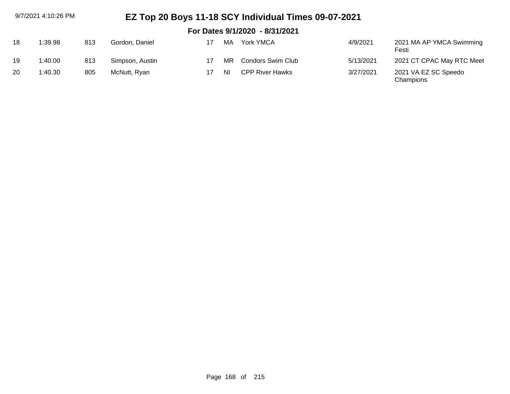| 9/7/2021 4:10:26 PM            |         |     | EZ Top 20 Boys 11-18 SCY Individual Times 09-07-2021 |    |     |                          |           |                                   |  |  |  |  |
|--------------------------------|---------|-----|------------------------------------------------------|----|-----|--------------------------|-----------|-----------------------------------|--|--|--|--|
| For Dates 9/1/2020 - 8/31/2021 |         |     |                                                      |    |     |                          |           |                                   |  |  |  |  |
| 18                             | 1:39.98 | 813 | Gordon, Daniel                                       |    | МA  | York YMCA                | 4/9/2021  | 2021 MA AP YMCA Swimming<br>Festi |  |  |  |  |
| 19                             | 1:40.00 | 813 | Simpson, Austin                                      |    | MR. | <b>Condors Swim Club</b> | 5/13/2021 | 2021 CT CPAC May RTC Meet         |  |  |  |  |
| 20                             | 1:40.30 | 805 | McNutt, Ryan                                         | 17 | ΝI  | <b>CPP River Hawks</b>   | 3/27/2021 | 2021 VA EZ SC Speedo<br>Champions |  |  |  |  |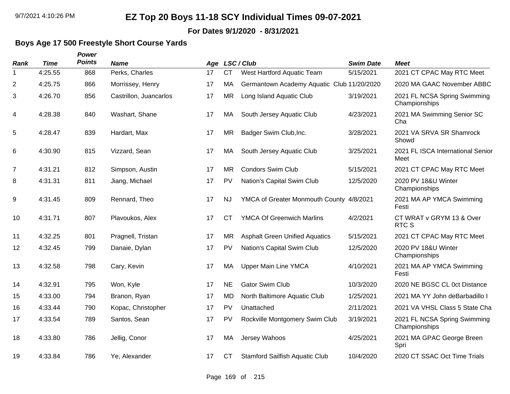**For Dates 9/1/2020 - 8/31/2021**

#### **Boys Age 17 500 Freestyle Short Course Yards**

| Rank           | <b>Time</b> | Power<br><b>Points</b> | <b>Name</b>            |    |           | Age LSC/Club                               | <b>Swim Date</b> | <b>Meet</b>                                   |
|----------------|-------------|------------------------|------------------------|----|-----------|--------------------------------------------|------------------|-----------------------------------------------|
| 1              | 4:25.55     | 868                    | Perks, Charles         | 17 | <b>CT</b> | West Hartford Aquatic Team                 | 5/15/2021        | 2021 CT CPAC May RTC Meet                     |
| $\overline{2}$ | 4:25.75     | 866                    | Morrissey, Henry       | 17 | МA        | Germantown Academy Aquatic Club 11/20/2020 |                  | 2020 MA GAAC November ABBC                    |
| 3              | 4:26.70     | 856                    | Castrillon, Juancarlos | 17 | <b>MR</b> | Long Island Aquatic Club                   | 3/19/2021        | 2021 FL NCSA Spring Swimming<br>Championships |
| 4              | 4:28.38     | 840                    | Washart, Shane         | 17 | MA        | South Jersey Aquatic Club                  | 4/23/2021        | 2021 MA Swimming Senior SC<br>Cha             |
| 5              | 4:28.47     | 839                    | Hardart, Max           | 17 | <b>MR</b> | Badger Swim Club, Inc.                     | 3/28/2021        | 2021 VA SRVA SR Shamrock<br>Showd             |
| 6              | 4:30.90     | 815                    | Vizzard, Sean          | 17 | MA        | South Jersey Aquatic Club                  | 3/25/2021        | 2021 FL ISCA International Senior<br>Meet     |
| 7              | 4:31.21     | 812                    | Simpson, Austin        | 17 | <b>MR</b> | <b>Condors Swim Club</b>                   | 5/15/2021        | 2021 CT CPAC May RTC Meet                     |
| 8              | 4:31.31     | 811                    | Jiang, Michael         | 17 | <b>PV</b> | Nation's Capital Swim Club                 | 12/5/2020        | 2020 PV 18&U Winter<br>Championships          |
| 9              | 4:31.45     | 809                    | Rennard, Theo          | 17 | <b>NJ</b> | YMCA of Greater Monmouth County 4/8/2021   |                  | 2021 MA AP YMCA Swimming<br>Festi             |
| 10             | 4:31.71     | 807                    | Plavoukos, Alex        | 17 | <b>CT</b> | <b>YMCA Of Greenwich Marlins</b>           | 4/2/2021         | CT WRAT v GRYM 13 & Over<br>RTC S             |
| 11             | 4:32.25     | 801                    | Pragnell, Tristan      | 17 | <b>MR</b> | <b>Asphalt Green Unified Aquatics</b>      | 5/15/2021        | 2021 CT CPAC May RTC Meet                     |
| 12             | 4:32.45     | 799                    | Danaie, Dylan          | 17 | <b>PV</b> | Nation's Capital Swim Club                 | 12/5/2020        | 2020 PV 18&U Winter<br>Championships          |
| 13             | 4:32.58     | 798                    | Cary, Kevin            | 17 | MA        | <b>Upper Main Line YMCA</b>                | 4/10/2021        | 2021 MA AP YMCA Swimming<br>Festi             |
| 14             | 4:32.91     | 795                    | Won, Kyle              | 17 | <b>NE</b> | <b>Gator Swim Club</b>                     | 10/3/2020        | 2020 NE BGSC CL 0ct Distance                  |
| 15             | 4:33.00     | 794                    | Branon, Ryan           | 17 | MD        | North Baltimore Aquatic Club               | 1/25/2021        | 2021 MA YY John deBarbadillo I                |
| 16             | 4:33.44     | 790                    | Kopac, Christopher     | 17 | <b>PV</b> | Unattached                                 | 2/11/2021        | 2021 VA VHSL Class 5 State Cha                |
| 17             | 4:33.54     | 789                    | Santos, Sean           | 17 | <b>PV</b> | Rockville Montgomery Swim Club             | 3/19/2021        | 2021 FL NCSA Spring Swimming<br>Championships |
| 18             | 4:33.80     | 786                    | Jellig, Conor          | 17 | MA        | Jersey Wahoos                              | 4/25/2021        | 2021 MA GPAC George Breen<br>Spri             |
| 19             | 4:33.84     | 786                    | Ye, Alexander          | 17 | <b>CT</b> | <b>Stamford Sailfish Aquatic Club</b>      | 10/4/2020        | 2020 CT SSAC Oct Time Trials                  |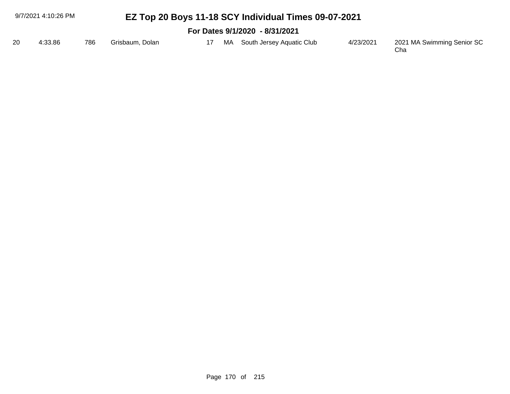|    | 9/7/2021 4:10:26 PM            |     | EZ Top 20 Boys 11-18 SCY Individual Times 09-07-2021 |  |  |                              |           |                                   |  |  |
|----|--------------------------------|-----|------------------------------------------------------|--|--|------------------------------|-----------|-----------------------------------|--|--|
|    | For Dates 9/1/2020 - 8/31/2021 |     |                                                      |  |  |                              |           |                                   |  |  |
| 20 | 4:33.86                        | 786 | Grisbaum. Dolan                                      |  |  | MA South Jersey Aquatic Club | 4/23/2021 | 2021 MA Swimming Senior SC<br>Cha |  |  |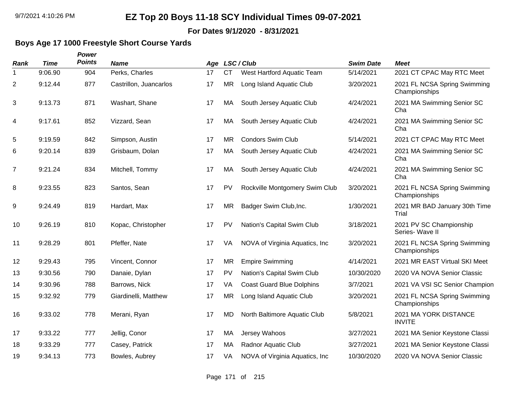#### **For Dates 9/1/2020 - 8/31/2021**

#### **Boys Age 17 1000 Freestyle Short Course Yards**

| Rank         | <b>Time</b> | Power<br><b>Points</b> | <b>Name</b>            |    |           | Age LSC/Club                     | <b>Swim Date</b> | <b>Meet</b>                                   |
|--------------|-------------|------------------------|------------------------|----|-----------|----------------------------------|------------------|-----------------------------------------------|
| $\mathbf 1$  | 9:06.90     | 904                    | Perks, Charles         | 17 | <b>CT</b> | West Hartford Aquatic Team       | 5/14/2021        | 2021 CT CPAC May RTC Meet                     |
| $\mathbf{2}$ | 9:12.44     | 877                    | Castrillon, Juancarlos | 17 | <b>MR</b> | Long Island Aquatic Club         | 3/20/2021        | 2021 FL NCSA Spring Swimming<br>Championships |
| 3            | 9:13.73     | 871                    | Washart, Shane         | 17 | MA        | South Jersey Aquatic Club        | 4/24/2021        | 2021 MA Swimming Senior SC<br>Cha             |
| 4            | 9:17.61     | 852                    | Vizzard, Sean          | 17 | MA        | South Jersey Aquatic Club        | 4/24/2021        | 2021 MA Swimming Senior SC<br>Cha             |
| 5            | 9:19.59     | 842                    | Simpson, Austin        | 17 | <b>MR</b> | <b>Condors Swim Club</b>         | 5/14/2021        | 2021 CT CPAC May RTC Meet                     |
| 6            | 9:20.14     | 839                    | Grisbaum, Dolan        | 17 | MA        | South Jersey Aquatic Club        | 4/24/2021        | 2021 MA Swimming Senior SC<br>Cha             |
| 7            | 9:21.24     | 834                    | Mitchell, Tommy        | 17 | MA        | South Jersey Aquatic Club        | 4/24/2021        | 2021 MA Swimming Senior SC<br>Cha             |
| 8            | 9:23.55     | 823                    | Santos, Sean           | 17 | PV        | Rockville Montgomery Swim Club   | 3/20/2021        | 2021 FL NCSA Spring Swimming<br>Championships |
| 9            | 9:24.49     | 819                    | Hardart, Max           | 17 | <b>MR</b> | Badger Swim Club, Inc.           | 1/30/2021        | 2021 MR BAD January 30th Time<br>Trial        |
| 10           | 9:26.19     | 810                    | Kopac, Christopher     | 17 | <b>PV</b> | Nation's Capital Swim Club       | 3/18/2021        | 2021 PV SC Championship<br>Series- Wave II    |
| 11           | 9:28.29     | 801                    | Pfeffer, Nate          | 17 | VA        | NOVA of Virginia Aquatics, Inc   | 3/20/2021        | 2021 FL NCSA Spring Swimming<br>Championships |
| 12           | 9:29.43     | 795                    | Vincent, Connor        | 17 | <b>MR</b> | <b>Empire Swimming</b>           | 4/14/2021        | 2021 MR EAST Virtual SKI Meet                 |
| 13           | 9:30.56     | 790                    | Danaie, Dylan          | 17 | PV        | Nation's Capital Swim Club       | 10/30/2020       | 2020 VA NOVA Senior Classic                   |
| 14           | 9:30.96     | 788                    | Barrows, Nick          | 17 | VA        | <b>Coast Guard Blue Dolphins</b> | 3/7/2021         | 2021 VA VSI SC Senior Champion                |
| 15           | 9:32.92     | 779                    | Giardinelli, Matthew   | 17 | <b>MR</b> | Long Island Aquatic Club         | 3/20/2021        | 2021 FL NCSA Spring Swimming<br>Championships |
| 16           | 9:33.02     | 778                    | Merani, Ryan           | 17 | <b>MD</b> | North Baltimore Aquatic Club     | 5/8/2021         | 2021 MA YORK DISTANCE<br><b>INVITE</b>        |
| 17           | 9:33.22     | 777                    | Jellig, Conor          | 17 | MA        | Jersey Wahoos                    | 3/27/2021        | 2021 MA Senior Keystone Classi                |
| 18           | 9:33.29     | 777                    | Casey, Patrick         | 17 | МA        | <b>Radnor Aquatic Club</b>       | 3/27/2021        | 2021 MA Senior Keystone Classi                |
| 19           | 9:34.13     | 773                    | Bowles, Aubrey         | 17 | VA        | NOVA of Virginia Aquatics, Inc.  | 10/30/2020       | 2020 VA NOVA Senior Classic                   |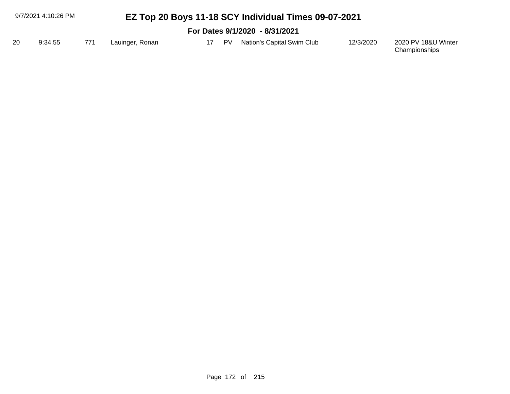| 9/7/2021 4:10:26 PM |         |     | EZ Top 20 Boys 11-18 SCY Individual Times 09-07-2021 |    |     |                                |           |                                      |  |  |  |  |
|---------------------|---------|-----|------------------------------------------------------|----|-----|--------------------------------|-----------|--------------------------------------|--|--|--|--|
|                     |         |     |                                                      |    |     | For Dates 9/1/2020 - 8/31/2021 |           |                                      |  |  |  |  |
| 20                  | 9:34.55 | 771 | Lauinger, Ronan                                      | 17 | PV. | Nation's Capital Swim Club     | 12/3/2020 | 2020 PV 18&U Winter<br>Championships |  |  |  |  |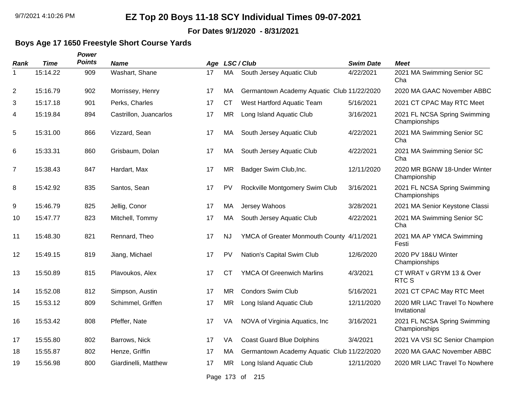**For Dates 9/1/2020 - 8/31/2021**

#### **Boys Age 17 1650 Freestyle Short Course Yards**

*Power*

| <b>Rank</b>    | <b>Time</b> | <b>Points</b> | <b>Name</b>            |    |           | Age LSC/Club                               | <b>Swim Date</b> | <b>Meet</b>                                    |
|----------------|-------------|---------------|------------------------|----|-----------|--------------------------------------------|------------------|------------------------------------------------|
| 1              | 15:14.22    | 909           | Washart, Shane         | 17 | МA        | South Jersey Aquatic Club                  | 4/22/2021        | 2021 MA Swimming Senior SC<br>Cha              |
| $\overline{c}$ | 15:16.79    | 902           | Morrissey, Henry       | 17 | МA        | Germantown Academy Aquatic Club 11/22/2020 |                  | 2020 MA GAAC November ABBC                     |
| 3              | 15:17.18    | 901           | Perks, Charles         | 17 | <b>CT</b> | West Hartford Aquatic Team                 | 5/16/2021        | 2021 CT CPAC May RTC Meet                      |
| 4              | 15:19.84    | 894           | Castrillon, Juancarlos | 17 | <b>MR</b> | Long Island Aquatic Club                   | 3/16/2021        | 2021 FL NCSA Spring Swimming<br>Championships  |
| 5              | 15:31.00    | 866           | Vizzard, Sean          | 17 | МA        | South Jersey Aquatic Club                  | 4/22/2021        | 2021 MA Swimming Senior SC<br>Cha              |
| 6              | 15:33.31    | 860           | Grisbaum, Dolan        | 17 | МA        | South Jersey Aquatic Club                  | 4/22/2021        | 2021 MA Swimming Senior SC<br>Cha              |
| 7              | 15:38.43    | 847           | Hardart, Max           | 17 | <b>MR</b> | Badger Swim Club, Inc.                     | 12/11/2020       | 2020 MR BGNW 18-Under Winter<br>Championship   |
| 8              | 15:42.92    | 835           | Santos, Sean           | 17 | PV        | Rockville Montgomery Swim Club             | 3/16/2021        | 2021 FL NCSA Spring Swimming<br>Championships  |
| 9              | 15:46.79    | 825           | Jellig, Conor          | 17 | MA        | Jersey Wahoos                              | 3/28/2021        | 2021 MA Senior Keystone Classi                 |
| 10             | 15:47.77    | 823           | Mitchell, Tommy        | 17 | MA        | South Jersey Aquatic Club                  | 4/22/2021        | 2021 MA Swimming Senior SC<br>Cha              |
| 11             | 15:48.30    | 821           | Rennard, Theo          | 17 | <b>NJ</b> | YMCA of Greater Monmouth County 4/11/2021  |                  | 2021 MA AP YMCA Swimming<br>Festi              |
| 12             | 15:49.15    | 819           | Jiang, Michael         | 17 | PV        | Nation's Capital Swim Club                 | 12/6/2020        | 2020 PV 18&U Winter<br>Championships           |
| 13             | 15:50.89    | 815           | Plavoukos, Alex        | 17 | <b>CT</b> | <b>YMCA Of Greenwich Marlins</b>           | 4/3/2021         | CT WRAT v GRYM 13 & Over<br>RTC S              |
| 14             | 15:52.08    | 812           | Simpson, Austin        | 17 | <b>MR</b> | <b>Condors Swim Club</b>                   | 5/16/2021        | 2021 CT CPAC May RTC Meet                      |
| 15             | 15:53.12    | 809           | Schimmel, Griffen      | 17 | <b>MR</b> | Long Island Aquatic Club                   | 12/11/2020       | 2020 MR LIAC Travel To Nowhere<br>Invitational |
| 16             | 15:53.42    | 808           | Pfeffer, Nate          | 17 | VA        | NOVA of Virginia Aquatics, Inc.            | 3/16/2021        | 2021 FL NCSA Spring Swimming<br>Championships  |
| 17             | 15:55.80    | 802           | Barrows, Nick          | 17 | VA        | <b>Coast Guard Blue Dolphins</b>           | 3/4/2021         | 2021 VA VSI SC Senior Champion                 |
| 18             | 15:55.87    | 802           | Henze, Griffin         | 17 | MA        | Germantown Academy Aquatic Club 11/22/2020 |                  | 2020 MA GAAC November ABBC                     |
| 19             | 15:56.98    | 800           | Giardinelli, Matthew   | 17 | <b>MR</b> | Long Island Aquatic Club                   | 12/11/2020       | 2020 MR LIAC Travel To Nowhere                 |
|                |             |               |                        |    |           | Page 173 of 215                            |                  |                                                |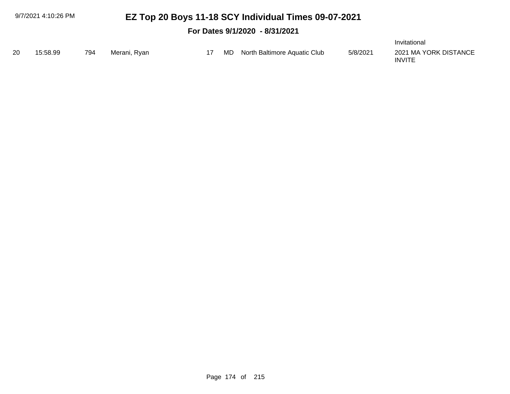#### **For Dates 9/1/2020 - 8/31/2021**

Invitational

| 20 | 15:58.99 | 794 | Merani, Ryan |  | 17 MD North Baltimore Aquatic Club | 5/8/2021 | 2021 MA YORK DISTANCE |
|----|----------|-----|--------------|--|------------------------------------|----------|-----------------------|
|    |          |     |              |  |                                    |          | <b>INVITE</b>         |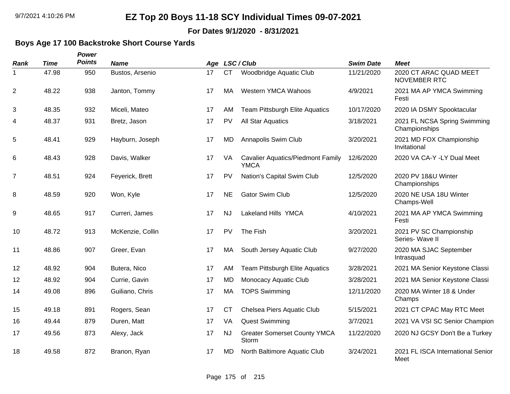**For Dates 9/1/2020 - 8/31/2021**

### **Boys Age 17 100 Backstroke Short Course Yards**

| <b>Rank</b>    | <b>Time</b> | Power<br><b>Points</b> | <b>Name</b>      |    |           | Age LSC/Club                                            | <b>Swim Date</b> | <b>Meet</b>                                   |
|----------------|-------------|------------------------|------------------|----|-----------|---------------------------------------------------------|------------------|-----------------------------------------------|
| 1              | 47.98       | 950                    | Bustos, Arsenio  | 17 | <b>CT</b> | Woodbridge Aquatic Club                                 | 11/21/2020       | 2020 CT ARAC QUAD MEET<br>NOVEMBER RTC        |
| $\overline{2}$ | 48.22       | 938                    | Janton, Tommy    | 17 | MA        | Western YMCA Wahoos                                     | 4/9/2021         | 2021 MA AP YMCA Swimming<br>Festi             |
| 3              | 48.35       | 932                    | Miceli, Mateo    | 17 | AM        | <b>Team Pittsburgh Elite Aquatics</b>                   | 10/17/2020       | 2020 IA DSMY Spooktacular                     |
| 4              | 48.37       | 931                    | Bretz, Jason     | 17 | PV        | <b>All Star Aquatics</b>                                | 3/18/2021        | 2021 FL NCSA Spring Swimming<br>Championships |
| 5              | 48.41       | 929                    | Hayburn, Joseph  | 17 | <b>MD</b> | Annapolis Swim Club                                     | 3/20/2021        | 2021 MD FOX Championship<br>Invitational      |
| 6              | 48.43       | 928                    | Davis, Walker    | 17 | VA        | <b>Cavalier Aquatics/Piedmont Family</b><br><b>YMCA</b> | 12/6/2020        | 2020 VA CA-Y -LY Dual Meet                    |
| $\overline{7}$ | 48.51       | 924                    | Feyerick, Brett  | 17 | PV        | Nation's Capital Swim Club                              | 12/5/2020        | 2020 PV 18&U Winter<br>Championships          |
| 8              | 48.59       | 920                    | Won, Kyle        | 17 | <b>NE</b> | <b>Gator Swim Club</b>                                  | 12/5/2020        | 2020 NE USA 18U Winter<br>Champs-Well         |
| 9              | 48.65       | 917                    | Curreri, James   | 17 | <b>NJ</b> | Lakeland Hills YMCA                                     | 4/10/2021        | 2021 MA AP YMCA Swimming<br>Festi             |
| 10             | 48.72       | 913                    | McKenzie, Collin | 17 | PV        | The Fish                                                | 3/20/2021        | 2021 PV SC Championship<br>Series- Wave II    |
| 11             | 48.86       | 907                    | Greer, Evan      | 17 | MA        | South Jersey Aquatic Club                               | 9/27/2020        | 2020 MA SJAC September<br>Intrasquad          |
| 12             | 48.92       | 904                    | Butera, Nico     | 17 | AM        | <b>Team Pittsburgh Elite Aquatics</b>                   | 3/28/2021        | 2021 MA Senior Keystone Classi                |
| 12             | 48.92       | 904                    | Currie, Gavin    | 17 | <b>MD</b> | Monocacy Aquatic Club                                   | 3/28/2021        | 2021 MA Senior Keystone Classi                |
| 14             | 49.08       | 896                    | Guiliano, Chris  | 17 | <b>MA</b> | <b>TOPS Swimming</b>                                    | 12/11/2020       | 2020 MA Winter 18 & Under<br>Champs           |
| 15             | 49.18       | 891                    | Rogers, Sean     | 17 | <b>CT</b> | Chelsea Piers Aquatic Club                              | 5/15/2021        | 2021 CT CPAC May RTC Meet                     |
| 16             | 49.44       | 879                    | Duren, Matt      | 17 | VA        | <b>Quest Swimming</b>                                   | 3/7/2021         | 2021 VA VSI SC Senior Champion                |
| 17             | 49.56       | 873                    | Alexy, Jack      | 17 | <b>NJ</b> | <b>Greater Somerset County YMCA</b><br>Storm            | 11/22/2020       | 2020 NJ GCSY Don't Be a Turkey                |
| 18             | 49.58       | 872                    | Branon, Ryan     | 17 | <b>MD</b> | North Baltimore Aquatic Club                            | 3/24/2021        | 2021 FL ISCA International Senior<br>Meet     |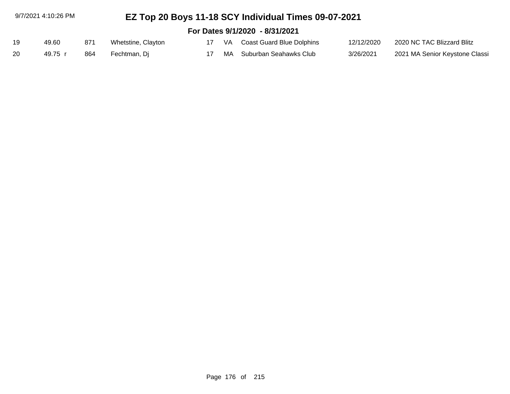| 9/7/2021 4:10:26 PM |                                |     | EZ Top 20 Boys 11-18 SCY Individual Times 09-07-2021 |    |     |                              |            |                                |  |  |  |  |  |
|---------------------|--------------------------------|-----|------------------------------------------------------|----|-----|------------------------------|------------|--------------------------------|--|--|--|--|--|
|                     | For Dates 9/1/2020 - 8/31/2021 |     |                                                      |    |     |                              |            |                                |  |  |  |  |  |
| 19                  | 49.60                          | 871 | Whetstine, Clayton                                   | 17 |     | VA Coast Guard Blue Dolphins | 12/12/2020 | 2020 NC TAC Blizzard Blitz     |  |  |  |  |  |
| 20                  | 49.75 r                        | 864 | Fechtman, Dj                                         |    | MA. | Suburban Seahawks Club       | 3/26/2021  | 2021 MA Senior Keystone Classi |  |  |  |  |  |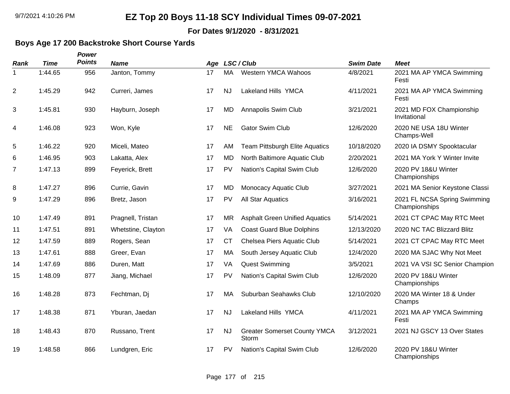**For Dates 9/1/2020 - 8/31/2021**

#### **Boys Age 17 200 Backstroke Short Course Yards**

| Rank           | <b>Time</b> | Power<br><b>Points</b> | <b>Name</b>        |    |           | Age LSC/Club                                 | <b>Swim Date</b> | <b>Meet</b>                                   |
|----------------|-------------|------------------------|--------------------|----|-----------|----------------------------------------------|------------------|-----------------------------------------------|
| 1              | 1:44.65     | 956                    | Janton, Tommy      | 17 | <b>MA</b> | Western YMCA Wahoos                          | 4/8/2021         | 2021 MA AP YMCA Swimming<br>Festi             |
| $\overline{c}$ | 1:45.29     | 942                    | Curreri, James     | 17 | <b>NJ</b> | Lakeland Hills YMCA                          | 4/11/2021        | 2021 MA AP YMCA Swimming<br>Festi             |
| 3              | 1:45.81     | 930                    | Hayburn, Joseph    | 17 | <b>MD</b> | Annapolis Swim Club                          | 3/21/2021        | 2021 MD FOX Championship<br>Invitational      |
| 4              | 1:46.08     | 923                    | Won, Kyle          | 17 | <b>NE</b> | <b>Gator Swim Club</b>                       | 12/6/2020        | 2020 NE USA 18U Winter<br>Champs-Well         |
| 5              | 1:46.22     | 920                    | Miceli, Mateo      | 17 | AM        | <b>Team Pittsburgh Elite Aquatics</b>        | 10/18/2020       | 2020 IA DSMY Spooktacular                     |
| 6              | 1:46.95     | 903                    | Lakatta, Alex      | 17 | <b>MD</b> | North Baltimore Aquatic Club                 | 2/20/2021        | 2021 MA York Y Winter Invite                  |
| $\overline{7}$ | 1:47.13     | 899                    | Feyerick, Brett    | 17 | PV        | Nation's Capital Swim Club                   | 12/6/2020        | 2020 PV 18&U Winter<br>Championships          |
| 8              | 1:47.27     | 896                    | Currie, Gavin      | 17 | MD        | Monocacy Aquatic Club                        | 3/27/2021        | 2021 MA Senior Keystone Classi                |
| 9              | 1:47.29     | 896                    | Bretz, Jason       | 17 | <b>PV</b> | <b>All Star Aquatics</b>                     | 3/16/2021        | 2021 FL NCSA Spring Swimming<br>Championships |
| 10             | 1:47.49     | 891                    | Pragnell, Tristan  | 17 | <b>MR</b> | <b>Asphalt Green Unified Aquatics</b>        | 5/14/2021        | 2021 CT CPAC May RTC Meet                     |
| 11             | 1:47.51     | 891                    | Whetstine, Clayton | 17 | VA        | <b>Coast Guard Blue Dolphins</b>             | 12/13/2020       | 2020 NC TAC Blizzard Blitz                    |
| 12             | 1:47.59     | 889                    | Rogers, Sean       | 17 | <b>CT</b> | Chelsea Piers Aquatic Club                   | 5/14/2021        | 2021 CT CPAC May RTC Meet                     |
| 13             | 1:47.61     | 888                    | Greer, Evan        | 17 | MA        | South Jersey Aquatic Club                    | 12/4/2020        | 2020 MA SJAC Why Not Meet                     |
| 14             | 1:47.69     | 886                    | Duren, Matt        | 17 | VA        | <b>Quest Swimming</b>                        | 3/5/2021         | 2021 VA VSI SC Senior Champion                |
| 15             | 1:48.09     | 877                    | Jiang, Michael     | 17 | PV        | Nation's Capital Swim Club                   | 12/6/2020        | 2020 PV 18&U Winter<br>Championships          |
| 16             | 1:48.28     | 873                    | Fechtman, Dj       | 17 | MA        | Suburban Seahawks Club                       | 12/10/2020       | 2020 MA Winter 18 & Under<br>Champs           |
| 17             | 1:48.38     | 871                    | Yburan, Jaedan     | 17 | <b>NJ</b> | Lakeland Hills YMCA                          | 4/11/2021        | 2021 MA AP YMCA Swimming<br>Festi             |
| 18             | 1:48.43     | 870                    | Russano, Trent     | 17 | <b>NJ</b> | <b>Greater Somerset County YMCA</b><br>Storm | 3/12/2021        | 2021 NJ GSCY 13 Over States                   |
| 19             | 1:48.58     | 866                    | Lundgren, Eric     | 17 | PV        | Nation's Capital Swim Club                   | 12/6/2020        | 2020 PV 18&U Winter<br>Championships          |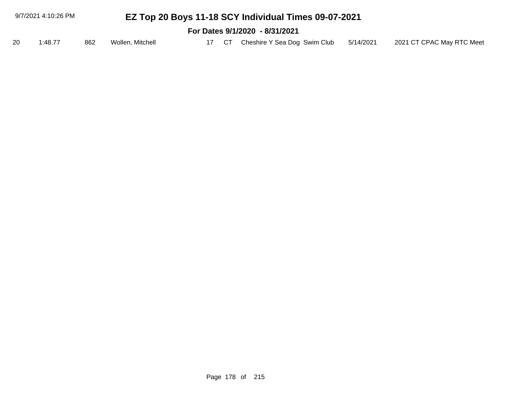|    | 9/7/2021 4:10:26 PM            |     | EZ Top 20 Boys 11-18 SCY Individual Times 09-07-2021 |  |  |  |                                    |           |                           |  |  |  |
|----|--------------------------------|-----|------------------------------------------------------|--|--|--|------------------------------------|-----------|---------------------------|--|--|--|
|    | For Dates 9/1/2020 - 8/31/2021 |     |                                                      |  |  |  |                                    |           |                           |  |  |  |
| 20 | 1:48.77                        | 862 | Wollen, Mitchell                                     |  |  |  | 17 CT Cheshire Y Sea Dog Swim Club | 5/14/2021 | 2021 CT CPAC May RTC Meet |  |  |  |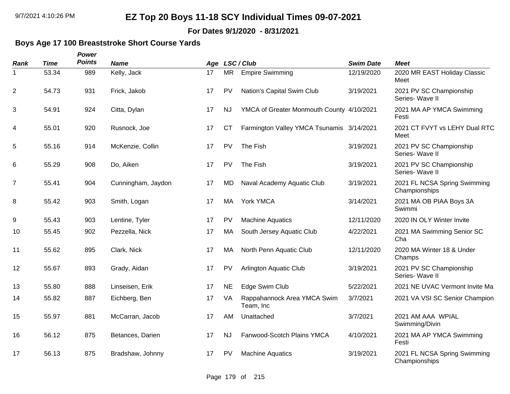**For Dates 9/1/2020 - 8/31/2021**

### **Boys Age 17 100 Breaststroke Short Course Yards**

| Rank           | <b>Time</b> | Power<br><b>Points</b> | <b>Name</b>        |    |           | Age LSC/Club                              | <b>Swim Date</b> | <b>Meet</b>                                   |
|----------------|-------------|------------------------|--------------------|----|-----------|-------------------------------------------|------------------|-----------------------------------------------|
| 1              | 53.34       | 989                    | Kelly, Jack        | 17 | <b>MR</b> | <b>Empire Swimming</b>                    | 12/19/2020       | 2020 MR EAST Holiday Classic<br>Meet          |
| $\overline{2}$ | 54.73       | 931                    | Frick, Jakob       | 17 | PV        | Nation's Capital Swim Club                | 3/19/2021        | 2021 PV SC Championship<br>Series- Wave II    |
| 3              | 54.91       | 924                    | Citta, Dylan       | 17 | <b>NJ</b> | YMCA of Greater Monmouth County 4/10/2021 |                  | 2021 MA AP YMCA Swimming<br>Festi             |
| 4              | 55.01       | 920                    | Rusnock, Joe       | 17 | <b>CT</b> | Farmington Valley YMCA Tsunamis 3/14/2021 |                  | 2021 CT FVYT vs LEHY Dual RTC<br>Meet         |
| 5              | 55.16       | 914                    | McKenzie, Collin   | 17 | <b>PV</b> | The Fish                                  | 3/19/2021        | 2021 PV SC Championship<br>Series-Wave II     |
| 6              | 55.29       | 908                    | Do, Aiken          | 17 | <b>PV</b> | The Fish                                  | 3/19/2021        | 2021 PV SC Championship<br>Series- Wave II    |
| $\overline{7}$ | 55.41       | 904                    | Cunningham, Jaydon | 17 | <b>MD</b> | Naval Academy Aquatic Club                | 3/19/2021        | 2021 FL NCSA Spring Swimming<br>Championships |
| 8              | 55.42       | 903                    | Smith, Logan       | 17 | MA        | York YMCA                                 | 3/14/2021        | 2021 MA OB PIAA Boys 3A<br>Swimmi             |
| 9              | 55.43       | 903                    | Lentine, Tyler     | 17 | <b>PV</b> | <b>Machine Aquatics</b>                   | 12/11/2020       | 2020 IN OLY Winter Invite                     |
| 10             | 55.45       | 902                    | Pezzella, Nick     | 17 | МA        | South Jersey Aquatic Club                 | 4/22/2021        | 2021 MA Swimming Senior SC<br>Cha             |
| 11             | 55.62       | 895                    | Clark, Nick        | 17 | МA        | North Penn Aquatic Club                   | 12/11/2020       | 2020 MA Winter 18 & Under<br>Champs           |
| 12             | 55.67       | 893                    | Grady, Aidan       | 17 | <b>PV</b> | Arlington Aquatic Club                    | 3/19/2021        | 2021 PV SC Championship<br>Series-Wave II     |
| 13             | 55.80       | 888                    | Linseisen, Erik    | 17 | <b>NE</b> | Edge Swim Club                            | 5/22/2021        | 2021 NE UVAC Vermont Invite Ma                |
| 14             | 55.82       | 887                    | Eichberg, Ben      | 17 | <b>VA</b> | Rappahannock Area YMCA Swim<br>Team, Inc  | 3/7/2021         | 2021 VA VSI SC Senior Champion                |
| 15             | 55.97       | 881                    | McCarran, Jacob    | 17 | AM        | Unattached                                | 3/7/2021         | 2021 AM AAA WPIAL<br>Swimming/Divin           |
| 16             | 56.12       | 875                    | Betances, Darien   | 17 | <b>NJ</b> | Fanwood-Scotch Plains YMCA                | 4/10/2021        | 2021 MA AP YMCA Swimming<br>Festi             |
| 17             | 56.13       | 875                    | Bradshaw, Johnny   | 17 | PV        | <b>Machine Aquatics</b>                   | 3/19/2021        | 2021 FL NCSA Spring Swimming<br>Championships |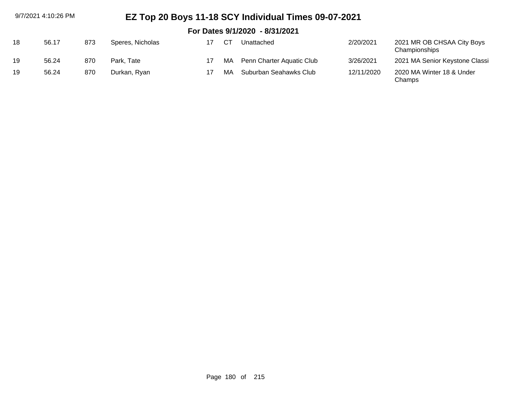| 9/7/2021 4:10:26 PM |                                |     | EZ Top 20 Boys 11-18 SCY Individual Times 09-07-2021 |  |    |                           |            |                                             |  |  |  |  |  |  |
|---------------------|--------------------------------|-----|------------------------------------------------------|--|----|---------------------------|------------|---------------------------------------------|--|--|--|--|--|--|
|                     | For Dates 9/1/2020 - 8/31/2021 |     |                                                      |  |    |                           |            |                                             |  |  |  |  |  |  |
| 18                  | 56.17                          | 873 | Speres, Nicholas                                     |  | C٦ | Unattached                | 2/20/2021  | 2021 MR OB CHSAA City Boys<br>Championships |  |  |  |  |  |  |
| 19                  | 56.24                          | 870 | Park, Tate                                           |  | МA | Penn Charter Aquatic Club | 3/26/2021  | 2021 MA Senior Keystone Classi              |  |  |  |  |  |  |
| 19                  | 56.24                          | 870 | Durkan, Ryan                                         |  | МA | Suburban Seahawks Club    | 12/11/2020 | 2020 MA Winter 18 & Under<br>Champs         |  |  |  |  |  |  |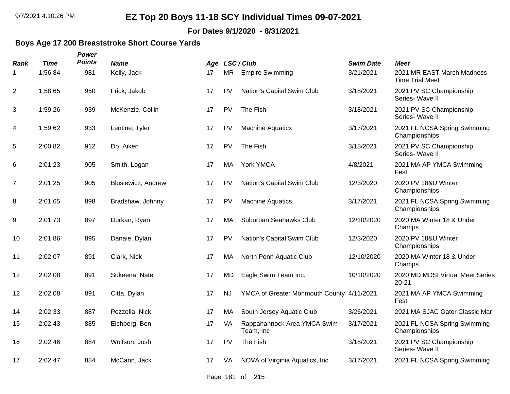**For Dates 9/1/2020 - 8/31/2021**

## **Boys Age 17 200 Breaststroke Short Course Yards**

| Rank           | <b>Time</b> | Power<br><b>Points</b> | <b>Name</b>               |    |           | Age LSC/Club                              | <b>Swim Date</b> | <b>Meet</b>                                          |
|----------------|-------------|------------------------|---------------------------|----|-----------|-------------------------------------------|------------------|------------------------------------------------------|
| 1              | 1:56.84     | 981                    | Kelly, Jack               | 17 | <b>MR</b> | <b>Empire Swimming</b>                    | 3/21/2021        | 2021 MR EAST March Madness<br><b>Time Trial Meet</b> |
| 2              | 1:58.65     | 950                    | Frick, Jakob              | 17 | PV        | Nation's Capital Swim Club                | 3/18/2021        | 2021 PV SC Championship<br>Series- Wave II           |
| 3              | 1:59.26     | 939                    | McKenzie, Collin          | 17 | PV        | The Fish                                  | 3/18/2021        | 2021 PV SC Championship<br>Series- Wave II           |
| 4              | 1:59.62     | 933                    | Lentine, Tyler            | 17 | <b>PV</b> | <b>Machine Aquatics</b>                   | 3/17/2021        | 2021 FL NCSA Spring Swimming<br>Championships        |
| 5              | 2:00.82     | 912                    | Do, Aiken                 | 17 | PV        | The Fish                                  | 3/18/2021        | 2021 PV SC Championship<br>Series- Wave II           |
| 6              | 2:01.23     | 905                    | Smith, Logan              | 17 | MA        | York YMCA                                 | 4/8/2021         | 2021 MA AP YMCA Swimming<br>Festi                    |
| $\overline{7}$ | 2:01.25     | 905                    | <b>Blusiewicz, Andrew</b> | 17 | PV        | Nation's Capital Swim Club                | 12/3/2020        | 2020 PV 18&U Winter<br>Championships                 |
| 8              | 2:01.65     | 898                    | Bradshaw, Johnny          | 17 | PV        | <b>Machine Aquatics</b>                   | 3/17/2021        | 2021 FL NCSA Spring Swimming<br>Championships        |
| 9              | 2:01.73     | 897                    | Durkan, Ryan              | 17 | MA        | Suburban Seahawks Club                    | 12/10/2020       | 2020 MA Winter 18 & Under<br>Champs                  |
| 10             | 2:01.86     | 895                    | Danaie, Dylan             | 17 | <b>PV</b> | Nation's Capital Swim Club                | 12/3/2020        | 2020 PV 18&U Winter<br>Championships                 |
| 11             | 2:02.07     | 891                    | Clark, Nick               | 17 | MA        | North Penn Aquatic Club                   | 12/10/2020       | 2020 MA Winter 18 & Under<br>Champs                  |
| 12             | 2:02.08     | 891                    | Sukeena, Nate             | 17 | <b>MD</b> | Eagle Swim Team Inc.                      | 10/10/2020       | 2020 MD MDSI Virtual Meet Series<br>$20 - 21$        |
| 12             | 2:02.08     | 891                    | Citta, Dylan              | 17 | <b>NJ</b> | YMCA of Greater Monmouth County 4/11/2021 |                  | 2021 MA AP YMCA Swimming<br>Festi                    |
| 14             | 2:02.33     | 887                    | Pezzella, Nick            | 17 | МA        | South Jersey Aquatic Club                 | 3/26/2021        | 2021 MA SJAC Gator Classic Mar                       |
| 15             | 2:02.43     | 885                    | Eichberg, Ben             | 17 | VA        | Rappahannock Area YMCA Swim<br>Team, Inc  | 3/17/2021        | 2021 FL NCSA Spring Swimming<br>Championships        |
| 16             | 2:02.46     | 884                    | Wolfson, Josh             | 17 | PV        | The Fish                                  | 3/18/2021        | 2021 PV SC Championship<br>Series- Wave II           |
| 17             | 2:02.47     | 884                    | McCann, Jack              | 17 | VA        | NOVA of Virginia Aquatics, Inc.           | 3/17/2021        | 2021 FL NCSA Spring Swimming                         |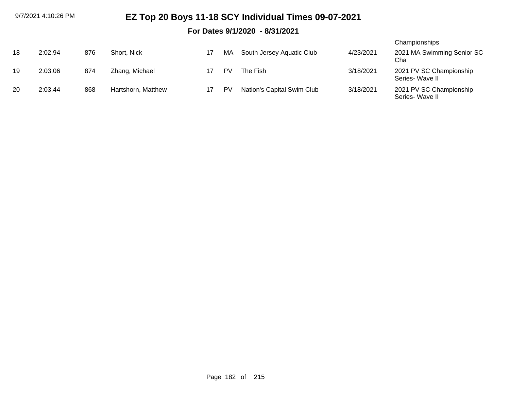### **For Dates 9/1/2020 - 8/31/2021**

|    |         |     |                    |    |                            |           | Championships                              |
|----|---------|-----|--------------------|----|----------------------------|-----------|--------------------------------------------|
| 18 | 2:02.94 | 876 | Short, Nick        | МA | South Jersey Aquatic Club  | 4/23/2021 | 2021 MA Swimming Senior SC<br>Cha          |
| 19 | 2:03.06 | 874 | Zhang, Michael     | PV | The Fish                   | 3/18/2021 | 2021 PV SC Championship<br>Series- Wave II |
| 20 | 2:03.44 | 868 | Hartshorn, Matthew | PV | Nation's Capital Swim Club | 3/18/2021 | 2021 PV SC Championship<br>Series- Wave II |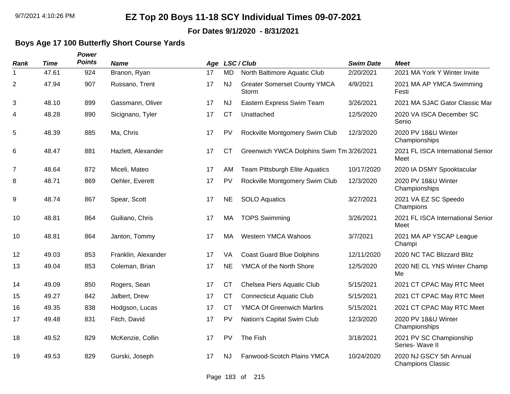#### **For Dates 9/1/2020 - 8/31/2021**

## **Boys Age 17 100 Butterfly Short Course Yards**

| Rank           | <b>Time</b> | Power<br><b>Points</b> | <b>Name</b>         |    |           | Age LSC/Club                                 | <b>Swim Date</b> | <b>Meet</b>                                         |
|----------------|-------------|------------------------|---------------------|----|-----------|----------------------------------------------|------------------|-----------------------------------------------------|
| 1              | 47.61       | 924                    | Branon, Ryan        | 17 | <b>MD</b> | North Baltimore Aquatic Club                 | 2/20/2021        | 2021 MA York Y Winter Invite                        |
| $\overline{2}$ | 47.94       | 907                    | Russano, Trent      | 17 | <b>NJ</b> | <b>Greater Somerset County YMCA</b><br>Storm | 4/9/2021         | 2021 MA AP YMCA Swimming<br>Festi                   |
| 3              | 48.10       | 899                    | Gassmann, Oliver    | 17 | <b>NJ</b> | Eastern Express Swim Team                    | 3/26/2021        | 2021 MA SJAC Gator Classic Mar                      |
| 4              | 48.28       | 890                    | Sicignano, Tyler    | 17 | <b>CT</b> | Unattached                                   | 12/5/2020        | 2020 VA ISCA December SC<br>Senio                   |
| 5              | 48.39       | 885                    | Ma, Chris           | 17 | <b>PV</b> | Rockville Montgomery Swim Club               | 12/3/2020        | 2020 PV 18&U Winter<br>Championships                |
| 6              | 48.47       | 881                    | Hazlett, Alexander  | 17 | <b>CT</b> | Greenwich YWCA Dolphins Swm Tm 3/26/2021     |                  | 2021 FL ISCA International Senior<br>Meet           |
| 7              | 48.64       | 872                    | Miceli, Mateo       | 17 | AM        | Team Pittsburgh Elite Aquatics               | 10/17/2020       | 2020 IA DSMY Spooktacular                           |
| 8              | 48.71       | 869                    | Oehler, Everett     | 17 | PV        | Rockville Montgomery Swim Club               | 12/3/2020        | 2020 PV 18&U Winter<br>Championships                |
| 9              | 48.74       | 867                    | Spear, Scott        | 17 | <b>NE</b> | <b>SOLO Aquatics</b>                         | 3/27/2021        | 2021 VA EZ SC Speedo<br>Champions                   |
| 10             | 48.81       | 864                    | Guiliano, Chris     | 17 | MA        | <b>TOPS Swimming</b>                         | 3/26/2021        | 2021 FL ISCA International Senior<br>Meet           |
| 10             | 48.81       | 864                    | Janton, Tommy       | 17 | MA        | <b>Western YMCA Wahoos</b>                   | 3/7/2021         | 2021 MA AP YSCAP League<br>Champi                   |
| 12             | 49.03       | 853                    | Franklin, Alexander | 17 | VA        | <b>Coast Guard Blue Dolphins</b>             | 12/11/2020       | 2020 NC TAC Blizzard Blitz                          |
| 13             | 49.04       | 853                    | Coleman, Brian      | 17 | <b>NE</b> | YMCA of the North Shore                      | 12/5/2020        | 2020 NE CL YNS Winter Champ<br>Me                   |
| 14             | 49.09       | 850                    | Rogers, Sean        | 17 | <b>CT</b> | Chelsea Piers Aquatic Club                   | 5/15/2021        | 2021 CT CPAC May RTC Meet                           |
| 15             | 49.27       | 842                    | Jalbert, Drew       | 17 | <b>CT</b> | <b>Connecticut Aquatic Club</b>              | 5/15/2021        | 2021 CT CPAC May RTC Meet                           |
| 16             | 49.35       | 838                    | Hodgson, Lucas      | 17 | <b>CT</b> | <b>YMCA Of Greenwich Marlins</b>             | 5/15/2021        | 2021 CT CPAC May RTC Meet                           |
| 17             | 49.48       | 831                    | Fitch, David        | 17 | <b>PV</b> | Nation's Capital Swim Club                   | 12/3/2020        | 2020 PV 18&U Winter<br>Championships                |
| 18             | 49.52       | 829                    | McKenzie, Collin    | 17 | PV        | The Fish                                     | 3/18/2021        | 2021 PV SC Championship<br>Series- Wave II          |
| 19             | 49.53       | 829                    | Gurski, Joseph      | 17 | <b>NJ</b> | Fanwood-Scotch Plains YMCA                   | 10/24/2020       | 2020 NJ GSCY 5th Annual<br><b>Champions Classic</b> |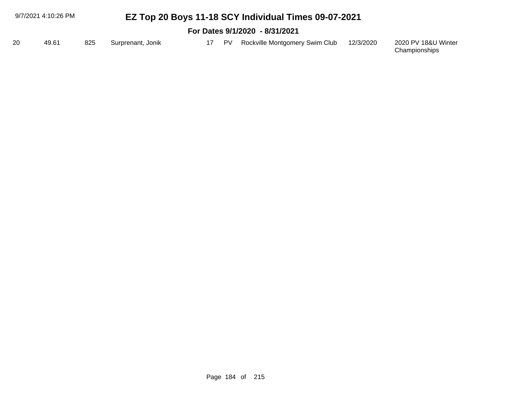| 9/7/2021 4:10:26 PM |       |     |                   |    |    | EZ Top 20 Boys 11-18 SCY Individual Times 09-07-2021 |           |                                      |
|---------------------|-------|-----|-------------------|----|----|------------------------------------------------------|-----------|--------------------------------------|
|                     |       |     |                   |    |    | For Dates 9/1/2020 - 8/31/2021                       |           |                                      |
| 20                  | 49.61 | 825 | Surprenant, Jonik | 17 | PV | Rockville Montgomery Swim Club                       | 12/3/2020 | 2020 PV 18&U Winter<br>Championships |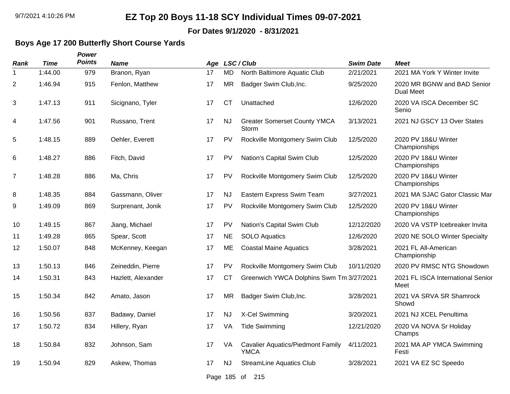**For Dates 9/1/2020 - 8/31/2021**

## **Boys Age 17 200 Butterfly Short Course Yards**

*Power*

| <b>Rank</b>    | <b>Time</b> | <b>Points</b> | <b>Name</b>        |    |           | Age LSC/Club                                            | <b>Swim Date</b> | <b>Meet</b>                                     |
|----------------|-------------|---------------|--------------------|----|-----------|---------------------------------------------------------|------------------|-------------------------------------------------|
|                | 1:44.00     | 979           | Branon, Ryan       | 17 | <b>MD</b> | North Baltimore Aquatic Club                            | 2/21/2021        | 2021 MA York Y Winter Invite                    |
| $\overline{2}$ | 1:46.94     | 915           | Fenlon, Matthew    | 17 | <b>MR</b> | Badger Swim Club, Inc.                                  | 9/25/2020        | 2020 MR BGNW and BAD Senior<br><b>Dual Meet</b> |
| 3              | 1:47.13     | 911           | Sicignano, Tyler   | 17 | <b>CT</b> | Unattached                                              | 12/6/2020        | 2020 VA ISCA December SC<br>Senio               |
| 4              | 1:47.56     | 901           | Russano, Trent     | 17 | <b>NJ</b> | <b>Greater Somerset County YMCA</b><br>Storm            | 3/13/2021        | 2021 NJ GSCY 13 Over States                     |
| 5              | 1:48.15     | 889           | Oehler, Everett    | 17 | PV        | Rockville Montgomery Swim Club                          | 12/5/2020        | 2020 PV 18&U Winter<br>Championships            |
| 6              | 1:48.27     | 886           | Fitch, David       | 17 | <b>PV</b> | Nation's Capital Swim Club                              | 12/5/2020        | 2020 PV 18&U Winter<br>Championships            |
| 7              | 1:48.28     | 886           | Ma, Chris          | 17 | <b>PV</b> | Rockville Montgomery Swim Club                          | 12/5/2020        | 2020 PV 18&U Winter<br>Championships            |
| 8              | 1:48.35     | 884           | Gassmann, Oliver   | 17 | <b>NJ</b> | Eastern Express Swim Team                               | 3/27/2021        | 2021 MA SJAC Gator Classic Mar                  |
| 9              | 1:49.09     | 869           | Surprenant, Jonik  | 17 | PV        | Rockville Montgomery Swim Club                          | 12/5/2020        | 2020 PV 18&U Winter<br>Championships            |
| 10             | 1:49.15     | 867           | Jiang, Michael     | 17 | <b>PV</b> | Nation's Capital Swim Club                              | 12/12/2020       | 2020 VA VSTP Icebreaker Invita                  |
| 11             | 1:49.28     | 865           | Spear, Scott       | 17 | <b>NE</b> | <b>SOLO Aquatics</b>                                    | 12/6/2020        | 2020 NE SOLO Winter Specialty                   |
| 12             | 1:50.07     | 848           | McKenney, Keegan   | 17 | <b>ME</b> | <b>Coastal Maine Aquatics</b>                           | 3/28/2021        | 2021 FL All-American<br>Championship            |
| 13             | 1:50.13     | 846           | Zeineddin, Pierre  | 17 | PV        | Rockville Montgomery Swim Club                          | 10/11/2020       | 2020 PV RMSC NTG Showdown                       |
| 14             | 1:50.31     | 843           | Hazlett, Alexander | 17 | <b>CT</b> | Greenwich YWCA Dolphins Swm Tm 3/27/2021                |                  | 2021 FL ISCA International Senior<br>Meet       |
| 15             | 1:50.34     | 842           | Amato, Jason       | 17 | <b>MR</b> | Badger Swim Club, Inc.                                  | 3/28/2021        | 2021 VA SRVA SR Shamrock<br>Showd               |
| 16             | 1:50.56     | 837           | Badawy, Daniel     | 17 | <b>NJ</b> | X-Cel Swimming                                          | 3/20/2021        | 2021 NJ XCEL Penultima                          |
| 17             | 1:50.72     | 834           | Hillery, Ryan      | 17 | VA        | <b>Tide Swimming</b>                                    | 12/21/2020       | 2020 VA NOVA Sr Holiday<br>Champs               |
| 18             | 1:50.84     | 832           | Johnson, Sam       | 17 | VA        | <b>Cavalier Aquatics/Piedmont Family</b><br><b>YMCA</b> | 4/11/2021        | 2021 MA AP YMCA Swimming<br>Festi               |
| 19             | 1:50.94     | 829           | Askew, Thomas      | 17 | <b>NJ</b> | <b>StreamLine Aquatics Club</b>                         | 3/28/2021        | 2021 VA EZ SC Speedo                            |
|                |             |               |                    |    |           | Page 185 of 215                                         |                  |                                                 |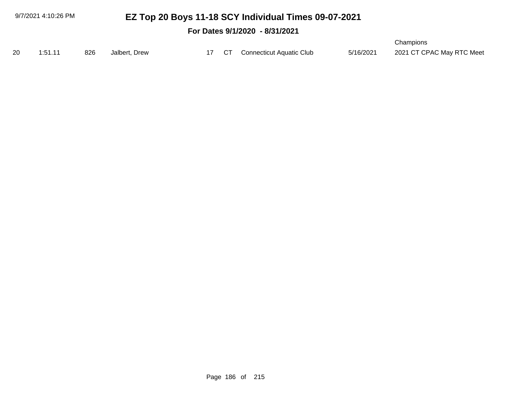#### **For Dates 9/1/2020 - 8/31/2021**

|      |         |     |               |       |                          |           | Champions                 |
|------|---------|-----|---------------|-------|--------------------------|-----------|---------------------------|
| - 20 | 1:51.11 | 826 | Jalbert, Drew | 17 CT | Connecticut Aquatic Club | 5/16/2021 | 2021 CT CPAC May RTC Meet |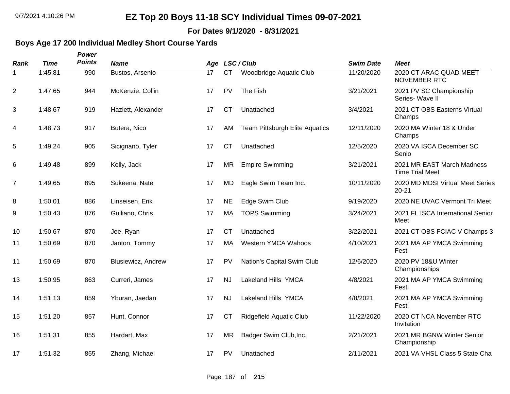**For Dates 9/1/2020 - 8/31/2021**

## **Boys Age 17 200 Individual Medley Short Course Yards**

| <b>Rank</b>    | <b>Time</b> | Power<br><b>Points</b> | <b>Name</b>        |    |           | Age LSC/Club                          | <b>Swim Date</b> | <b>Meet</b>                                          |
|----------------|-------------|------------------------|--------------------|----|-----------|---------------------------------------|------------------|------------------------------------------------------|
| $\mathbf 1$    | 1:45.81     | 990                    | Bustos, Arsenio    | 17 | <b>CT</b> | Woodbridge Aquatic Club               | 11/20/2020       | 2020 CT ARAC QUAD MEET<br><b>NOVEMBER RTC</b>        |
| $\overline{2}$ | 1:47.65     | 944                    | McKenzie, Collin   | 17 | <b>PV</b> | The Fish                              | 3/21/2021        | 2021 PV SC Championship<br>Series- Wave II           |
| 3              | 1:48.67     | 919                    | Hazlett, Alexander | 17 | <b>CT</b> | Unattached                            | 3/4/2021         | 2021 CT OBS Easterns Virtual<br>Champs               |
| 4              | 1:48.73     | 917                    | Butera, Nico       | 17 | AM        | <b>Team Pittsburgh Elite Aquatics</b> | 12/11/2020       | 2020 MA Winter 18 & Under<br>Champs                  |
| 5              | 1:49.24     | 905                    | Sicignano, Tyler   | 17 | <b>CT</b> | Unattached                            | 12/5/2020        | 2020 VA ISCA December SC<br>Senio                    |
| 6              | 1:49.48     | 899                    | Kelly, Jack        | 17 | <b>MR</b> | <b>Empire Swimming</b>                | 3/21/2021        | 2021 MR EAST March Madness<br><b>Time Trial Meet</b> |
| $\overline{7}$ | 1:49.65     | 895                    | Sukeena, Nate      | 17 | MD        | Eagle Swim Team Inc.                  | 10/11/2020       | 2020 MD MDSI Virtual Meet Series<br>$20 - 21$        |
| 8              | 1:50.01     | 886                    | Linseisen, Erik    | 17 | <b>NE</b> | Edge Swim Club                        | 9/19/2020        | 2020 NE UVAC Vermont Tri Meet                        |
| 9              | 1:50.43     | 876                    | Guiliano, Chris    | 17 | MA        | <b>TOPS Swimming</b>                  | 3/24/2021        | 2021 FL ISCA International Senior<br>Meet            |
| 10             | 1:50.67     | 870                    | Jee, Ryan          | 17 | <b>CT</b> | Unattached                            | 3/22/2021        | 2021 CT OBS FCIAC V Champs 3                         |
| 11             | 1:50.69     | 870                    | Janton, Tommy      | 17 | <b>MA</b> | <b>Western YMCA Wahoos</b>            | 4/10/2021        | 2021 MA AP YMCA Swimming<br>Festi                    |
| 11             | 1:50.69     | 870                    | Blusiewicz, Andrew | 17 | <b>PV</b> | Nation's Capital Swim Club            | 12/6/2020        | 2020 PV 18&U Winter<br>Championships                 |
| 13             | 1:50.95     | 863                    | Curreri, James     | 17 | <b>NJ</b> | Lakeland Hills YMCA                   | 4/8/2021         | 2021 MA AP YMCA Swimming<br>Festi                    |
| 14             | 1:51.13     | 859                    | Yburan, Jaedan     | 17 | <b>NJ</b> | Lakeland Hills YMCA                   | 4/8/2021         | 2021 MA AP YMCA Swimming<br>Festi                    |
| 15             | 1:51.20     | 857                    | Hunt, Connor       | 17 | <b>CT</b> | <b>Ridgefield Aquatic Club</b>        | 11/22/2020       | 2020 CT NCA November RTC<br>Invitation               |
| 16             | 1:51.31     | 855                    | Hardart, Max       | 17 | <b>MR</b> | Badger Swim Club, Inc.                | 2/21/2021        | 2021 MR BGNW Winter Senior<br>Championship           |
| 17             | 1:51.32     | 855                    | Zhang, Michael     | 17 | <b>PV</b> | Unattached                            | 2/11/2021        | 2021 VA VHSL Class 5 State Cha                       |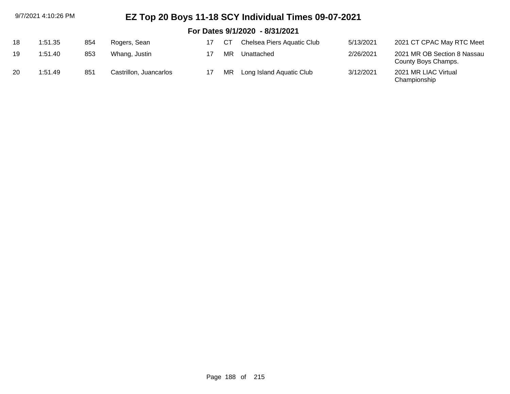| 9/7/2021 4:10:26 PM |                                |     |                        |  | EZ Top 20 Boys 11-18 SCY Individual Times 09-07-2021 |                            |           |                                                    |  |  |  |  |  |
|---------------------|--------------------------------|-----|------------------------|--|------------------------------------------------------|----------------------------|-----------|----------------------------------------------------|--|--|--|--|--|
|                     | For Dates 9/1/2020 - 8/31/2021 |     |                        |  |                                                      |                            |           |                                                    |  |  |  |  |  |
| 18                  | 1:51.35                        | 854 | Rogers, Sean           |  | C1                                                   | Chelsea Piers Aquatic Club | 5/13/2021 | 2021 CT CPAC May RTC Meet                          |  |  |  |  |  |
| 19                  | 1:51.40                        | 853 | Whang, Justin          |  | МR                                                   | Unattached                 | 2/26/2021 | 2021 MR OB Section 8 Nassau<br>County Boys Champs. |  |  |  |  |  |
| 20                  | 1:51.49                        | 851 | Castrillon, Juancarlos |  | MR.                                                  | Long Island Aquatic Club   | 3/12/2021 | 2021 MR LIAC Virtual<br>Championship               |  |  |  |  |  |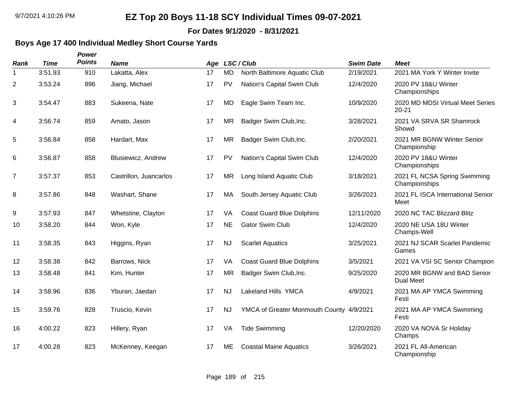**For Dates 9/1/2020 - 8/31/2021**

## **Boys Age 17 400 Individual Medley Short Course Yards**

| <b>Rank</b>    | <b>Time</b> | Power<br><b>Points</b> | <b>Name</b>               | Age |           | LSC / Club                               | <b>Swim Date</b> | <b>Meet</b>                                     |
|----------------|-------------|------------------------|---------------------------|-----|-----------|------------------------------------------|------------------|-------------------------------------------------|
| 1              | 3:51.93     | 910                    | Lakatta, Alex             | 17  | <b>MD</b> | North Baltimore Aquatic Club             | 2/19/2021        | 2021 MA York Y Winter Invite                    |
| 2              | 3:53.24     | 896                    | Jiang, Michael            | 17  | <b>PV</b> | Nation's Capital Swim Club               | 12/4/2020        | 2020 PV 18&U Winter<br>Championships            |
| 3              | 3:54.47     | 883                    | Sukeena, Nate             | 17  | <b>MD</b> | Eagle Swim Team Inc.                     | 10/9/2020        | 2020 MD MDSI Virtual Meet Series<br>$20 - 21$   |
| 4              | 3:56.74     | 859                    | Amato, Jason              | 17  | <b>MR</b> | Badger Swim Club, Inc.                   | 3/28/2021        | 2021 VA SRVA SR Shamrock<br>Showd               |
| 5              | 3:56.84     | 858                    | Hardart, Max              | 17  | <b>MR</b> | Badger Swim Club, Inc.                   | 2/20/2021        | 2021 MR BGNW Winter Senior<br>Championship      |
| 6              | 3:56.87     | 858                    | <b>Blusiewicz, Andrew</b> | 17  | <b>PV</b> | Nation's Capital Swim Club               | 12/4/2020        | 2020 PV 18&U Winter<br>Championships            |
| $\overline{7}$ | 3:57.37     | 853                    | Castrillon, Juancarlos    | 17  | <b>MR</b> | Long Island Aquatic Club                 | 3/18/2021        | 2021 FL NCSA Spring Swimming<br>Championships   |
| 8              | 3:57.86     | 848                    | Washart, Shane            | 17  | МA        | South Jersey Aquatic Club                | 3/26/2021        | 2021 FL ISCA International Senior<br>Meet       |
| 9              | 3:57.93     | 847                    | Whetstine, Clayton        | 17  | VA        | <b>Coast Guard Blue Dolphins</b>         | 12/11/2020       | 2020 NC TAC Blizzard Blitz                      |
| 10             | 3:58.20     | 844                    | Won, Kyle                 | 17  | <b>NE</b> | <b>Gator Swim Club</b>                   | 12/4/2020        | 2020 NE USA 18U Winter<br>Champs-Well           |
| 11             | 3:58.35     | 843                    | Higgins, Ryan             | 17  | <b>NJ</b> | <b>Scarlet Aquatics</b>                  | 3/25/2021        | 2021 NJ SCAR Scarlet Pandemic<br>Games          |
| 12             | 3:58.38     | 842                    | Barrows, Nick             | 17  | VA        | <b>Coast Guard Blue Dolphins</b>         | 3/5/2021         | 2021 VA VSI SC Senior Champion                  |
| 13             | 3:58.48     | 841                    | Kim, Hunter               | 17  | <b>MR</b> | Badger Swim Club, Inc.                   | 9/25/2020        | 2020 MR BGNW and BAD Senior<br><b>Dual Meet</b> |
| 14             | 3:58.96     | 836                    | Yburan, Jaedan            | 17  | <b>NJ</b> | Lakeland Hills YMCA                      | 4/9/2021         | 2021 MA AP YMCA Swimming<br>Festi               |
| 15             | 3:59.76     | 828                    | Truscio, Kevin            | 17  | <b>NJ</b> | YMCA of Greater Monmouth County 4/9/2021 |                  | 2021 MA AP YMCA Swimming<br>Festi               |
| 16             | 4:00.22     | 823                    | Hillery, Ryan             | 17  | VA        | <b>Tide Swimming</b>                     | 12/20/2020       | 2020 VA NOVA Sr Holiday<br>Champs               |
| 17             | 4:00.28     | 823                    | McKenney, Keegan          | 17  | ME        | <b>Coastal Maine Aquatics</b>            | 3/26/2021        | 2021 FL All-American<br>Championship            |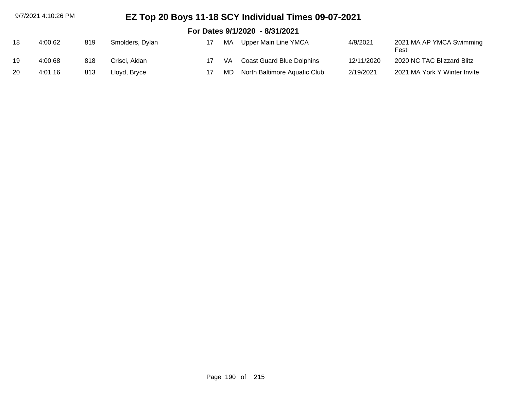| 9/7/2021 4:10:26 PM |                                |     |                 |  | EZ Top 20 Boys 11-18 SCY Individual Times 09-07-2021 |                                  |            |                                   |  |  |  |  |
|---------------------|--------------------------------|-----|-----------------|--|------------------------------------------------------|----------------------------------|------------|-----------------------------------|--|--|--|--|
|                     | For Dates 9/1/2020 - 8/31/2021 |     |                 |  |                                                      |                                  |            |                                   |  |  |  |  |
| 18                  | 4:00.62                        | 819 | Smolders, Dylan |  | MA.                                                  | Upper Main Line YMCA             | 4/9/2021   | 2021 MA AP YMCA Swimming<br>Festi |  |  |  |  |
| 19                  | 4:00.68                        | 818 | Crisci, Aidan   |  | VA.                                                  | <b>Coast Guard Blue Dolphins</b> | 12/11/2020 | 2020 NC TAC Blizzard Blitz        |  |  |  |  |
| 20                  | 4:01.16                        | 813 | Lloyd, Bryce    |  | MD                                                   | North Baltimore Aquatic Club     | 2/19/2021  | 2021 MA York Y Winter Invite      |  |  |  |  |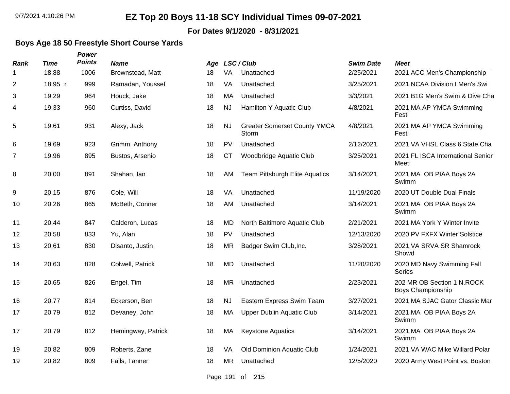#### **For Dates 9/1/2020 - 8/31/2021**

## **Boys Age 18 50 Freestyle Short Course Yards**

| <b>Rank</b>    | Time    | Power<br><b>Points</b> | <b>Name</b>        | Age |           | LSC / Club                                   | <b>Swim Date</b> | <b>Meet</b>                                     |
|----------------|---------|------------------------|--------------------|-----|-----------|----------------------------------------------|------------------|-------------------------------------------------|
| $\mathbf{1}$   | 18.88   | 1006                   | Brownstead, Matt   | 18  | VA        | Unattached                                   | 2/25/2021        | 2021 ACC Men's Championship                     |
| $\overline{2}$ | 18.95 r | 999                    | Ramadan, Youssef   | 18  | VA        | Unattached                                   | 3/25/2021        | 2021 NCAA Division I Men's Swi                  |
| 3              | 19.29   | 964                    | Houck, Jake        | 18  | MA        | Unattached                                   | 3/3/2021         | 2021 B1G Men's Swim & Dive Cha                  |
| 4              | 19.33   | 960                    | Curtiss, David     | 18  | <b>NJ</b> | Hamilton Y Aquatic Club                      | 4/8/2021         | 2021 MA AP YMCA Swimming<br>Festi               |
| 5              | 19.61   | 931                    | Alexy, Jack        | 18  | <b>NJ</b> | <b>Greater Somerset County YMCA</b><br>Storm | 4/8/2021         | 2021 MA AP YMCA Swimming<br>Festi               |
| 6              | 19.69   | 923                    | Grimm, Anthony     | 18  | PV        | Unattached                                   | 2/12/2021        | 2021 VA VHSL Class 6 State Cha                  |
| $\overline{7}$ | 19.96   | 895                    | Bustos, Arsenio    | 18  | <b>CT</b> | Woodbridge Aquatic Club                      | 3/25/2021        | 2021 FL ISCA International Senior<br>Meet       |
| 8              | 20.00   | 891                    | Shahan, lan        | 18  | AM        | <b>Team Pittsburgh Elite Aquatics</b>        | 3/14/2021        | 2021 MA OB PIAA Boys 2A<br>Swimm                |
| 9              | 20.15   | 876                    | Cole, Will         | 18  | VA        | Unattached                                   | 11/19/2020       | 2020 UT Double Dual Finals                      |
| 10             | 20.26   | 865                    | McBeth, Conner     | 18  | AM        | Unattached                                   | 3/14/2021        | 2021 MA OB PIAA Boys 2A<br>Swimm                |
| 11             | 20.44   | 847                    | Calderon, Lucas    | 18  | MD        | North Baltimore Aquatic Club                 | 2/21/2021        | 2021 MA York Y Winter Invite                    |
| 12             | 20.58   | 833                    | Yu, Alan           | 18  | PV        | Unattached                                   | 12/13/2020       | 2020 PV FXFX Winter Solstice                    |
| 13             | 20.61   | 830                    | Disanto, Justin    | 18  | <b>MR</b> | Badger Swim Club, Inc.                       | 3/28/2021        | 2021 VA SRVA SR Shamrock<br>Showd               |
| 14             | 20.63   | 828                    | Colwell, Patrick   | 18  | <b>MD</b> | Unattached                                   | 11/20/2020       | 2020 MD Navy Swimming Fall<br>Series            |
| 15             | 20.65   | 826                    | Engel, Tim         | 18  | <b>MR</b> | Unattached                                   | 2/23/2021        | 202 MR OB Section 1 N.ROCK<br>Boys Championship |
| 16             | 20.77   | 814                    | Eckerson, Ben      | 18  | <b>NJ</b> | Eastern Express Swim Team                    | 3/27/2021        | 2021 MA SJAC Gator Classic Mar                  |
| 17             | 20.79   | 812                    | Devaney, John      | 18  | MA        | <b>Upper Dublin Aquatic Club</b>             | 3/14/2021        | 2021 MA OB PIAA Boys 2A<br>Swimm                |
| 17             | 20.79   | 812                    | Hemingway, Patrick | 18  | MA        | <b>Keystone Aquatics</b>                     | 3/14/2021        | 2021 MA OB PIAA Boys 2A<br>Swimm                |
| 19             | 20.82   | 809                    | Roberts, Zane      | 18  | VA        | Old Dominion Aquatic Club                    | 1/24/2021        | 2021 VA WAC Mike Willard Polar                  |
| 19             | 20.82   | 809                    | Falls, Tanner      | 18  | <b>MR</b> | Unattached                                   | 12/5/2020        | 2020 Army West Point vs. Boston                 |

Page 191 of 215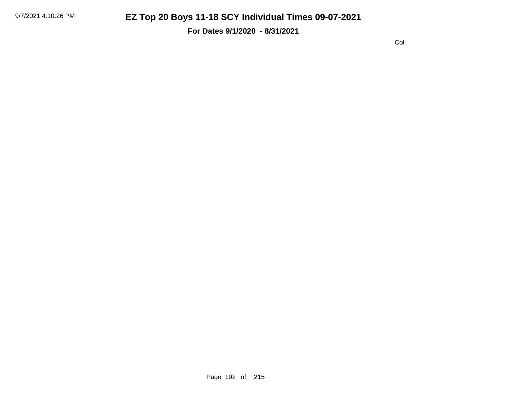**For Dates 9/1/2020 - 8/31/2021**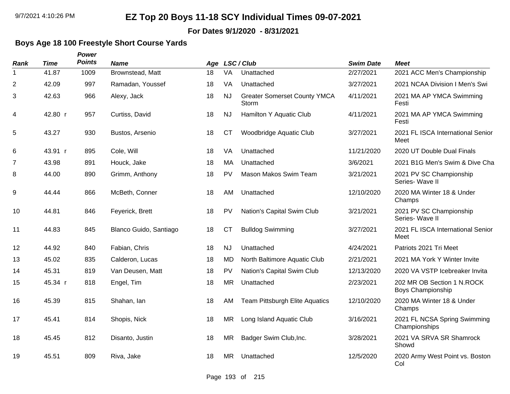#### **For Dates 9/1/2020 - 8/31/2021**

## **Boys Age 18 100 Freestyle Short Course Yards**

| <b>Rank</b>    | <b>Time</b> | Power<br><b>Points</b> | <b>Name</b>            | Age |           | LSC / Club                                   | <b>Swim Date</b> | <b>Meet</b>                                     |
|----------------|-------------|------------------------|------------------------|-----|-----------|----------------------------------------------|------------------|-------------------------------------------------|
| 1              | 41.87       | 1009                   | Brownstead, Matt       | 18  | <b>VA</b> | Unattached                                   | 2/27/2021        | 2021 ACC Men's Championship                     |
| $\overline{2}$ | 42.09       | 997                    | Ramadan, Youssef       | 18  | VA        | Unattached                                   | 3/27/2021        | 2021 NCAA Division I Men's Swi                  |
| 3              | 42.63       | 966                    | Alexy, Jack            | 18  | <b>NJ</b> | <b>Greater Somerset County YMCA</b><br>Storm | 4/11/2021        | 2021 MA AP YMCA Swimming<br>Festi               |
| 4              | 42.80 r     | 957                    | Curtiss, David         | 18  | <b>NJ</b> | Hamilton Y Aquatic Club                      | 4/11/2021        | 2021 MA AP YMCA Swimming<br>Festi               |
| 5              | 43.27       | 930                    | Bustos, Arsenio        | 18  | <b>CT</b> | Woodbridge Aquatic Club                      | 3/27/2021        | 2021 FL ISCA International Senior<br>Meet       |
| 6              | 43.91 r     | 895                    | Cole, Will             | 18  | VA        | Unattached                                   | 11/21/2020       | 2020 UT Double Dual Finals                      |
| 7              | 43.98       | 891                    | Houck, Jake            | 18  | МA        | Unattached                                   | 3/6/2021         | 2021 B1G Men's Swim & Dive Cha                  |
| 8              | 44.00       | 890                    | Grimm, Anthony         | 18  | PV        | Mason Makos Swim Team                        | 3/21/2021        | 2021 PV SC Championship<br>Series- Wave II      |
| 9              | 44.44       | 866                    | McBeth, Conner         | 18  | AM        | Unattached                                   | 12/10/2020       | 2020 MA Winter 18 & Under<br>Champs             |
| 10             | 44.81       | 846                    | Feyerick, Brett        | 18  | PV        | Nation's Capital Swim Club                   | 3/21/2021        | 2021 PV SC Championship<br>Series- Wave II      |
| 11             | 44.83       | 845                    | Blanco Guido, Santiago | 18  | <b>CT</b> | <b>Bulldog Swimming</b>                      | 3/27/2021        | 2021 FL ISCA International Senior<br>Meet       |
| 12             | 44.92       | 840                    | Fabian, Chris          | 18  | <b>NJ</b> | Unattached                                   | 4/24/2021        | Patriots 2021 Tri Meet                          |
| 13             | 45.02       | 835                    | Calderon, Lucas        | 18  | <b>MD</b> | North Baltimore Aquatic Club                 | 2/21/2021        | 2021 MA York Y Winter Invite                    |
| 14             | 45.31       | 819                    | Van Deusen, Matt       | 18  | <b>PV</b> | Nation's Capital Swim Club                   | 12/13/2020       | 2020 VA VSTP Icebreaker Invita                  |
| 15             | 45.34 r     | 818                    | Engel, Tim             | 18  | <b>MR</b> | Unattached                                   | 2/23/2021        | 202 MR OB Section 1 N.ROCK<br>Boys Championship |
| 16             | 45.39       | 815                    | Shahan, lan            | 18  | AM        | Team Pittsburgh Elite Aquatics               | 12/10/2020       | 2020 MA Winter 18 & Under<br>Champs             |
| 17             | 45.41       | 814                    | Shopis, Nick           | 18  | <b>MR</b> | Long Island Aquatic Club                     | 3/16/2021        | 2021 FL NCSA Spring Swimming<br>Championships   |
| 18             | 45.45       | 812                    | Disanto, Justin        | 18  | <b>MR</b> | Badger Swim Club, Inc.                       | 3/28/2021        | 2021 VA SRVA SR Shamrock<br>Showd               |
| 19             | 45.51       | 809                    | Riva, Jake             | 18  | <b>MR</b> | Unattached                                   | 12/5/2020        | 2020 Army West Point vs. Boston<br>Col          |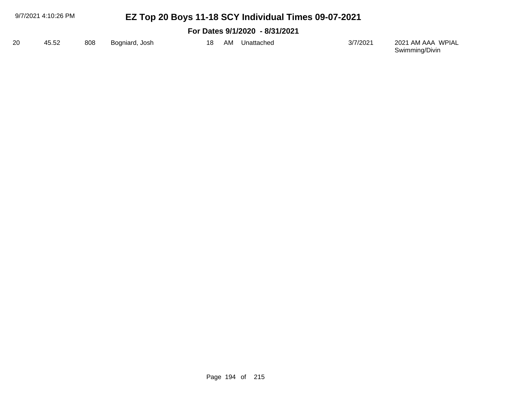| 9/7/2021 4:10:26 PM |       |     | EZ Top 20 Boys 11-18 SCY Individual Times 09-07-2021 |     |     |                                |          |                                     |  |  |
|---------------------|-------|-----|------------------------------------------------------|-----|-----|--------------------------------|----------|-------------------------------------|--|--|
|                     |       |     |                                                      |     |     | For Dates 9/1/2020 - 8/31/2021 |          |                                     |  |  |
| -20                 | 45.52 | 808 | Bogniard, Josh                                       | 18. | AM. | Unattached                     | 3/7/2021 | 2021 AM AAA WPIAL<br>Swimming/Divin |  |  |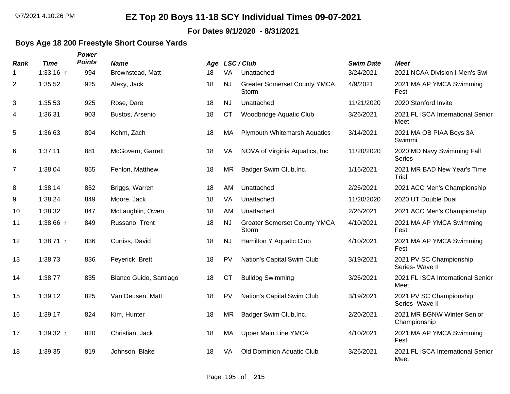#### **For Dates 9/1/2020 - 8/31/2021**

## **Boys Age 18 200 Freestyle Short Course Yards**

| Rank           | <b>Time</b> | Power<br><b>Points</b> | <b>Name</b>            |    |           | Age LSC/Club                                 | <b>Swim Date</b> | <b>Meet</b>                                 |
|----------------|-------------|------------------------|------------------------|----|-----------|----------------------------------------------|------------------|---------------------------------------------|
| $\mathbf 1$    | $1:33.16$ r | 994                    | Brownstead, Matt       | 18 | VA        | Unattached                                   | 3/24/2021        | 2021 NCAA Division I Men's Swi              |
| $\overline{2}$ | 1:35.52     | 925                    | Alexy, Jack            | 18 | <b>NJ</b> | <b>Greater Somerset County YMCA</b><br>Storm | 4/9/2021         | 2021 MA AP YMCA Swimming<br>Festi           |
| 3              | 1:35.53     | 925                    | Rose, Dare             | 18 | <b>NJ</b> | Unattached                                   | 11/21/2020       | 2020 Stanford Invite                        |
| 4              | 1:36.31     | 903                    | Bustos, Arsenio        | 18 | <b>CT</b> | Woodbridge Aquatic Club                      | 3/26/2021        | 2021 FL ISCA International Senior<br>Meet   |
| 5              | 1:36.63     | 894                    | Kohm, Zach             | 18 | MA        | <b>Plymouth Whitemarsh Aquatics</b>          | 3/14/2021        | 2021 MA OB PIAA Boys 3A<br>Swimmi           |
| 6              | 1:37.11     | 881                    | McGovern, Garrett      | 18 | VA        | NOVA of Virginia Aquatics, Inc.              | 11/20/2020       | 2020 MD Navy Swimming Fall<br><b>Series</b> |
| 7              | 1:38.04     | 855                    | Fenlon, Matthew        | 18 | <b>MR</b> | Badger Swim Club, Inc.                       | 1/16/2021        | 2021 MR BAD New Year's Time<br>Trial        |
| 8              | 1:38.14     | 852                    | Briggs, Warren         | 18 | AM        | Unattached                                   | 2/26/2021        | 2021 ACC Men's Championship                 |
| 9              | 1:38.24     | 849                    | Moore, Jack            | 18 | VA        | Unattached                                   | 11/20/2020       | 2020 UT Double Dual                         |
| 10             | 1:38.32     | 847                    | McLaughlin, Owen       | 18 | AM        | Unattached                                   | 2/26/2021        | 2021 ACC Men's Championship                 |
| 11             | 1:38.66 $r$ | 849                    | Russano, Trent         | 18 | <b>NJ</b> | <b>Greater Somerset County YMCA</b><br>Storm | 4/10/2021        | 2021 MA AP YMCA Swimming<br>Festi           |
| 12             | 1:38.71 $r$ | 836                    | Curtiss, David         | 18 | <b>NJ</b> | Hamilton Y Aquatic Club                      | 4/10/2021        | 2021 MA AP YMCA Swimming<br>Festi           |
| 13             | 1:38.73     | 836                    | Feyerick, Brett        | 18 | <b>PV</b> | Nation's Capital Swim Club                   | 3/19/2021        | 2021 PV SC Championship<br>Series- Wave II  |
| 14             | 1:38.77     | 835                    | Blanco Guido, Santiago | 18 | <b>CT</b> | <b>Bulldog Swimming</b>                      | 3/26/2021        | 2021 FL ISCA International Senior<br>Meet   |
| 15             | 1:39.12     | 825                    | Van Deusen, Matt       | 18 | PV        | Nation's Capital Swim Club                   | 3/19/2021        | 2021 PV SC Championship<br>Series- Wave II  |
| 16             | 1:39.17     | 824                    | Kim, Hunter            | 18 | <b>MR</b> | Badger Swim Club, Inc.                       | 2/20/2021        | 2021 MR BGNW Winter Senior<br>Championship  |
| 17             | 1:39.32 r   | 820                    | Christian, Jack        | 18 | MA        | <b>Upper Main Line YMCA</b>                  | 4/10/2021        | 2021 MA AP YMCA Swimming<br>Festi           |
| 18             | 1:39.35     | 819                    | Johnson, Blake         | 18 | VA        | <b>Old Dominion Aquatic Club</b>             | 3/26/2021        | 2021 FL ISCA International Senior<br>Meet   |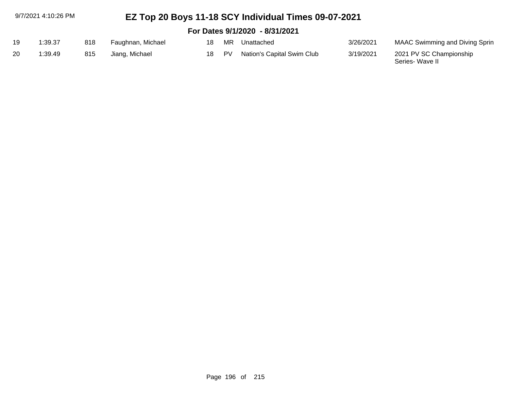|    | 9/7/2021 4:10:26 PM |     | EZ Top 20 Boys 11-18 SCY Individual Times 09-07-2021 |     |    |                                |           |                                       |  |  |  |  |
|----|---------------------|-----|------------------------------------------------------|-----|----|--------------------------------|-----------|---------------------------------------|--|--|--|--|
|    |                     |     |                                                      |     |    | For Dates 9/1/2020 - 8/31/2021 |           |                                       |  |  |  |  |
| 19 | 1:39.37             | 818 | Faughnan, Michael                                    | 18. | MR | Unattached                     | 3/26/2021 | <b>MAAC Swimming and Diving Sprin</b> |  |  |  |  |
| 20 | 1:39.49             | 815 | Jiang, Michael                                       | 18  | PV | Nation's Capital Swim Club     | 3/19/2021 | 2021 PV SC Championship               |  |  |  |  |

Series- Wave II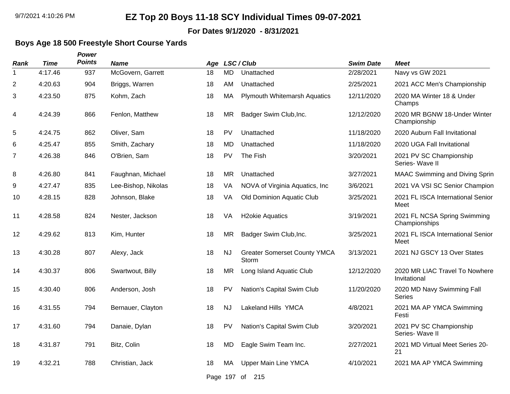### **For Dates 9/1/2020 - 8/31/2021**

## **Boys Age 18 500 Freestyle Short Course Yards**

| <b>Rank</b> | <b>Time</b> | <b>Power</b><br><b>Points</b> | <b>Name</b>         |    |           | Age LSC/Club                                 | <b>Swim Date</b> | <b>Meet</b>                                    |
|-------------|-------------|-------------------------------|---------------------|----|-----------|----------------------------------------------|------------------|------------------------------------------------|
| 1           | 4:17.46     | 937                           | McGovern, Garrett   | 18 | <b>MD</b> | Unattached                                   | 2/28/2021        | Navy vs GW 2021                                |
| 2           | 4:20.63     | 904                           | Briggs, Warren      | 18 | AM        | Unattached                                   | 2/25/2021        | 2021 ACC Men's Championship                    |
| 3           | 4:23.50     | 875                           | Kohm, Zach          | 18 | MA        | <b>Plymouth Whitemarsh Aquatics</b>          | 12/11/2020       | 2020 MA Winter 18 & Under<br>Champs            |
| 4           | 4:24.39     | 866                           | Fenlon, Matthew     | 18 | <b>MR</b> | Badger Swim Club, Inc.                       | 12/12/2020       | 2020 MR BGNW 18-Under Winter<br>Championship   |
| 5           | 4:24.75     | 862                           | Oliver, Sam         | 18 | PV        | Unattached                                   | 11/18/2020       | 2020 Auburn Fall Invitational                  |
| 6           | 4:25.47     | 855                           | Smith, Zachary      | 18 | <b>MD</b> | Unattached                                   | 11/18/2020       | 2020 UGA Fall Invitational                     |
| 7           | 4:26.38     | 846                           | O'Brien, Sam        | 18 | PV        | The Fish                                     | 3/20/2021        | 2021 PV SC Championship<br>Series-Wave II      |
| 8           | 4:26.80     | 841                           | Faughnan, Michael   | 18 | <b>MR</b> | Unattached                                   | 3/27/2021        | <b>MAAC Swimming and Diving Sprin</b>          |
| 9           | 4:27.47     | 835                           | Lee-Bishop, Nikolas | 18 | VA        | NOVA of Virginia Aquatics, Inc.              | 3/6/2021         | 2021 VA VSI SC Senior Champion                 |
| 10          | 4:28.15     | 828                           | Johnson, Blake      | 18 | VA        | Old Dominion Aquatic Club                    | 3/25/2021        | 2021 FL ISCA International Senior<br>Meet      |
| 11          | 4:28.58     | 824                           | Nester, Jackson     | 18 | VA        | <b>H2okie Aquatics</b>                       | 3/19/2021        | 2021 FL NCSA Spring Swimming<br>Championships  |
| 12          | 4:29.62     | 813                           | Kim, Hunter         | 18 | <b>MR</b> | Badger Swim Club, Inc.                       | 3/25/2021        | 2021 FL ISCA International Senior<br>Meet      |
| 13          | 4:30.28     | 807                           | Alexy, Jack         | 18 | <b>NJ</b> | <b>Greater Somerset County YMCA</b><br>Storm | 3/13/2021        | 2021 NJ GSCY 13 Over States                    |
| 14          | 4:30.37     | 806                           | Swartwout, Billy    | 18 | <b>MR</b> | Long Island Aquatic Club                     | 12/12/2020       | 2020 MR LIAC Travel To Nowhere<br>Invitational |
| 15          | 4:30.40     | 806                           | Anderson, Josh      | 18 | PV        | Nation's Capital Swim Club                   | 11/20/2020       | 2020 MD Navy Swimming Fall<br>Series           |
| 16          | 4:31.55     | 794                           | Bernauer, Clayton   | 18 | <b>NJ</b> | Lakeland Hills YMCA                          | 4/8/2021         | 2021 MA AP YMCA Swimming<br>Festi              |
| 17          | 4:31.60     | 794                           | Danaie, Dylan       | 18 | PV        | Nation's Capital Swim Club                   | 3/20/2021        | 2021 PV SC Championship<br>Series- Wave II     |
| 18          | 4:31.87     | 791                           | Bitz, Colin         | 18 | <b>MD</b> | Eagle Swim Team Inc.                         | 2/27/2021        | 2021 MD Virtual Meet Series 20-<br>21          |
| 19          | 4:32.21     | 788                           | Christian, Jack     | 18 | МA        | <b>Upper Main Line YMCA</b>                  | 4/10/2021        | 2021 MA AP YMCA Swimming                       |
|             |             |                               |                     |    |           | Page 197 of 215                              |                  |                                                |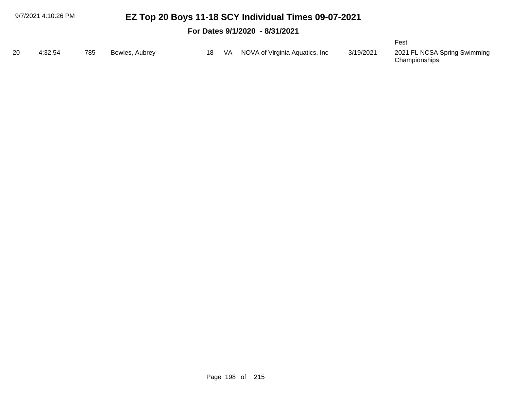| 9/7/2021 4:10:26 PM | EZ Top 20 Boys 11-18 SCY Individual Times 09-07-2021 |       |
|---------------------|------------------------------------------------------|-------|
|                     | For Dates 9/1/2020 - 8/31/2021                       |       |
|                     |                                                      | Festi |

| - 20 | 4:32.54 | 785 | Bowles, Aubrey |  | 18 VA NOVA of Virginia Aquatics, Inc | 3/19/2021 | 2021 FL NCSA Spring Swimming |
|------|---------|-----|----------------|--|--------------------------------------|-----------|------------------------------|
|      |         |     |                |  |                                      |           | Championships                |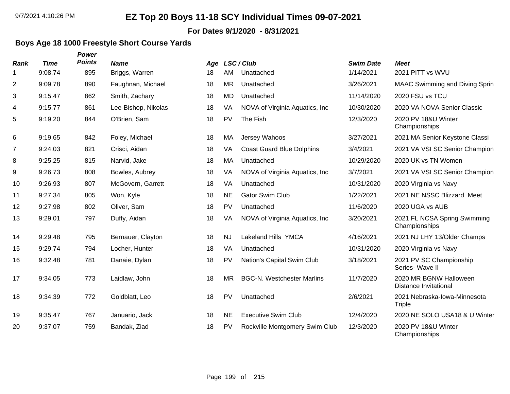#### **For Dates 9/1/2020 - 8/31/2021**

## **Boys Age 18 1000 Freestyle Short Course Yards**

|      |             | Power<br><b>Points</b> |                     |     |           |                                   |                  |                                                        |
|------|-------------|------------------------|---------------------|-----|-----------|-----------------------------------|------------------|--------------------------------------------------------|
| Rank | <b>Time</b> |                        | <b>Name</b>         | Age |           | LSC / Club                        | <b>Swim Date</b> | <b>Meet</b>                                            |
| 1    | 9:08.74     | 895                    | Briggs, Warren      | 18  | AM        | Unattached                        | 1/14/2021        | 2021 PITT vs WVU                                       |
| 2    | 9:09.78     | 890                    | Faughnan, Michael   | 18  | <b>MR</b> | Unattached                        | 3/26/2021        | <b>MAAC Swimming and Diving Sprin</b>                  |
| 3    | 9:15.47     | 862                    | Smith, Zachary      | 18  | <b>MD</b> | Unattached                        | 11/14/2020       | 2020 FSU vs TCU                                        |
| 4    | 9:15.77     | 861                    | Lee-Bishop, Nikolas | 18  | VA        | NOVA of Virginia Aquatics, Inc.   | 10/30/2020       | 2020 VA NOVA Senior Classic                            |
| 5    | 9:19.20     | 844                    | O'Brien, Sam        | 18  | PV        | The Fish                          | 12/3/2020        | 2020 PV 18&U Winter<br>Championships                   |
| 6    | 9:19.65     | 842                    | Foley, Michael      | 18  | MA        | Jersey Wahoos                     | 3/27/2021        | 2021 MA Senior Keystone Classi                         |
| 7    | 9:24.03     | 821                    | Crisci, Aidan       | 18  | VA        | <b>Coast Guard Blue Dolphins</b>  | 3/4/2021         | 2021 VA VSI SC Senior Champion                         |
| 8    | 9:25.25     | 815                    | Narvid, Jake        | 18  | MA        | Unattached                        | 10/29/2020       | 2020 UK vs TN Women                                    |
| 9    | 9:26.73     | 808                    | Bowles, Aubrey      | 18  | VA        | NOVA of Virginia Aquatics, Inc    | 3/7/2021         | 2021 VA VSI SC Senior Champion                         |
| 10   | 9:26.93     | 807                    | McGovern, Garrett   | 18  | VA        | Unattached                        | 10/31/2020       | 2020 Virginia vs Navy                                  |
| 11   | 9:27.34     | 805                    | Won, Kyle           | 18  | <b>NE</b> | <b>Gator Swim Club</b>            | 1/22/2021        | 2021 NE NSSC Blizzard Meet                             |
| 12   | 9:27.98     | 802                    | Oliver, Sam         | 18  | PV        | Unattached                        | 11/6/2020        | 2020 UGA vs AUB                                        |
| 13   | 9:29.01     | 797                    | Duffy, Aidan        | 18  | VA        | NOVA of Virginia Aquatics, Inc.   | 3/20/2021        | 2021 FL NCSA Spring Swimming<br>Championships          |
| 14   | 9:29.48     | 795                    | Bernauer, Clayton   | 18  | <b>NJ</b> | Lakeland Hills YMCA               | 4/16/2021        | 2021 NJ LHY 13/Older Champs                            |
| 15   | 9:29.74     | 794                    | Locher, Hunter      | 18  | VA        | Unattached                        | 10/31/2020       | 2020 Virginia vs Navy                                  |
| 16   | 9:32.48     | 781                    | Danaie, Dylan       | 18  | PV        | Nation's Capital Swim Club        | 3/18/2021        | 2021 PV SC Championship<br>Series- Wave II             |
| 17   | 9:34.05     | 773                    | Laidlaw, John       | 18  | <b>MR</b> | <b>BGC-N. Westchester Marlins</b> | 11/7/2020        | 2020 MR BGNW Halloween<br><b>Distance Invitational</b> |
| 18   | 9:34.39     | 772                    | Goldblatt, Leo      | 18  | PV        | Unattached                        | 2/6/2021         | 2021 Nebraska-Iowa-Minnesota<br><b>Triple</b>          |
| 19   | 9:35.47     | 767                    | Januario, Jack      | 18  | <b>NE</b> | <b>Executive Swim Club</b>        | 12/4/2020        | 2020 NE SOLO USA18 & U Winter                          |
| 20   | 9:37.07     | 759                    | Bandak, Ziad        | 18  | PV        | Rockville Montgomery Swim Club    | 12/3/2020        | 2020 PV 18&U Winter<br>Championships                   |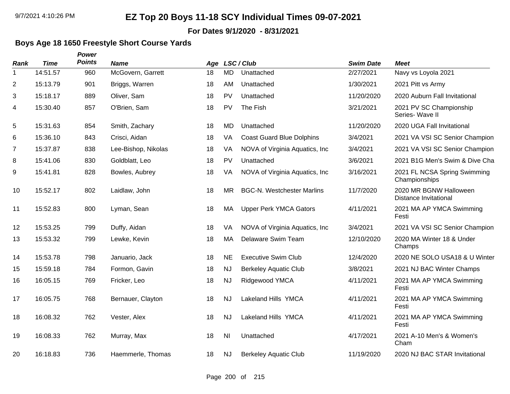#### **For Dates 9/1/2020 - 8/31/2021**

## **Boys Age 18 1650 Freestyle Short Course Yards**

| <b>Rank</b>    | <b>Time</b> | Power<br><b>Points</b> | <b>Name</b>         | Age |                | LSC / Club                        | <b>Swim Date</b> | <b>Meet</b>                                            |
|----------------|-------------|------------------------|---------------------|-----|----------------|-----------------------------------|------------------|--------------------------------------------------------|
| $\mathbf{1}$   | 14:51.57    | 960                    | McGovern, Garrett   | 18  | <b>MD</b>      | Unattached                        | 2/27/2021        | Navy vs Loyola 2021                                    |
| $\overline{c}$ | 15:13.79    | 901                    | Briggs, Warren      | 18  | AM             | Unattached                        | 1/30/2021        | 2021 Pitt vs Army                                      |
| 3              | 15:18.17    | 889                    | Oliver, Sam         | 18  | PV             | Unattached                        | 11/20/2020       | 2020 Auburn Fall Invitational                          |
| 4              | 15:30.40    | 857                    | O'Brien, Sam        | 18  | PV             | The Fish                          | 3/21/2021        | 2021 PV SC Championship<br>Series- Wave II             |
| 5              | 15:31.63    | 854                    | Smith, Zachary      | 18  | <b>MD</b>      | Unattached                        | 11/20/2020       | 2020 UGA Fall Invitational                             |
| 6              | 15:36.10    | 843                    | Crisci, Aidan       | 18  | VA             | <b>Coast Guard Blue Dolphins</b>  | 3/4/2021         | 2021 VA VSI SC Senior Champion                         |
| $\overline{7}$ | 15:37.87    | 838                    | Lee-Bishop, Nikolas | 18  | VA             | NOVA of Virginia Aquatics, Inc.   | 3/4/2021         | 2021 VA VSI SC Senior Champion                         |
| 8              | 15:41.06    | 830                    | Goldblatt, Leo      | 18  | PV             | Unattached                        | 3/6/2021         | 2021 B1G Men's Swim & Dive Cha                         |
| 9              | 15:41.81    | 828                    | Bowles, Aubrey      | 18  | VA             | NOVA of Virginia Aquatics, Inc.   | 3/16/2021        | 2021 FL NCSA Spring Swimming<br>Championships          |
| 10             | 15:52.17    | 802                    | Laidlaw, John       | 18  | <b>MR</b>      | <b>BGC-N. Westchester Marlins</b> | 11/7/2020        | 2020 MR BGNW Halloween<br><b>Distance Invitational</b> |
| 11             | 15:52.83    | 800                    | Lyman, Sean         | 18  | МA             | <b>Upper Perk YMCA Gators</b>     | 4/11/2021        | 2021 MA AP YMCA Swimming<br>Festi                      |
| 12             | 15:53.25    | 799                    | Duffy, Aidan        | 18  | VA             | NOVA of Virginia Aquatics, Inc.   | 3/4/2021         | 2021 VA VSI SC Senior Champion                         |
| 13             | 15:53.32    | 799                    | Lewke, Kevin        | 18  | <b>MA</b>      | Delaware Swim Team                | 12/10/2020       | 2020 MA Winter 18 & Under<br>Champs                    |
| 14             | 15:53.78    | 798                    | Januario, Jack      | 18  | <b>NE</b>      | <b>Executive Swim Club</b>        | 12/4/2020        | 2020 NE SOLO USA18 & U Winter                          |
| 15             | 15:59.18    | 784                    | Formon, Gavin       | 18  | <b>NJ</b>      | <b>Berkeley Aquatic Club</b>      | 3/8/2021         | 2021 NJ BAC Winter Champs                              |
| 16             | 16:05.15    | 769                    | Fricker, Leo        | 18  | <b>NJ</b>      | Ridgewood YMCA                    | 4/11/2021        | 2021 MA AP YMCA Swimming<br>Festi                      |
| 17             | 16:05.75    | 768                    | Bernauer, Clayton   | 18  | <b>NJ</b>      | Lakeland Hills YMCA               | 4/11/2021        | 2021 MA AP YMCA Swimming<br>Festi                      |
| 18             | 16:08.32    | 762                    | Vester, Alex        | 18  | <b>NJ</b>      | Lakeland Hills YMCA               | 4/11/2021        | 2021 MA AP YMCA Swimming<br>Festi                      |
| 19             | 16:08.33    | 762                    | Murray, Max         | 18  | N <sub>l</sub> | Unattached                        | 4/17/2021        | 2021 A-10 Men's & Women's<br>Cham                      |
| 20             | 16:18.83    | 736                    | Haemmerle, Thomas   | 18  | <b>NJ</b>      | <b>Berkeley Aquatic Club</b>      | 11/19/2020       | 2020 NJ BAC STAR Invitational                          |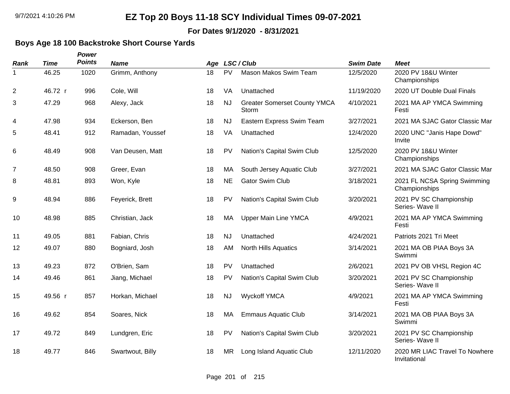#### **For Dates 9/1/2020 - 8/31/2021**

## **Boys Age 18 100 Backstroke Short Course Yards**

| Rank           | <b>Time</b> | Power<br><b>Points</b> | <b>Name</b>      |    |           | Age LSC/Club                                 | <b>Swim Date</b> | <b>Meet</b>                                    |
|----------------|-------------|------------------------|------------------|----|-----------|----------------------------------------------|------------------|------------------------------------------------|
| 1              | 46.25       | 1020                   | Grimm, Anthony   | 18 | PV        | Mason Makos Swim Team                        | 12/5/2020        | 2020 PV 18&U Winter<br>Championships           |
| 2              | 46.72 r     | 996                    | Cole, Will       | 18 | VA        | Unattached                                   | 11/19/2020       | 2020 UT Double Dual Finals                     |
| 3              | 47.29       | 968                    | Alexy, Jack      | 18 | <b>NJ</b> | <b>Greater Somerset County YMCA</b><br>Storm | 4/10/2021        | 2021 MA AP YMCA Swimming<br>Festi              |
| 4              | 47.98       | 934                    | Eckerson, Ben    | 18 | <b>NJ</b> | Eastern Express Swim Team                    | 3/27/2021        | 2021 MA SJAC Gator Classic Mar                 |
| 5              | 48.41       | 912                    | Ramadan, Youssef | 18 | VA        | Unattached                                   | 12/4/2020        | 2020 UNC "Janis Hape Dowd"<br>Invite           |
| 6              | 48.49       | 908                    | Van Deusen, Matt | 18 | <b>PV</b> | Nation's Capital Swim Club                   | 12/5/2020        | 2020 PV 18&U Winter<br>Championships           |
| $\overline{7}$ | 48.50       | 908                    | Greer, Evan      | 18 | МA        | South Jersey Aquatic Club                    | 3/27/2021        | 2021 MA SJAC Gator Classic Mar                 |
| 8              | 48.81       | 893                    | Won, Kyle        | 18 | <b>NE</b> | <b>Gator Swim Club</b>                       | 3/18/2021        | 2021 FL NCSA Spring Swimming<br>Championships  |
| 9              | 48.94       | 886                    | Feyerick, Brett  | 18 | PV        | Nation's Capital Swim Club                   | 3/20/2021        | 2021 PV SC Championship<br>Series- Wave II     |
| 10             | 48.98       | 885                    | Christian, Jack  | 18 | MA        | <b>Upper Main Line YMCA</b>                  | 4/9/2021         | 2021 MA AP YMCA Swimming<br>Festi              |
| 11             | 49.05       | 881                    | Fabian, Chris    | 18 | <b>NJ</b> | Unattached                                   | 4/24/2021        | Patriots 2021 Tri Meet                         |
| 12             | 49.07       | 880                    | Bogniard, Josh   | 18 | AM        | North Hills Aquatics                         | 3/14/2021        | 2021 MA OB PIAA Boys 3A<br>Swimmi              |
| 13             | 49.23       | 872                    | O'Brien, Sam     | 18 | PV        | Unattached                                   | 2/6/2021         | 2021 PV OB VHSL Region 4C                      |
| 14             | 49.46       | 861                    | Jiang, Michael   | 18 | PV        | Nation's Capital Swim Club                   | 3/20/2021        | 2021 PV SC Championship<br>Series- Wave II     |
| 15             | 49.56 r     | 857                    | Horkan, Michael  | 18 | <b>NJ</b> | <b>Wyckoff YMCA</b>                          | 4/9/2021         | 2021 MA AP YMCA Swimming<br>Festi              |
| 16             | 49.62       | 854                    | Soares, Nick     | 18 | MA        | <b>Emmaus Aquatic Club</b>                   | 3/14/2021        | 2021 MA OB PIAA Boys 3A<br>Swimmi              |
| 17             | 49.72       | 849                    | Lundgren, Eric   | 18 | <b>PV</b> | Nation's Capital Swim Club                   | 3/20/2021        | 2021 PV SC Championship<br>Series- Wave II     |
| 18             | 49.77       | 846                    | Swartwout, Billy | 18 | <b>MR</b> | Long Island Aquatic Club                     | 12/11/2020       | 2020 MR LIAC Travel To Nowhere<br>Invitational |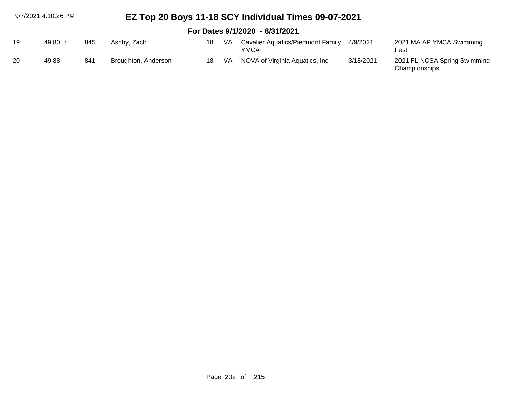| 9/7/2021 4:10:26 PM |         |     | EZ Top 20 Boys 11-18 SCY Individual Times 09-07-2021 |    |     |                                                         |           |                                               |  |  |  |  |
|---------------------|---------|-----|------------------------------------------------------|----|-----|---------------------------------------------------------|-----------|-----------------------------------------------|--|--|--|--|
|                     |         |     |                                                      |    |     | For Dates 9/1/2020 - 8/31/2021                          |           |                                               |  |  |  |  |
| 19                  | 49.80 r | 845 | Ashby, Zach                                          | 18 | VA. | <b>Cavalier Aquatics/Piedmont Family</b><br><b>YMCA</b> | 4/9/2021  | 2021 MA AP YMCA Swimming<br>Festi             |  |  |  |  |
| 20                  | 49.88   | 841 | Broughton, Anderson                                  | 18 | VA. | NOVA of Virginia Aquatics, Inc                          | 3/18/2021 | 2021 FL NCSA Spring Swimming<br>Championships |  |  |  |  |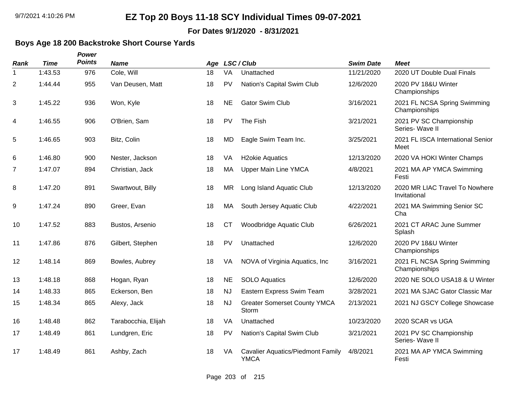**For Dates 9/1/2020 - 8/31/2021**

## **Boys Age 18 200 Backstroke Short Course Yards**

| <b>Rank</b>    | <b>Time</b> | Power<br><b>Points</b> | <b>Name</b>         | Age |           | LSC / Club                                              | <b>Swim Date</b> | <b>Meet</b>                                    |
|----------------|-------------|------------------------|---------------------|-----|-----------|---------------------------------------------------------|------------------|------------------------------------------------|
| $\mathbf{1}$   | 1:43.53     | 976                    | Cole, Will          | 18  | <b>VA</b> | Unattached                                              | 11/21/2020       | 2020 UT Double Dual Finals                     |
| $\overline{c}$ | 1:44.44     | 955                    | Van Deusen, Matt    | 18  | PV        | Nation's Capital Swim Club                              | 12/6/2020        | 2020 PV 18&U Winter<br>Championships           |
| 3              | 1:45.22     | 936                    | Won, Kyle           | 18  | <b>NE</b> | <b>Gator Swim Club</b>                                  | 3/16/2021        | 2021 FL NCSA Spring Swimming<br>Championships  |
| 4              | 1:46.55     | 906                    | O'Brien, Sam        | 18  | PV        | The Fish                                                | 3/21/2021        | 2021 PV SC Championship<br>Series- Wave II     |
| 5              | 1:46.65     | 903                    | Bitz, Colin         | 18  | <b>MD</b> | Eagle Swim Team Inc.                                    | 3/25/2021        | 2021 FL ISCA International Senior<br>Meet      |
| 6              | 1:46.80     | 900                    | Nester, Jackson     | 18  | VA        | <b>H2okie Aquatics</b>                                  | 12/13/2020       | 2020 VA HOKI Winter Champs                     |
| $\overline{7}$ | 1:47.07     | 894                    | Christian, Jack     | 18  | MA        | <b>Upper Main Line YMCA</b>                             | 4/8/2021         | 2021 MA AP YMCA Swimming<br>Festi              |
| 8              | 1:47.20     | 891                    | Swartwout, Billy    | 18  | <b>MR</b> | Long Island Aquatic Club                                | 12/13/2020       | 2020 MR LIAC Travel To Nowhere<br>Invitational |
| 9              | 1:47.24     | 890                    | Greer, Evan         | 18  | MA        | South Jersey Aquatic Club                               | 4/22/2021        | 2021 MA Swimming Senior SC<br>Cha              |
| 10             | 1:47.52     | 883                    | Bustos, Arsenio     | 18  | <b>CT</b> | Woodbridge Aquatic Club                                 | 6/26/2021        | 2021 CT ARAC June Summer<br>Splash             |
| 11             | 1:47.86     | 876                    | Gilbert, Stephen    | 18  | PV        | Unattached                                              | 12/6/2020        | 2020 PV 18&U Winter<br>Championships           |
| 12             | 1:48.14     | 869                    | Bowles, Aubrey      | 18  | VA        | NOVA of Virginia Aquatics, Inc.                         | 3/16/2021        | 2021 FL NCSA Spring Swimming<br>Championships  |
| 13             | 1:48.18     | 868                    | Hogan, Ryan         | 18  | <b>NE</b> | <b>SOLO Aquatics</b>                                    | 12/6/2020        | 2020 NE SOLO USA18 & U Winter                  |
| 14             | 1:48.33     | 865                    | Eckerson, Ben       | 18  | <b>NJ</b> | Eastern Express Swim Team                               | 3/28/2021        | 2021 MA SJAC Gator Classic Mar                 |
| 15             | 1:48.34     | 865                    | Alexy, Jack         | 18  | <b>NJ</b> | <b>Greater Somerset County YMCA</b><br>Storm            | 2/13/2021        | 2021 NJ GSCY College Showcase                  |
| 16             | 1:48.48     | 862                    | Tarabocchia, Elijah | 18  | VA        | Unattached                                              | 10/23/2020       | 2020 SCAR vs UGA                               |
| 17             | 1:48.49     | 861                    | Lundgren, Eric      | 18  | PV        | Nation's Capital Swim Club                              | 3/21/2021        | 2021 PV SC Championship<br>Series- Wave II     |
| 17             | 1:48.49     | 861                    | Ashby, Zach         | 18  | VA        | <b>Cavalier Aquatics/Piedmont Family</b><br><b>YMCA</b> | 4/8/2021         | 2021 MA AP YMCA Swimming<br>Festi              |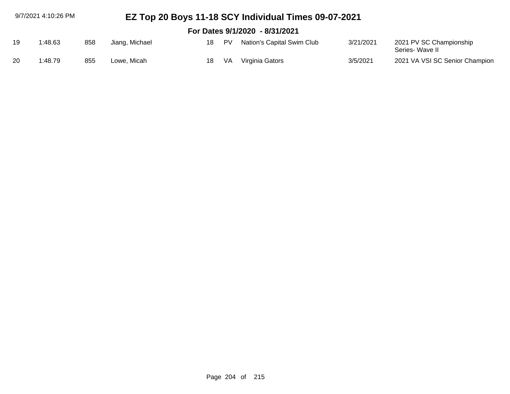|    | 9/7/2021 4:10:26 PM            |     | EZ Top 20 Boys 11-18 SCY Individual Times 09-07-2021 |     |           |                            |           |                                            |  |  |  |  |
|----|--------------------------------|-----|------------------------------------------------------|-----|-----------|----------------------------|-----------|--------------------------------------------|--|--|--|--|
|    | For Dates 9/1/2020 - 8/31/2021 |     |                                                      |     |           |                            |           |                                            |  |  |  |  |
| 19 | 1:48.63                        | 858 | Jiang, Michael                                       | 18. | <b>PV</b> | Nation's Capital Swim Club | 3/21/2021 | 2021 PV SC Championship<br>Series- Wave II |  |  |  |  |
| 20 | 1:48.79                        | 855 | Lowe, Micah                                          | 18  | -VA       | Virginia Gators            | 3/5/2021  | 2021 VA VSI SC Senior Champion             |  |  |  |  |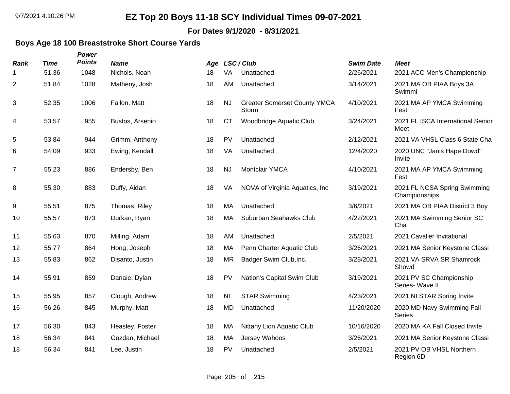#### **For Dates 9/1/2020 - 8/31/2021**

## **Boys Age 18 100 Breaststroke Short Course Yards**

| Rank           | <b>Time</b> | Power<br><b>Points</b> | <b>Name</b>     | Age |                | LSC / Club                                          | <b>Swim Date</b> | <b>Meet</b>                                   |
|----------------|-------------|------------------------|-----------------|-----|----------------|-----------------------------------------------------|------------------|-----------------------------------------------|
| 1              | 51.36       | 1048                   | Nichols, Noah   | 18  | VA             | Unattached                                          | 2/26/2021        | 2021 ACC Men's Championship                   |
| 2              | 51.84       | 1028                   | Matheny, Josh   | 18  | AM             | Unattached                                          | 3/14/2021        | 2021 MA OB PIAA Boys 3A<br>Swimmi             |
| 3              | 52.35       | 1006                   | Fallon, Matt    | 18  | <b>NJ</b>      | <b>Greater Somerset County YMCA</b><br><b>Storm</b> | 4/10/2021        | 2021 MA AP YMCA Swimming<br>Festi             |
| 4              | 53.57       | 955                    | Bustos, Arsenio | 18  | <b>CT</b>      | Woodbridge Aquatic Club                             | 3/24/2021        | 2021 FL ISCA International Senior<br>Meet     |
| 5              | 53.84       | 944                    | Grimm, Anthony  | 18  | <b>PV</b>      | Unattached                                          | 2/12/2021        | 2021 VA VHSL Class 6 State Cha                |
| 6              | 54.09       | 933                    | Ewing, Kendall  | 18  | VA             | Unattached                                          | 12/4/2020        | 2020 UNC "Janis Hape Dowd"<br>Invite          |
| $\overline{7}$ | 55.23       | 886                    | Endersby, Ben   | 18  | <b>NJ</b>      | Montclair YMCA                                      | 4/10/2021        | 2021 MA AP YMCA Swimming<br>Festi             |
| 8              | 55.30       | 883                    | Duffy, Aidan    | 18  | VA             | NOVA of Virginia Aquatics, Inc                      | 3/19/2021        | 2021 FL NCSA Spring Swimming<br>Championships |
| 9              | 55.51       | 875                    | Thomas, Riley   | 18  | MA             | Unattached                                          | 3/6/2021         | 2021 MA OB PIAA District 3 Boy                |
| 10             | 55.57       | 873                    | Durkan, Ryan    | 18  | MA             | Suburban Seahawks Club                              | 4/22/2021        | 2021 MA Swimming Senior SC<br>Cha             |
| 11             | 55.63       | 870                    | Milling, Adam   | 18  | AM             | Unattached                                          | 2/5/2021         | 2021 Cavalier Invitational                    |
| 12             | 55.77       | 864                    | Hong, Joseph    | 18  | MA             | Penn Charter Aquatic Club                           | 3/26/2021        | 2021 MA Senior Keystone Classi                |
| 13             | 55.83       | 862                    | Disanto, Justin | 18  | <b>MR</b>      | Badger Swim Club, Inc.                              | 3/28/2021        | 2021 VA SRVA SR Shamrock<br>Showd             |
| 14             | 55.91       | 859                    | Danaie, Dylan   | 18  | PV             | Nation's Capital Swim Club                          | 3/19/2021        | 2021 PV SC Championship<br>Series- Wave II    |
| 15             | 55.95       | 857                    | Clough, Andrew  | 18  | N <sub>l</sub> | <b>STAR Swimming</b>                                | 4/23/2021        | 2021 NI STAR Spring Invite                    |
| 16             | 56.26       | 845                    | Murphy, Matt    | 18  | <b>MD</b>      | Unattached                                          | 11/20/2020       | 2020 MD Navy Swimming Fall<br>Series          |
| 17             | 56.30       | 843                    | Heasley, Foster | 18  | MA             | Nittany Lion Aquatic Club                           | 10/16/2020       | 2020 MA KA Fall Closed Invite                 |
| 18             | 56.34       | 841                    | Gozdan, Michael | 18  | MA             | Jersey Wahoos                                       | 3/26/2021        | 2021 MA Senior Keystone Classi                |
| 18             | 56.34       | 841                    | Lee, Justin     | 18  | PV             | Unattached                                          | 2/5/2021         | 2021 PV OB VHSL Northern<br>Region 6D         |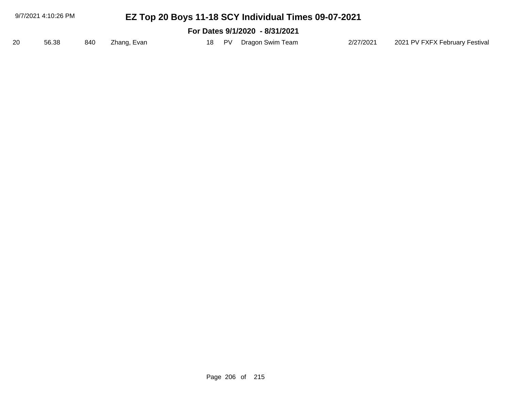| 9/7/2021 4:10:26 PM<br>EZ Top 20 Boys 11-18 SCY Individual Times 09-07-2021 |                                |     |             |       |  |                  |           |                                |  |  |  |
|-----------------------------------------------------------------------------|--------------------------------|-----|-------------|-------|--|------------------|-----------|--------------------------------|--|--|--|
|                                                                             | For Dates 9/1/2020 - 8/31/2021 |     |             |       |  |                  |           |                                |  |  |  |
| 20                                                                          | 56.38                          | 840 | Zhang, Evan | 18 PV |  | Dragon Swim Team | 2/27/2021 | 2021 PV FXFX February Festival |  |  |  |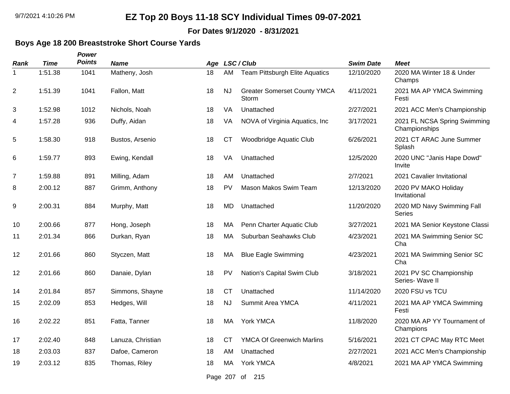#### **For Dates 9/1/2020 - 8/31/2021**

## **Boys Age 18 200 Breaststroke Short Course Yards**

| <b>Rank</b>       | <b>Time</b> | Power<br><b>Points</b> | <b>Name</b>       |    |           | Age LSC/Club                                 | <b>Swim Date</b> | <b>Meet</b>                                   |
|-------------------|-------------|------------------------|-------------------|----|-----------|----------------------------------------------|------------------|-----------------------------------------------|
| 1                 | 1:51.38     | 1041                   | Matheny, Josh     | 18 | AM        | Team Pittsburgh Elite Aquatics               | 12/10/2020       | 2020 MA Winter 18 & Under<br>Champs           |
| 2                 | 1:51.39     | 1041                   | Fallon, Matt      | 18 | <b>NJ</b> | <b>Greater Somerset County YMCA</b><br>Storm | 4/11/2021        | 2021 MA AP YMCA Swimming<br>Festi             |
| 3                 | 1:52.98     | 1012                   | Nichols, Noah     | 18 | VA        | Unattached                                   | 2/27/2021        | 2021 ACC Men's Championship                   |
| 4                 | 1:57.28     | 936                    | Duffy, Aidan      | 18 | VA        | NOVA of Virginia Aquatics, Inc               | 3/17/2021        | 2021 FL NCSA Spring Swimming<br>Championships |
| 5                 | 1:58.30     | 918                    | Bustos, Arsenio   | 18 | <b>CT</b> | Woodbridge Aquatic Club                      | 6/26/2021        | 2021 CT ARAC June Summer<br>Splash            |
| 6                 | 1:59.77     | 893                    | Ewing, Kendall    | 18 | <b>VA</b> | Unattached                                   | 12/5/2020        | 2020 UNC "Janis Hape Dowd"<br>Invite          |
| $\overline{7}$    | 1:59.88     | 891                    | Milling, Adam     | 18 | AM        | Unattached                                   | 2/7/2021         | 2021 Cavalier Invitational                    |
| 8                 | 2:00.12     | 887                    | Grimm, Anthony    | 18 | PV        | Mason Makos Swim Team                        | 12/13/2020       | 2020 PV MAKO Holiday<br>Invitational          |
| 9                 | 2:00.31     | 884                    | Murphy, Matt      | 18 | <b>MD</b> | Unattached                                   | 11/20/2020       | 2020 MD Navy Swimming Fall<br>Series          |
| 10                | 2:00.66     | 877                    | Hong, Joseph      | 18 | МA        | Penn Charter Aquatic Club                    | 3/27/2021        | 2021 MA Senior Keystone Classi                |
| 11                | 2:01.34     | 866                    | Durkan, Ryan      | 18 | MA        | Suburban Seahawks Club                       | 4/23/2021        | 2021 MA Swimming Senior SC<br>Cha             |
| $12 \overline{ }$ | 2:01.66     | 860                    | Styczen, Matt     | 18 | MA        | <b>Blue Eagle Swimming</b>                   | 4/23/2021        | 2021 MA Swimming Senior SC<br>Cha             |
| 12                | 2:01.66     | 860                    | Danaie, Dylan     | 18 | PV        | Nation's Capital Swim Club                   | 3/18/2021        | 2021 PV SC Championship<br>Series- Wave II    |
| 14                | 2:01.84     | 857                    | Simmons, Shayne   | 18 | <b>CT</b> | Unattached                                   | 11/14/2020       | 2020 FSU vs TCU                               |
| 15                | 2:02.09     | 853                    | Hedges, Will      | 18 | <b>NJ</b> | Summit Area YMCA                             | 4/11/2021        | 2021 MA AP YMCA Swimming<br>Festi             |
| 16                | 2:02.22     | 851                    | Fatta, Tanner     | 18 | МA        | York YMCA                                    | 11/8/2020        | 2020 MA AP YY Tournament of<br>Champions      |
| 17                | 2:02.40     | 848                    | Lanuza, Christian | 18 | СT        | <b>YMCA Of Greenwich Marlins</b>             | 5/16/2021        | 2021 CT CPAC May RTC Meet                     |
| 18                | 2:03.03     | 837                    | Dafoe, Cameron    | 18 | AM        | Unattached                                   | 2/27/2021        | 2021 ACC Men's Championship                   |
| 19                | 2:03.12     | 835                    | Thomas, Riley     | 18 | MA.       | York YMCA                                    | 4/8/2021         | 2021 MA AP YMCA Swimming                      |
|                   |             |                        |                   |    |           | Page 207 of 215                              |                  |                                               |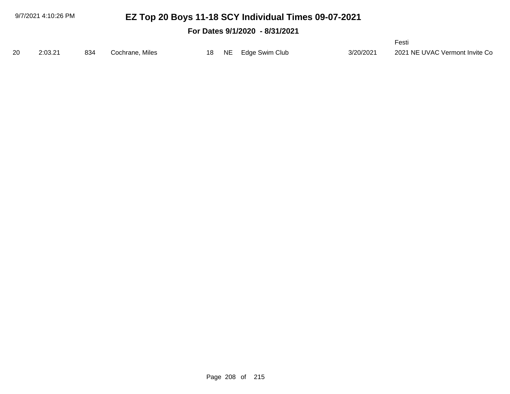| 9/7/2021 4:10:26 PM | EZ Top 20 Boys 11-18 SCY Individual Times 09-07-2021 |       |  |
|---------------------|------------------------------------------------------|-------|--|
|                     | For Dates 9/1/2020 - 8/31/2021                       |       |  |
|                     |                                                      | Festi |  |

| 20 | 2:03.21 | 834 | i inne. Miles<br>Cochrane. | 18 | NE | Edge Swim Club | 3/20/2021 | 2021 NE UVAC Vermont Invite Co |
|----|---------|-----|----------------------------|----|----|----------------|-----------|--------------------------------|
|    |         |     |                            |    |    |                |           |                                |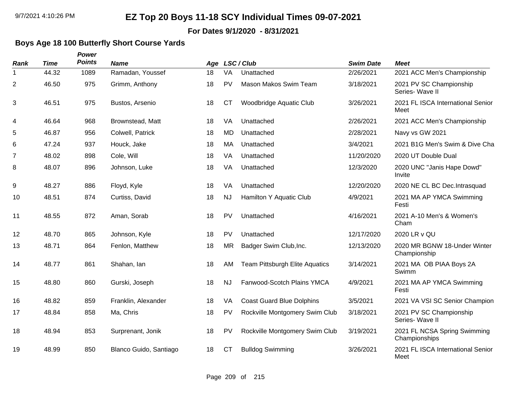**For Dates 9/1/2020 - 8/31/2021**

## **Boys Age 18 100 Butterfly Short Course Yards**

| Rank           | <b>Time</b> | Power<br><b>Points</b> | <b>Name</b>            | Age |           | LSC / Club                            | <b>Swim Date</b> | <b>Meet</b>                                   |
|----------------|-------------|------------------------|------------------------|-----|-----------|---------------------------------------|------------------|-----------------------------------------------|
|                | 44.32       | 1089                   | Ramadan, Youssef       | 18  | VA        | Unattached                            | 2/26/2021        | 2021 ACC Men's Championship                   |
| $\overline{2}$ | 46.50       | 975                    | Grimm, Anthony         | 18  | <b>PV</b> | Mason Makos Swim Team                 | 3/18/2021        | 2021 PV SC Championship<br>Series- Wave II    |
| 3              | 46.51       | 975                    | Bustos, Arsenio        | 18  | <b>CT</b> | Woodbridge Aquatic Club               | 3/26/2021        | 2021 FL ISCA International Senior<br>Meet     |
| 4              | 46.64       | 968                    | Brownstead, Matt       | 18  | VA        | Unattached                            | 2/26/2021        | 2021 ACC Men's Championship                   |
| 5              | 46.87       | 956                    | Colwell, Patrick       | 18  | <b>MD</b> | Unattached                            | 2/28/2021        | Navy vs GW 2021                               |
| 6              | 47.24       | 937                    | Houck, Jake            | 18  | MA        | Unattached                            | 3/4/2021         | 2021 B1G Men's Swim & Dive Cha                |
| 7              | 48.02       | 898                    | Cole, Will             | 18  | VA        | Unattached                            | 11/20/2020       | 2020 UT Double Dual                           |
| 8              | 48.07       | 896                    | Johnson, Luke          | 18  | VA        | Unattached                            | 12/3/2020        | 2020 UNC "Janis Hape Dowd"<br>Invite          |
| 9              | 48.27       | 886                    | Floyd, Kyle            | 18  | VA        | Unattached                            | 12/20/2020       | 2020 NE CL BC Dec. Intrasquad                 |
| 10             | 48.51       | 874                    | Curtiss, David         | 18  | <b>NJ</b> | Hamilton Y Aquatic Club               | 4/9/2021         | 2021 MA AP YMCA Swimming<br>Festi             |
| 11             | 48.55       | 872                    | Aman, Sorab            | 18  | <b>PV</b> | Unattached                            | 4/16/2021        | 2021 A-10 Men's & Women's<br>Cham             |
| 12             | 48.70       | 865                    | Johnson, Kyle          | 18  | PV        | Unattached                            | 12/17/2020       | 2020 LR v QU                                  |
| 13             | 48.71       | 864                    | Fenlon, Matthew        | 18  | <b>MR</b> | Badger Swim Club, Inc.                | 12/13/2020       | 2020 MR BGNW 18-Under Winter<br>Championship  |
| 14             | 48.77       | 861                    | Shahan, lan            | 18  | AM        | <b>Team Pittsburgh Elite Aquatics</b> | 3/14/2021        | 2021 MA OB PIAA Boys 2A<br>Swimm              |
| 15             | 48.80       | 860                    | Gurski, Joseph         | 18  | <b>NJ</b> | Fanwood-Scotch Plains YMCA            | 4/9/2021         | 2021 MA AP YMCA Swimming<br>Festi             |
| 16             | 48.82       | 859                    | Franklin, Alexander    | 18  | VA        | <b>Coast Guard Blue Dolphins</b>      | 3/5/2021         | 2021 VA VSI SC Senior Champion                |
| 17             | 48.84       | 858                    | Ma, Chris              | 18  | <b>PV</b> | Rockville Montgomery Swim Club        | 3/18/2021        | 2021 PV SC Championship<br>Series- Wave II    |
| 18             | 48.94       | 853                    | Surprenant, Jonik      | 18  | <b>PV</b> | Rockville Montgomery Swim Club        | 3/19/2021        | 2021 FL NCSA Spring Swimming<br>Championships |
| 19             | 48.99       | 850                    | Blanco Guido, Santiago | 18  | <b>CT</b> | <b>Bulldog Swimming</b>               | 3/26/2021        | 2021 FL ISCA International Senior<br>Meet     |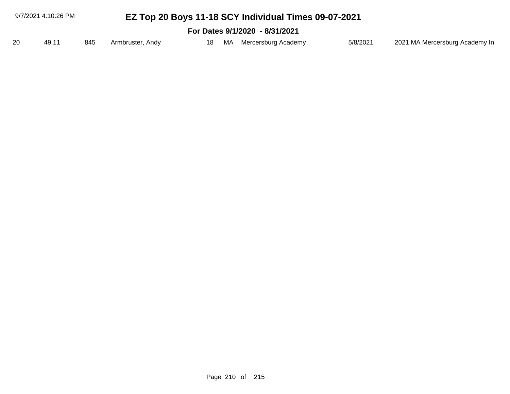|             | 9/7/2021 4:10:26 PM            |     |                  |     |  | EZ Top 20 Boys 11-18 SCY Individual Times 09-07-2021 |          |                                |  |  |
|-------------|--------------------------------|-----|------------------|-----|--|------------------------------------------------------|----------|--------------------------------|--|--|
|             | For Dates 9/1/2020 - 8/31/2021 |     |                  |     |  |                                                      |          |                                |  |  |
| 20<br>49.11 |                                | 845 | Armbruster, Andy | 18. |  | MA Mercersburg Academy                               | 5/8/2021 | 2021 MA Mercersburg Academy In |  |  |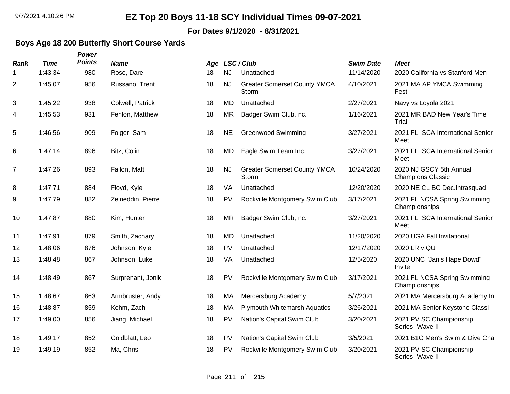#### **For Dates 9/1/2020 - 8/31/2021**

## **Boys Age 18 200 Butterfly Short Course Yards**

| <b>Rank</b>    | <b>Time</b> | Power<br><b>Points</b> | <b>Name</b>       | Age |           | LSC / Club                                   | <b>Swim Date</b> | <b>Meet</b>                                         |
|----------------|-------------|------------------------|-------------------|-----|-----------|----------------------------------------------|------------------|-----------------------------------------------------|
| 1              | 1:43.34     | 980                    | Rose, Dare        | 18  | <b>NJ</b> | Unattached                                   | 11/14/2020       | 2020 California vs Stanford Men                     |
| $\overline{c}$ | 1:45.07     | 956                    | Russano, Trent    | 18  | <b>NJ</b> | <b>Greater Somerset County YMCA</b><br>Storm | 4/10/2021        | 2021 MA AP YMCA Swimming<br>Festi                   |
| 3              | 1:45.22     | 938                    | Colwell, Patrick  | 18  | <b>MD</b> | Unattached                                   | 2/27/2021        | Navy vs Loyola 2021                                 |
| 4              | 1:45.53     | 931                    | Fenlon, Matthew   | 18  | <b>MR</b> | Badger Swim Club, Inc.                       | 1/16/2021        | 2021 MR BAD New Year's Time<br>Trial                |
| 5              | 1:46.56     | 909                    | Folger, Sam       | 18  | <b>NE</b> | <b>Greenwood Swimming</b>                    | 3/27/2021        | 2021 FL ISCA International Senior<br>Meet           |
| 6              | 1:47.14     | 896                    | Bitz, Colin       | 18  | <b>MD</b> | Eagle Swim Team Inc.                         | 3/27/2021        | 2021 FL ISCA International Senior<br>Meet           |
| $\overline{7}$ | 1:47.26     | 893                    | Fallon, Matt      | 18  | <b>NJ</b> | <b>Greater Somerset County YMCA</b><br>Storm | 10/24/2020       | 2020 NJ GSCY 5th Annual<br><b>Champions Classic</b> |
| 8              | 1:47.71     | 884                    | Floyd, Kyle       | 18  | VA        | Unattached                                   | 12/20/2020       | 2020 NE CL BC Dec.Intrasquad                        |
| 9              | 1:47.79     | 882                    | Zeineddin, Pierre | 18  | <b>PV</b> | Rockville Montgomery Swim Club               | 3/17/2021        | 2021 FL NCSA Spring Swimming<br>Championships       |
| 10             | 1:47.87     | 880                    | Kim, Hunter       | 18  | <b>MR</b> | Badger Swim Club, Inc.                       | 3/27/2021        | 2021 FL ISCA International Senior<br>Meet           |
| 11             | 1:47.91     | 879                    | Smith, Zachary    | 18  | <b>MD</b> | Unattached                                   | 11/20/2020       | 2020 UGA Fall Invitational                          |
| 12             | 1:48.06     | 876                    | Johnson, Kyle     | 18  | <b>PV</b> | Unattached                                   | 12/17/2020       | 2020 LR v QU                                        |
| 13             | 1:48.48     | 867                    | Johnson, Luke     | 18  | VA        | Unattached                                   | 12/5/2020        | 2020 UNC "Janis Hape Dowd"<br>Invite                |
| 14             | 1:48.49     | 867                    | Surprenant, Jonik | 18  | <b>PV</b> | Rockville Montgomery Swim Club               | 3/17/2021        | 2021 FL NCSA Spring Swimming<br>Championships       |
| 15             | 1:48.67     | 863                    | Armbruster, Andy  | 18  | MA        | Mercersburg Academy                          | 5/7/2021         | 2021 MA Mercersburg Academy In                      |
| 16             | 1:48.87     | 859                    | Kohm, Zach        | 18  | MA        | <b>Plymouth Whitemarsh Aquatics</b>          | 3/26/2021        | 2021 MA Senior Keystone Classi                      |
| 17             | 1:49.00     | 856                    | Jiang, Michael    | 18  | <b>PV</b> | Nation's Capital Swim Club                   | 3/20/2021        | 2021 PV SC Championship<br>Series- Wave II          |
| 18             | 1:49.17     | 852                    | Goldblatt, Leo    | 18  | PV        | Nation's Capital Swim Club                   | 3/5/2021         | 2021 B1G Men's Swim & Dive Cha                      |
| 19             | 1:49.19     | 852                    | Ma, Chris         | 18  | <b>PV</b> | Rockville Montgomery Swim Club               | 3/20/2021        | 2021 PV SC Championship<br>Series- Wave II          |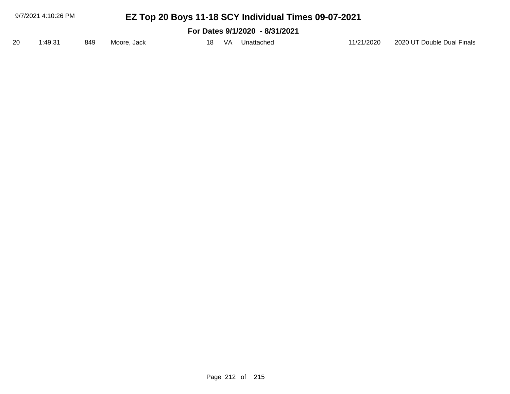| 9/7/2021 4:10:26 PM |                                |     |             |     |     |            |            |                            |  |
|---------------------|--------------------------------|-----|-------------|-----|-----|------------|------------|----------------------------|--|
|                     | For Dates 9/1/2020 - 8/31/2021 |     |             |     |     |            |            |                            |  |
| -20                 | 1:49.31                        | 849 | Moore, Jack | 18. | VA. | Unattached | 11/21/2020 | 2020 UT Double Dual Finals |  |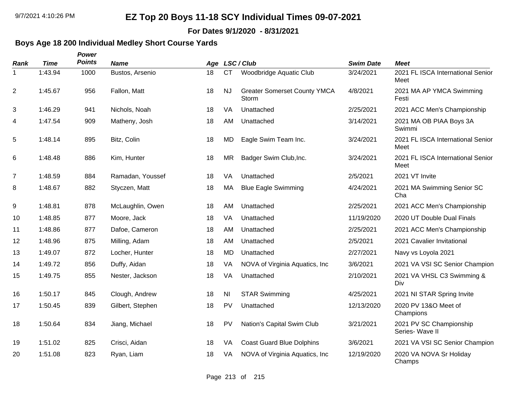**For Dates 9/1/2020 - 8/31/2021**

## **Boys Age 18 200 Individual Medley Short Course Yards**

| <b>Rank</b>    | <b>Time</b> | Power<br><b>Points</b> | <b>Name</b>      | Age |           | LSC/Club                                     | <b>Swim Date</b> | <b>Meet</b>                                |
|----------------|-------------|------------------------|------------------|-----|-----------|----------------------------------------------|------------------|--------------------------------------------|
| 1              | 1:43.94     | 1000                   | Bustos, Arsenio  | 18  | <b>CT</b> | Woodbridge Aquatic Club                      | 3/24/2021        | 2021 FL ISCA International Senior<br>Meet  |
| 2              | 1:45.67     | 956                    | Fallon, Matt     | 18  | <b>NJ</b> | <b>Greater Somerset County YMCA</b><br>Storm | 4/8/2021         | 2021 MA AP YMCA Swimming<br>Festi          |
| 3              | 1:46.29     | 941                    | Nichols, Noah    | 18  | VA        | Unattached                                   | 2/25/2021        | 2021 ACC Men's Championship                |
| 4              | 1:47.54     | 909                    | Matheny, Josh    | 18  | AM        | Unattached                                   | 3/14/2021        | 2021 MA OB PIAA Boys 3A<br>Swimmi          |
| 5              | 1:48.14     | 895                    | Bitz, Colin      | 18  | <b>MD</b> | Eagle Swim Team Inc.                         | 3/24/2021        | 2021 FL ISCA International Senior<br>Meet  |
| 6              | 1:48.48     | 886                    | Kim, Hunter      | 18  | <b>MR</b> | Badger Swim Club, Inc.                       | 3/24/2021        | 2021 FL ISCA International Senior<br>Meet  |
| $\overline{7}$ | 1:48.59     | 884                    | Ramadan, Youssef | 18  | VA        | Unattached                                   | 2/5/2021         | 2021 VT Invite                             |
| 8              | 1:48.67     | 882                    | Styczen, Matt    | 18  | MA        | <b>Blue Eagle Swimming</b>                   | 4/24/2021        | 2021 MA Swimming Senior SC<br>Cha          |
| 9              | 1:48.81     | 878                    | McLaughlin, Owen | 18  | AM        | Unattached                                   | 2/25/2021        | 2021 ACC Men's Championship                |
| 10             | 1:48.85     | 877                    | Moore, Jack      | 18  | VA        | Unattached                                   | 11/19/2020       | 2020 UT Double Dual Finals                 |
| 11             | 1:48.86     | 877                    | Dafoe, Cameron   | 18  | AM        | Unattached                                   | 2/25/2021        | 2021 ACC Men's Championship                |
| 12             | 1:48.96     | 875                    | Milling, Adam    | 18  | AM        | Unattached                                   | 2/5/2021         | 2021 Cavalier Invitational                 |
| 13             | 1:49.07     | 872                    | Locher, Hunter   | 18  | <b>MD</b> | Unattached                                   | 2/27/2021        | Navy vs Loyola 2021                        |
| 14             | 1:49.72     | 856                    | Duffy, Aidan     | 18  | VA        | NOVA of Virginia Aquatics, Inc.              | 3/6/2021         | 2021 VA VSI SC Senior Champion             |
| 15             | 1:49.75     | 855                    | Nester, Jackson  | 18  | VA        | Unattached                                   | 2/10/2021        | 2021 VA VHSL C3 Swimming &<br>Div          |
| 16             | 1:50.17     | 845                    | Clough, Andrew   | 18  | <b>NI</b> | <b>STAR Swimming</b>                         | 4/25/2021        | 2021 NI STAR Spring Invite                 |
| 17             | 1:50.45     | 839                    | Gilbert, Stephen | 18  | <b>PV</b> | Unattached                                   | 12/13/2020       | 2020 PV 13&O Meet of<br>Champions          |
| 18             | 1:50.64     | 834                    | Jiang, Michael   | 18  | <b>PV</b> | Nation's Capital Swim Club                   | 3/21/2021        | 2021 PV SC Championship<br>Series- Wave II |
| 19             | 1:51.02     | 825                    | Crisci, Aidan    | 18  | VA        | <b>Coast Guard Blue Dolphins</b>             | 3/6/2021         | 2021 VA VSI SC Senior Champion             |
| 20             | 1:51.08     | 823                    | Ryan, Liam       | 18  | VA        | NOVA of Virginia Aquatics, Inc.              | 12/19/2020       | 2020 VA NOVA Sr Holiday<br>Champs          |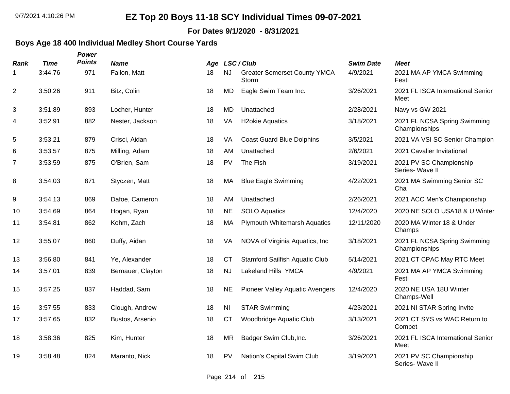**For Dates 9/1/2020 - 8/31/2021**

## **Boys Age 18 400 Individual Medley Short Course Yards**

| <b>Rank</b>    | <b>Time</b> | Power<br><b>Points</b> | <b>Name</b>       |    |           | Age LSC/Club                                 | <b>Swim Date</b> | <b>Meet</b>                                   |
|----------------|-------------|------------------------|-------------------|----|-----------|----------------------------------------------|------------------|-----------------------------------------------|
| 1              | 3:44.76     | 971                    | Fallon, Matt      | 18 | <b>NJ</b> | <b>Greater Somerset County YMCA</b><br>Storm | 4/9/2021         | 2021 MA AP YMCA Swimming<br>Festi             |
| $\overline{2}$ | 3:50.26     | 911                    | Bitz, Colin       | 18 | <b>MD</b> | Eagle Swim Team Inc.                         | 3/26/2021        | 2021 FL ISCA International Senior<br>Meet     |
| 3              | 3:51.89     | 893                    | Locher, Hunter    | 18 | <b>MD</b> | Unattached                                   | 2/28/2021        | Navy vs GW 2021                               |
| 4              | 3:52.91     | 882                    | Nester, Jackson   | 18 | VA        | <b>H2okie Aquatics</b>                       | 3/18/2021        | 2021 FL NCSA Spring Swimming<br>Championships |
| 5              | 3:53.21     | 879                    | Crisci, Aidan     | 18 | VA        | <b>Coast Guard Blue Dolphins</b>             | 3/5/2021         | 2021 VA VSI SC Senior Champion                |
| 6              | 3:53.57     | 875                    | Milling, Adam     | 18 | AM        | Unattached                                   | 2/6/2021         | 2021 Cavalier Invitational                    |
| 7              | 3:53.59     | 875                    | O'Brien, Sam      | 18 | PV        | The Fish                                     | 3/19/2021        | 2021 PV SC Championship<br>Series- Wave II    |
| 8              | 3:54.03     | 871                    | Styczen, Matt     | 18 | MA        | <b>Blue Eagle Swimming</b>                   | 4/22/2021        | 2021 MA Swimming Senior SC<br>Cha             |
| 9              | 3:54.13     | 869                    | Dafoe, Cameron    | 18 | AM        | Unattached                                   | 2/26/2021        | 2021 ACC Men's Championship                   |
| 10             | 3:54.69     | 864                    | Hogan, Ryan       | 18 | <b>NE</b> | <b>SOLO Aquatics</b>                         | 12/4/2020        | 2020 NE SOLO USA18 & U Winter                 |
| 11             | 3:54.81     | 862                    | Kohm, Zach        | 18 | MA        | Plymouth Whitemarsh Aquatics                 | 12/11/2020       | 2020 MA Winter 18 & Under<br>Champs           |
| 12             | 3:55.07     | 860                    | Duffy, Aidan      | 18 | VA        | NOVA of Virginia Aquatics, Inc.              | 3/18/2021        | 2021 FL NCSA Spring Swimming<br>Championships |
| 13             | 3:56.80     | 841                    | Ye, Alexander     | 18 | <b>CT</b> | <b>Stamford Sailfish Aquatic Club</b>        | 5/14/2021        | 2021 CT CPAC May RTC Meet                     |
| 14             | 3:57.01     | 839                    | Bernauer, Clayton | 18 | <b>NJ</b> | Lakeland Hills YMCA                          | 4/9/2021         | 2021 MA AP YMCA Swimming<br>Festi             |
| 15             | 3:57.25     | 837                    | Haddad, Sam       | 18 | <b>NE</b> | <b>Pioneer Valley Aquatic Avengers</b>       | 12/4/2020        | 2020 NE USA 18U Winter<br>Champs-Well         |
| 16             | 3:57.55     | 833                    | Clough, Andrew    | 18 | <b>NI</b> | <b>STAR Swimming</b>                         | 4/23/2021        | 2021 NI STAR Spring Invite                    |
| 17             | 3:57.65     | 832                    | Bustos, Arsenio   | 18 | <b>CT</b> | Woodbridge Aquatic Club                      | 3/13/2021        | 2021 CT SYS vs WAC Return to<br>Compet        |
| 18             | 3:58.36     | 825                    | Kim, Hunter       | 18 | <b>MR</b> | Badger Swim Club, Inc.                       | 3/26/2021        | 2021 FL ISCA International Senior<br>Meet     |
| 19             | 3:58.48     | 824                    | Maranto, Nick     | 18 | <b>PV</b> | Nation's Capital Swim Club                   | 3/19/2021        | 2021 PV SC Championship<br>Series- Wave II    |